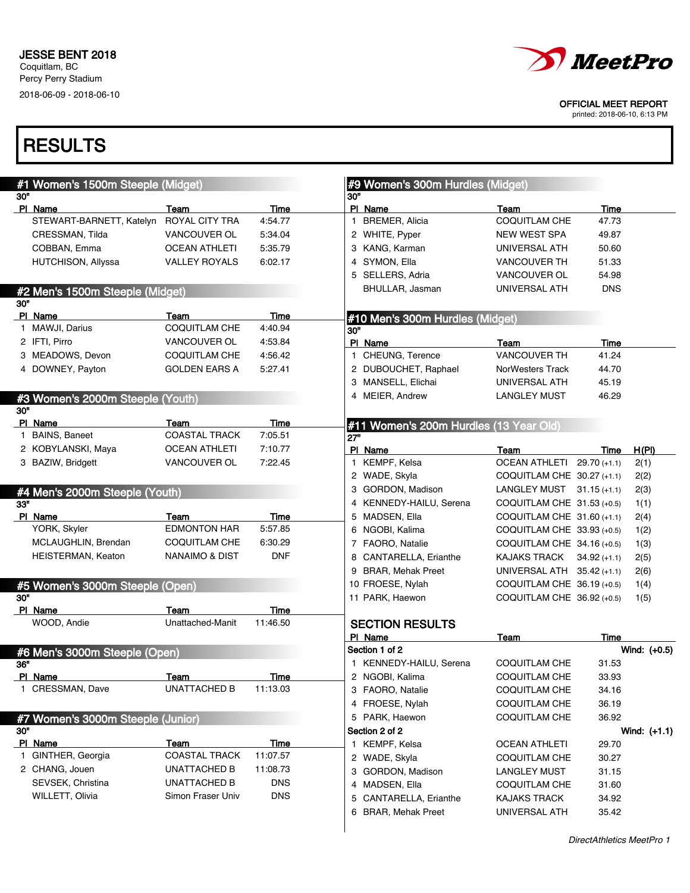

printed: 2018-06-10, 6:13 PM

|     | #1 Women's 1500m Steeple (Midget)<br>30" |                              |                  |     | #9 Women's 300m Hurdles (Midget)<br>30" |                              |             |                |
|-----|------------------------------------------|------------------------------|------------------|-----|-----------------------------------------|------------------------------|-------------|----------------|
|     | PI Name                                  | Team                         | Time             |     | PI Name                                 | Team                         | Time        |                |
|     | STEWART-BARNETT, Katelyn ROYAL CITY TRA  |                              | 4:54.77          |     | 1 BREMER, Alicia                        | <b>COQUITLAM CHE</b>         | 47.73       |                |
|     | CRESSMAN, Tilda                          | VANCOUVER OL                 | 5:34.04          |     | 2 WHITE, Pyper                          | <b>NEW WEST SPA</b>          | 49.87       |                |
|     | COBBAN, Emma                             | <b>OCEAN ATHLETI</b>         | 5:35.79          |     | 3 KANG, Karman                          | UNIVERSAL ATH                | 50.60       |                |
|     | <b>HUTCHISON, Allyssa</b>                | <b>VALLEY ROYALS</b>         | 6:02.17          |     | 4 SYMON, Ella                           | <b>VANCOUVER TH</b>          | 51.33       |                |
|     |                                          |                              |                  |     | 5 SELLERS, Adria                        | VANCOUVER OL                 | 54.98       |                |
|     | #2 Men's 1500m Steeple (Midget)          |                              |                  |     | BHULLAR, Jasman                         | UNIVERSAL ATH                | <b>DNS</b>  |                |
| 30" |                                          |                              |                  |     |                                         |                              |             |                |
|     | PI Name                                  | Team                         | Time             |     | #10 Men's 300m Hurdles (Midget)         |                              |             |                |
|     | 1 MAWJI, Darius                          | COQUITLAM CHE                | 4:40.94          | 30" |                                         |                              |             |                |
|     | 2 IFTI, Pirro                            | VANCOUVER OL                 | 4:53.84          |     | PI Name                                 | Team                         | Time        |                |
|     | 3 MEADOWS, Devon                         | COQUITLAM CHE                | 4:56.42          |     | 1 CHEUNG, Terence                       | <b>VANCOUVER TH</b>          | 41.24       |                |
|     | 4 DOWNEY, Payton                         | <b>GOLDEN EARS A</b>         | 5:27.41          |     | 2 DUBOUCHET, Raphael                    | NorWesters Track             | 44.70       |                |
|     |                                          |                              |                  |     | 3 MANSELL, Elichai                      | UNIVERSAL ATH                | 45.19       |                |
|     | #3 Women's 2000m Steeple (Youth)         |                              |                  |     | 4 MEIER, Andrew                         | <b>LANGLEY MUST</b>          | 46.29       |                |
| 30" |                                          |                              |                  |     |                                         |                              |             |                |
|     | PI Name                                  | Team                         | Time             |     | #11 Women's 200m Hurdles (13 Year Old)  |                              |             |                |
|     | 1 BAINS, Baneet                          | <b>COASTAL TRACK</b>         | 7:05.51          | 27" |                                         |                              |             |                |
|     | 2 KOBYLANSKI, Maya                       | <b>OCEAN ATHLETI</b>         | 7:10.77          |     | PI Name                                 | Team                         | Time        | H(PI)          |
|     | 3 BAZIW, Bridgett                        | VANCOUVER OL                 | 7:22.45          |     | 1 KEMPF, Kelsa                          | OCEAN ATHLETI 29.70 (+1.1)   |             | 2(1)           |
|     |                                          |                              |                  |     | 2 WADE, Skyla                           | COQUITLAM CHE 30.27 (+1.1)   |             | 2(2)           |
|     | #4 Men's 2000m Steeple (Youth)           |                              |                  |     | 3 GORDON, Madison                       | LANGLEY MUST $31.15 (+1.1)$  |             | 2(3)           |
| 33" |                                          |                              |                  |     | 4 KENNEDY-HAILU, Serena                 | COQUITLAM CHE 31.53 (+0.5)   |             | 1(1)           |
|     | PI Name                                  | Team                         | Time             |     | 5 MADSEN, Ella                          | COQUITLAM CHE $31.60$ (+1.1) |             | 2(4)           |
|     | YORK, Skyler                             | <b>EDMONTON HAR</b>          | 5:57.85          |     | 6 NGOBI, Kalima                         | COQUITLAM CHE 33.93 (+0.5)   |             | 1(2)           |
|     | MCLAUGHLIN, Brendan                      | <b>COQUITLAM CHE</b>         | 6:30.29          |     | 7 FAORO, Natalie                        | COQUITLAM CHE 34.16 (+0.5)   |             | 1(3)           |
|     | HEISTERMAN, Keaton                       | <b>NANAIMO &amp; DIST</b>    | <b>DNF</b>       |     | 8 CANTARELLA, Erianthe                  | KAJAKS TRACK $34.92 (+1.1)$  |             | 2(5)           |
|     |                                          |                              |                  |     | 9 BRAR, Mehak Preet                     | UNIVERSAL ATH $35.42$ (+1.1) |             | 2(6)           |
|     | #5 Women's 3000m Steeple (Open)          |                              |                  |     | 10 FROESE, Nylah                        | COQUITLAM CHE 36.19 (+0.5)   |             | 1(4)           |
| 30" |                                          |                              |                  |     | 11 PARK, Haewon                         | COQUITLAM CHE 36.92 (+0.5)   |             | 1(5)           |
|     | PI Name                                  | Team                         | Time             |     |                                         |                              |             |                |
|     | WOOD, Andie                              | Unattached-Manit             | 11:46.50         |     | <b>SECTION RESULTS</b>                  |                              |             |                |
|     |                                          |                              |                  |     | PI Name                                 | Team                         | <b>Time</b> |                |
|     | #6 Men's 3000m Steeple (Open)            |                              |                  |     | Section 1 of 2                          |                              |             | Wind: $(+0.5)$ |
| 36" |                                          |                              |                  |     | 1 KENNEDY-HAILU, Serena                 | <b>COQUITLAM CHE</b>         | 31.53       |                |
|     | PI Name                                  | <u>Teamet</u>                | <u>Time</u>      |     | 2 NGOBI, Kalima                         | COQUITLAM CHE                | 33.93       |                |
|     | 1 CRESSMAN, Dave                         | UNATTACHED B                 | 11:13.03         |     | 3 FAORO, Natalie                        | <b>COQUITLAM CHE</b>         | 34.16       |                |
|     |                                          |                              |                  |     | 4 FROESE, Nylah                         | <b>COQUITLAM CHE</b>         | 36.19       |                |
|     | #7 Women's 3000m Steeple (Junior)        |                              |                  |     | 5 PARK, Haewon                          | <b>COQUITLAM CHE</b>         | 36.92       |                |
| 30" |                                          |                              |                  |     | Section 2 of 2                          |                              |             | Wind: $(+1.1)$ |
|     | PI Name<br>1 GINTHER, Georgia            | Team<br><b>COASTAL TRACK</b> | Time<br>11:07.57 |     | 1 KEMPF, Kelsa                          | <b>OCEAN ATHLETI</b>         | 29.70       |                |
|     | 2 CHANG, Jouen                           | UNATTACHED B                 | 11:08.73         |     | 2 WADE, Skyla                           | COQUITLAM CHE                | 30.27       |                |
|     | SEVSEK, Christina                        | <b>UNATTACHED B</b>          | <b>DNS</b>       |     | 3 GORDON, Madison                       | <b>LANGLEY MUST</b>          | 31.15       |                |
|     | <b>WILLETT, Olivia</b>                   | Simon Fraser Univ            | <b>DNS</b>       |     | 4 MADSEN, Ella                          | COQUITLAM CHE                | 31.60       |                |
|     |                                          |                              |                  |     | 5 CANTARELLA, Erianthe                  | <b>KAJAKS TRACK</b>          | 34.92       |                |
|     |                                          |                              |                  |     | 6 BRAR, Mehak Preet                     | UNIVERSAL ATH                | 35.42       |                |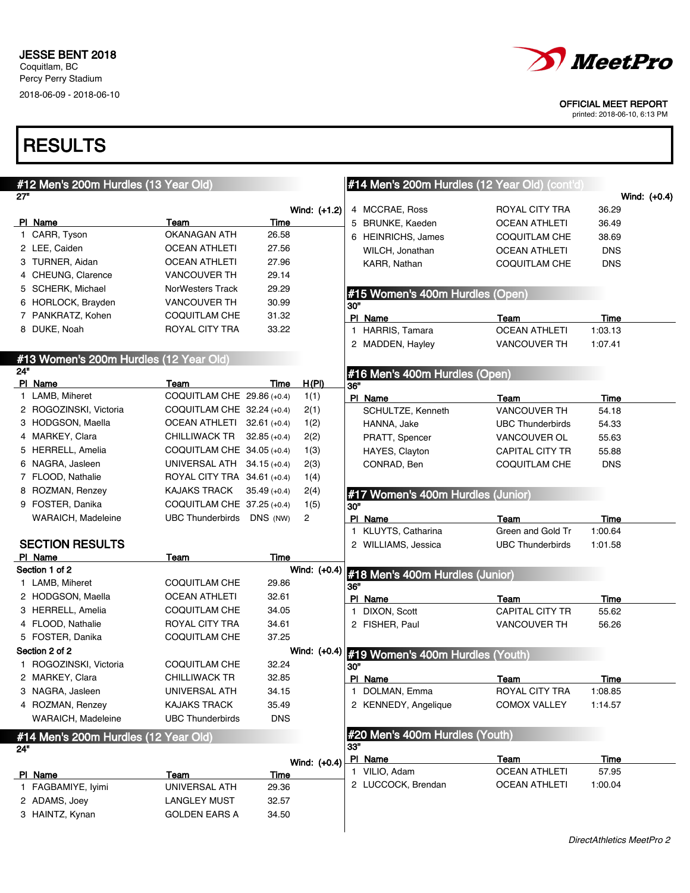

printed: 2018-06-10, 6:13 PM

|            | #12 Men's 200m Hurdles (13 Year Old)   |                             |                |              |     | #14 Men's 200m Hurdles (12 Year Old) (cont'd) |                         |                |
|------------|----------------------------------------|-----------------------------|----------------|--------------|-----|-----------------------------------------------|-------------------------|----------------|
| 27"        |                                        |                             |                |              |     |                                               |                         | Wind: $(+0.4)$ |
|            |                                        |                             |                | Wind: (+1.2) |     | 4 MCCRAE, Ross                                | ROYAL CITY TRA          | 36.29          |
|            | PI Name                                | Team                        | Time           |              |     | 5 BRUNKE, Kaeden                              | <b>OCEAN ATHLETI</b>    | 36.49          |
|            | 1 CARR, Tyson                          | <b>OKANAGAN ATH</b>         | 26.58          |              |     | 6 HEINRICHS, James                            | COQUITLAM CHE           | 38.69          |
|            | 2 LEE, Caiden                          | <b>OCEAN ATHLETI</b>        | 27.56          |              |     | WILCH, Jonathan                               | <b>OCEAN ATHLETI</b>    | <b>DNS</b>     |
|            | 3 TURNER, Aidan                        | <b>OCEAN ATHLETI</b>        | 27.96          |              |     | KARR, Nathan                                  | COQUITLAM CHE           | <b>DNS</b>     |
|            | 4 CHEUNG, Clarence                     | <b>VANCOUVER TH</b>         | 29.14          |              |     |                                               |                         |                |
|            | 5 SCHERK, Michael                      | <b>NorWesters Track</b>     | 29.29          |              |     | #15 Women's 400m Hurdles (Open)               |                         |                |
|            | 6 HORLOCK, Brayden                     | <b>VANCOUVER TH</b>         | 30.99          |              | 30" |                                               |                         |                |
|            | 7 PANKRATZ, Kohen                      | COQUITLAM CHE               | 31.32          |              |     | PI Name                                       | Team                    | Time           |
|            | 8 DUKE, Noah                           | ROYAL CITY TRA              | 33.22          |              |     | 1 HARRIS, Tamara                              | <b>OCEAN ATHLETI</b>    | 1:03.13        |
|            |                                        |                             |                |              |     | 2 MADDEN, Hayley                              | <b>VANCOUVER TH</b>     | 1:07.41        |
|            | #13 Women's 200m Hurdles (12 Year Old) |                             |                |              |     |                                               |                         |                |
| <b>24"</b> |                                        |                             |                |              |     | #16 Men's 400m Hurdles (Open)                 |                         |                |
|            | PI Name                                | Team                        | Time           | H(PI)        | 36" |                                               |                         |                |
|            | 1 LAMB, Miheret                        | COQUITLAM CHE 29.86 (+0.4)  |                | 1(1)         |     | PI Name                                       | Team                    | Time           |
|            | 2 ROGOZINSKI, Victoria                 | COQUITLAM CHE 32.24 (+0.4)  |                | 2(1)         |     | SCHULTZE, Kenneth                             | <b>VANCOUVER TH</b>     | 54.18          |
|            | 3 HODGSON, Maella                      | OCEAN ATHLETI 32.61 (+0.4)  |                | 1(2)         |     | HANNA, Jake                                   | <b>UBC Thunderbirds</b> | 54.33          |
|            | 4 MARKEY, Clara                        | CHILLIWACK TR               | $32.85 (+0.4)$ | 2(2)         |     | PRATT, Spencer                                | VANCOUVER OL            | 55.63          |
|            | 5 HERRELL, Amelia                      | COQUITLAM CHE 34.05 (+0.4)  |                | 1(3)         |     | HAYES, Clayton                                | <b>CAPITAL CITY TR</b>  | 55.88          |
|            | 6 NAGRA, Jasleen                       | UNIVERSAL ATH 34.15 (+0.4)  |                | 2(3)         |     | CONRAD, Ben                                   | COQUITLAM CHE           | <b>DNS</b>     |
|            | 7 FLOOD, Nathalie                      | ROYAL CITY TRA 34.61 (+0.4) |                | 1(4)         |     |                                               |                         |                |
|            | 8 ROZMAN, Renzey                       | <b>KAJAKS TRACK</b>         | $35.49 (+0.4)$ | 2(4)         |     | #17 Women's 400m Hurdles (Junior)             |                         |                |
|            | 9 FOSTER, Danika                       | COQUITLAM CHE 37.25 (+0.4)  |                | 1(5)         | 30" |                                               |                         |                |
|            | WARAICH, Madeleine                     | UBC Thunderbirds DNS (NW)   |                | 2            |     | PI Name                                       | Team                    | Time           |
|            |                                        |                             |                |              |     | 1 KLUYTS, Catharina                           | Green and Gold Tr       | 1:00.64        |
|            | <b>SECTION RESULTS</b>                 |                             |                |              |     | 2 WILLIAMS, Jessica                           | <b>UBC Thunderbirds</b> | 1:01.58        |
|            | PI Name                                | Team                        | Time           |              |     |                                               |                         |                |
|            | Section 1 of 2                         |                             |                | Wind: (+0.4) |     | #18 Men's 400m Hurdles (Junior)               |                         |                |
|            | 1 LAMB, Miheret                        | COQUITLAM CHE               | 29.86          |              | 36" |                                               |                         |                |
|            | 2 HODGSON, Maella                      | <b>OCEAN ATHLETI</b>        | 32.61          |              |     | PI Name                                       | Team                    | Time           |
|            | 3 HERRELL, Amelia                      | COQUITLAM CHE               | 34.05          |              |     | 1 DIXON, Scott                                | CAPITAL CITY TR         | 55.62          |
|            | 4 FLOOD, Nathalie                      | ROYAL CITY TRA              | 34.61          |              |     | 2 FISHER, Paul                                | <b>VANCOUVER TH</b>     | 56.26          |
|            | 5 FOSTER, Danika                       | COQUITLAM CHE               | 37.25          |              |     |                                               |                         |                |
|            | Section 2 of 2                         |                             |                | Wind: (+0.4) |     | #19 Women's 400m Hurdles (Youth)              |                         |                |
|            | 1 ROGOZINSKI, Victoria                 | COQUITLAM CHE               | 32.24          |              | 30" |                                               |                         |                |
|            | 2 MARKEY, Clara                        | <b>CHILLIWACK TR</b>        | 32.85          |              |     | PI Name                                       | <b>Team</b>             | <b>Time</b>    |
|            | 3 NAGRA, Jasleen                       | UNIVERSAL ATH               | 34.15          |              |     | 1 DOLMAN, Emma                                | ROYAL CITY TRA          | 1:08.85        |
|            | 4 ROZMAN, Renzey                       | <b>KAJAKS TRACK</b>         | 35.49          |              |     | 2 KENNEDY, Angelique                          | <b>COMOX VALLEY</b>     | 1:14.57        |
|            | WARAICH, Madeleine                     | <b>UBC Thunderbirds</b>     | <b>DNS</b>     |              |     |                                               |                         |                |
|            | #14 Men's 200m Hurdles (12 Year Old)   |                             |                |              | 33" | #20 Men's 400m Hurdles (Youth)                |                         |                |
| 24"        |                                        |                             |                |              |     | PI Name                                       | Team                    | Time           |
|            |                                        |                             |                | Wind: (+0.4) |     | 1 VILIO, Adam                                 | <b>OCEAN ATHLETI</b>    | 57.95          |
|            | PI Name<br>1 FAGBAMIYE, Iyimi          | Team<br>UNIVERSAL ATH       | Time<br>29.36  |              |     | 2 LUCCOCK, Brendan                            | <b>OCEAN ATHLETI</b>    | 1:00.04        |
|            | 2 ADAMS, Joey                          | <b>LANGLEY MUST</b>         | 32.57          |              |     |                                               |                         |                |
|            | 3 HAINTZ, Kynan                        | <b>GOLDEN EARS A</b>        | 34.50          |              |     |                                               |                         |                |
|            |                                        |                             |                |              |     |                                               |                         |                |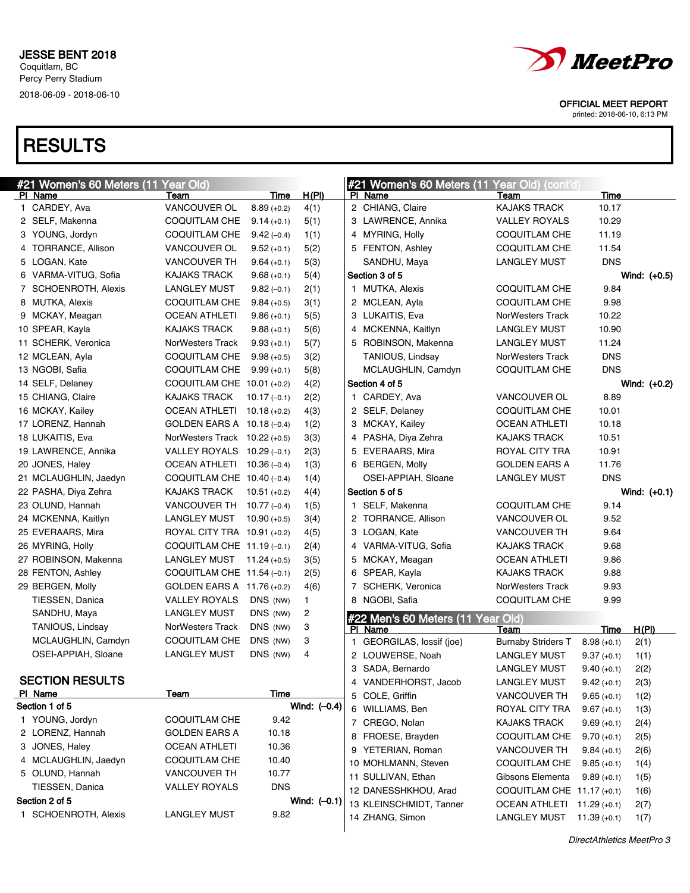

printed: 2018-06-10, 6:13 PM

| <b>#21 Women's 60 Meters (11 Year Old)</b> |                                 |                |                |    | #21 Women's 60 Meters (11 Year Old) (cont'd) |                            |               |                |
|--------------------------------------------|---------------------------------|----------------|----------------|----|----------------------------------------------|----------------------------|---------------|----------------|
| PI Name                                    | Team                            | Time           | <u>H(PI)</u>   |    | PI Name                                      | Team                       | Time          |                |
| 1 CARDEY, Ava                              | VANCOUVER OL                    | $8.89(+0.2)$   | 4(1)           |    | 2 CHIANG, Claire                             | KAJAKS TRACK               | 10.17         |                |
| 2 SELF, Makenna                            | <b>COQUITLAM CHE</b>            | $9.14 (+0.1)$  | 5(1)           |    | 3 LAWRENCE, Annika                           | <b>VALLEY ROYALS</b>       | 10.29         |                |
| 3 YOUNG, Jordyn                            | COQUITLAM CHE                   | $9.42(-0.4)$   | 1(1)           |    | 4 MYRING, Holly                              | <b>COQUITLAM CHE</b>       | 11.19         |                |
| 4 TORRANCE, Allison                        | VANCOUVER OL                    | $9.52(+0.1)$   | 5(2)           |    | 5 FENTON, Ashley                             | <b>COQUITLAM CHE</b>       | 11.54         |                |
| 5 LOGAN, Kate                              | <b>VANCOUVER TH</b>             | $9.64 (+0.1)$  | 5(3)           |    | SANDHU, Maya                                 | <b>LANGLEY MUST</b>        | <b>DNS</b>    |                |
| 6 VARMA-VITUG, Sofia                       | <b>KAJAKS TRACK</b>             | $9.68(+0.1)$   | 5(4)           |    | Section 3 of 5                               |                            |               | Wind: $(+0.5)$ |
| 7 SCHOENROTH, Alexis                       | <b>LANGLEY MUST</b>             | $9.82(-0.1)$   | 2(1)           |    | 1 MUTKA, Alexis                              | <b>COQUITLAM CHE</b>       | 9.84          |                |
| 8 MUTKA, Alexis                            | COQUITLAM CHE                   | $9.84 (+0.5)$  | 3(1)           |    | 2 MCLEAN, Ayla                               | <b>COQUITLAM CHE</b>       | 9.98          |                |
| 9 MCKAY, Meagan                            | <b>OCEAN ATHLETI</b>            | $9.86(+0.1)$   | 5(5)           |    | 3 LUKAITIS, Eva                              | NorWesters Track           | 10.22         |                |
| 10 SPEAR, Kayla                            | <b>KAJAKS TRACK</b>             | $9.88(+0.1)$   | 5(6)           |    | 4 MCKENNA, Kaitlyn                           | LANGLEY MUST               | 10.90         |                |
| 11 SCHERK, Veronica                        | NorWesters Track                | $9.93(+0.1)$   | 5(7)           |    | 5 ROBINSON, Makenna                          | <b>LANGLEY MUST</b>        | 11.24         |                |
| 12 MCLEAN, Ayla                            | COQUITLAM CHE                   | $9.98(+0.5)$   | 3(2)           |    | TANIOUS, Lindsay                             | <b>NorWesters Track</b>    | <b>DNS</b>    |                |
| 13 NGOBI, Safia                            | COQUITLAM CHE                   | $9.99(+0.1)$   | 5(8)           |    | MCLAUGHLIN, Camdyn                           | COQUITLAM CHE              | <b>DNS</b>    |                |
| 14 SELF, Delaney                           | COQUITLAM CHE 10.01 (+0.2)      |                | 4(2)           |    | Section 4 of 5                               |                            |               | Wind: $(+0.2)$ |
| 15 CHIANG, Claire                          | <b>KAJAKS TRACK</b>             | $10.17(-0.1)$  | 2(2)           |    | 1 CARDEY, Ava                                | <b>VANCOUVER OL</b>        | 8.89          |                |
| 16 MCKAY, Kailey                           | OCEAN ATHLETI 10.18 (+0.2)      |                | 4(3)           |    | 2 SELF, Delaney                              | <b>COQUITLAM CHE</b>       | 10.01         |                |
| 17 LORENZ, Hannah                          | GOLDEN EARS A 10.18 (-0.4)      |                | 1(2)           |    | 3 MCKAY, Kailey                              | <b>OCEAN ATHLETI</b>       | 10.18         |                |
| 18 LUKAITIS, Eva                           | NorWesters Track $10.22$ (+0.5) |                | 3(3)           |    | 4 PASHA, Diya Zehra                          | <b>KAJAKS TRACK</b>        | 10.51         |                |
| 19 LAWRENCE, Annika                        | VALLEY ROYALS 10.29 (-0.1)      |                | 2(3)           |    | 5 EVERAARS, Mira                             | ROYAL CITY TRA             | 10.91         |                |
| 20 JONES, Haley                            | OCEAN ATHLETI 10.36 (-0.4)      |                | 1(3)           |    | 6 BERGEN, Molly                              | <b>GOLDEN EARS A</b>       | 11.76         |                |
| 21 MCLAUGHLIN, Jaedyn                      | COQUITLAM CHE $10.40$ (-0.4)    |                | 1(4)           |    | OSEI-APPIAH, Sloane                          | <b>LANGLEY MUST</b>        | <b>DNS</b>    |                |
| 22 PASHA, Diya Zehra                       | <b>KAJAKS TRACK</b>             | $10.51(+0.2)$  | 4(4)           |    | Section 5 of 5                               |                            |               | Wind: $(+0.1)$ |
| 23 OLUND, Hannah                           | VANCOUVER TH 10.77 (-0.4)       |                | 1(5)           |    | 1 SELF, Makenna                              | COQUITLAM CHE              | 9.14          |                |
| 24 MCKENNA, Kaitlyn                        | LANGLEY MUST                    | $10.90(+0.5)$  | 3(4)           |    | 2 TORRANCE, Allison                          | VANCOUVER OL               | 9.52          |                |
| 25 EVERAARS, Mira                          | ROYAL CITY TRA 10.91 (+0.2)     |                | 4(5)           |    | 3 LOGAN, Kate                                | <b>VANCOUVER TH</b>        | 9.64          |                |
| 26 MYRING, Holly                           | COQUITLAM CHE $11.19(-0.1)$     |                | 2(4)           |    | 4 VARMA-VITUG, Sofia                         | <b>KAJAKS TRACK</b>        | 9.68          |                |
| 27 ROBINSON, Makenna                       | <b>LANGLEY MUST</b>             | $11.24 (+0.5)$ | 3(5)           |    | 5 MCKAY, Meagan                              | <b>OCEAN ATHLETI</b>       | 9.86          |                |
| 28 FENTON, Ashley                          | COQUITLAM CHE 11.54 (-0.1)      |                | 2(5)           |    | 6 SPEAR, Kayla                               | <b>KAJAKS TRACK</b>        | 9.88          |                |
| 29 BERGEN, Molly                           | GOLDEN EARS A 11.76 (+0.2)      |                | 4(6)           |    | 7 SCHERK, Veronica                           | <b>NorWesters Track</b>    | 9.93          |                |
| TIESSEN, Danica                            | <b>VALLEY ROYALS</b>            | DNS (NW)       | $\mathbf{1}$   |    | 8 NGOBI, Safia                               | <b>COQUITLAM CHE</b>       | 9.99          |                |
| SANDHU, Maya                               | <b>LANGLEY MUST</b>             | DNS (NW)       | 2              |    | #22 Men's 60 Meters (11 Year Old)            |                            |               |                |
| TANIOUS, Lindsay                           | NorWesters Track                | DNS (NW)       | 3              |    | PI Name                                      | Team                       | Time          | H(PI)          |
| MCLAUGHLIN, Camdyn                         | COQUITLAM CHE                   | DNS (NW)       | 3              | 1. | GEORGILAS, lossif (joe)                      | <b>Burnaby Striders T</b>  | $8.98(+0.1)$  | 2(1)           |
| OSEI-APPIAH, Sloane                        | <b>LANGLEY MUST</b>             | DNS (NW)       | 4              |    | 2 LOUWERSE, Noah                             | LANGLEY MUST               | $9.37(+0.1)$  | 1(1)           |
|                                            |                                 |                |                |    | 3 SADA, Bernardo                             | <b>LANGLEY MUST</b>        | $9.40(+0.1)$  | 2(2)           |
| <b>SECTION RESULTS</b>                     |                                 |                |                |    | 4 VANDERHORST, Jacob                         | LANGLEY MUST               | $9.42 (+0.1)$ | 2(3)           |
| PI Name                                    | <u>Team</u>                     | Time           |                |    | 5 COLE, Griffin                              | <b>VANCOUVER TH</b>        | $9.65 (+0.1)$ | 1(2)           |
| Section 1 of 5                             |                                 |                | Wind: (-0.4)   |    | 6 WILLIAMS, Ben                              | ROYAL CITY TRA             | $9.67 (+0.1)$ | 1(3)           |
| 1 YOUNG, Jordyn                            | <b>COQUITLAM CHE</b>            | 9.42           |                |    | 7 CREGO, Nolan                               | <b>KAJAKS TRACK</b>        | $9.69(+0.1)$  | 2(4)           |
| 2 LORENZ, Hannah                           | <b>GOLDEN EARS A</b>            | 10.18          |                |    | 8 FROESE, Brayden                            | COQUITLAM CHE              | $9.70(+0.1)$  | 2(5)           |
| 3 JONES, Haley                             | <b>OCEAN ATHLETI</b>            | 10.36          |                |    | 9 YETERIAN, Roman                            | <b>VANCOUVER TH</b>        | $9.84 (+0.1)$ | 2(6)           |
| 4 MCLAUGHLIN, Jaedyn                       | <b>COQUITLAM CHE</b>            | 10.40          |                |    | 10 MOHLMANN, Steven                          | COQUITLAM CHE              | $9.85 (+0.1)$ | 1(4)           |
| 5 OLUND, Hannah                            | VANCOUVER TH                    | 10.77          |                |    | 11 SULLIVAN, Ethan                           | Gibsons Elementa           | $9.89(+0.1)$  | 1(5)           |
| TIESSEN, Danica                            | <b>VALLEY ROYALS</b>            | <b>DNS</b>     |                |    | 12 DANESSHKHOU, Arad                         | COQUITLAM CHE 11.17 (+0.1) |               | 1(6)           |
| Section 2 of 5                             |                                 |                | Wind: $(-0.1)$ |    | 13 KLEINSCHMIDT, Tanner                      | OCEAN ATHLETI 11.29 (+0.1) |               | 2(7)           |
| 1 SCHOENROTH, Alexis                       | <b>LANGLEY MUST</b>             | 9.82           |                |    | 14 ZHANG, Simon                              | LANGLEY MUST               | $11.39(+0.1)$ | 1(7)           |
|                                            |                                 |                |                |    |                                              |                            |               |                |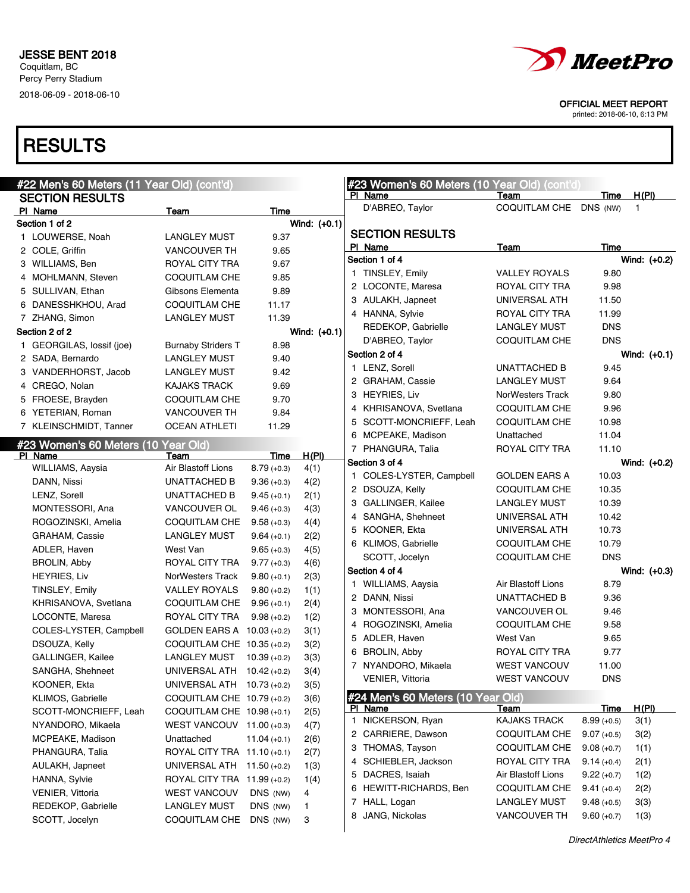

OFFICIAL MEET REPORT

printed: 2018-06-10, 6:13 PM

| #22 Men's 60 Meters (11 Year Old) (cont'd) |                             |                |                |  | #23 Women's 60 Meters (10 Year Old) (cont'd) |                         |               |                |
|--------------------------------------------|-----------------------------|----------------|----------------|--|----------------------------------------------|-------------------------|---------------|----------------|
| <b>SECTION RESULTS</b>                     |                             |                |                |  | PI Name                                      | Team                    | Time          | H(PI)<br>1     |
| PI Name                                    | Team                        | Time           |                |  | D'ABREO, Taylor                              | COQUITLAM CHE DNS (NW)  |               |                |
| Section 1 of 2                             |                             |                | Wind: (+0.1)   |  | <b>SECTION RESULTS</b>                       |                         |               |                |
| 1 LOUWERSE, Noah                           | <b>LANGLEY MUST</b>         | 9.37           |                |  | PI Name                                      | Team                    | Time          |                |
| 2 COLE, Griffin                            | <b>VANCOUVER TH</b>         | 9.65           |                |  | Section 1 of 4                               |                         |               | Wind: (+0.2)   |
| 3 WILLIAMS, Ben                            | ROYAL CITY TRA              | 9.67           |                |  | 1 TINSLEY, Emily                             | <b>VALLEY ROYALS</b>    | 9.80          |                |
| 4 MOHLMANN, Steven                         | COQUITLAM CHE               | 9.85           |                |  | 2 LOCONTE, Maresa                            | ROYAL CITY TRA          | 9.98          |                |
| 5 SULLIVAN, Ethan                          | Gibsons Elementa            | 9.89           |                |  | 3 AULAKH, Japneet                            | UNIVERSAL ATH           | 11.50         |                |
| 6 DANESSHKHOU, Arad                        | COQUITLAM CHE               | 11.17          |                |  | 4 HANNA, Sylvie                              | ROYAL CITY TRA          | 11.99         |                |
| 7 ZHANG, Simon                             | <b>LANGLEY MUST</b>         | 11.39          |                |  |                                              | <b>LANGLEY MUST</b>     | <b>DNS</b>    |                |
| Section 2 of 2                             |                             |                | Wind: $(+0.1)$ |  | REDEKOP, Gabrielle                           |                         | <b>DNS</b>    |                |
| 1 GEORGILAS, lossif (joe)                  | <b>Burnaby Striders T</b>   | 8.98           |                |  | D'ABREO, Taylor                              | <b>COQUITLAM CHE</b>    |               |                |
| 2 SADA, Bernardo                           | <b>LANGLEY MUST</b>         | 9.40           |                |  | Section 2 of 4                               |                         |               | Wind: $(+0.1)$ |
| 3 VANDERHORST, Jacob                       | <b>LANGLEY MUST</b>         | 9.42           |                |  | 1 LENZ, Sorell                               | UNATTACHED B            | 9.45          |                |
| 4 CREGO, Nolan                             | KAJAKS TRACK                | 9.69           |                |  | 2 GRAHAM, Cassie                             | <b>LANGLEY MUST</b>     | 9.64          |                |
| 5 FROESE, Brayden                          | COQUITLAM CHE               | 9.70           |                |  | 3 HEYRIES, Liv                               | <b>NorWesters Track</b> | 9.80          |                |
| 6 YETERIAN, Roman                          | <b>VANCOUVER TH</b>         | 9.84           |                |  | 4 KHRISANOVA, Svetlana                       | <b>COQUITLAM CHE</b>    | 9.96          |                |
| 7 KLEINSCHMIDT, Tanner                     | <b>OCEAN ATHLETI</b>        | 11.29          |                |  | 5 SCOTT-MONCRIEFF, Leah                      | <b>COQUITLAM CHE</b>    | 10.98         |                |
| #23 Women's 60 Meters (10 Year Old)        |                             |                |                |  | 6 MCPEAKE, Madison                           | Unattached              | 11.04         |                |
| PI Name                                    | Team                        | Time           | <u>H(PI)</u>   |  | 7 PHANGURA, Talia                            | <b>ROYAL CITY TRA</b>   | 11.10         |                |
| WILLIAMS, Aaysia                           | Air Blastoff Lions          | $8.79(+0.3)$   | 4(1)           |  | Section 3 of 4                               |                         |               | Wind: (+0.2)   |
| DANN, Nissi                                | UNATTACHED B                | $9.36 (+0.3)$  | 4(2)           |  | 1 COLES-LYSTER, Campbell                     | <b>GOLDEN EARS A</b>    | 10.03         |                |
| LENZ, Sorell                               | UNATTACHED B                | $9.45(+0.1)$   | 2(1)           |  | 2 DSOUZA, Kelly                              | <b>COQUITLAM CHE</b>    | 10.35         |                |
| MONTESSORI, Ana                            | VANCOUVER OL                | $9.46 (+0.3)$  | 4(3)           |  | 3 GALLINGER, Kailee                          | <b>LANGLEY MUST</b>     | 10.39         |                |
| ROGOZINSKI, Amelia                         | COQUITLAM CHE               | $9.58(+0.3)$   | 4(4)           |  | 4 SANGHA, Shehneet                           | UNIVERSAL ATH           | 10.42         |                |
| GRAHAM, Cassie                             | <b>LANGLEY MUST</b>         | $9.64 (+0.1)$  | 2(2)           |  | 5 KOONER, Ekta                               | UNIVERSAL ATH           | 10.73         |                |
| ADLER, Haven                               | West Van                    | $9.65 (+0.3)$  | 4(5)           |  | 6 KLIMOS, Gabrielle                          | <b>COQUITLAM CHE</b>    | 10.79         |                |
| <b>BROLIN, Abby</b>                        | ROYAL CITY TRA              | $9.77(+0.3)$   | 4(6)           |  | SCOTT, Jocelyn                               | <b>COQUITLAM CHE</b>    | <b>DNS</b>    |                |
| <b>HEYRIES, Liv</b>                        | NorWesters Track            | $9.80 (+0.1)$  | 2(3)           |  | Section 4 of 4                               |                         |               | Wind: (+0.3)   |
| TINSLEY, Emily                             | <b>VALLEY ROYALS</b>        | $9.80 (+0.2)$  | 1(1)           |  | 1 WILLIAMS, Aaysia                           | Air Blastoff Lions      | 8.79          |                |
| KHRISANOVA, Svetlana                       | COQUITLAM CHE               | $9.96 (+0.1)$  | 2(4)           |  | 2 DANN, Nissi                                | UNATTACHED B            | 9.36          |                |
| LOCONTE, Maresa                            | ROYAL CITY TRA              | $9.98(+0.2)$   | 1(2)           |  | 3 MONTESSORI, Ana                            | VANCOUVER OL            | 9.46          |                |
| COLES-LYSTER, Campbell                     | GOLDEN EARS A 10.03 (+0.2)  |                | 3(1)           |  | 4 ROGOZINSKI, Amelia                         | <b>COQUITLAM CHE</b>    | 9.58          |                |
| DSOUZA, Kelly                              | COQUITLAM CHE 10.35 (+0.2)  |                | 3(2)           |  | 5 ADLER, Haven                               | West Van                | 9.65          |                |
| GALLINGER, Kailee                          | LANGLEY MUST                | $10.39(+0.2)$  | 3(3)           |  | 6 BROLIN, Abby                               | ROYAL CITY TRA          | 9.77          |                |
| SANGHA, Shehneet                           | UNIVERSAL ATH 10.42 (+0.2)  |                | 3(4)           |  | 7 NYANDORO, Mikaela                          | <b>WEST VANCOUV</b>     | 11.00         |                |
| KOONER, Ekta                               | UNIVERSAL ATH 10.73 (+0.2)  |                | 3(5)           |  | <b>VENIER, Vittoria</b>                      | <b>WEST VANCOUV</b>     | <b>DNS</b>    |                |
| KLIMOS, Gabrielle                          | COQUITLAM CHE 10.79 (+0.2)  |                |                |  | #24 Men's 60 Meters (10 Year Old)            |                         |               |                |
| SCOTT-MONCRIEFF, Leah                      | COQUITLAM CHE 10.98 (+0.1)  |                | 3(6)           |  | PI Name                                      | <u>Team</u>             | Time          | H(PI)          |
| NYANDORO, Mikaela                          | WEST VANCOUV 11.00 (+0.3)   |                | 2(5)           |  | 1 NICKERSON, Ryan                            | <b>KAJAKS TRACK</b>     | $8.99(+0.5)$  | 3(1)           |
| MCPEAKE, Madison                           |                             |                | 4(7)           |  | 2 CARRIERE, Dawson                           | COQUITLAM CHE           | $9.07 (+0.5)$ | 3(2)           |
|                                            | Unattached                  | $11.04 (+0.1)$ | 2(6)           |  | 3 THOMAS, Tayson                             | COQUITLAM CHE           | $9.08 (+0.7)$ | 1(1)           |
| PHANGURA, Talia                            | ROYAL CITY TRA 11.10 (+0.1) |                | 2(7)           |  | 4 SCHIEBLER, Jackson                         | ROYAL CITY TRA          | $9.14 (+0.4)$ | 2(1)           |
| AULAKH, Japneet                            | UNIVERSAL ATH 11.50 (+0.2)  |                | 1(3)           |  | 5 DACRES, Isaiah                             | Air Blastoff Lions      | $9.22 (+0.7)$ | 1(2)           |
| HANNA, Sylvie                              | ROYAL CITY TRA 11.99 (+0.2) |                | 1(4)           |  | 6 HEWITT-RICHARDS, Ben                       | COQUITLAM CHE           | $9.41 (+0.4)$ | 2(2)           |
| <b>VENIER, Vittoria</b>                    | <b>WEST VANCOUV</b>         | DNS (NW)       | 4              |  | 7 HALL, Logan                                | LANGLEY MUST            | $9.48(+0.5)$  | 3(3)           |
| REDEKOP, Gabrielle                         | <b>LANGLEY MUST</b>         | DNS (NW)       | 1              |  | 8 JANG, Nickolas                             | VANCOUVER TH            | $9.60 (+0.7)$ | 1(3)           |
| SCOTT, Jocelyn                             | COQUITLAM CHE DNS (NW)      |                | 3              |  |                                              |                         |               |                |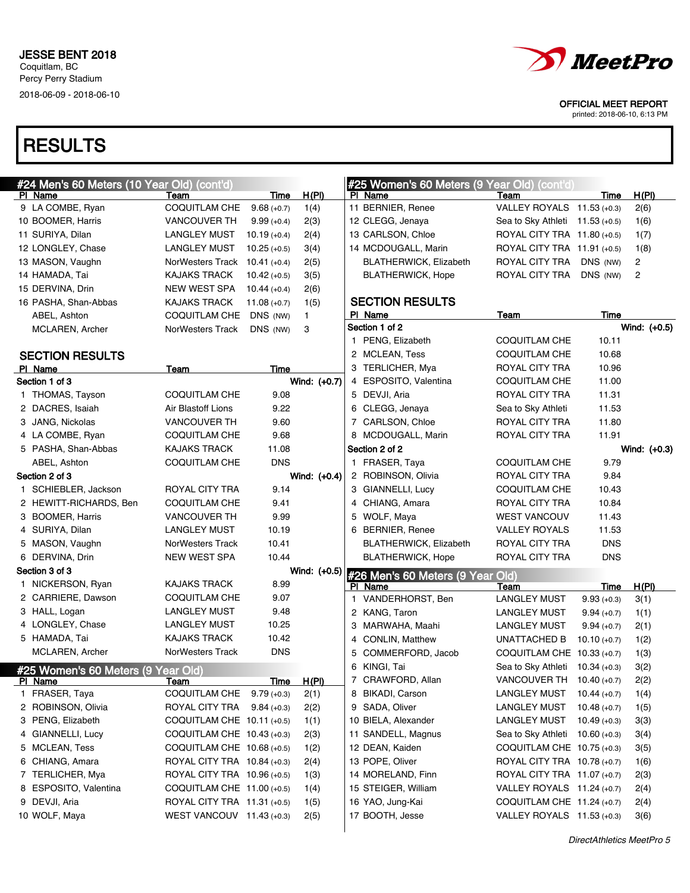

printed: 2018-06-10, 6:13 PM

| #24 Men's 60 Meters (10 Year Old) (cont'd)    |                                            |                |              |   | #25 Women's 60 Meters (9 Year Old) (cont'd)   |                                 |                |                |
|-----------------------------------------------|--------------------------------------------|----------------|--------------|---|-----------------------------------------------|---------------------------------|----------------|----------------|
| PI Name                                       | Team                                       | Time           | <u>H(PI)</u> |   | PI Name                                       | Team                            | Time           | H(PI)          |
| 9 LA COMBE, Ryan                              | <b>COQUITLAM CHE</b>                       | $9.68(+0.7)$   | 1(4)         |   | 11 BERNIER, Renee                             | VALLEY ROYALS 11.53 (+0.3)      |                | 2(6)           |
| 10 BOOMER, Harris                             | <b>VANCOUVER TH</b>                        | $9.99(+0.4)$   | 2(3)         |   | 12 CLEGG, Jenaya                              | Sea to Sky Athleti 11.53 (+0.5) |                | 1(6)           |
| 11 SURIYA, Dilan                              | <b>LANGLEY MUST</b>                        | $10.19 (+0.4)$ | 2(4)         |   | 13 CARLSON, Chloe                             | ROYAL CITY TRA 11.80 (+0.5)     |                | 1(7)           |
| 12 LONGLEY, Chase                             | <b>LANGLEY MUST</b>                        | $10.25 (+0.5)$ | 3(4)         |   | 14 MCDOUGALL, Marin                           | ROYAL CITY TRA 11.91 (+0.5)     |                | 1(8)           |
| 13 MASON, Vaughn                              | NorWesters Track $10.41$ (+0.4)            |                | 2(5)         |   | <b>BLATHERWICK, Elizabeth</b>                 | ROYAL CITY TRA                  | DNS (NW)       | 2              |
| 14 HAMADA, Tai                                | <b>KAJAKS TRACK</b>                        | $10.42 (+0.5)$ | 3(5)         |   | <b>BLATHERWICK, Hope</b>                      | ROYAL CITY TRA                  | DNS (NW)       | $\overline{2}$ |
| 15 DERVINA, Drin                              | <b>NEW WEST SPA</b>                        | $10.44(+0.4)$  | 2(6)         |   |                                               |                                 |                |                |
| 16 PASHA, Shan-Abbas                          | <b>KAJAKS TRACK</b>                        | $11.08 (+0.7)$ | 1(5)         |   | <b>SECTION RESULTS</b>                        |                                 |                |                |
| ABEL, Ashton                                  | COQUITLAM CHE                              | DNS (NW)       | $\mathbf{1}$ |   | PI Name                                       | Team                            | Time           |                |
| MCLAREN, Archer                               | NorWesters Track                           | DNS (NW)       | 3            |   | Section 1 of 2                                |                                 |                | Wind: $(+0.5)$ |
|                                               |                                            |                |              |   | 1 PENG, Elizabeth                             | COQUITLAM CHE                   | 10.11          |                |
| <b>SECTION RESULTS</b>                        |                                            |                |              |   | 2 MCLEAN, Tess                                | COQUITLAM CHE                   | 10.68          |                |
| PI Name                                       | Team                                       | Time           |              |   | 3 TERLICHER, Mya                              | ROYAL CITY TRA                  | 10.96          |                |
| Section 1 of 3                                |                                            |                | Wind: (+0.7) |   | 4 ESPOSITO, Valentina                         | COQUITLAM CHE                   | 11.00          |                |
| 1 THOMAS, Tayson                              | COQUITLAM CHE                              | 9.08           |              |   | 5 DEVJI, Aria                                 | ROYAL CITY TRA                  | 11.31          |                |
| 2 DACRES, Isaiah                              | Air Blastoff Lions                         | 9.22           |              |   | 6 CLEGG, Jenaya                               | Sea to Sky Athleti              | 11.53          |                |
| 3 JANG, Nickolas                              | <b>VANCOUVER TH</b>                        | 9.60           |              |   | 7 CARLSON, Chloe                              | ROYAL CITY TRA                  | 11.80          |                |
| 4 LA COMBE, Ryan                              | COQUITLAM CHE                              | 9.68           |              |   | 8 MCDOUGALL, Marin                            | ROYAL CITY TRA                  | 11.91          |                |
| 5 PASHA, Shan-Abbas                           | <b>KAJAKS TRACK</b>                        | 11.08          |              |   | Section 2 of 2                                |                                 |                | Wind: $(+0.3)$ |
| ABEL, Ashton                                  | <b>COQUITLAM CHE</b>                       | <b>DNS</b>     |              |   | 1 FRASER, Taya                                | COQUITLAM CHE                   | 9.79           |                |
| Section 2 of 3                                |                                            |                | Wind: (+0.4) |   | 2 ROBINSON, Olivia                            | ROYAL CITY TRA                  | 9.84           |                |
| 1 SCHIEBLER, Jackson                          | ROYAL CITY TRA                             | 9.14           |              |   | 3 GIANNELLI, Lucy                             | <b>COQUITLAM CHE</b>            | 10.43          |                |
| 2 HEWITT-RICHARDS, Ben                        | COQUITLAM CHE                              | 9.41           |              |   | 4 CHIANG, Amara                               | ROYAL CITY TRA                  | 10.84          |                |
| 3 BOOMER, Harris                              | <b>VANCOUVER TH</b>                        | 9.99           |              |   | 5 WOLF, Maya                                  | <b>WEST VANCOUV</b>             | 11.43          |                |
| 4 SURIYA, Dilan                               | <b>LANGLEY MUST</b>                        | 10.19          |              |   | 6 BERNIER, Renee                              | <b>VALLEY ROYALS</b>            | 11.53          |                |
| 5 MASON, Vaughn                               | NorWesters Track                           | 10.41          |              |   | <b>BLATHERWICK, Elizabeth</b>                 | ROYAL CITY TRA                  | <b>DNS</b>     |                |
| 6 DERVINA, Drin                               | <b>NEW WEST SPA</b>                        | 10.44          |              |   | <b>BLATHERWICK, Hope</b>                      | ROYAL CITY TRA                  | <b>DNS</b>     |                |
| Section 3 of 3                                |                                            |                |              |   | Wind: (+0.5) #26 Men's 60 Meters (9 Year Old) |                                 |                |                |
| 1 NICKERSON, Ryan                             | <b>KAJAKS TRACK</b>                        | 8.99           |              |   | PI Name                                       | Team                            | Time           | H(PI)          |
| 2 CARRIERE, Dawson                            | COQUITLAM CHE                              | 9.07           |              |   | 1 VANDERHORST, Ben                            | <b>LANGLEY MUST</b>             | $9.93 (+0.3)$  | 3(1)           |
| 3 HALL, Logan                                 | <b>LANGLEY MUST</b>                        | 9.48           |              |   | 2 KANG, Taron                                 | <b>LANGLEY MUST</b>             | $9.94 (+0.7)$  | 1(1)           |
| 4 LONGLEY, Chase                              | <b>LANGLEY MUST</b>                        | 10.25          |              |   | 3 MARWAHA, Maahi                              | <b>LANGLEY MUST</b>             | $9.94 (+0.7)$  | 2(1)           |
| 5 HAMADA, Tai                                 | <b>KAJAKS TRACK</b>                        | 10.42          |              |   | 4 CONLIN, Matthew                             | <b>UNATTACHED B</b>             | $10.10 (+0.7)$ | 1(2)           |
| MCLAREN, Archer                               | NorWesters Track                           | <b>DNS</b>     |              | 5 | COMMERFORD, Jacob                             | COQUITLAM CHE 10.33 (+0.7)      |                | 1(3)           |
|                                               |                                            |                |              |   | 6 KINGI, Tai                                  | Sea to Sky Athleti 10.34 (+0.3) |                | 3(2)           |
| #25 Women's 60 Meters (9 Year Old)<br>PI Name |                                            |                | <u>H(PI)</u> |   | 7 CRAWFORD, Allan                             | VANCOUVER TH 10.40 (+0.7)       |                | 2(2)           |
| 1 FRASER, Taya                                | <u>leam</u><br>COQUITLAM CHE $9.79 (+0.3)$ | <u>Time</u>    | 2(1)         |   | 8 BIKADI, Carson                              | LANGLEY MUST                    | $10.44 (+0.7)$ | 1(4)           |
| 2 ROBINSON, Olivia                            | ROYAL CITY TRA $9.84 (+0.3)$               |                | 2(2)         |   | 9 SADA, Oliver                                | <b>LANGLEY MUST</b>             | 10.48 $(+0.7)$ | 1(5)           |
| 3 PENG, Elizabeth                             | COQUITLAM CHE 10.11 (+0.5)                 |                | 1(1)         |   | 10 BIELA, Alexander                           | <b>LANGLEY MUST</b>             | $10.49(+0.3)$  | 3(3)           |
| 4 GIANNELLI, Lucy                             | COQUITLAM CHE 10.43 (+0.3)                 |                |              |   | 11 SANDELL, Magnus                            | Sea to Sky Athleti              |                |                |
| 5 MCLEAN, Tess                                | COQUITLAM CHE 10.68 (+0.5)                 |                | 2(3)         |   | 12 DEAN, Kaiden                               | COQUITLAM CHE 10.75 (+0.3)      | 10.60 (+0.3)   | 3(4)           |
| 6 CHIANG, Amara                               | ROYAL CITY TRA 10.84 (+0.3)                |                | 1(2)         |   | 13 POPE, Oliver                               | ROYAL CITY TRA 10.78 (+0.7)     |                | 3(5)           |
|                                               |                                            |                | 2(4)         |   | 14 MORELAND, Finn                             | ROYAL CITY TRA 11.07 (+0.7)     |                | 1(6)           |
| 7 TERLICHER, Mya                              | ROYAL CITY TRA 10.96 (+0.5)                |                | 1(3)         |   |                                               |                                 |                | 2(3)           |
| 8 ESPOSITO, Valentina                         | COQUITLAM CHE 11.00 (+0.5)                 |                | 1(4)         |   | 15 STEIGER, William                           | VALLEY ROYALS 11.24 (+0.7)      |                | 2(4)           |
| 9 DEVJI, Aria                                 | ROYAL CITY TRA 11.31 (+0.5)                |                | 1(5)         |   | 16 YAO, Jung-Kai                              | COQUITLAM CHE 11.24 (+0.7)      |                | 2(4)           |
| 10 WOLF, Maya                                 | WEST VANCOUV 11.43 (+0.3)                  |                | 2(5)         |   | 17 BOOTH, Jesse                               | VALLEY ROYALS 11.53 (+0.3)      |                | 3(6)           |
|                                               |                                            |                |              |   |                                               |                                 |                |                |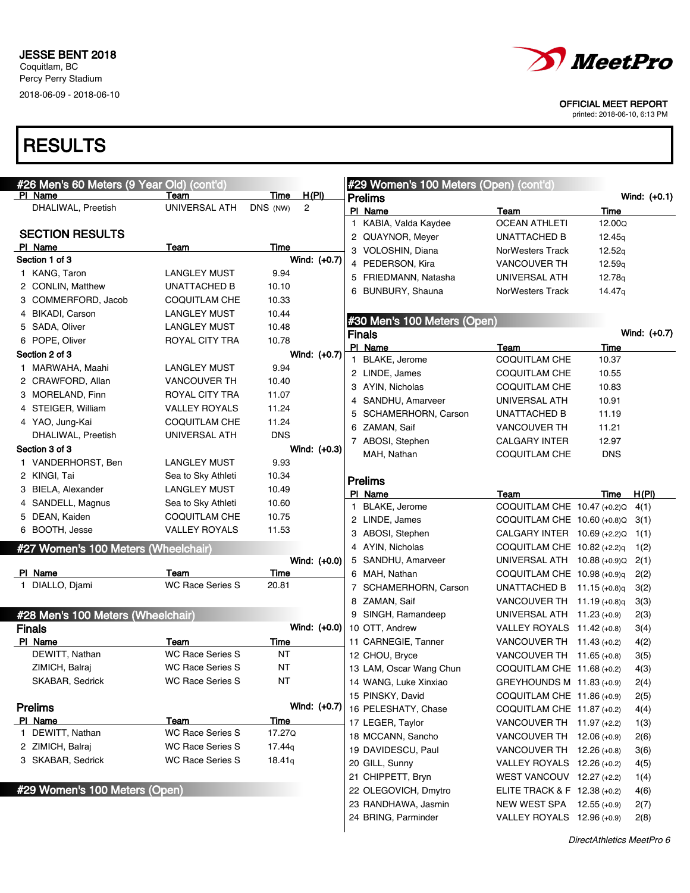

printed: 2018-06-10, 6:13 PM

| #26 Men's 60 Meters (9 Year Old) (cont'd) |                         |             |              |   | #29 Women's 100 Meters (Open) (cont'd) |                               |                    |                |
|-------------------------------------------|-------------------------|-------------|--------------|---|----------------------------------------|-------------------------------|--------------------|----------------|
| PI Name                                   | Team                    | Time        | <u>H(PI)</u> |   | <b>Prelims</b>                         |                               |                    | Wind: $(+0.1)$ |
| DHALIWAL, Preetish                        | UNIVERSAL ATH           | DNS (NW)    | 2            |   | PI Name                                | Team                          | Time               |                |
| <b>SECTION RESULTS</b>                    |                         |             |              |   | 1 KABIA, Valda Kaydee                  | <b>OCEAN ATHLETI</b>          | 12.00Q             |                |
| PI Name                                   |                         | Time        |              |   | 2 QUAYNOR, Meyer                       | UNATTACHED B                  | 12.45 <sub>g</sub> |                |
| Section 1 of 3                            | Team                    |             | Wind: (+0.7) |   | 3 VOLOSHIN, Diana                      | NorWesters Track              | 12.52q             |                |
| 1 KANG, Taron                             | LANGLEY MUST            | 9.94        |              |   | 4 PEDERSON, Kira                       | <b>VANCOUVER TH</b>           | 12.59 <sub>g</sub> |                |
| 2 CONLIN, Matthew                         | UNATTACHED B            | 10.10       |              |   | 5 FRIEDMANN, Natasha                   | UNIVERSAL ATH                 | 12.78g             |                |
| 3 COMMERFORD, Jacob                       | COQUITLAM CHE           | 10.33       |              |   | 6 BUNBURY, Shauna                      | <b>NorWesters Track</b>       | 14.47 <sub>g</sub> |                |
| 4 BIKADI, Carson                          | LANGLEY MUST            | 10.44       |              |   |                                        |                               |                    |                |
| 5 SADA, Oliver                            | <b>LANGLEY MUST</b>     | 10.48       |              |   | #30 Men's 100 Meters (Open)            |                               |                    |                |
| 6 POPE, Oliver                            | ROYAL CITY TRA          | 10.78       |              |   | <b>Finals</b>                          |                               |                    | Wind: (+0.7)   |
| Section 2 of 3                            |                         |             |              |   | PI Name                                | Team                          | Time               |                |
| 1 MARWAHA, Maahi                          | LANGLEY MUST            | 9.94        | Wind: (+0.7) |   | 1 BLAKE, Jerome                        | COQUITLAM CHE                 | 10.37              |                |
|                                           |                         |             |              |   | 2 LINDE, James                         | COQUITLAM CHE                 | 10.55              |                |
| 2 CRAWFORD, Allan                         | <b>VANCOUVER TH</b>     | 10.40       |              |   | 3 AYIN, Nicholas                       | COQUITLAM CHE                 | 10.83              |                |
| 3 MORELAND, Finn                          | ROYAL CITY TRA          | 11.07       |              | 4 | SANDHU, Amarveer                       | UNIVERSAL ATH                 | 10.91              |                |
| 4 STEIGER, William                        | <b>VALLEY ROYALS</b>    | 11.24       |              | 5 | SCHAMERHORN, Carson                    | UNATTACHED B                  | 11.19              |                |
| 4 YAO, Jung-Kai                           | <b>COQUITLAM CHE</b>    | 11.24       |              |   | 6 ZAMAN, Saif                          | <b>VANCOUVER TH</b>           | 11.21              |                |
| DHALIWAL, Preetish                        | UNIVERSAL ATH           | <b>DNS</b>  |              |   | 7 ABOSI, Stephen                       | <b>CALGARY INTER</b>          | 12.97              |                |
| Section 3 of 3                            |                         |             | Wind: (+0.3) |   | MAH, Nathan                            | <b>COQUITLAM CHE</b>          | <b>DNS</b>         |                |
| 1 VANDERHORST, Ben                        | <b>LANGLEY MUST</b>     | 9.93        |              |   |                                        |                               |                    |                |
| 2 KINGI, Tai                              | Sea to Sky Athleti      | 10.34       |              |   | <b>Prelims</b>                         |                               |                    |                |
| 3 BIELA, Alexander                        | <b>LANGLEY MUST</b>     | 10.49       |              |   | PI Name                                | Team                          | Time               | H(PI)          |
| 4 SANDELL, Magnus                         | Sea to Sky Athleti      | 10.60       |              |   | 1 BLAKE, Jerome                        | COQUITLAM CHE 10.47 (+0.2)Q   |                    | 4(1)           |
| 5 DEAN, Kaiden                            | COQUITLAM CHE           | 10.75       |              |   | 2 LINDE, James                         | COQUITLAM CHE 10.60 (+0.8)Q   |                    | 3(1)           |
| 6 BOOTH, Jesse                            | <b>VALLEY ROYALS</b>    | 11.53       |              |   | 3 ABOSI, Stephen                       | CALGARY INTER 10.69 (+2.2)Q   |                    | 1(1)           |
| #27 Women's 100 Meters (Wheelchair)       |                         |             |              |   | 4 AYIN, Nicholas                       | COQUITLAM CHE $10.82$ (+2.2)q |                    | 1(2)           |
|                                           |                         |             | Wind: (+0.0) |   | 5 SANDHU, Amarveer                     | UNIVERSAL ATH 10.88 (+0.9)Q   |                    | 2(1)           |
| PI Name                                   | Team                    | Time        |              |   | 6 MAH, Nathan                          | COQUITLAM CHE 10.98 (+0.9)q   |                    | 2(2)           |
| 1 DIALLO, Djami                           | <b>WC Race Series S</b> | 20.81       |              |   | 7 SCHAMERHORN, Carson                  | UNATTACHED B                  | 11.15 $(+0.8)q$    | 3(2)           |
|                                           |                         |             |              |   | 8 ZAMAN, Saif                          | VANCOUVER TH $11.19$ (+0.8)q  |                    | 3(3)           |
| #28 Men's 100 Meters (Wheelchair)         |                         |             |              |   | 9 SINGH, Ramandeep                     | UNIVERSAL ATH $11.23$ (+0.9)  |                    | 2(3)           |
| <b>Finals</b>                             |                         |             | Wind: (+0.0) |   | 10 OTT, Andrew                         | VALLEY ROYALS $11.42$ (+0.8)  |                    | 3(4)           |
| PI Name                                   | Team                    | Time        |              |   | 11 CARNEGIE, Tanner                    | VANCOUVER TH $11.43$ (+0.2)   |                    | 4(2)           |
| DEWITT, Nathan                            | <b>WC Race Series S</b> | ΝT          |              |   | 12 CHOU, Bryce                         | VANCOUVER TH $11.65$ (+0.8)   |                    | 3(5)           |
| ZIMICH, Balraj                            | <b>WC Race Series S</b> | ΝT          |              |   | 13 LAM, Oscar Wang Chun                | COQUITLAM CHE 11.68 (+0.2)    |                    | 4(3)           |
| SKABAR, Sedrick                           | WC Race Series S        | ΝT          |              |   | 14 WANG, Luke Xinxiao                  | GREYHOUNDS M 11.83 (+0.9)     |                    | 2(4)           |
|                                           |                         |             |              |   | 15 PINSKY, David                       | COQUITLAM CHE 11.86 (+0.9)    |                    | 2(5)           |
| <b>Prelims</b>                            |                         |             | Wind: (+0.7) |   | 16 PELESHATY, Chase                    | COQUITLAM CHE 11.87 (+0.2)    |                    | 4(4)           |
| PI Name                                   | Team                    | <b>Time</b> |              |   | 17 LEGER, Taylor                       | VANCOUVER TH 11.97 (+2.2)     |                    | 1(3)           |
| 1 DEWITT, Nathan                          | <b>WC Race Series S</b> | 17.27Q      |              |   | 18 MCCANN, Sancho                      | VANCOUVER TH 12.06 (+0.9)     |                    | 2(6)           |
| 2 ZIMICH, Balraj                          | <b>WC Race Series S</b> | 17.44q      |              |   | 19 DAVIDESCU, Paul                     | VANCOUVER TH 12.26 (+0.8)     |                    | 3(6)           |
| 3 SKABAR, Sedrick                         | <b>WC Race Series S</b> | 18.41q      |              |   | 20 GILL, Sunny                         | VALLEY ROYALS 12.26 (+0.2)    |                    | 4(5)           |
|                                           |                         |             |              |   | 21 CHIPPETT, Bryn                      | WEST VANCOUV $12.27 (+2.2)$   |                    | 1(4)           |
| #29 Women's 100 Meters (Open)             |                         |             |              |   | 22 OLEGOVICH, Dmytro                   | ELITE TRACK & F 12.38 (+0.2)  |                    | 4(6)           |
|                                           |                         |             |              |   | 23 RANDHAWA, Jasmin                    | NEW WEST SPA 12.55 (+0.9)     |                    | 2(7)           |
|                                           |                         |             |              |   | 24 BRING, Parminder                    | VALLEY ROYALS 12.96 (+0.9)    |                    | 2(8)           |
|                                           |                         |             |              |   |                                        |                               |                    |                |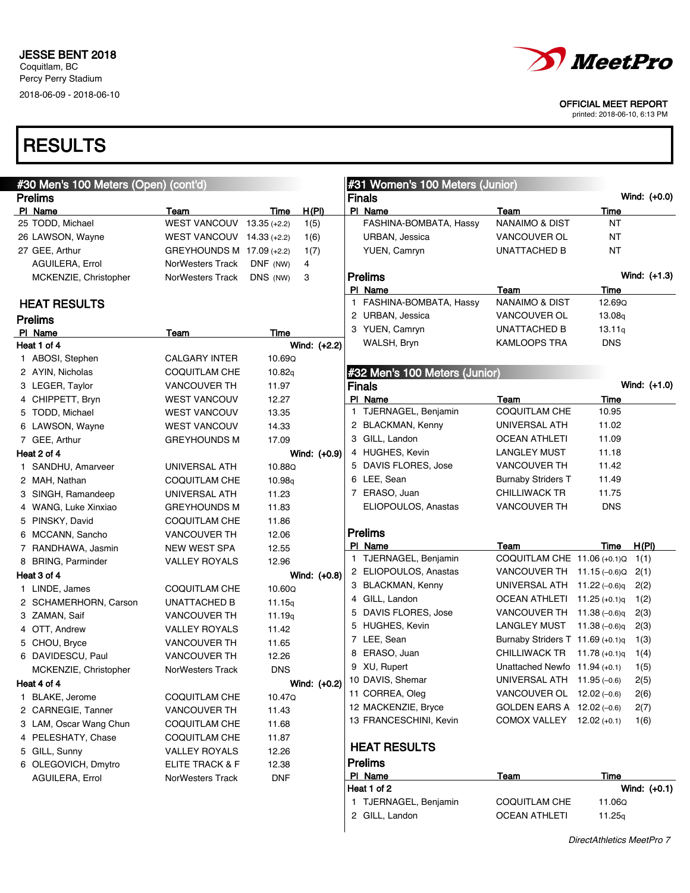## **RESULTS**

| #30 Men's 100 Meters (Open) (cont'd) |                             |            |              |   | #31 Women's 100 Meters (Junior) |                                  |                 |                |
|--------------------------------------|-----------------------------|------------|--------------|---|---------------------------------|----------------------------------|-----------------|----------------|
| <b>Prelims</b>                       |                             |            |              |   | <b>Finals</b>                   |                                  |                 | Wind: (+0.0)   |
| PI Name                              | Team                        | Time       | H(PI)        |   | PI Name                         | Team                             | Time            |                |
| 25 TODD, Michael                     | WEST VANCOUV $13.35$ (+2.2) |            | 1(5)         |   | FASHINA-BOMBATA, Hassy          | <b>NANAIMO &amp; DIST</b>        | ΝT              |                |
| 26 LAWSON, Wayne                     | WEST VANCOUV $14.33$ (+2.2) |            | 1(6)         |   | URBAN, Jessica                  | VANCOUVER OL                     | ΝT              |                |
| 27 GEE, Arthur                       | GREYHOUNDS M 17.09 (+2.2)   |            | 1(7)         |   | YUEN, Camryn                    | UNATTACHED B                     | ΝT              |                |
| AGUILERA, Errol                      | NorWesters Track            | DNF (NW)   | 4            |   |                                 |                                  |                 |                |
| MCKENZIE, Christopher                | NorWesters Track            | DNS (NW)   | 3            |   | <b>Prelims</b>                  |                                  |                 | Wind: (+1.3)   |
|                                      |                             |            |              |   | PI Name                         | Team                             | Time            |                |
| <b>HEAT RESULTS</b>                  |                             |            |              |   | 1 FASHINA-BOMBATA, Hassy        | NANAIMO & DIST                   | 12.69Q          |                |
| <b>Prelims</b>                       |                             |            |              |   | 2 URBAN, Jessica                | VANCOUVER OL                     | 13.08q          |                |
| PI Name                              | Team                        | Time       |              |   | 3 YUEN, Camryn                  | UNATTACHED B                     | 13.11q          |                |
| Heat 1 of 4                          |                             |            | Wind: (+2.2) |   | WALSH, Bryn                     | <b>KAMLOOPS TRA</b>              | <b>DNS</b>      |                |
| 1 ABOSI, Stephen                     | <b>CALGARY INTER</b>        | 10.69Q     |              |   |                                 |                                  |                 |                |
| 2 AYIN, Nicholas                     | COQUITLAM CHE               | 10.82q     |              |   | #32 Men's 100 Meters (Junior)   |                                  |                 |                |
| 3 LEGER, Taylor                      | <b>VANCOUVER TH</b>         | 11.97      |              |   | <b>Finals</b>                   |                                  |                 | Wind: (+1.0)   |
| 4 CHIPPETT, Bryn                     | <b>WEST VANCOUV</b>         | 12.27      |              |   | PI Name                         | Team                             | Time            |                |
| 5 TODD, Michael                      | <b>WEST VANCOUV</b>         | 13.35      |              |   | 1 TJERNAGEL, Benjamin           | <b>COQUITLAM CHE</b>             | 10.95           |                |
| 6 LAWSON, Wayne                      | <b>WEST VANCOUV</b>         | 14.33      |              |   | 2 BLACKMAN, Kenny               | UNIVERSAL ATH                    | 11.02           |                |
| 7 GEE, Arthur                        | <b>GREYHOUNDS M</b>         | 17.09      |              |   | 3 GILL, Landon                  | <b>OCEAN ATHLETI</b>             | 11.09           |                |
| Heat 2 of 4                          |                             |            | Wind: (+0.9) |   | 4 HUGHES, Kevin                 | <b>LANGLEY MUST</b>              | 11.18           |                |
| 1 SANDHU, Amarveer                   | UNIVERSAL ATH               | 10.88Q     |              |   | 5 DAVIS FLORES, Jose            | <b>VANCOUVER TH</b>              | 11.42           |                |
| 2 MAH, Nathan                        | COQUITLAM CHE               | 10.98q     |              |   | 6 LEE, Sean                     | <b>Burnaby Striders T</b>        | 11.49           |                |
| 3 SINGH, Ramandeep                   | UNIVERSAL ATH               | 11.23      |              |   | 7 ERASO, Juan                   | <b>CHILLIWACK TR</b>             | 11.75           |                |
| 4 WANG, Luke Xinxiao                 | <b>GREYHOUNDS M</b>         | 11.83      |              |   | ELIOPOULOS, Anastas             | <b>VANCOUVER TH</b>              | <b>DNS</b>      |                |
| 5 PINSKY, David                      | COQUITLAM CHE               | 11.86      |              |   |                                 |                                  |                 |                |
| 6 MCCANN, Sancho                     | <b>VANCOUVER TH</b>         | 12.06      |              |   | <b>Prelims</b>                  |                                  |                 |                |
| 7 RANDHAWA, Jasmin                   | NEW WEST SPA                | 12.55      |              |   | PI Name                         | Team                             | Time            | H(PI)          |
| 8 BRING, Parminder                   | <b>VALLEY ROYALS</b>        | 12.96      |              |   | 1 TJERNAGEL, Benjamin           | COQUITLAM CHE 11.06 (+0.1)Q      |                 | 1(1)           |
| Heat 3 of 4                          |                             |            | Wind: (+0.8) |   | 2 ELIOPOULOS, Anastas           | VANCOUVER TH 11.15 (-0.6)Q       |                 | 2(1)           |
| 1 LINDE, James                       | COQUITLAM CHE               | 10.60Q     |              |   | 3 BLACKMAN, Kenny               | UNIVERSAL ATH 11.22 (-0.6)q      |                 | 2(2)           |
| 2 SCHAMERHORN, Carson                | UNATTACHED B                | 11.15q     |              |   | 4 GILL, Landon                  | OCEAN ATHLETI 11.25 (+0.1)q      |                 | 1(2)           |
| 3 ZAMAN, Saif                        | <b>VANCOUVER TH</b>         | 11.19q     |              | 5 | DAVIS FLORES, Jose              | VANCOUVER TH 11.38 (-0.6)q       |                 | 2(3)           |
| 4 OTT, Andrew                        | <b>VALLEY ROYALS</b>        | 11.42      |              |   | 5 HUGHES, Kevin                 | LANGLEY MUST                     | $11.38(-0.6)q$  | 2(3)           |
| 5 CHOU, Bryce                        | <b>VANCOUVER TH</b>         | 11.65      |              |   | 7 LEE, Sean                     | Burnaby Striders T 11.69 (+0.1)q |                 | 1(3)           |
| 6 DAVIDESCU, Paul                    | <b>VANCOUVER TH</b>         | 12.26      |              | 8 | ERASO, Juan                     | CHILLIWACK TR                    | 11.78 $(+0.1)q$ | 1(4)           |
| MCKENZIE, Christopher                | <b>NorWesters Track</b>     | <b>DNS</b> |              |   | 9 XU, Rupert                    | Unattached Newfo $11.94 (+0.1)$  |                 | 1(5)           |
| Heat 4 of 4                          |                             |            | Wind: (+0.2) |   | 10 DAVIS, Shemar                | UNIVERSAL ATH 11.95 (-0.6)       |                 | 2(5)           |
| 1 BLAKE, Jerome                      | COQUITLAM CHE               | 10.47Q     |              |   | 11 CORREA, Oleg                 | VANCOUVER OL $12.02$ (-0.6)      |                 | 2(6)           |
| 2 CARNEGIE, Tanner                   | <b>VANCOUVER TH</b>         | 11.43      |              |   | 12 MACKENZIE, Bryce             | GOLDEN EARS A 12.02 (-0.6)       |                 | 2(7)           |
| 3 LAM, Oscar Wang Chun               | COQUITLAM CHE               | 11.68      |              |   | 13 FRANCESCHINI, Kevin          | COMOX VALLEY 12.02 (+0.1)        |                 | 1(6)           |
| 4 PELESHATY, Chase                   | COQUITLAM CHE               | 11.87      |              |   |                                 |                                  |                 |                |
| 5 GILL, Sunny                        | <b>VALLEY ROYALS</b>        | 12.26      |              |   | <b>HEAT RESULTS</b>             |                                  |                 |                |
| 6 OLEGOVICH, Dmytro                  | <b>ELITE TRACK &amp; F</b>  | 12.38      |              |   | <b>Prelims</b>                  |                                  |                 |                |
| AGUILERA, Errol                      | NorWesters Track            | <b>DNF</b> |              |   | PI Name                         | <u>Team</u>                      | Time            |                |
|                                      |                             |            |              |   | Heat 1 of 2                     |                                  |                 | Wind: $(+0.1)$ |
|                                      |                             |            |              |   | 1 TJERNAGEL, Benjamin           | COQUITLAM CHE                    | 11.06Q          |                |
|                                      |                             |            |              |   | 2 GILL, Landon                  | <b>OCEAN ATHLETI</b>             | 11.25q          |                |



OFFICIAL MEET REPORT

printed: 2018-06-10, 6:13 PM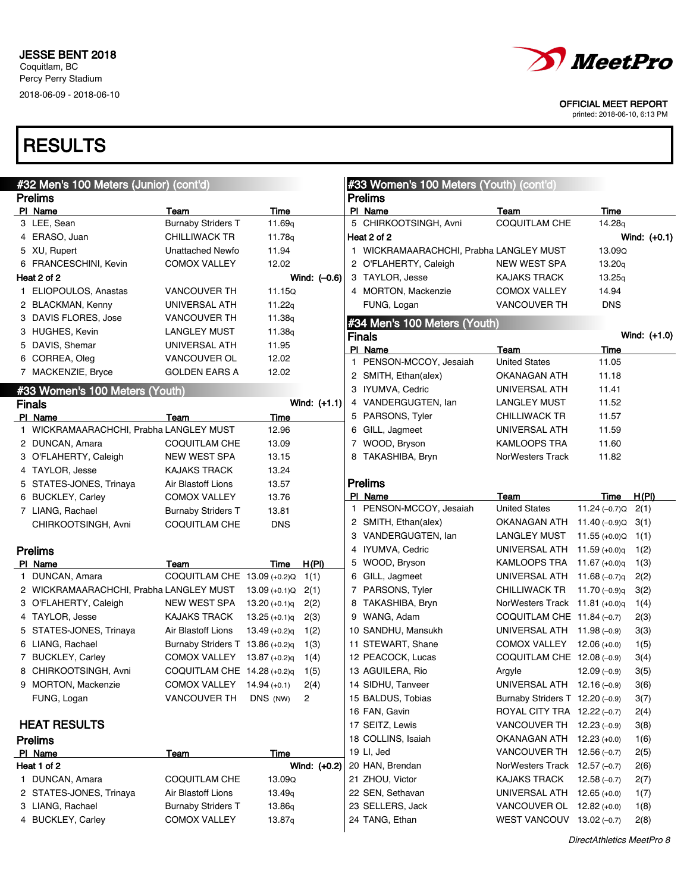

printed: 2018-06-10, 6:13 PM

| #32 Men's 100 Meters (Junior) (cont'd)             |                                  |                    |              |   | #33 Women's 100 Meters (Youth) (cont'd) |                                  |                    |                |
|----------------------------------------------------|----------------------------------|--------------------|--------------|---|-----------------------------------------|----------------------------------|--------------------|----------------|
| <b>Prelims</b>                                     |                                  |                    |              |   | <b>Prelims</b>                          |                                  |                    |                |
| PI Name                                            | Team                             | Time               |              |   | PI Name                                 | Team                             | Time               |                |
| 3 LEE, Sean                                        | <b>Burnaby Striders T</b>        | 11.69 <sub>q</sub> |              |   | 5 CHIRKOOTSINGH, Avni                   | COQUITLAM CHE                    | 14.28 <sub>g</sub> |                |
| 4 ERASO, Juan                                      | <b>CHILLIWACK TR</b>             | 11.78g             |              |   | Heat 2 of 2                             |                                  |                    | Wind: $(+0.1)$ |
| 5 XU, Rupert                                       | Unattached Newfo                 | 11.94              |              |   | 1 WICKRAMAARACHCHI, Prabha LANGLEY MUST |                                  | 13.09Q             |                |
| 6 FRANCESCHINI, Kevin                              | <b>COMOX VALLEY</b>              | 12.02              |              |   | 2 O'FLAHERTY, Caleigh                   | <b>NEW WEST SPA</b>              | 13.20q             |                |
| Heat 2 of 2                                        |                                  |                    | Wind: (-0.6) |   | 3 TAYLOR, Jesse                         | <b>KAJAKS TRACK</b>              | 13.25q             |                |
| 1 ELIOPOULOS, Anastas                              | <b>VANCOUVER TH</b>              | 11.15Q             |              |   | 4 MORTON, Mackenzie                     | <b>COMOX VALLEY</b>              | 14.94              |                |
| 2 BLACKMAN, Kenny                                  | UNIVERSAL ATH                    | 11.22 $q$          |              |   | FUNG, Logan                             | <b>VANCOUVER TH</b>              | <b>DNS</b>         |                |
| 3 DAVIS FLORES, Jose                               | <b>VANCOUVER TH</b>              | 11.38q             |              |   | #34 Men's 100 Meters (Youth)            |                                  |                    |                |
| 3 HUGHES, Kevin                                    | LANGLEY MUST                     | 11.38 <sub>q</sub> |              |   | <b>Finals</b>                           |                                  |                    | Wind: $(+1.0)$ |
| 5 DAVIS, Shemar                                    | UNIVERSAL ATH                    | 11.95              |              |   | PI Name                                 | Team                             | Time               |                |
| 6 CORREA, Oleg                                     | VANCOUVER OL                     | 12.02              |              | 1 | PENSON-MCCOY, Jesaiah                   | <b>United States</b>             | 11.05              |                |
| 7 MACKENZIE, Bryce                                 | <b>GOLDEN EARS A</b>             | 12.02              |              |   | 2 SMITH, Ethan(alex)                    | OKANAGAN ATH                     | 11.18              |                |
|                                                    |                                  |                    |              |   | 3 IYUMVA, Cedric                        | UNIVERSAL ATH                    | 11.41              |                |
| #33 Women's 100 Meters (Youth)                     |                                  |                    | Wind: (+1.1) |   | 4 VANDERGUGTEN, Ian                     | LANGLEY MUST                     | 11.52              |                |
| <b>Finals</b>                                      |                                  |                    |              |   | 5 PARSONS, Tyler                        | <b>CHILLIWACK TR</b>             | 11.57              |                |
| PI Name<br>1 WICKRAMAARACHCHI, Prabha LANGLEY MUST | Team                             | Time               |              |   | 6 GILL, Jagmeet                         | UNIVERSAL ATH                    | 11.59              |                |
|                                                    |                                  | 12.96              |              |   |                                         |                                  |                    |                |
| 2 DUNCAN, Amara                                    | <b>COQUITLAM CHE</b>             | 13.09              |              |   | 7 WOOD, Bryson                          | KAMLOOPS TRA                     | 11.60              |                |
| 3 O'FLAHERTY, Caleigh                              | <b>NEW WEST SPA</b>              | 13.15              |              |   | 8 TAKASHIBA, Bryn                       | NorWesters Track                 | 11.82              |                |
| 4 TAYLOR, Jesse                                    | <b>KAJAKS TRACK</b>              | 13.24              |              |   |                                         |                                  |                    |                |
| 5 STATES-JONES, Trinaya                            | Air Blastoff Lions               | 13.57              |              |   | <b>Prelims</b>                          |                                  |                    |                |
| 6 BUCKLEY, Carley                                  | <b>COMOX VALLEY</b>              | 13.76              |              |   | PI Name<br>1 PENSON-MCCOY, Jesaiah      | Team<br><b>United States</b>     | Time               | H(PI)          |
| 7 LIANG, Rachael                                   | <b>Burnaby Striders T</b>        | 13.81              |              |   |                                         |                                  | 11.24 $(-0.7)Q$    | 2(1)           |
| CHIRKOOTSINGH, Avni                                | <b>COQUITLAM CHE</b>             | <b>DNS</b>         |              |   | 2 SMITH, Ethan(alex)                    | OKANAGAN ATH                     | 11.40 (–0.9)Q      | 3(1)           |
|                                                    |                                  |                    |              |   | 3 VANDERGUGTEN, lan                     | LANGLEY MUST                     | 11.55 $(+0.0)Q$    | 1(1)           |
| <b>Prelims</b>                                     |                                  |                    |              |   | 4 IYUMVA, Cedric                        | UNIVERSAL ATH                    | 11.59 $(+0.0)q$    | 1(2)           |
| PI Name                                            | Team                             | Time               | H(PI)        |   | 5 WOOD, Bryson                          | KAMLOOPS TRA                     | 11.67 $(+0.0)q$    | 1(3)           |
| 1 DUNCAN, Amara                                    | COQUITLAM CHE 13.09 (+0.2)Q      |                    | 1(1)         |   | 6 GILL, Jagmeet                         | UNIVERSAL ATH                    | 11.68 $(-0.7)q$    | 2(2)           |
| 2 WICKRAMAARACHCHI, Prabha LANGLEY MUST            |                                  | $13.09 (+0.1)Q$    | 2(1)         |   | 7 PARSONS, Tyler                        | <b>CHILLIWACK TR</b>             | 11.70 $(-0.9)q$    | 3(2)           |
| 3 O'FLAHERTY, Caleigh                              | <b>NEW WEST SPA</b>              | $13.20 (+0.1)q$    | 2(2)         |   | 8 TAKASHIBA, Bryn                       | NorWesters Track $11.81$ (+0.0)q |                    | 1(4)           |
| 4 TAYLOR, Jesse                                    | <b>KAJAKS TRACK</b>              | $13.25 (+0.1)q$    | 2(3)         |   | 9 WANG, Adam                            | COQUITLAM CHE 11.84 (-0.7)       |                    | 2(3)           |
| 5 STATES JONES, Trinaya                            | Air Blastoff Lions               | $13.49 (+0.2)q$    | 1(2)         |   | 10 SANDHU, Mansukh                      | UNIVERSAL ATH 11.98 (-0.9)       |                    | 3(3)           |
| 6 LIANG, Rachael                                   | Burnaby Striders T 13.86 (+0.2)q |                    | 1(3)         |   | 11 STEWART, Shane                       | COMOX VALLEY 12.06 (+0.0)        |                    | 1(5)           |
| 7 BUCKLEY, Carley                                  | COMOX VALLEY                     | $13.87 (+0.2)q$    | 1(4)         |   | 12 PEACOCK, Lucas                       | COQUITLAM CHE 12.08 (-0.9)       |                    | 3(4)           |
| 8 CHIRKOOTSINGH, Avni                              | COQUITLAM CHE $14.28$ (+0.2)q    |                    | 1(5)         |   | 13 AGUILERA, Rio                        | Argyle                           | $12.09(-0.9)$      | 3(5)           |
| 9 MORTON, Mackenzie                                | COMOX VALLEY                     | $14.94 (+0.1)$     | 2(4)         |   | 14 SIDHU, Tanveer                       | UNIVERSAL ATH 12.16 (-0.9)       |                    | 3(6)           |
| FUNG, Logan                                        | <b>VANCOUVER TH</b>              | DNS (NW)           | 2            |   | 15 BALDUS, Tobias                       | Burnaby Striders T 12.20 (-0.9)  |                    | 3(7)           |
|                                                    |                                  |                    |              |   | 16 FAN, Gavin                           | ROYAL CITY TRA 12.22 (-0.7)      |                    | 2(4)           |
| <b>HEAT RESULTS</b>                                |                                  |                    |              |   | 17 SEITZ, Lewis                         | VANCOUVER TH 12.23 (-0.9)        |                    | 3(8)           |
| <b>Prelims</b>                                     |                                  |                    |              |   | 18 COLLINS, Isaiah                      | OKANAGAN ATH 12.23 (+0.0)        |                    | 1(6)           |
| PI Name                                            | <b>Team</b>                      | Time               |              |   | 19 LI, Jed                              | VANCOUVER TH $12.56$ (-0.7)      |                    | 2(5)           |
| Heat 1 of 2                                        |                                  |                    | Wind: (+0.2) |   | 20 HAN, Brendan                         | NorWesters Track $12.57(-0.7)$   |                    | 2(6)           |
| 1 DUNCAN, Amara                                    | <b>COQUITLAM CHE</b>             | 13.09Q             |              |   | 21 ZHOU, Victor                         | KAJAKS TRACK                     | $12.58(-0.7)$      | 2(7)           |
| 2 STATES-JONES, Trinaya                            | Air Blastoff Lions               | 13.49 <sub>q</sub> |              |   | 22 SEN, Sethavan                        | UNIVERSAL ATH 12.65 (+0.0)       |                    | 1(7)           |
| 3 LIANG, Rachael                                   | <b>Burnaby Striders T</b>        | 13.86q             |              |   | 23 SELLERS, Jack                        | VANCOUVER OL 12.82 (+0.0)        |                    | 1(8)           |
| 4 BUCKLEY, Carley                                  | COMOX VALLEY                     | 13.87q             |              |   | 24 TANG, Ethan                          | WEST VANCOUV 13.02 (-0.7)        |                    | 2(8)           |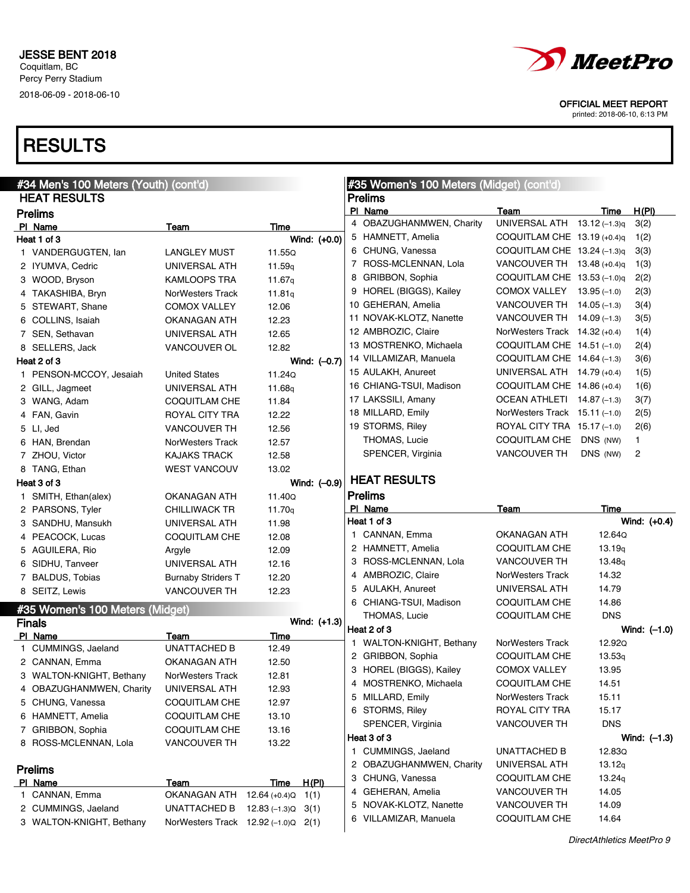

printed: 2018-06-10, 6:13 PM

| #34 Men's 100 Meters (Youth) (cont'd)<br><b>HEAT RESULTS</b> |                                                             |                            | #35 Women's 100 Meters (Midget) (cont'd) |                                                 |                                     |                |                |  |
|--------------------------------------------------------------|-------------------------------------------------------------|----------------------------|------------------------------------------|-------------------------------------------------|-------------------------------------|----------------|----------------|--|
|                                                              |                                                             |                            |                                          | <b>Prelims</b>                                  |                                     |                |                |  |
| <b>Prelims</b>                                               |                                                             |                            |                                          | PI Name<br>4 OBAZUGHANMWEN, Charity             | Team<br>UNIVERSAL ATH 13.12 (-1.3)q | Time           | H(PI)          |  |
| PI Name                                                      | Team                                                        | Time                       |                                          |                                                 |                                     |                | 3(2)           |  |
| Heat 1 of 3                                                  |                                                             |                            | Wind: (+0.0)                             | 5 HAMNETT, Amelia                               | COQUITLAM CHE $13.19$ (+0.4)q       |                | 1(2)           |  |
| 1 VANDERGUGTEN, lan                                          | LANGLEY MUST                                                | 11.55Q                     |                                          | 6 CHUNG, Vanessa                                | COQUITLAM CHE $13.24$ (-1.3)q       |                | 3(3)           |  |
| 2 IYUMVA, Cedric                                             | UNIVERSAL ATH                                               | 11.59 <sub>g</sub>         |                                          | 7 ROSS-MCLENNAN, Lola                           | VANCOUVER TH $13.48$ (+0.4)q        |                | 1(3)           |  |
| 3 WOOD, Bryson                                               | KAMLOOPS TRA                                                | 11.67g                     |                                          | 8 GRIBBON, Sophia                               | COQUITLAM CHE $13.53$ (-1.0)q       |                | 2(2)           |  |
| 4 TAKASHIBA, Bryn                                            | <b>NorWesters Track</b>                                     | 11.81q                     |                                          | 9 HOREL (BIGGS), Kailey                         | COMOX VALLEY 13.95 (-1.0)           |                | 2(3)           |  |
| 5 STEWART, Shane                                             | <b>COMOX VALLEY</b>                                         | 12.06                      |                                          | 10 GEHERAN, Amelia                              | VANCOUVER TH $14.05$ (-1.3)         |                | 3(4)           |  |
| 6 COLLINS, Isaiah                                            | OKANAGAN ATH                                                | 12.23                      |                                          | 11 NOVAK-KLOTZ, Nanette                         | VANCOUVER TH $14.09$ (-1.3)         |                | 3(5)           |  |
| 7 SEN, Sethavan                                              | UNIVERSAL ATH                                               | 12.65                      |                                          | 12 AMBROZIC, Claire                             | NorWesters Track $14.32$ (+0.4)     |                | 1(4)           |  |
| 8 SELLERS, Jack                                              | VANCOUVER OL                                                | 12.82                      |                                          | 13 MOSTRENKO, Michaela                          | COQUITLAM CHE $14.51$ (-1.0)        |                | 2(4)           |  |
| Heat 2 of 3                                                  |                                                             |                            | Wind: (-0.7)                             | 14 VILLAMIZAR, Manuela                          | COQUITLAM CHE 14.64 (-1.3)          |                | 3(6)           |  |
| 1 PENSON-MCCOY, Jesaiah                                      | <b>United States</b>                                        | 11.24Q                     |                                          | 15 AULAKH, Anureet                              | UNIVERSAL ATH 14.79 (+0.4)          |                | 1(5)           |  |
| 2 GILL, Jagmeet                                              | UNIVERSAL ATH                                               | 11.68g                     |                                          | 16 CHIANG-TSUI, Madison                         | COQUITLAM CHE $14.86(+0.4)$         |                | 1(6)           |  |
| 3 WANG, Adam                                                 | <b>COQUITLAM CHE</b>                                        | 11.84                      |                                          | 17 LAKSSILI, Amany                              | OCEAN ATHLETI $14.87$ (-1.3)        |                | 3(7)           |  |
| 4 FAN, Gavin                                                 | ROYAL CITY TRA                                              | 12.22                      |                                          | 18 MILLARD, Emily                               | NorWesters Track 15.11 (-1.0)       |                | 2(5)           |  |
| 5 LI, Jed                                                    | <b>VANCOUVER TH</b>                                         | 12.56                      |                                          | 19 STORMS, Riley                                | ROYAL CITY TRA 15.17 (-1.0)         |                | 2(6)           |  |
| 6 HAN, Brendan                                               | NorWesters Track                                            | 12.57                      |                                          | THOMAS, Lucie                                   | COQUITLAM CHE                       | DNS (NW)       | 1              |  |
| 7 ZHOU, Victor                                               | <b>KAJAKS TRACK</b>                                         | 12.58                      |                                          | SPENCER, Virginia                               | <b>VANCOUVER TH</b>                 | DNS (NW)       | $\overline{c}$ |  |
| 8 TANG, Ethan                                                | <b>WEST VANCOUV</b>                                         | 13.02                      |                                          |                                                 |                                     |                |                |  |
| Heat 3 of 3                                                  |                                                             |                            | Wind: (-0.9)                             | <b>HEAT RESULTS</b>                             |                                     |                |                |  |
| 1 SMITH, Ethan(alex)                                         | OKANAGAN ATH                                                | 11.40Q                     |                                          | <b>Prelims</b>                                  |                                     |                |                |  |
| 2 PARSONS, Tyler                                             | <b>CHILLIWACK TR</b>                                        | 11.70 <sub>q</sub>         |                                          | PI Name                                         | Team                                | Time           |                |  |
| 3 SANDHU, Mansukh                                            | UNIVERSAL ATH                                               | 11.98                      |                                          | Heat 1 of 3                                     |                                     |                | Wind: $(+0.4)$ |  |
|                                                              |                                                             |                            |                                          |                                                 |                                     |                |                |  |
| 4 PEACOCK, Lucas                                             | COQUITLAM CHE                                               | 12.08                      |                                          | 1 CANNAN, Emma                                  | OKANAGAN ATH                        | 12.64Q         |                |  |
|                                                              |                                                             |                            |                                          | 2 HAMNETT, Amelia                               | COQUITLAM CHE                       | 13.19q         |                |  |
| 5 AGUILERA, Rio                                              | Argyle                                                      | 12.09                      |                                          | 3 ROSS-MCLENNAN, Lola                           | <b>VANCOUVER TH</b>                 | 13.48q         |                |  |
| 6 SIDHU, Tanveer                                             | UNIVERSAL ATH                                               | 12.16                      |                                          | 4 AMBROZIC, Claire                              | NorWesters Track                    | 14.32          |                |  |
| 7 BALDUS, Tobias                                             | <b>Burnaby Striders T</b>                                   | 12.20                      |                                          | 5 AULAKH, Anureet                               | UNIVERSAL ATH                       | 14.79          |                |  |
| 8 SEITZ, Lewis                                               | <b>VANCOUVER TH</b>                                         | 12.23                      |                                          |                                                 | COQUITLAM CHE                       | 14.86          |                |  |
| #35 Women's 100 Meters (Midget)                              |                                                             |                            |                                          | 6 CHIANG-TSUI, Madison<br>THOMAS, Lucie         | COQUITLAM CHE                       | <b>DNS</b>     |                |  |
| <b>Finals</b>                                                |                                                             |                            | Wind: (+1.3)                             | Heat 2 of 3                                     |                                     |                |                |  |
| PI Name                                                      | Team                                                        | Time                       |                                          |                                                 |                                     | 12.92Q         | Wind: $(-1.0)$ |  |
| 1 CUMMINGS, Jaeland                                          | UNATTACHED B                                                | 12.49                      |                                          | 1 WALTON-KNIGHT, Bethany                        | NorWesters Track                    |                |                |  |
| 2 CANNAN, Emma                                               | OKANAGAN ATH                                                | 12.50                      |                                          | 2 GRIBBON, Sophia                               | COQUITLAM CHE                       | 13.53q         |                |  |
| 3 WALTON-KNIGHT, Bethany                                     | NorWesters Track                                            | 12.81                      |                                          | 3 HOREL (BIGGS), Kailey                         | <b>COMOX VALLEY</b>                 | 13.95          |                |  |
| 4 OBAZUGHANMWEN, Charity                                     | UNIVERSAL ATH                                               | 12.93                      |                                          | 4 MOSTRENKO, Michaela                           | COQUITLAM CHE                       | 14.51          |                |  |
| 5 CHUNG, Vanessa                                             | <b>COQUITLAM CHE</b>                                        | 12.97                      |                                          | 5 MILLARD, Emily                                | NorWesters Track                    | 15.11          |                |  |
| 6 HAMNETT, Amelia                                            | COQUITLAM CHE                                               | 13.10                      |                                          | 6 STORMS, Riley                                 | ROYAL CITY TRA                      | 15.17          |                |  |
| 7 GRIBBON, Sophia                                            | COQUITLAM CHE                                               | 13.16                      |                                          | SPENCER, Virginia                               | <b>VANCOUVER TH</b>                 | <b>DNS</b>     |                |  |
| 8 ROSS-MCLENNAN, Lola                                        | <b>VANCOUVER TH</b>                                         | 13.22                      |                                          | Heat 3 of 3                                     |                                     |                | Wind: $(-1.3)$ |  |
|                                                              |                                                             |                            |                                          | 1 CUMMINGS, Jaeland                             | UNATTACHED B                        | 12.83Q         |                |  |
| <b>Prelims</b>                                               |                                                             |                            |                                          | 2 OBAZUGHANMWEN, Charity                        | UNIVERSAL ATH                       | 13.12q         |                |  |
| PI Name                                                      | <b>Team</b>                                                 | Time                       | H(PI)                                    | 3 CHUNG, Vanessa                                | COQUITLAM CHE                       | 13.24q         |                |  |
| 1 CANNAN, Emma                                               | OKANAGAN ATH                                                | $12.64 (+0.4)Q \quad 1(1)$ |                                          | 4 GEHERAN, Amelia                               | VANCOUVER TH                        | 14.05          |                |  |
| 2 CUMMINGS, Jaeland<br>3 WALTON-KNIGHT, Bethany              | <b>UNATTACHED B</b><br>NorWesters Track 12.92 (-1.0) Q 2(1) | $12.83(-1.3)Q$ 3(1)        |                                          | 5 NOVAK-KLOTZ, Nanette<br>6 VILLAMIZAR, Manuela | VANCOUVER TH<br>COQUITLAM CHE       | 14.09<br>14.64 |                |  |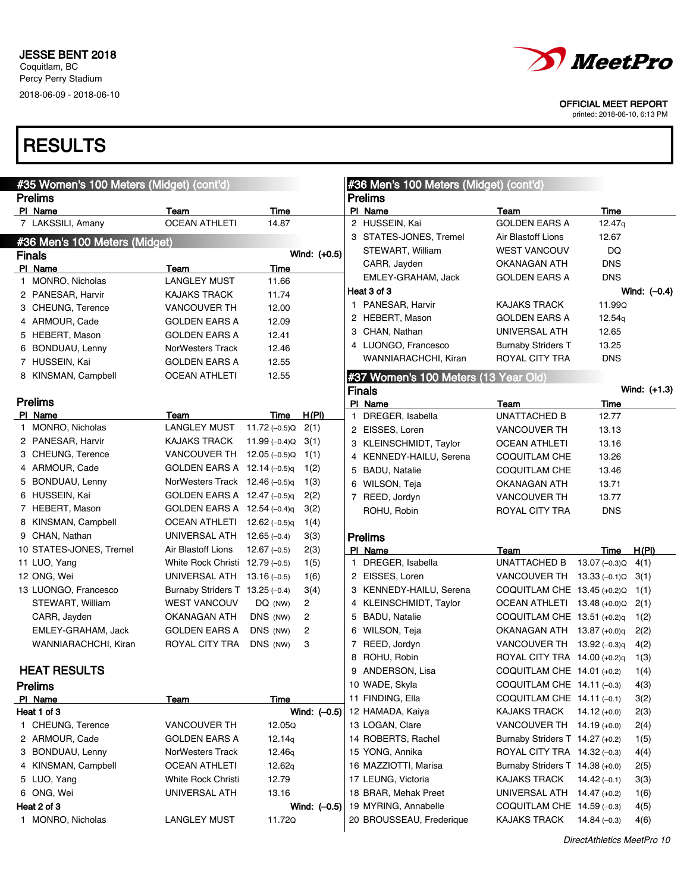## **RESULTS**

| <b>Prelims</b><br><b>Prelims</b><br>PI Name<br>PI Name<br>Team<br>Time<br>Team<br>Time<br><b>OCEAN ATHLETI</b><br>7 LAKSSILI, Amany<br>14.87<br>2 HUSSEIN, Kai<br><b>GOLDEN EARS A</b><br>12.47q<br>3 STATES-JONES, Tremel<br>Air Blastoff Lions<br>12.67<br>#36 Men's 100 Meters (Midget)<br>WEST VANCOUV<br>DQ<br>STEWART, William<br>Wind: (+0.5)<br><b>Finals</b><br>CARR, Jayden<br><b>DNS</b><br>OKANAGAN ATH<br>PI Name<br>Time<br>Team<br><b>DNS</b><br>EMLEY-GRAHAM, Jack<br>GOLDEN EARS A<br>1 MONRO, Nicholas<br><b>LANGLEY MUST</b><br>11.66<br>Heat 3 of 3<br>Wind: $(-0.4)$<br>11.74<br>2 PANESAR, Harvir<br><b>KAJAKS TRACK</b><br>1 PANESAR, Harvir<br><b>KAJAKS TRACK</b><br>11.99Q<br>12.00<br>3 CHEUNG, Terence<br><b>VANCOUVER TH</b><br>2 HEBERT, Mason<br>12.54g<br><b>GOLDEN EARS A</b><br>12.09<br>4 ARMOUR, Cade<br>GOLDEN EARS A<br>UNIVERSAL ATH<br>3 CHAN, Nathan<br>12.65<br>5 HEBERT, Mason<br>GOLDEN EARS A<br>12.41<br>4 LUONGO, Francesco<br>13.25<br><b>Burnaby Striders T</b><br>6 BONDUAU, Lenny<br>NorWesters Track<br>12.46<br><b>DNS</b><br>WANNIARACHCHI, Kiran<br>ROYAL CITY TRA<br>7 HUSSEIN, Kai<br><b>GOLDEN EARS A</b><br>12.55<br>12.55<br>8 KINSMAN, Campbell<br><b>OCEAN ATHLETI</b><br>#37 Women's 100 Meters (13 Year Old)<br>Wind: (+1.3)<br><b>Finals</b><br><b>Prelims</b><br>PI Name<br>Team<br>Time<br>PI Name<br>Team<br>Time<br>H(PI)<br><b>UNATTACHED B</b><br>DREGER, Isabella<br>12.77<br>$\mathbf{1}$<br>1 MONRO, Nicholas<br><b>LANGLEY MUST</b><br>$11.72(-0.5)Q$<br>2(1)<br>2 EISSES, Loren<br><b>VANCOUVER TH</b><br>13.13<br>2 PANESAR, Harvir<br>KAJAKS TRACK<br>11.99 $(-0.4)Q$<br>3(1)<br>3 KLEINSCHMIDT, Taylor<br><b>OCEAN ATHLETI</b><br>13.16<br>3 CHEUNG, Terence<br>VANCOUVER TH 12.05 (-0.5)Q<br>1(1)<br>4 KENNEDY-HAILU, Serena<br>13.26<br>COQUITLAM CHE<br>4 ARMOUR, Cade<br>GOLDEN EARS A $12.14$ (-0.5)g<br>1(2)<br>5 BADU, Natalie<br><b>COQUITLAM CHE</b><br>13.46<br>5 BONDUAU, Lenny<br>NorWesters Track $12.46$ (-0.5)q<br>1(3)<br>6 WILSON, Teja<br>13.71<br><b>OKANAGAN ATH</b><br>6 HUSSEIN, Kai<br>GOLDEN EARS A 12.47 (-0.5)q<br>2(2)<br>7 REED, Jordyn<br><b>VANCOUVER TH</b><br>13.77<br>7 HEBERT, Mason<br>GOLDEN EARS A 12.54 (-0.4)q<br>3(2)<br><b>DNS</b><br>ROHU, Robin<br>ROYAL CITY TRA<br>8 KINSMAN, Campbell<br>OCEAN ATHLETI $12.62$ (-0.5)q<br>1(4)<br>9 CHAN, Nathan<br>UNIVERSAL ATH $12.65$ (-0.4)<br>3(3)<br><b>Prelims</b><br>10 STATES-JONES, Tremel<br>Air Blastoff Lions<br>$12.67(-0.5)$<br>2(3)<br>PI Name<br>H(PI)<br>Team<br>Time<br>1 DREGER, Isabella<br>UNATTACHED B<br>11 LUO, Yang<br>White Rock Christi $12.79(-0.5)$<br>1(5)<br>13.07 (–0.3)Q<br>4(1)<br>12 ONG, Wei<br>UNIVERSAL ATH 13.16 (-0.5)<br>2 EISSES, Loren<br>1(6)<br>VANCOUVER TH $13.33$ (-0.1) Q<br>3(1)<br>Burnaby Striders T 13.25 (-0.4)<br>13 LUONGO, Francesco<br>3(4)<br>3 KENNEDY-HAILU, Serena<br>COQUITLAM CHE 13.45 (+0.2)Q 1(1)<br>STEWART, William<br><b>WEST VANCOUV</b><br>$\overline{2}$<br>4 KLEINSCHMIDT, Taylor<br>DQ (NW)<br>OCEAN ATHLETI 13.48 (+0.0)Q<br>2(1)<br>$\overline{c}$<br>DNS (NW)<br>5 BADU, Natalie<br>CARR, Jayden<br>OKANAGAN ATH<br>COQUITLAM CHE 13.51 (+0.2)q<br>1(2)<br>DNS (NW)<br>2<br>6 WILSON, Teja<br>EMLEY-GRAHAM, Jack<br>GOLDEN EARS A<br>OKANAGAN ATH 13.87 (+0.0)q<br>2(2)<br>ROYAL CITY TRA<br>DNS (NW)<br>3<br>7 REED, Jordyn<br>WANNIARACHCHI, Kiran<br>VANCOUVER TH 13.92 (-0.3)q<br>4(2)<br>8 ROHU, Robin<br>ROYAL CITY TRA 14.00 (+0.2)q<br>1(3)<br><b>HEAT RESULTS</b><br>9 ANDERSON, Lisa<br>COQUITLAM CHE 14.01 (+0.2)<br>1(4)<br>10 WADE, Skyla<br>COQUITLAM CHE 14.11 (-0.3)<br><b>Prelims</b><br>4(3)<br>11 FINDING, Ella<br>COQUITLAM CHE 14.11 (-0.1)<br>3(2)<br>PI Name<br>Time<br>Team<br>Wind: $(-0.5)$<br>Heat 1 of 3<br>12 HAMADA, Kaiya<br>KAJAKS TRACK<br>$14.12 (+0.0)$<br>2(3)<br>12.05Q<br>1 CHEUNG, Terence<br><b>VANCOUVER TH</b><br>13 LOGAN, Clare<br>VANCOUVER TH 14.19 (+0.0)<br>2(4)<br>2 ARMOUR, Cade<br><b>GOLDEN EARS A</b><br>12.14q<br>14 ROBERTS, Rachel<br>Burnaby Striders T 14.27 (+0.2)<br>1(5)<br>3 BONDUAU, Lenny<br>NorWesters Track<br>12.46q<br>15 YONG, Annika<br>ROYAL CITY TRA 14.32 (-0.3)<br>4(4)<br>4 KINSMAN, Campbell<br>OCEAN ATHLETI<br>12.62q<br>16 MAZZIOTTI, Marisa<br>Burnaby Striders T 14.38 (+0.0)<br>2(5)<br>5 LUO, Yang<br>White Rock Christi<br>12.79<br>17 LEUNG, Victoria<br><b>KAJAKS TRACK</b><br>14.42 $(-0.1)$<br>3(3)<br>6 ONG, Wei<br>UNIVERSAL ATH<br>13.16<br>18 BRAR, Mehak Preet<br>UNIVERSAL ATH 14.47 (+0.2)<br>1(6)<br>Heat 2 of 3<br>19 MYRING, Annabelle<br>Wind: $(-0.5)$<br>COQUITLAM CHE 14.59 (-0.3)<br>4(5) | #35 Women's 100 Meters (Midget) (cont'd) |  |  |  |  | #36 Men's 100 Meters (Midget) (cont'd) |  |  |  |
|-----------------------------------------------------------------------------------------------------------------------------------------------------------------------------------------------------------------------------------------------------------------------------------------------------------------------------------------------------------------------------------------------------------------------------------------------------------------------------------------------------------------------------------------------------------------------------------------------------------------------------------------------------------------------------------------------------------------------------------------------------------------------------------------------------------------------------------------------------------------------------------------------------------------------------------------------------------------------------------------------------------------------------------------------------------------------------------------------------------------------------------------------------------------------------------------------------------------------------------------------------------------------------------------------------------------------------------------------------------------------------------------------------------------------------------------------------------------------------------------------------------------------------------------------------------------------------------------------------------------------------------------------------------------------------------------------------------------------------------------------------------------------------------------------------------------------------------------------------------------------------------------------------------------------------------------------------------------------------------------------------------------------------------------------------------------------------------------------------------------------------------------------------------------------------------------------------------------------------------------------------------------------------------------------------------------------------------------------------------------------------------------------------------------------------------------------------------------------------------------------------------------------------------------------------------------------------------------------------------------------------------------------------------------------------------------------------------------------------------------------------------------------------------------------------------------------------------------------------------------------------------------------------------------------------------------------------------------------------------------------------------------------------------------------------------------------------------------------------------------------------------------------------------------------------------------------------------------------------------------------------------------------------------------------------------------------------------------------------------------------------------------------------------------------------------------------------------------------------------------------------------------------------------------------------------------------------------------------------------------------------------------------------------------------------------------------------------------------------------------------------------------------------------------------------------------------------------------------------------------------------------------------------------------------------------------------------------------------------------------------------------------------------------------------------------------------------------------------------------------------------------------------------------------------------------------------------------------------------------------------------------------------------------------------------------------------------------------------------------------------------------------------------------------------------------------------------------------------------------------------------------------------------------------------------------------------------------------------------------------------------------------------|------------------------------------------|--|--|--|--|----------------------------------------|--|--|--|
|                                                                                                                                                                                                                                                                                                                                                                                                                                                                                                                                                                                                                                                                                                                                                                                                                                                                                                                                                                                                                                                                                                                                                                                                                                                                                                                                                                                                                                                                                                                                                                                                                                                                                                                                                                                                                                                                                                                                                                                                                                                                                                                                                                                                                                                                                                                                                                                                                                                                                                                                                                                                                                                                                                                                                                                                                                                                                                                                                                                                                                                                                                                                                                                                                                                                                                                                                                                                                                                                                                                                                                                                                                                                                                                                                                                                                                                                                                                                                                                                                                                                                                                                                                                                                                                                                                                                                                                                                                                                                                                                                                                                                                               |                                          |  |  |  |  |                                        |  |  |  |
|                                                                                                                                                                                                                                                                                                                                                                                                                                                                                                                                                                                                                                                                                                                                                                                                                                                                                                                                                                                                                                                                                                                                                                                                                                                                                                                                                                                                                                                                                                                                                                                                                                                                                                                                                                                                                                                                                                                                                                                                                                                                                                                                                                                                                                                                                                                                                                                                                                                                                                                                                                                                                                                                                                                                                                                                                                                                                                                                                                                                                                                                                                                                                                                                                                                                                                                                                                                                                                                                                                                                                                                                                                                                                                                                                                                                                                                                                                                                                                                                                                                                                                                                                                                                                                                                                                                                                                                                                                                                                                                                                                                                                                               |                                          |  |  |  |  |                                        |  |  |  |
|                                                                                                                                                                                                                                                                                                                                                                                                                                                                                                                                                                                                                                                                                                                                                                                                                                                                                                                                                                                                                                                                                                                                                                                                                                                                                                                                                                                                                                                                                                                                                                                                                                                                                                                                                                                                                                                                                                                                                                                                                                                                                                                                                                                                                                                                                                                                                                                                                                                                                                                                                                                                                                                                                                                                                                                                                                                                                                                                                                                                                                                                                                                                                                                                                                                                                                                                                                                                                                                                                                                                                                                                                                                                                                                                                                                                                                                                                                                                                                                                                                                                                                                                                                                                                                                                                                                                                                                                                                                                                                                                                                                                                                               |                                          |  |  |  |  |                                        |  |  |  |
|                                                                                                                                                                                                                                                                                                                                                                                                                                                                                                                                                                                                                                                                                                                                                                                                                                                                                                                                                                                                                                                                                                                                                                                                                                                                                                                                                                                                                                                                                                                                                                                                                                                                                                                                                                                                                                                                                                                                                                                                                                                                                                                                                                                                                                                                                                                                                                                                                                                                                                                                                                                                                                                                                                                                                                                                                                                                                                                                                                                                                                                                                                                                                                                                                                                                                                                                                                                                                                                                                                                                                                                                                                                                                                                                                                                                                                                                                                                                                                                                                                                                                                                                                                                                                                                                                                                                                                                                                                                                                                                                                                                                                                               |                                          |  |  |  |  |                                        |  |  |  |
|                                                                                                                                                                                                                                                                                                                                                                                                                                                                                                                                                                                                                                                                                                                                                                                                                                                                                                                                                                                                                                                                                                                                                                                                                                                                                                                                                                                                                                                                                                                                                                                                                                                                                                                                                                                                                                                                                                                                                                                                                                                                                                                                                                                                                                                                                                                                                                                                                                                                                                                                                                                                                                                                                                                                                                                                                                                                                                                                                                                                                                                                                                                                                                                                                                                                                                                                                                                                                                                                                                                                                                                                                                                                                                                                                                                                                                                                                                                                                                                                                                                                                                                                                                                                                                                                                                                                                                                                                                                                                                                                                                                                                                               |                                          |  |  |  |  |                                        |  |  |  |
|                                                                                                                                                                                                                                                                                                                                                                                                                                                                                                                                                                                                                                                                                                                                                                                                                                                                                                                                                                                                                                                                                                                                                                                                                                                                                                                                                                                                                                                                                                                                                                                                                                                                                                                                                                                                                                                                                                                                                                                                                                                                                                                                                                                                                                                                                                                                                                                                                                                                                                                                                                                                                                                                                                                                                                                                                                                                                                                                                                                                                                                                                                                                                                                                                                                                                                                                                                                                                                                                                                                                                                                                                                                                                                                                                                                                                                                                                                                                                                                                                                                                                                                                                                                                                                                                                                                                                                                                                                                                                                                                                                                                                                               |                                          |  |  |  |  |                                        |  |  |  |
|                                                                                                                                                                                                                                                                                                                                                                                                                                                                                                                                                                                                                                                                                                                                                                                                                                                                                                                                                                                                                                                                                                                                                                                                                                                                                                                                                                                                                                                                                                                                                                                                                                                                                                                                                                                                                                                                                                                                                                                                                                                                                                                                                                                                                                                                                                                                                                                                                                                                                                                                                                                                                                                                                                                                                                                                                                                                                                                                                                                                                                                                                                                                                                                                                                                                                                                                                                                                                                                                                                                                                                                                                                                                                                                                                                                                                                                                                                                                                                                                                                                                                                                                                                                                                                                                                                                                                                                                                                                                                                                                                                                                                                               |                                          |  |  |  |  |                                        |  |  |  |
|                                                                                                                                                                                                                                                                                                                                                                                                                                                                                                                                                                                                                                                                                                                                                                                                                                                                                                                                                                                                                                                                                                                                                                                                                                                                                                                                                                                                                                                                                                                                                                                                                                                                                                                                                                                                                                                                                                                                                                                                                                                                                                                                                                                                                                                                                                                                                                                                                                                                                                                                                                                                                                                                                                                                                                                                                                                                                                                                                                                                                                                                                                                                                                                                                                                                                                                                                                                                                                                                                                                                                                                                                                                                                                                                                                                                                                                                                                                                                                                                                                                                                                                                                                                                                                                                                                                                                                                                                                                                                                                                                                                                                                               |                                          |  |  |  |  |                                        |  |  |  |
|                                                                                                                                                                                                                                                                                                                                                                                                                                                                                                                                                                                                                                                                                                                                                                                                                                                                                                                                                                                                                                                                                                                                                                                                                                                                                                                                                                                                                                                                                                                                                                                                                                                                                                                                                                                                                                                                                                                                                                                                                                                                                                                                                                                                                                                                                                                                                                                                                                                                                                                                                                                                                                                                                                                                                                                                                                                                                                                                                                                                                                                                                                                                                                                                                                                                                                                                                                                                                                                                                                                                                                                                                                                                                                                                                                                                                                                                                                                                                                                                                                                                                                                                                                                                                                                                                                                                                                                                                                                                                                                                                                                                                                               |                                          |  |  |  |  |                                        |  |  |  |
|                                                                                                                                                                                                                                                                                                                                                                                                                                                                                                                                                                                                                                                                                                                                                                                                                                                                                                                                                                                                                                                                                                                                                                                                                                                                                                                                                                                                                                                                                                                                                                                                                                                                                                                                                                                                                                                                                                                                                                                                                                                                                                                                                                                                                                                                                                                                                                                                                                                                                                                                                                                                                                                                                                                                                                                                                                                                                                                                                                                                                                                                                                                                                                                                                                                                                                                                                                                                                                                                                                                                                                                                                                                                                                                                                                                                                                                                                                                                                                                                                                                                                                                                                                                                                                                                                                                                                                                                                                                                                                                                                                                                                                               |                                          |  |  |  |  |                                        |  |  |  |
|                                                                                                                                                                                                                                                                                                                                                                                                                                                                                                                                                                                                                                                                                                                                                                                                                                                                                                                                                                                                                                                                                                                                                                                                                                                                                                                                                                                                                                                                                                                                                                                                                                                                                                                                                                                                                                                                                                                                                                                                                                                                                                                                                                                                                                                                                                                                                                                                                                                                                                                                                                                                                                                                                                                                                                                                                                                                                                                                                                                                                                                                                                                                                                                                                                                                                                                                                                                                                                                                                                                                                                                                                                                                                                                                                                                                                                                                                                                                                                                                                                                                                                                                                                                                                                                                                                                                                                                                                                                                                                                                                                                                                                               |                                          |  |  |  |  |                                        |  |  |  |
|                                                                                                                                                                                                                                                                                                                                                                                                                                                                                                                                                                                                                                                                                                                                                                                                                                                                                                                                                                                                                                                                                                                                                                                                                                                                                                                                                                                                                                                                                                                                                                                                                                                                                                                                                                                                                                                                                                                                                                                                                                                                                                                                                                                                                                                                                                                                                                                                                                                                                                                                                                                                                                                                                                                                                                                                                                                                                                                                                                                                                                                                                                                                                                                                                                                                                                                                                                                                                                                                                                                                                                                                                                                                                                                                                                                                                                                                                                                                                                                                                                                                                                                                                                                                                                                                                                                                                                                                                                                                                                                                                                                                                                               |                                          |  |  |  |  |                                        |  |  |  |
|                                                                                                                                                                                                                                                                                                                                                                                                                                                                                                                                                                                                                                                                                                                                                                                                                                                                                                                                                                                                                                                                                                                                                                                                                                                                                                                                                                                                                                                                                                                                                                                                                                                                                                                                                                                                                                                                                                                                                                                                                                                                                                                                                                                                                                                                                                                                                                                                                                                                                                                                                                                                                                                                                                                                                                                                                                                                                                                                                                                                                                                                                                                                                                                                                                                                                                                                                                                                                                                                                                                                                                                                                                                                                                                                                                                                                                                                                                                                                                                                                                                                                                                                                                                                                                                                                                                                                                                                                                                                                                                                                                                                                                               |                                          |  |  |  |  |                                        |  |  |  |
|                                                                                                                                                                                                                                                                                                                                                                                                                                                                                                                                                                                                                                                                                                                                                                                                                                                                                                                                                                                                                                                                                                                                                                                                                                                                                                                                                                                                                                                                                                                                                                                                                                                                                                                                                                                                                                                                                                                                                                                                                                                                                                                                                                                                                                                                                                                                                                                                                                                                                                                                                                                                                                                                                                                                                                                                                                                                                                                                                                                                                                                                                                                                                                                                                                                                                                                                                                                                                                                                                                                                                                                                                                                                                                                                                                                                                                                                                                                                                                                                                                                                                                                                                                                                                                                                                                                                                                                                                                                                                                                                                                                                                                               |                                          |  |  |  |  |                                        |  |  |  |
|                                                                                                                                                                                                                                                                                                                                                                                                                                                                                                                                                                                                                                                                                                                                                                                                                                                                                                                                                                                                                                                                                                                                                                                                                                                                                                                                                                                                                                                                                                                                                                                                                                                                                                                                                                                                                                                                                                                                                                                                                                                                                                                                                                                                                                                                                                                                                                                                                                                                                                                                                                                                                                                                                                                                                                                                                                                                                                                                                                                                                                                                                                                                                                                                                                                                                                                                                                                                                                                                                                                                                                                                                                                                                                                                                                                                                                                                                                                                                                                                                                                                                                                                                                                                                                                                                                                                                                                                                                                                                                                                                                                                                                               |                                          |  |  |  |  |                                        |  |  |  |
|                                                                                                                                                                                                                                                                                                                                                                                                                                                                                                                                                                                                                                                                                                                                                                                                                                                                                                                                                                                                                                                                                                                                                                                                                                                                                                                                                                                                                                                                                                                                                                                                                                                                                                                                                                                                                                                                                                                                                                                                                                                                                                                                                                                                                                                                                                                                                                                                                                                                                                                                                                                                                                                                                                                                                                                                                                                                                                                                                                                                                                                                                                                                                                                                                                                                                                                                                                                                                                                                                                                                                                                                                                                                                                                                                                                                                                                                                                                                                                                                                                                                                                                                                                                                                                                                                                                                                                                                                                                                                                                                                                                                                                               |                                          |  |  |  |  |                                        |  |  |  |
|                                                                                                                                                                                                                                                                                                                                                                                                                                                                                                                                                                                                                                                                                                                                                                                                                                                                                                                                                                                                                                                                                                                                                                                                                                                                                                                                                                                                                                                                                                                                                                                                                                                                                                                                                                                                                                                                                                                                                                                                                                                                                                                                                                                                                                                                                                                                                                                                                                                                                                                                                                                                                                                                                                                                                                                                                                                                                                                                                                                                                                                                                                                                                                                                                                                                                                                                                                                                                                                                                                                                                                                                                                                                                                                                                                                                                                                                                                                                                                                                                                                                                                                                                                                                                                                                                                                                                                                                                                                                                                                                                                                                                                               |                                          |  |  |  |  |                                        |  |  |  |
|                                                                                                                                                                                                                                                                                                                                                                                                                                                                                                                                                                                                                                                                                                                                                                                                                                                                                                                                                                                                                                                                                                                                                                                                                                                                                                                                                                                                                                                                                                                                                                                                                                                                                                                                                                                                                                                                                                                                                                                                                                                                                                                                                                                                                                                                                                                                                                                                                                                                                                                                                                                                                                                                                                                                                                                                                                                                                                                                                                                                                                                                                                                                                                                                                                                                                                                                                                                                                                                                                                                                                                                                                                                                                                                                                                                                                                                                                                                                                                                                                                                                                                                                                                                                                                                                                                                                                                                                                                                                                                                                                                                                                                               |                                          |  |  |  |  |                                        |  |  |  |
|                                                                                                                                                                                                                                                                                                                                                                                                                                                                                                                                                                                                                                                                                                                                                                                                                                                                                                                                                                                                                                                                                                                                                                                                                                                                                                                                                                                                                                                                                                                                                                                                                                                                                                                                                                                                                                                                                                                                                                                                                                                                                                                                                                                                                                                                                                                                                                                                                                                                                                                                                                                                                                                                                                                                                                                                                                                                                                                                                                                                                                                                                                                                                                                                                                                                                                                                                                                                                                                                                                                                                                                                                                                                                                                                                                                                                                                                                                                                                                                                                                                                                                                                                                                                                                                                                                                                                                                                                                                                                                                                                                                                                                               |                                          |  |  |  |  |                                        |  |  |  |
|                                                                                                                                                                                                                                                                                                                                                                                                                                                                                                                                                                                                                                                                                                                                                                                                                                                                                                                                                                                                                                                                                                                                                                                                                                                                                                                                                                                                                                                                                                                                                                                                                                                                                                                                                                                                                                                                                                                                                                                                                                                                                                                                                                                                                                                                                                                                                                                                                                                                                                                                                                                                                                                                                                                                                                                                                                                                                                                                                                                                                                                                                                                                                                                                                                                                                                                                                                                                                                                                                                                                                                                                                                                                                                                                                                                                                                                                                                                                                                                                                                                                                                                                                                                                                                                                                                                                                                                                                                                                                                                                                                                                                                               |                                          |  |  |  |  |                                        |  |  |  |
|                                                                                                                                                                                                                                                                                                                                                                                                                                                                                                                                                                                                                                                                                                                                                                                                                                                                                                                                                                                                                                                                                                                                                                                                                                                                                                                                                                                                                                                                                                                                                                                                                                                                                                                                                                                                                                                                                                                                                                                                                                                                                                                                                                                                                                                                                                                                                                                                                                                                                                                                                                                                                                                                                                                                                                                                                                                                                                                                                                                                                                                                                                                                                                                                                                                                                                                                                                                                                                                                                                                                                                                                                                                                                                                                                                                                                                                                                                                                                                                                                                                                                                                                                                                                                                                                                                                                                                                                                                                                                                                                                                                                                                               |                                          |  |  |  |  |                                        |  |  |  |
|                                                                                                                                                                                                                                                                                                                                                                                                                                                                                                                                                                                                                                                                                                                                                                                                                                                                                                                                                                                                                                                                                                                                                                                                                                                                                                                                                                                                                                                                                                                                                                                                                                                                                                                                                                                                                                                                                                                                                                                                                                                                                                                                                                                                                                                                                                                                                                                                                                                                                                                                                                                                                                                                                                                                                                                                                                                                                                                                                                                                                                                                                                                                                                                                                                                                                                                                                                                                                                                                                                                                                                                                                                                                                                                                                                                                                                                                                                                                                                                                                                                                                                                                                                                                                                                                                                                                                                                                                                                                                                                                                                                                                                               |                                          |  |  |  |  |                                        |  |  |  |
|                                                                                                                                                                                                                                                                                                                                                                                                                                                                                                                                                                                                                                                                                                                                                                                                                                                                                                                                                                                                                                                                                                                                                                                                                                                                                                                                                                                                                                                                                                                                                                                                                                                                                                                                                                                                                                                                                                                                                                                                                                                                                                                                                                                                                                                                                                                                                                                                                                                                                                                                                                                                                                                                                                                                                                                                                                                                                                                                                                                                                                                                                                                                                                                                                                                                                                                                                                                                                                                                                                                                                                                                                                                                                                                                                                                                                                                                                                                                                                                                                                                                                                                                                                                                                                                                                                                                                                                                                                                                                                                                                                                                                                               |                                          |  |  |  |  |                                        |  |  |  |
|                                                                                                                                                                                                                                                                                                                                                                                                                                                                                                                                                                                                                                                                                                                                                                                                                                                                                                                                                                                                                                                                                                                                                                                                                                                                                                                                                                                                                                                                                                                                                                                                                                                                                                                                                                                                                                                                                                                                                                                                                                                                                                                                                                                                                                                                                                                                                                                                                                                                                                                                                                                                                                                                                                                                                                                                                                                                                                                                                                                                                                                                                                                                                                                                                                                                                                                                                                                                                                                                                                                                                                                                                                                                                                                                                                                                                                                                                                                                                                                                                                                                                                                                                                                                                                                                                                                                                                                                                                                                                                                                                                                                                                               |                                          |  |  |  |  |                                        |  |  |  |
|                                                                                                                                                                                                                                                                                                                                                                                                                                                                                                                                                                                                                                                                                                                                                                                                                                                                                                                                                                                                                                                                                                                                                                                                                                                                                                                                                                                                                                                                                                                                                                                                                                                                                                                                                                                                                                                                                                                                                                                                                                                                                                                                                                                                                                                                                                                                                                                                                                                                                                                                                                                                                                                                                                                                                                                                                                                                                                                                                                                                                                                                                                                                                                                                                                                                                                                                                                                                                                                                                                                                                                                                                                                                                                                                                                                                                                                                                                                                                                                                                                                                                                                                                                                                                                                                                                                                                                                                                                                                                                                                                                                                                                               |                                          |  |  |  |  |                                        |  |  |  |
|                                                                                                                                                                                                                                                                                                                                                                                                                                                                                                                                                                                                                                                                                                                                                                                                                                                                                                                                                                                                                                                                                                                                                                                                                                                                                                                                                                                                                                                                                                                                                                                                                                                                                                                                                                                                                                                                                                                                                                                                                                                                                                                                                                                                                                                                                                                                                                                                                                                                                                                                                                                                                                                                                                                                                                                                                                                                                                                                                                                                                                                                                                                                                                                                                                                                                                                                                                                                                                                                                                                                                                                                                                                                                                                                                                                                                                                                                                                                                                                                                                                                                                                                                                                                                                                                                                                                                                                                                                                                                                                                                                                                                                               |                                          |  |  |  |  |                                        |  |  |  |
|                                                                                                                                                                                                                                                                                                                                                                                                                                                                                                                                                                                                                                                                                                                                                                                                                                                                                                                                                                                                                                                                                                                                                                                                                                                                                                                                                                                                                                                                                                                                                                                                                                                                                                                                                                                                                                                                                                                                                                                                                                                                                                                                                                                                                                                                                                                                                                                                                                                                                                                                                                                                                                                                                                                                                                                                                                                                                                                                                                                                                                                                                                                                                                                                                                                                                                                                                                                                                                                                                                                                                                                                                                                                                                                                                                                                                                                                                                                                                                                                                                                                                                                                                                                                                                                                                                                                                                                                                                                                                                                                                                                                                                               |                                          |  |  |  |  |                                        |  |  |  |
|                                                                                                                                                                                                                                                                                                                                                                                                                                                                                                                                                                                                                                                                                                                                                                                                                                                                                                                                                                                                                                                                                                                                                                                                                                                                                                                                                                                                                                                                                                                                                                                                                                                                                                                                                                                                                                                                                                                                                                                                                                                                                                                                                                                                                                                                                                                                                                                                                                                                                                                                                                                                                                                                                                                                                                                                                                                                                                                                                                                                                                                                                                                                                                                                                                                                                                                                                                                                                                                                                                                                                                                                                                                                                                                                                                                                                                                                                                                                                                                                                                                                                                                                                                                                                                                                                                                                                                                                                                                                                                                                                                                                                                               |                                          |  |  |  |  |                                        |  |  |  |
|                                                                                                                                                                                                                                                                                                                                                                                                                                                                                                                                                                                                                                                                                                                                                                                                                                                                                                                                                                                                                                                                                                                                                                                                                                                                                                                                                                                                                                                                                                                                                                                                                                                                                                                                                                                                                                                                                                                                                                                                                                                                                                                                                                                                                                                                                                                                                                                                                                                                                                                                                                                                                                                                                                                                                                                                                                                                                                                                                                                                                                                                                                                                                                                                                                                                                                                                                                                                                                                                                                                                                                                                                                                                                                                                                                                                                                                                                                                                                                                                                                                                                                                                                                                                                                                                                                                                                                                                                                                                                                                                                                                                                                               |                                          |  |  |  |  |                                        |  |  |  |
|                                                                                                                                                                                                                                                                                                                                                                                                                                                                                                                                                                                                                                                                                                                                                                                                                                                                                                                                                                                                                                                                                                                                                                                                                                                                                                                                                                                                                                                                                                                                                                                                                                                                                                                                                                                                                                                                                                                                                                                                                                                                                                                                                                                                                                                                                                                                                                                                                                                                                                                                                                                                                                                                                                                                                                                                                                                                                                                                                                                                                                                                                                                                                                                                                                                                                                                                                                                                                                                                                                                                                                                                                                                                                                                                                                                                                                                                                                                                                                                                                                                                                                                                                                                                                                                                                                                                                                                                                                                                                                                                                                                                                                               |                                          |  |  |  |  |                                        |  |  |  |
|                                                                                                                                                                                                                                                                                                                                                                                                                                                                                                                                                                                                                                                                                                                                                                                                                                                                                                                                                                                                                                                                                                                                                                                                                                                                                                                                                                                                                                                                                                                                                                                                                                                                                                                                                                                                                                                                                                                                                                                                                                                                                                                                                                                                                                                                                                                                                                                                                                                                                                                                                                                                                                                                                                                                                                                                                                                                                                                                                                                                                                                                                                                                                                                                                                                                                                                                                                                                                                                                                                                                                                                                                                                                                                                                                                                                                                                                                                                                                                                                                                                                                                                                                                                                                                                                                                                                                                                                                                                                                                                                                                                                                                               |                                          |  |  |  |  |                                        |  |  |  |
|                                                                                                                                                                                                                                                                                                                                                                                                                                                                                                                                                                                                                                                                                                                                                                                                                                                                                                                                                                                                                                                                                                                                                                                                                                                                                                                                                                                                                                                                                                                                                                                                                                                                                                                                                                                                                                                                                                                                                                                                                                                                                                                                                                                                                                                                                                                                                                                                                                                                                                                                                                                                                                                                                                                                                                                                                                                                                                                                                                                                                                                                                                                                                                                                                                                                                                                                                                                                                                                                                                                                                                                                                                                                                                                                                                                                                                                                                                                                                                                                                                                                                                                                                                                                                                                                                                                                                                                                                                                                                                                                                                                                                                               |                                          |  |  |  |  |                                        |  |  |  |
|                                                                                                                                                                                                                                                                                                                                                                                                                                                                                                                                                                                                                                                                                                                                                                                                                                                                                                                                                                                                                                                                                                                                                                                                                                                                                                                                                                                                                                                                                                                                                                                                                                                                                                                                                                                                                                                                                                                                                                                                                                                                                                                                                                                                                                                                                                                                                                                                                                                                                                                                                                                                                                                                                                                                                                                                                                                                                                                                                                                                                                                                                                                                                                                                                                                                                                                                                                                                                                                                                                                                                                                                                                                                                                                                                                                                                                                                                                                                                                                                                                                                                                                                                                                                                                                                                                                                                                                                                                                                                                                                                                                                                                               |                                          |  |  |  |  |                                        |  |  |  |
|                                                                                                                                                                                                                                                                                                                                                                                                                                                                                                                                                                                                                                                                                                                                                                                                                                                                                                                                                                                                                                                                                                                                                                                                                                                                                                                                                                                                                                                                                                                                                                                                                                                                                                                                                                                                                                                                                                                                                                                                                                                                                                                                                                                                                                                                                                                                                                                                                                                                                                                                                                                                                                                                                                                                                                                                                                                                                                                                                                                                                                                                                                                                                                                                                                                                                                                                                                                                                                                                                                                                                                                                                                                                                                                                                                                                                                                                                                                                                                                                                                                                                                                                                                                                                                                                                                                                                                                                                                                                                                                                                                                                                                               |                                          |  |  |  |  |                                        |  |  |  |
|                                                                                                                                                                                                                                                                                                                                                                                                                                                                                                                                                                                                                                                                                                                                                                                                                                                                                                                                                                                                                                                                                                                                                                                                                                                                                                                                                                                                                                                                                                                                                                                                                                                                                                                                                                                                                                                                                                                                                                                                                                                                                                                                                                                                                                                                                                                                                                                                                                                                                                                                                                                                                                                                                                                                                                                                                                                                                                                                                                                                                                                                                                                                                                                                                                                                                                                                                                                                                                                                                                                                                                                                                                                                                                                                                                                                                                                                                                                                                                                                                                                                                                                                                                                                                                                                                                                                                                                                                                                                                                                                                                                                                                               |                                          |  |  |  |  |                                        |  |  |  |
|                                                                                                                                                                                                                                                                                                                                                                                                                                                                                                                                                                                                                                                                                                                                                                                                                                                                                                                                                                                                                                                                                                                                                                                                                                                                                                                                                                                                                                                                                                                                                                                                                                                                                                                                                                                                                                                                                                                                                                                                                                                                                                                                                                                                                                                                                                                                                                                                                                                                                                                                                                                                                                                                                                                                                                                                                                                                                                                                                                                                                                                                                                                                                                                                                                                                                                                                                                                                                                                                                                                                                                                                                                                                                                                                                                                                                                                                                                                                                                                                                                                                                                                                                                                                                                                                                                                                                                                                                                                                                                                                                                                                                                               |                                          |  |  |  |  |                                        |  |  |  |
|                                                                                                                                                                                                                                                                                                                                                                                                                                                                                                                                                                                                                                                                                                                                                                                                                                                                                                                                                                                                                                                                                                                                                                                                                                                                                                                                                                                                                                                                                                                                                                                                                                                                                                                                                                                                                                                                                                                                                                                                                                                                                                                                                                                                                                                                                                                                                                                                                                                                                                                                                                                                                                                                                                                                                                                                                                                                                                                                                                                                                                                                                                                                                                                                                                                                                                                                                                                                                                                                                                                                                                                                                                                                                                                                                                                                                                                                                                                                                                                                                                                                                                                                                                                                                                                                                                                                                                                                                                                                                                                                                                                                                                               |                                          |  |  |  |  |                                        |  |  |  |
|                                                                                                                                                                                                                                                                                                                                                                                                                                                                                                                                                                                                                                                                                                                                                                                                                                                                                                                                                                                                                                                                                                                                                                                                                                                                                                                                                                                                                                                                                                                                                                                                                                                                                                                                                                                                                                                                                                                                                                                                                                                                                                                                                                                                                                                                                                                                                                                                                                                                                                                                                                                                                                                                                                                                                                                                                                                                                                                                                                                                                                                                                                                                                                                                                                                                                                                                                                                                                                                                                                                                                                                                                                                                                                                                                                                                                                                                                                                                                                                                                                                                                                                                                                                                                                                                                                                                                                                                                                                                                                                                                                                                                                               |                                          |  |  |  |  |                                        |  |  |  |
|                                                                                                                                                                                                                                                                                                                                                                                                                                                                                                                                                                                                                                                                                                                                                                                                                                                                                                                                                                                                                                                                                                                                                                                                                                                                                                                                                                                                                                                                                                                                                                                                                                                                                                                                                                                                                                                                                                                                                                                                                                                                                                                                                                                                                                                                                                                                                                                                                                                                                                                                                                                                                                                                                                                                                                                                                                                                                                                                                                                                                                                                                                                                                                                                                                                                                                                                                                                                                                                                                                                                                                                                                                                                                                                                                                                                                                                                                                                                                                                                                                                                                                                                                                                                                                                                                                                                                                                                                                                                                                                                                                                                                                               |                                          |  |  |  |  |                                        |  |  |  |
|                                                                                                                                                                                                                                                                                                                                                                                                                                                                                                                                                                                                                                                                                                                                                                                                                                                                                                                                                                                                                                                                                                                                                                                                                                                                                                                                                                                                                                                                                                                                                                                                                                                                                                                                                                                                                                                                                                                                                                                                                                                                                                                                                                                                                                                                                                                                                                                                                                                                                                                                                                                                                                                                                                                                                                                                                                                                                                                                                                                                                                                                                                                                                                                                                                                                                                                                                                                                                                                                                                                                                                                                                                                                                                                                                                                                                                                                                                                                                                                                                                                                                                                                                                                                                                                                                                                                                                                                                                                                                                                                                                                                                                               |                                          |  |  |  |  |                                        |  |  |  |
|                                                                                                                                                                                                                                                                                                                                                                                                                                                                                                                                                                                                                                                                                                                                                                                                                                                                                                                                                                                                                                                                                                                                                                                                                                                                                                                                                                                                                                                                                                                                                                                                                                                                                                                                                                                                                                                                                                                                                                                                                                                                                                                                                                                                                                                                                                                                                                                                                                                                                                                                                                                                                                                                                                                                                                                                                                                                                                                                                                                                                                                                                                                                                                                                                                                                                                                                                                                                                                                                                                                                                                                                                                                                                                                                                                                                                                                                                                                                                                                                                                                                                                                                                                                                                                                                                                                                                                                                                                                                                                                                                                                                                                               |                                          |  |  |  |  |                                        |  |  |  |
|                                                                                                                                                                                                                                                                                                                                                                                                                                                                                                                                                                                                                                                                                                                                                                                                                                                                                                                                                                                                                                                                                                                                                                                                                                                                                                                                                                                                                                                                                                                                                                                                                                                                                                                                                                                                                                                                                                                                                                                                                                                                                                                                                                                                                                                                                                                                                                                                                                                                                                                                                                                                                                                                                                                                                                                                                                                                                                                                                                                                                                                                                                                                                                                                                                                                                                                                                                                                                                                                                                                                                                                                                                                                                                                                                                                                                                                                                                                                                                                                                                                                                                                                                                                                                                                                                                                                                                                                                                                                                                                                                                                                                                               |                                          |  |  |  |  |                                        |  |  |  |
|                                                                                                                                                                                                                                                                                                                                                                                                                                                                                                                                                                                                                                                                                                                                                                                                                                                                                                                                                                                                                                                                                                                                                                                                                                                                                                                                                                                                                                                                                                                                                                                                                                                                                                                                                                                                                                                                                                                                                                                                                                                                                                                                                                                                                                                                                                                                                                                                                                                                                                                                                                                                                                                                                                                                                                                                                                                                                                                                                                                                                                                                                                                                                                                                                                                                                                                                                                                                                                                                                                                                                                                                                                                                                                                                                                                                                                                                                                                                                                                                                                                                                                                                                                                                                                                                                                                                                                                                                                                                                                                                                                                                                                               |                                          |  |  |  |  |                                        |  |  |  |
|                                                                                                                                                                                                                                                                                                                                                                                                                                                                                                                                                                                                                                                                                                                                                                                                                                                                                                                                                                                                                                                                                                                                                                                                                                                                                                                                                                                                                                                                                                                                                                                                                                                                                                                                                                                                                                                                                                                                                                                                                                                                                                                                                                                                                                                                                                                                                                                                                                                                                                                                                                                                                                                                                                                                                                                                                                                                                                                                                                                                                                                                                                                                                                                                                                                                                                                                                                                                                                                                                                                                                                                                                                                                                                                                                                                                                                                                                                                                                                                                                                                                                                                                                                                                                                                                                                                                                                                                                                                                                                                                                                                                                                               |                                          |  |  |  |  |                                        |  |  |  |
|                                                                                                                                                                                                                                                                                                                                                                                                                                                                                                                                                                                                                                                                                                                                                                                                                                                                                                                                                                                                                                                                                                                                                                                                                                                                                                                                                                                                                                                                                                                                                                                                                                                                                                                                                                                                                                                                                                                                                                                                                                                                                                                                                                                                                                                                                                                                                                                                                                                                                                                                                                                                                                                                                                                                                                                                                                                                                                                                                                                                                                                                                                                                                                                                                                                                                                                                                                                                                                                                                                                                                                                                                                                                                                                                                                                                                                                                                                                                                                                                                                                                                                                                                                                                                                                                                                                                                                                                                                                                                                                                                                                                                                               |                                          |  |  |  |  |                                        |  |  |  |
|                                                                                                                                                                                                                                                                                                                                                                                                                                                                                                                                                                                                                                                                                                                                                                                                                                                                                                                                                                                                                                                                                                                                                                                                                                                                                                                                                                                                                                                                                                                                                                                                                                                                                                                                                                                                                                                                                                                                                                                                                                                                                                                                                                                                                                                                                                                                                                                                                                                                                                                                                                                                                                                                                                                                                                                                                                                                                                                                                                                                                                                                                                                                                                                                                                                                                                                                                                                                                                                                                                                                                                                                                                                                                                                                                                                                                                                                                                                                                                                                                                                                                                                                                                                                                                                                                                                                                                                                                                                                                                                                                                                                                                               |                                          |  |  |  |  |                                        |  |  |  |
| 1 MONRO, Nicholas<br><b>LANGLEY MUST</b><br>11.72Q<br>20 BROUSSEAU, Frederique<br>KAJAKS TRACK<br>$14.84(-0.3)$<br>4(6)                                                                                                                                                                                                                                                                                                                                                                                                                                                                                                                                                                                                                                                                                                                                                                                                                                                                                                                                                                                                                                                                                                                                                                                                                                                                                                                                                                                                                                                                                                                                                                                                                                                                                                                                                                                                                                                                                                                                                                                                                                                                                                                                                                                                                                                                                                                                                                                                                                                                                                                                                                                                                                                                                                                                                                                                                                                                                                                                                                                                                                                                                                                                                                                                                                                                                                                                                                                                                                                                                                                                                                                                                                                                                                                                                                                                                                                                                                                                                                                                                                                                                                                                                                                                                                                                                                                                                                                                                                                                                                                       |                                          |  |  |  |  |                                        |  |  |  |



OFFICIAL MEET REPORT

printed: 2018-06-10, 6:13 PM

DirectAthletics MeetPro 10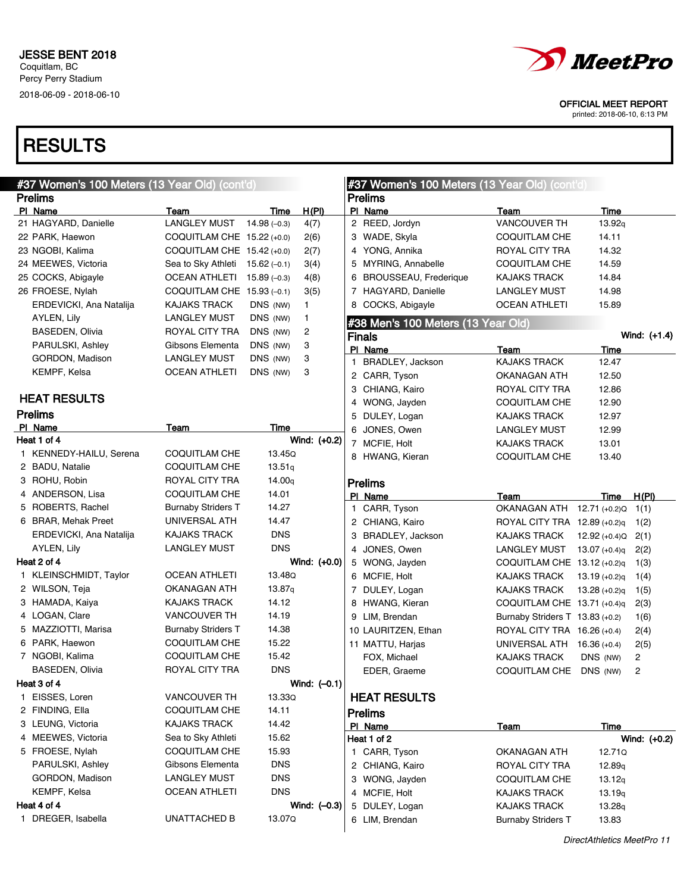## **RESULTS**

| #37 Women's 100 Meters (13 Year Old) (cont'd) |                            |                    | #37 Women's 100 Meters (13 Year Old) (cont'd) |   |                                    |                                   |                    |              |
|-----------------------------------------------|----------------------------|--------------------|-----------------------------------------------|---|------------------------------------|-----------------------------------|--------------------|--------------|
| <b>Prelims</b>                                |                            |                    |                                               |   | <b>Prelims</b>                     |                                   |                    |              |
| PI Name                                       | Team                       | Time               | H(PI)                                         |   | PI Name                            | Team                              | Time               |              |
| 21 HAGYARD, Danielle                          | <b>LANGLEY MUST</b>        | $14.98(-0.3)$      | 4(7)                                          |   | 2 REED, Jordyn                     | <b>VANCOUVER TH</b>               | 13.92q             |              |
| 22 PARK, Haewon                               | COQUITLAM CHE 15.22 (+0.0) |                    | 2(6)                                          |   | 3 WADE, Skyla                      | COQUITLAM CHE                     | 14.11              |              |
| 23 NGOBI, Kalima                              | COQUITLAM CHE 15.42 (+0.0) |                    | 2(7)                                          |   | 4 YONG, Annika                     | ROYAL CITY TRA                    | 14.32              |              |
| 24 MEEWES, Victoria                           | Sea to Sky Athleti         | $15.62(-0.1)$      | 3(4)                                          |   | 5 MYRING, Annabelle                | COQUITLAM CHE                     | 14.59              |              |
| 25 COCKS, Abigayle                            | <b>OCEAN ATHLETI</b>       | $15.89(-0.3)$      | 4(8)                                          |   | 6 BROUSSEAU, Frederique            | <b>KAJAKS TRACK</b>               | 14.84              |              |
| 26 FROESE, Nylah                              | COQUITLAM CHE 15.93 (-0.1) |                    | 3(5)                                          |   | 7 HAGYARD, Danielle                | <b>LANGLEY MUST</b>               | 14.98              |              |
| ERDEVICKI, Ana Natalija                       | <b>KAJAKS TRACK</b>        | DNS (NW)           | 1.                                            |   | 8 COCKS, Abigayle                  | <b>OCEAN ATHLETI</b>              | 15.89              |              |
| AYLEN, Lily                                   | <b>LANGLEY MUST</b>        | DNS (NW)           | 1                                             |   | #38 Men's 100 Meters (13 Year Old) |                                   |                    |              |
| <b>BASEDEN, Olivia</b>                        | ROYAL CITY TRA             | DNS (NW)           | 2                                             |   | <b>Finals</b>                      |                                   |                    | Wind: (+1.4) |
| PARULSKI, Ashley                              | Gibsons Elementa           | DNS (NW)           | 3                                             |   | PI Name                            | Team                              | Time               |              |
| GORDON, Madison                               | <b>LANGLEY MUST</b>        | DNS (NW)           | 3                                             | 1 | BRADLEY, Jackson                   | <b>KAJAKS TRACK</b>               | 12.47              |              |
| KEMPF, Kelsa                                  | <b>OCEAN ATHLETI</b>       | DNS (NW)           | 3                                             |   | 2 CARR, Tyson                      | OKANAGAN ATH                      | 12.50              |              |
|                                               |                            |                    |                                               |   | 3 CHIANG, Kairo                    | ROYAL CITY TRA                    | 12.86              |              |
| <b>HEAT RESULTS</b>                           |                            |                    |                                               |   | 4 WONG, Jayden                     | COQUITLAM CHE                     | 12.90              |              |
| <b>Prelims</b>                                |                            |                    |                                               |   | 5 DULEY, Logan                     | <b>KAJAKS TRACK</b>               | 12.97              |              |
| PI Name                                       | Team                       | Time               |                                               |   | 6 JONES, Owen                      | <b>LANGLEY MUST</b>               | 12.99              |              |
| Heat 1 of 4                                   |                            |                    | Wind: (+0.2)                                  |   | 7 MCFIE, Holt                      | <b>KAJAKS TRACK</b>               | 13.01              |              |
| 1 KENNEDY-HAILU, Serena                       | <b>COQUITLAM CHE</b>       | 13.45Q             |                                               |   | 8 HWANG, Kieran                    | COQUITLAM CHE                     | 13.40              |              |
| 2 BADU, Natalie                               | COQUITLAM CHE              | 13.51q             |                                               |   |                                    |                                   |                    |              |
| 3 ROHU, Robin                                 | ROYAL CITY TRA             | 14.00 <sub>q</sub> |                                               |   | <b>Prelims</b>                     |                                   |                    |              |
| 4 ANDERSON, Lisa                              | COQUITLAM CHE              | 14.01              |                                               |   | PI Name                            | Team                              | Time               | H(PI)        |
| 5 ROBERTS, Rachel                             | <b>Burnaby Striders T</b>  | 14.27              |                                               |   | 1 CARR, Tyson                      | OKANAGAN ATH                      | 12.71 (+0.2)Q      | 1(1)         |
| 6 BRAR, Mehak Preet                           | UNIVERSAL ATH              | 14.47              |                                               |   | 2 CHIANG, Kairo                    | ROYAL CITY TRA 12.89 (+0.2)q      |                    | 1(2)         |
| ERDEVICKI, Ana Natalija                       | <b>KAJAKS TRACK</b>        | <b>DNS</b>         |                                               |   | 3 BRADLEY, Jackson                 | KAJAKS TRACK                      | $12.92 (+0.4)Q$    | 2(1)         |
| AYLEN, Lily                                   | <b>LANGLEY MUST</b>        | <b>DNS</b>         |                                               |   | 4 JONES, Owen                      | LANGLEY MUST                      | $13.07 (+0.4)q$    | 2(2)         |
| Heat 2 of 4                                   |                            |                    | Wind: (+0.0)                                  |   | 5 WONG, Jayden                     | COQUITLAM CHE $13.12$ (+0.2)q     |                    | 1(3)         |
| 1 KLEINSCHMIDT, Taylor                        | <b>OCEAN ATHLETI</b>       | 13.48Q             |                                               |   | 6 MCFIE, Holt                      | KAJAKS TRACK                      | $13.19 (+0.2)q$    | 1(4)         |
| 2 WILSON, Teja                                | OKANAGAN ATH               | 13.87q             |                                               |   | 7 DULEY, Logan                     | KAJAKS TRACK                      | $13.28 (+0.2)q$    | 1(5)         |
| 3 HAMADA, Kaiya                               | <b>KAJAKS TRACK</b>        | 14.12              |                                               |   | 8 HWANG, Kieran                    | COQUITLAM CHE $13.71$ (+0.4)q     |                    | 2(3)         |
| 4 LOGAN, Clare                                | <b>VANCOUVER TH</b>        | 14.19              |                                               |   | 9 LIM, Brendan                     | Burnaby Striders $T$ 13.83 (+0.2) |                    | 1(6)         |
| 5 MAZZIOTTI, Marisa                           | <b>Burnaby Striders T</b>  | 14.38              |                                               |   | 10 LAURITZEN, Ethan                | ROYAL CITY TRA 16.26 (+0.4)       |                    | 2(4)         |
| 6 PARK, Haewon                                | COQUITLAM CHE              | 15.22              |                                               |   | 11 MATTU, Harjas                   | UNIVERSAL ATH                     | 16.36 (+0.4)       | 2(5)         |
| 7 NGOBI, Kalima                               | COQUITLAM CHE              | 15.42              |                                               |   | FOX, Michael                       | <b>KAJAKS TRACK</b>               | DNS (NW)           | 2            |
| <b>BASEDEN, Olivia</b>                        | ROYAL CITY TRA             | <b>DNS</b>         |                                               |   | EDER, Graeme                       | COQUITLAM CHE DNS (NW)            |                    | 2            |
| Heat 3 of 4                                   |                            |                    | Wind: $(-0.1)$                                |   |                                    |                                   |                    |              |
| 1 EISSES, Loren                               | <b>VANCOUVER TH</b>        | 13.33Q             |                                               |   | <b>HEAT RESULTS</b>                |                                   |                    |              |
| 2 FINDING, Ella                               | COQUITLAM CHE              | 14.11              |                                               |   |                                    |                                   |                    |              |
| 3 LEUNG, Victoria                             | KAJAKS TRACK               | 14.42              |                                               |   | <b>Prelims</b>                     |                                   |                    |              |
| 4 MEEWES, Victoria                            | Sea to Sky Athleti         | 15.62              |                                               |   | PI Name                            | Team                              | Time               |              |
| 5 FROESE, Nylah                               | COQUITLAM CHE              | 15.93              |                                               |   | Heat 1 of 2                        |                                   |                    | Wind: (+0.2) |
| PARULSKI, Ashley                              | Gibsons Elementa           | <b>DNS</b>         |                                               |   | 1 CARR, Tyson                      | OKANAGAN ATH                      | 12.71Q             |              |
| GORDON, Madison                               |                            | <b>DNS</b>         |                                               |   | 2 CHIANG, Kairo                    | ROYAL CITY TRA                    | 12.89 <sub>g</sub> |              |
| KEMPF, Kelsa                                  | <b>LANGLEY MUST</b>        | <b>DNS</b>         |                                               |   | 3 WONG, Jayden                     | COQUITLAM CHE                     | 13.12q             |              |
|                                               | <b>OCEAN ATHLETI</b>       |                    |                                               |   | 4 MCFIE, Holt                      | KAJAKS TRACK                      | 13.19q             |              |
| Heat 4 of 4                                   |                            |                    | Wind: $(-0.3)$                                |   | 5 DULEY, Logan                     | <b>KAJAKS TRACK</b>               | 13.28g             |              |
| 1 DREGER, Isabella                            | UNATTACHED B               | 13.07Q             |                                               |   | 6 LIM, Brendan                     | <b>Burnaby Striders T</b>         | 13.83              |              |



OFFICIAL MEET REPORT

printed: 2018-06-10, 6:13 PM

 $\overline{\phantom{0}}$ 

DirectAthletics MeetPro 11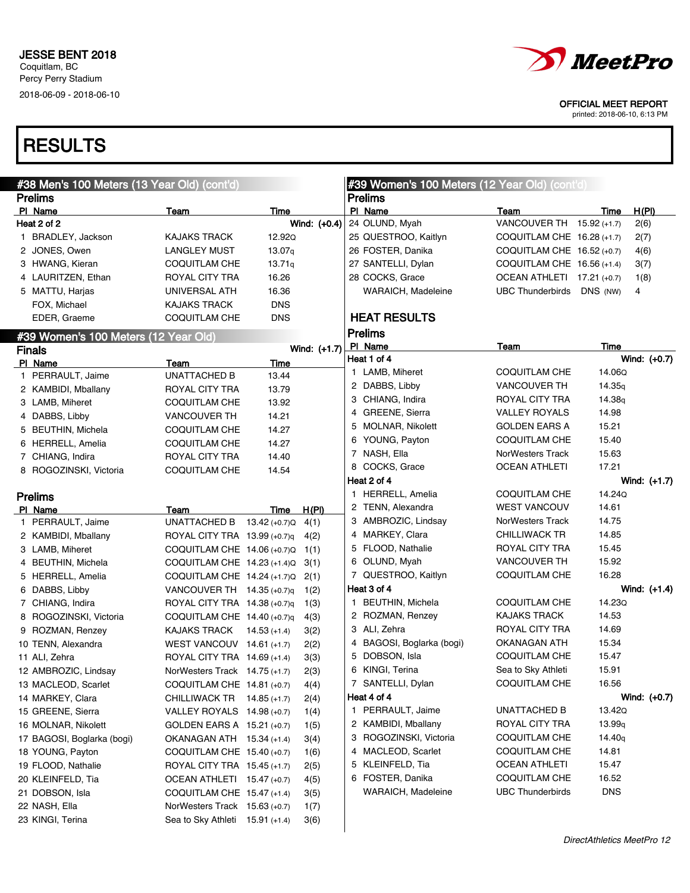

printed: 2018-06-10, 6:13 PM

| #38 Men's 100 Meters (13 Year Old) (cont'd) |                                                          |                |              | #39 Women's 100 Meters (12 Year Old) (cont'd) |                                  |                                      |                    |                |
|---------------------------------------------|----------------------------------------------------------|----------------|--------------|-----------------------------------------------|----------------------------------|--------------------------------------|--------------------|----------------|
| <b>Prelims</b>                              |                                                          |                |              |                                               | <b>Prelims</b>                   |                                      |                    |                |
| PI Name                                     | Team                                                     | Time           |              |                                               | PI Name                          | <b>Team</b>                          | Time               | H(PI)          |
| Heat 2 of 2                                 |                                                          |                | Wind: (+0.4) |                                               | 24 OLUND, Myah                   | VANCOUVER TH 15.92 (+1.7)            |                    | 2(6)           |
| 1 BRADLEY, Jackson                          | <b>KAJAKS TRACK</b>                                      | 12.92Q         |              |                                               | 25 QUESTROO, Kaitlyn             | COQUITLAM CHE $16.28$ (+1.7)         |                    | 2(7)           |
| 2 JONES, Owen                               | <b>LANGLEY MUST</b>                                      | 13.07q         |              |                                               | 26 FOSTER, Danika                | COQUITLAM CHE 16.52 (+0.7)           |                    | 4(6)           |
| 3 HWANG, Kieran                             | COQUITLAM CHE                                            | 13.71q         |              |                                               | 27 SANTELLI, Dylan               | COQUITLAM CHE $16.56$ (+1.4)         |                    | 3(7)           |
| 4 LAURITZEN, Ethan                          | ROYAL CITY TRA                                           | 16.26          |              |                                               | 28 COCKS, Grace                  | OCEAN ATHLETI 17.21 (+0.7)           |                    | 1(8)           |
| 5 MATTU, Harjas                             | UNIVERSAL ATH                                            | 16.36          |              |                                               | WARAICH, Madeleine               | <b>UBC Thunderbirds</b>              | DNS (NW)           | 4              |
| FOX, Michael                                | <b>KAJAKS TRACK</b>                                      | <b>DNS</b>     |              |                                               |                                  |                                      |                    |                |
| EDER, Graeme                                | <b>COQUITLAM CHE</b>                                     | <b>DNS</b>     |              |                                               | <b>HEAT RESULTS</b>              |                                      |                    |                |
| #39 Women's 100 Meters (12 Year Old)        |                                                          |                |              |                                               | <b>Prelims</b>                   |                                      |                    |                |
| <b>Finals</b>                               |                                                          |                | Wind: (+1.7) |                                               | PI Name                          | Team                                 | Time               |                |
| PI Name                                     | Team                                                     | Time           |              |                                               | Heat 1 of 4                      |                                      |                    | Wind: (+0.7)   |
| 1 PERRAULT, Jaime                           | <b>UNATTACHED B</b>                                      | 13.44          |              |                                               | 1 LAMB, Miheret                  | COQUITLAM CHE                        | 14.06Q             |                |
| 2 KAMBIDI, Mballany                         | ROYAL CITY TRA                                           | 13.79          |              |                                               | 2 DABBS, Libby                   | <b>VANCOUVER TH</b>                  | 14.35 <sub>g</sub> |                |
| 3 LAMB, Miheret                             | <b>COQUITLAM CHE</b>                                     | 13.92          |              |                                               | 3 CHIANG, Indira                 | ROYAL CITY TRA                       | 14.38 <sub>q</sub> |                |
| 4 DABBS, Libby                              | <b>VANCOUVER TH</b>                                      | 14.21          |              |                                               | 4 GREENE, Sierra                 | <b>VALLEY ROYALS</b>                 | 14.98              |                |
| 5 BEUTHIN, Michela                          | COQUITLAM CHE                                            | 14.27          |              |                                               | 5 MOLNAR, Nikolett               | <b>GOLDEN EARS A</b>                 | 15.21              |                |
| 6 HERRELL, Amelia                           | COQUITLAM CHE                                            | 14.27          |              |                                               | 6 YOUNG, Payton                  | COQUITLAM CHE                        | 15.40              |                |
| 7 CHIANG, Indira                            | ROYAL CITY TRA                                           | 14.40          |              |                                               | 7 NASH, Ella                     | <b>NorWesters Track</b>              | 15.63              |                |
| 8 ROGOZINSKI, Victoria                      | <b>COQUITLAM CHE</b>                                     | 14.54          |              |                                               | 8 COCKS, Grace                   | <b>OCEAN ATHLETI</b>                 | 17.21              |                |
|                                             |                                                          |                |              |                                               | Heat 2 of 4                      |                                      |                    | Wind: $(+1.7)$ |
| <b>Prelims</b>                              |                                                          |                |              |                                               | 1 HERRELL, Amelia                | COQUITLAM CHE                        | 14.24Q             |                |
| PI Name                                     | Team                                                     | Time           | H(PI)        |                                               | 2 TENN, Alexandra                | <b>WEST VANCOUV</b>                  | 14.61              |                |
| 1 PERRAULT, Jaime                           | UNATTACHED B                                             | 13.42 (+0.7)Q  | 4(1)         |                                               | 3 AMBROZIC, Lindsay              | NorWesters Track                     | 14.75              |                |
| 2 KAMBIDI, Mballany                         | ROYAL CITY TRA 13.99 (+0.7)q                             |                | 4(2)         |                                               | 4 MARKEY, Clara                  | <b>CHILLIWACK TR</b>                 | 14.85              |                |
| 3 LAMB, Miheret                             | COQUITLAM CHE 14.06 (+0.7)Q                              |                | 1(1)         |                                               | 5 FLOOD, Nathalie                | ROYAL CITY TRA                       | 15.45              |                |
| 4 BEUTHIN, Michela                          | COQUITLAM CHE 14.23 (+1.4)Q                              |                | 3(1)         |                                               | 6 OLUND, Myah                    | <b>VANCOUVER TH</b>                  | 15.92              |                |
| 5 HERRELL, Amelia                           | COQUITLAM CHE $14.24$ (+1.7)Q                            |                | 2(1)         |                                               | 7 QUESTROO, Kaitlyn              | COQUITLAM CHE                        | 16.28              |                |
| 6 DABBS, Libby                              | VANCOUVER TH 14.35 (+0.7)q                               |                | 1(2)         |                                               | Heat 3 of 4                      |                                      | 14.23Q             | Wind: $(+1.4)$ |
| 7 CHIANG, Indira                            | ROYAL CITY TRA 14.38 (+0.7)q                             |                | 1(3)         |                                               | 1 BEUTHIN, Michela               | COQUITLAM CHE<br><b>KAJAKS TRACK</b> |                    |                |
| 8 ROGOZINSKI, Victoria                      | COQUITLAM CHE 14.40 (+0.7)q                              |                | 4(3)         |                                               | 2 ROZMAN, Renzey<br>3 ALI, Zehra | ROYAL CITY TRA                       | 14.53<br>14.69     |                |
| 9 ROZMAN, Renzey                            | KAJAKS TRACK                                             | $14.53 (+1.4)$ | 3(2)         |                                               | 4 BAGOSI, Boglarka (bogi)        | OKANAGAN ATH                         | 15.34              |                |
| 10 TENN, Alexandra                          | WEST VANCOUV 14.61 $(+1.7)$                              |                | 2(2)         | 5                                             | DOBSON, Isla                     | <b>COQUITLAM CHE</b>                 | 15.47              |                |
| 11 ALI, Zehra                               | ROYAL CITY TRA 14.69 (+1.4)                              |                | 3(3)         | 6                                             | KINGI, Terina                    | Sea to Sky Athleti                   | 15.91              |                |
| 12 AMBROZIC, Lindsay                        | NorWesters Track 14.75 (+1.7)                            |                | 2(3)         |                                               | 7 SANTELLI, Dylan                | COQUITLAM CHE                        | 16.56              |                |
| 13 MACLEOD, Scarlet<br>14 MARKEY, Clara     | COQUITLAM CHE 14.81 (+0.7)<br>CHILLIWACK TR 14.85 (+1.7) |                | 4(4)         |                                               | Heat 4 of 4                      |                                      |                    | Wind: $(+0.7)$ |
| 15 GREENE, Sierra                           | VALLEY ROYALS 14.98 (+0.7)                               |                | 2(4)         |                                               | 1 PERRAULT, Jaime                | UNATTACHED B                         | 13.42Q             |                |
| 16 MOLNAR, Nikolett                         | GOLDEN EARS A 15.21 (+0.7)                               |                | 1(4)         |                                               | 2 KAMBIDI, Mballany              | ROYAL CITY TRA                       | 13.99q             |                |
| 17 BAGOSI, Boglarka (bogi)                  | OKANAGAN ATH 15.34 (+1.4)                                |                | 1(5)         |                                               | 3 ROGOZINSKI, Victoria           | <b>COQUITLAM CHE</b>                 | 14.40 <sub>q</sub> |                |
| 18 YOUNG, Payton                            | COQUITLAM CHE 15.40 (+0.7)                               |                | 3(4)         |                                               | 4 MACLEOD, Scarlet               | <b>COQUITLAM CHE</b>                 | 14.81              |                |
| 19 FLOOD, Nathalie                          | ROYAL CITY TRA 15.45 (+1.7)                              |                | 1(6)<br>2(5) |                                               | 5 KLEINFELD, Tia                 | <b>OCEAN ATHLETI</b>                 | 15.47              |                |
| 20 KLEINFELD, Tia                           | OCEAN ATHLETI 15.47 (+0.7)                               |                | 4(5)         |                                               | 6 FOSTER, Danika                 | COQUITLAM CHE                        | 16.52              |                |
| 21 DOBSON, Isla                             | COQUITLAM CHE 15.47 (+1.4)                               |                | 3(5)         |                                               | WARAICH, Madeleine               | <b>UBC Thunderbirds</b>              | <b>DNS</b>         |                |
| 22 NASH, Ella                               | NorWesters Track 15.63 (+0.7)                            |                |              |                                               |                                  |                                      |                    |                |
| 23 KINGI, Terina                            | Sea to Sky Athleti 15.91 (+1.4)                          |                | 1(7)         |                                               |                                  |                                      |                    |                |
|                                             |                                                          |                | 3(6)         |                                               |                                  |                                      |                    |                |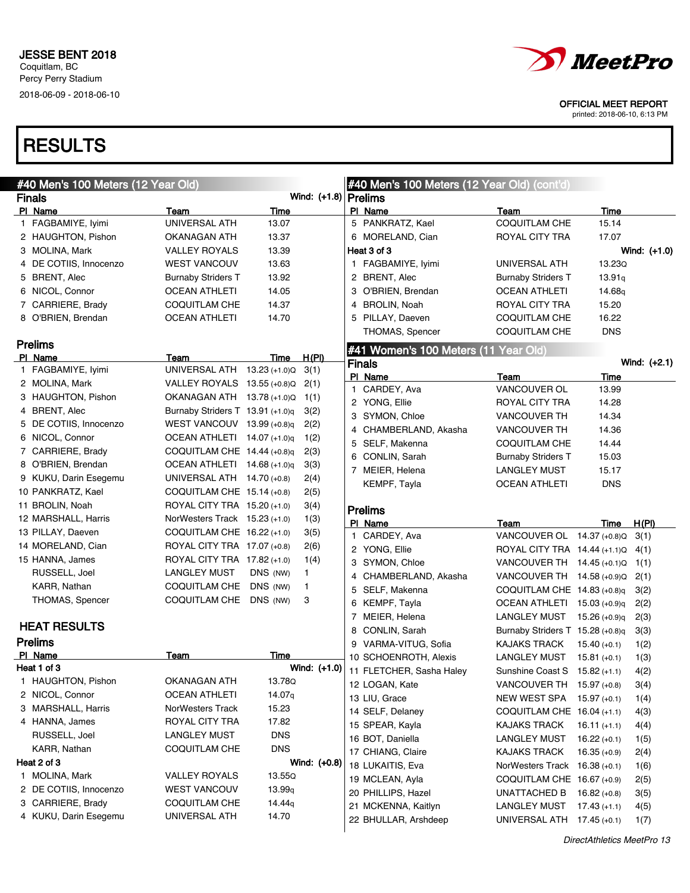

printed: 2018-06-10, 6:13 PM

| #40 Men's 100 Meters (12 Year Old) |                                  |            |                        | #40 Men's 100 Meters (12 Year Old) (cont'd) |                                    |                    |                |
|------------------------------------|----------------------------------|------------|------------------------|---------------------------------------------|------------------------------------|--------------------|----------------|
| <b>Finals</b>                      |                                  |            | Wind: $(+1.8)$ Prelims |                                             |                                    |                    |                |
| PI Name                            | Team                             | Time       |                        | PI Name                                     | Team                               | Time               |                |
| 1 FAGBAMIYE, Iyimi                 | UNIVERSAL ATH                    | 13.07      |                        | 5 PANKRATZ, Kael                            | <b>COQUITLAM CHE</b>               | 15.14              |                |
| 2 HAUGHTON, Pishon                 | OKANAGAN ATH                     | 13.37      |                        | 6 MORELAND, Cian                            | ROYAL CITY TRA                     | 17.07              |                |
| 3 MOLINA, Mark                     | <b>VALLEY ROYALS</b>             | 13.39      |                        | Heat 3 of 3                                 |                                    |                    | Wind: $(+1.0)$ |
| 4 DE COTIIS, Innocenzo             | <b>WEST VANCOUV</b>              | 13.63      |                        | 1 FAGBAMIYE, Iyimi                          | UNIVERSAL ATH                      | 13.23Q             |                |
| 5 BRENT, Alec                      | <b>Burnaby Striders T</b>        | 13.92      |                        | 2 BRENT, Alec                               | <b>Burnaby Striders T</b>          | 13.91q             |                |
| 6 NICOL, Connor                    | <b>OCEAN ATHLETI</b>             | 14.05      |                        | 3 O'BRIEN, Brendan                          | <b>OCEAN ATHLETI</b>               | 14.68 <sub>g</sub> |                |
| 7 CARRIERE, Brady                  | <b>COQUITLAM CHE</b>             | 14.37      |                        | <b>BROLIN, Noah</b><br>4                    | <b>ROYAL CITY TRA</b>              | 15.20              |                |
| 8 O'BRIEN, Brendan                 | <b>OCEAN ATHLETI</b>             | 14.70      |                        | 5 PILLAY, Daeven                            | <b>COQUITLAM CHE</b>               | 16.22              |                |
|                                    |                                  |            |                        | THOMAS, Spencer                             | <b>COQUITLAM CHE</b>               | <b>DNS</b>         |                |
| <b>Prelims</b>                     |                                  |            |                        | #41 Women's 100 Meters (11 Year Old)        |                                    |                    |                |
| PI Name                            | Team                             | Time       | H(PI)                  | <b>Finals</b>                               |                                    |                    | Wind: $(+2.1)$ |
| 1 FAGBAMIYE, Iyimi                 | UNIVERSAL ATH 13.23 (+1.0)Q      |            | 3(1)                   | PI Name                                     | Team                               | Time               |                |
| 2 MOLINA, Mark                     | VALLEY ROYALS $13.55 (+0.8)Q$    |            | 2(1)                   | 1 CARDEY, Ava                               | VANCOUVER OL                       | 13.99              |                |
| 3 HAUGHTON, Pishon                 | OKANAGAN ATH 13.78 (+1.0)Q       |            | 1(1)                   | 2 YONG, Ellie                               | ROYAL CITY TRA                     | 14.28              |                |
| 4 BRENT, Alec                      | Burnaby Striders T 13.91 (+1.0)q |            | 3(2)                   | SYMON, Chloe<br>3                           | <b>VANCOUVER TH</b>                | 14.34              |                |
| 5 DE COTIIS, Innocenzo             | WEST VANCOUV $13.99$ (+0.8)q     |            | 2(2)                   | 4 CHAMBERLAND, Akasha                       | <b>VANCOUVER TH</b>                | 14.36              |                |
| 6 NICOL, Connor                    | OCEAN ATHLETI 14.07 (+1.0)q      |            | 1(2)                   | 5 SELF, Makenna                             | <b>COQUITLAM CHE</b>               | 14.44              |                |
| 7 CARRIERE, Brady                  | COQUITLAM CHE $14.44$ (+0.8)q    |            | 2(3)                   | 6 CONLIN, Sarah                             | <b>Burnaby Striders T</b>          | 15.03              |                |
| 8 O'BRIEN, Brendan                 | OCEAN ATHLETI $14.68$ (+1.0)q    |            | 3(3)                   | 7 MEIER, Helena                             | <b>LANGLEY MUST</b>                | 15.17              |                |
| 9 KUKU, Darin Esegemu              | UNIVERSAL ATH $14.70$ (+0.8)     |            | 2(4)                   | KEMPF, Tayla                                | <b>OCEAN ATHLETI</b>               | <b>DNS</b>         |                |
| 10 PANKRATZ, Kael                  | COQUITLAM CHE 15.14 (+0.8)       |            | 2(5)                   |                                             |                                    |                    |                |
| 11 BROLIN, Noah                    | ROYAL CITY TRA 15.20 (+1.0)      |            | 3(4)                   | <b>Prelims</b>                              |                                    |                    |                |
| 12 MARSHALL, Harris                | NorWesters Track $15.23$ (+1.0)  |            | 1(3)                   | PI Name                                     | Team                               | Time               | H(PI)          |
| 13 PILLAY, Daeven                  | COQUITLAM CHE 16.22 (+1.0)       |            | 3(5)                   | 1 CARDEY, Ava                               | VANCOUVER OL 14.37 (+0.8)Q         |                    | 3(1)           |
| 14 MORELAND, Cian                  | ROYAL CITY TRA 17.07 (+0.8)      |            | 2(6)                   | 2 YONG, Ellie                               | ROYAL CITY TRA 14.44 (+1.1) Q 4(1) |                    |                |
| 15 HANNA, James                    | ROYAL CITY TRA 17.82 (+1.0)      |            | 1(4)                   | 3 SYMON, Chloe                              | VANCOUVER TH 14.45 (+0.1)Q 1(1)    |                    |                |
| RUSSELL, Joel                      | <b>LANGLEY MUST</b>              | DNS (NW)   | 1.                     | 4 CHAMBERLAND, Akasha                       | VANCOUVER TH 14.58 (+0.9)Q         |                    | 2(1)           |
| KARR, Nathan                       | COQUITLAM CHE                    | DNS (NW)   | 1                      | 5 SELF, Makenna                             | COQUITLAM CHE 14.83 (+0.8)q        |                    | 3(2)           |
| THOMAS, Spencer                    | COQUITLAM CHE                    | DNS (NW)   | 3                      | 6 KEMPF, Tayla                              | OCEAN ATHLETI 15.03 (+0.9)q        |                    | 2(2)           |
|                                    |                                  |            |                        | 7 MEIER, Helena                             | LANGLEY MUST                       | 15.26 (+0.9)q      | 2(3)           |
| <b>HEAT RESULTS</b>                |                                  |            |                        | CONLIN, Sarah<br>8                          | Burnaby Striders T 15.28 (+0.8)q   |                    | 3(3)           |
| <b>Prelims</b>                     |                                  |            |                        | 9 VARMA-VITUG, Sofia                        | <b>KAJAKS TRACK</b>                | $15.40 (+0.1)$     | 1(2)           |
| PI Name                            | Team                             | Time       |                        | 10 SCHOENROTH, Alexis                       | <b>LANGLEY MUST</b>                | $15.81 (+0.1)$     | 1(3)           |
| Heat 1 of 3                        |                                  |            | Wind: (+1.0)           | 11 FLETCHER, Sasha Haley                    | Sunshine Coast S $15.82$ (+1.1)    |                    | 4(2)           |
| 1 HAUGHTON, Pishon                 | OKANAGAN ATH                     | 13.78Q     |                        | 12 LOGAN, Kate                              | VANCOUVER TH 15.97 (+0.8)          |                    | 3(4)           |
| 2 NICOL, Connor                    | <b>OCEAN ATHLETI</b>             | 14.07q     |                        | 13 LIU, Grace                               | NEW WEST SPA 15.97 (+0.1)          |                    | 1(4)           |
| 3 MARSHALL, Harris                 | NorWesters Track                 | 15.23      |                        | 14 SELF, Delaney                            | COQUITLAM CHE 16.04 (+1.1)         |                    | 4(3)           |
| 4 HANNA, James                     | ROYAL CITY TRA                   | 17.82      |                        | 15 SPEAR, Kayla                             | <b>KAJAKS TRACK</b>                | $16.11 (+1.1)$     | 4(4)           |
| RUSSELL, Joel                      | <b>LANGLEY MUST</b>              | <b>DNS</b> |                        | 16 BOT, Daniella                            | <b>LANGLEY MUST</b>                | $16.22 (+0.1)$     | 1(5)           |
| KARR, Nathan                       | <b>COQUITLAM CHE</b>             | <b>DNS</b> |                        | 17 CHIANG, Claire                           | <b>KAJAKS TRACK</b>                | $16.35 (+0.9)$     | 2(4)           |
| Heat 2 of 3                        |                                  |            | Wind: (+0.8)           | 18 LUKAITIS, Eva                            | NorWesters Track 16.38 (+0.1)      |                    | 1(6)           |
| 1 MOLINA, Mark                     | <b>VALLEY ROYALS</b>             | 13.55Q     |                        | 19 MCLEAN, Ayla                             | COQUITLAM CHE 16.67 (+0.9)         |                    | 2(5)           |
| 2 DE COTIIS, Innocenzo             | <b>WEST VANCOUV</b>              | 13.99q     |                        | 20 PHILLIPS, Hazel                          | UNATTACHED B $16.82$ (+0.8)        |                    | 3(5)           |
| 3 CARRIERE, Brady                  | <b>COQUITLAM CHE</b>             | 14.44q     |                        | 21 MCKENNA, Kaitlyn                         | <b>LANGLEY MUST</b>                | $17.43 (+1.1)$     | 4(5)           |
| 4 KUKU, Darin Esegemu              | UNIVERSAL ATH                    | 14.70      |                        | 22 BHULLAR, Arshdeep                        | UNIVERSAL ATH 17.45 (+0.1)         |                    | 1(7)           |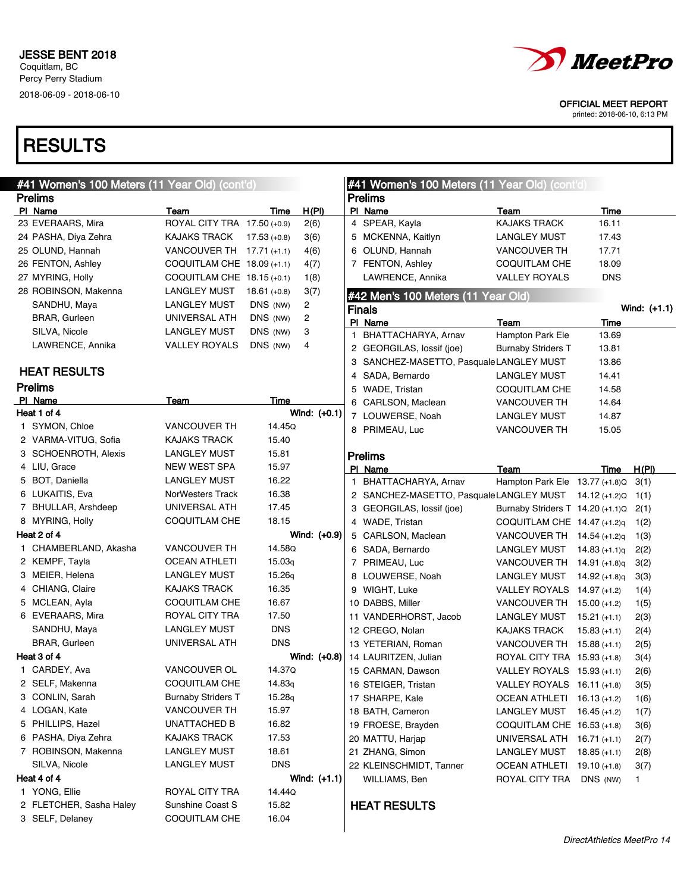

printed: 2018-06-10, 6:13 PM

| #41 Women's 100 Meters (11 Year Old) (cont'd) |                             |                |                | #41 Women's 100 Meters (11 Year Old) (cont'd) |                                                       |                                    |                |                |  |
|-----------------------------------------------|-----------------------------|----------------|----------------|-----------------------------------------------|-------------------------------------------------------|------------------------------------|----------------|----------------|--|
| <b>Prelims</b>                                |                             |                |                |                                               | <b>Prelims</b>                                        |                                    |                |                |  |
| PI Name                                       | Team                        | Time           | H(PI)          |                                               | PI Name                                               | Team                               | <b>Time</b>    |                |  |
| 23 EVERAARS, Mira                             | ROYAL CITY TRA 17.50 (+0.9) |                | 2(6)           |                                               | 4 SPEAR, Kayla                                        | <b>KAJAKS TRACK</b>                | 16.11          |                |  |
| 24 PASHA, Diya Zehra                          | <b>KAJAKS TRACK</b>         | $17.53 (+0.8)$ | 3(6)           |                                               | 5 MCKENNA, Kaitlyn                                    | <b>LANGLEY MUST</b>                | 17.43          |                |  |
| 25 OLUND, Hannah                              | VANCOUVER TH 17.71 (+1.1)   |                | 4(6)           |                                               | 6 OLUND, Hannah                                       | <b>VANCOUVER TH</b>                | 17.71          |                |  |
| 26 FENTON, Ashley                             | COQUITLAM CHE 18.09 (+1.1)  |                | 4(7)           |                                               | 7 FENTON, Ashley                                      | <b>COQUITLAM CHE</b>               | 18.09          |                |  |
| 27 MYRING, Holly                              | COQUITLAM CHE 18.15 (+0.1)  |                | 1(8)           |                                               | LAWRENCE, Annika                                      | <b>VALLEY ROYALS</b>               | <b>DNS</b>     |                |  |
| 28 ROBINSON, Makenna                          | LANGLEY MUST                | $18.61 (+0.8)$ | 3(7)           |                                               | #42 Men's 100 Meters (11 Year Old)                    |                                    |                |                |  |
| SANDHU, Maya                                  | <b>LANGLEY MUST</b>         | DNS (NW)       | 2              |                                               | <b>Finals</b>                                         |                                    |                | Wind: $(+1.1)$ |  |
| <b>BRAR, Gurleen</b>                          | UNIVERSAL ATH               | DNS (NW)       | 2              |                                               | PI_Name                                               | Team                               | Time           |                |  |
| SILVA, Nicole                                 | <b>LANGLEY MUST</b>         | DNS (NW)       | 3              |                                               | 1 BHATTACHARYA, Arnav                                 | Hampton Park Ele                   | 13.69          |                |  |
| LAWRENCE, Annika                              | <b>VALLEY ROYALS</b>        | DNS (NW)       | 4              |                                               | 2 GEORGILAS, lossif (joe)                             | <b>Burnaby Striders T</b>          | 13.81          |                |  |
|                                               |                             |                |                |                                               | 3 SANCHEZ-MASETTO, PasqualeLANGLEY MUST               |                                    | 13.86          |                |  |
| <b>HEAT RESULTS</b>                           |                             |                |                |                                               | 4 SADA, Bernardo                                      | LANGLEY MUST                       | 14.41          |                |  |
| <b>Prelims</b>                                |                             |                |                |                                               | 5 WADE, Tristan                                       | COQUITLAM CHE                      | 14.58          |                |  |
| PI Name                                       | Team                        | Time           |                |                                               | 6 CARLSON, Maclean                                    | <b>VANCOUVER TH</b>                | 14.64          |                |  |
| Heat 1 of 4                                   |                             |                | Wind: (+0.1)   |                                               | 7 LOUWERSE, Noah                                      | LANGLEY MUST                       | 14.87          |                |  |
| 1 SYMON, Chloe                                | <b>VANCOUVER TH</b>         | 14.45Q         |                |                                               | 8 PRIMEAU, Luc                                        | <b>VANCOUVER TH</b>                | 15.05          |                |  |
| 2 VARMA-VITUG, Sofia                          | <b>KAJAKS TRACK</b>         | 15.40          |                |                                               |                                                       |                                    |                |                |  |
| 3 SCHOENROTH, Alexis                          | <b>LANGLEY MUST</b>         | 15.81          |                |                                               | <b>Prelims</b>                                        |                                    |                |                |  |
| 4 LIU, Grace                                  | <b>NEW WEST SPA</b>         | 15.97          |                |                                               | PI Name                                               | Team                               | Time           | H(PI)          |  |
| 5 BOT, Daniella                               | LANGLEY MUST                | 16.22          |                |                                               | 1 BHATTACHARYA, Arnav                                 | Hampton Park Ele 13.77 (+1.8)Q     |                | 3(1)           |  |
| 6 LUKAITIS, Eva                               | NorWesters Track            | 16.38          |                |                                               | 2 SANCHEZ-MASETTO, PasqualeLANGLEY MUST 14.12 (+1.2)Q |                                    |                | 1(1)           |  |
| 7 BHULLAR, Arshdeep                           | UNIVERSAL ATH               | 17.45          |                |                                               | 3 GEORGILAS, lossif (joe)                             | Burnaby Striders $T$ 14.20 (+1.1)Q |                | 2(1)           |  |
| 8 MYRING, Holly                               | COQUITLAM CHE               | 18.15          |                |                                               | 4 WADE, Tristan                                       | COQUITLAM CHE 14.47 (+1.2)q        |                | 1(2)           |  |
| Heat 2 of 4                                   |                             |                | Wind: (+0.9)   |                                               | 5 CARLSON, Maclean                                    | VANCOUVER TH $14.54$ (+1.2)q       |                | 1(3)           |  |
| 1 CHAMBERLAND, Akasha                         | <b>VANCOUVER TH</b>         | 14.58Q         |                |                                               | 6 SADA, Bernardo                                      | LANGLEY MUST                       | 14.83 (+1.1)q  | 2(2)           |  |
| 2 KEMPF, Tayla                                | <b>OCEAN ATHLETI</b>        | 15.03q         |                |                                               | 7 PRIMEAU, Luc                                        | VANCOUVER TH 14.91 (+1.8)q         |                | 3(2)           |  |
| 3 MEIER, Helena                               | LANGLEY MUST                | 15.26q         |                |                                               | 8 LOUWERSE, Noah                                      | LANGLEY MUST                       | 14.92 (+1.8)q  | 3(3)           |  |
| 4 CHIANG, Claire                              | <b>KAJAKS TRACK</b>         | 16.35          |                |                                               | 9 WIGHT, Luke                                         | VALLEY ROYALS $14.97$ (+1.2)       |                | 1(4)           |  |
| 5 MCLEAN, Ayla                                | COQUITLAM CHE               | 16.67          |                |                                               | 10 DABBS, Miller                                      | VANCOUVER TH $15.00$ (+1.2)        |                | 1(5)           |  |
| 6 EVERAARS, Mira                              | ROYAL CITY TRA              | 17.50          |                |                                               | 11 VANDERHORST, Jacob                                 | LANGLEY MUST                       | $15.21 (+1.1)$ | 2(3)           |  |
| SANDHU, Maya                                  | <b>LANGLEY MUST</b>         | <b>DNS</b>     |                |                                               | 12 CREGO, Nolan                                       | <b>KAJAKS TRACK</b>                | $15.83 (+1.1)$ | 2(4)           |  |
| <b>BRAR, Gurleen</b>                          | UNIVERSAL ATH               | <b>DNS</b>     |                |                                               | 13 YETERIAN, Roman                                    | VANCOUVER TH $15.88$ (+1.1)        |                | 2(5)           |  |
| Heat 3 of 4                                   |                             |                | Wind: (+0.8)   |                                               | 14 LAURITZEN, Julian                                  | ROYAL CITY TRA 15.93 (+1.8)        |                | 3(4)           |  |
| 1 CARDEY, Ava                                 | VANCOUVER OL                | 14.37Q         |                |                                               | 15 CARMAN, Dawson                                     | VALLEY ROYALS 15.93 (+1.1)         |                | 2(6)           |  |
| 2 SELF, Makenna                               | COQUITLAM CHE               | 14.83q         |                |                                               | 16 STEIGER, Tristan                                   | VALLEY ROYALS 16.11 (+1.8)         |                | 3(5)           |  |
| 3 CONLIN, Sarah                               | <b>Burnaby Striders T</b>   | 15.28q         |                |                                               | 17 SHARPE, Kale                                       | OCEAN ATHLETI 16.13 (+1.2)         |                | 1(6)           |  |
| 4 LOGAN, Kate                                 | <b>VANCOUVER TH</b>         | 15.97          |                |                                               | 18 BATH, Cameron                                      | LANGLEY MUST                       | $16.45 (+1.2)$ | 1(7)           |  |
| 5 PHILLIPS, Hazel                             | UNATTACHED B                | 16.82          |                |                                               | 19 FROESE, Brayden                                    | COQUITLAM CHE $16.53$ (+1.8)       |                | 3(6)           |  |
| 6 PASHA, Diya Zehra                           | KAJAKS TRACK                | 17.53          |                |                                               | 20 MATTU, Harjap                                      | UNIVERSAL ATH 16.71 (+1.1)         |                | 2(7)           |  |
| 7 ROBINSON, Makenna                           | <b>LANGLEY MUST</b>         | 18.61          |                |                                               | 21 ZHANG, Simon                                       | <b>LANGLEY MUST</b>                | $18.85 (+1.1)$ | 2(8)           |  |
| SILVA, Nicole                                 | <b>LANGLEY MUST</b>         | <b>DNS</b>     |                |                                               | 22 KLEINSCHMIDT, Tanner                               | OCEAN ATHLETI                      | $19.10 (+1.8)$ | 3(7)           |  |
| Heat 4 of 4                                   |                             |                | Wind: $(+1.1)$ |                                               | WILLIAMS, Ben                                         | ROYAL CITY TRA                     | DNS (NW)       | $\mathbf{1}$   |  |
| 1 YONG, Ellie                                 | ROYAL CITY TRA              | 14.44Q         |                |                                               |                                                       |                                    |                |                |  |
| 2 FLETCHER, Sasha Haley                       | Sunshine Coast S            | 15.82          |                |                                               | <b>HEAT RESULTS</b>                                   |                                    |                |                |  |
| 3 SELF, Delaney                               | COQUITLAM CHE               | 16.04          |                |                                               |                                                       |                                    |                |                |  |
|                                               |                             |                |                |                                               |                                                       |                                    |                |                |  |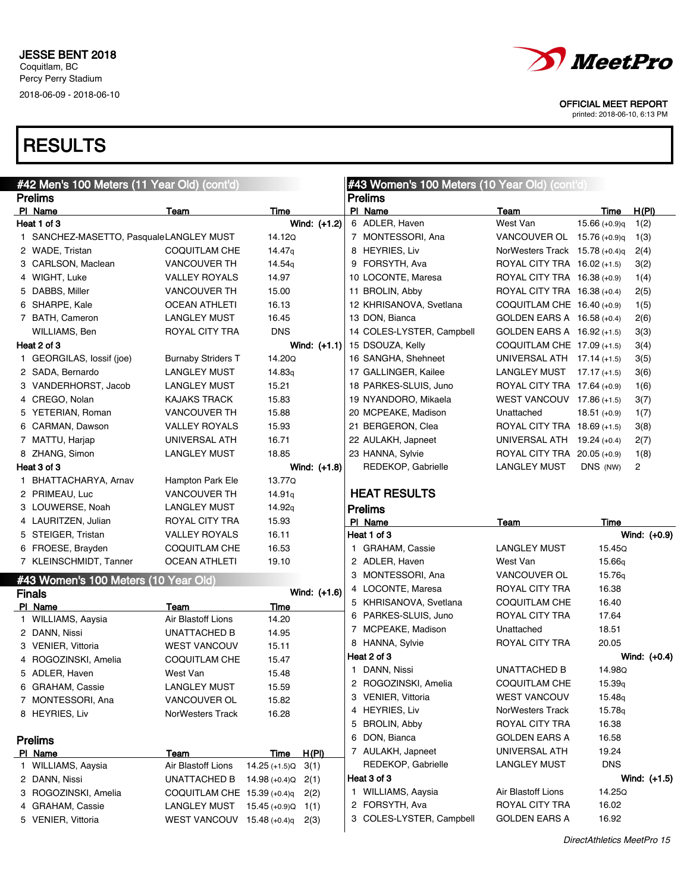

printed: 2018-06-10, 6:13 PM

| #42 Men's 100 Meters (11 Year Old) (cont'd) |                                                     |                    |                |  | #43 Women's 100 Meters (10 Year Old) (cont'd) |                                        |                    |                |  |  |
|---------------------------------------------|-----------------------------------------------------|--------------------|----------------|--|-----------------------------------------------|----------------------------------------|--------------------|----------------|--|--|
| <b>Prelims</b>                              |                                                     |                    |                |  | <b>Prelims</b>                                |                                        |                    |                |  |  |
| PI Name                                     | Team                                                | Time               |                |  | PI Name                                       | Team                                   | Time               | H(PI)          |  |  |
| Heat 1 of 3                                 |                                                     |                    | Wind: (+1.2)   |  | 6 ADLER, Haven                                | West Van                               | $15.66 (+0.9)q$    | 1(2)           |  |  |
| 1 SANCHEZ-MASETTO, PasqualeLANGLEY MUST     |                                                     | 14.12Q             |                |  | 7 MONTESSORI, Ana                             | VANCOUVER OL 15.76 (+0.9)q             |                    | 1(3)           |  |  |
| 2 WADE, Tristan                             | <b>COQUITLAM CHE</b>                                | 14.47 <sub>g</sub> |                |  | 8 HEYRIES, Liv                                | NorWesters Track 15.78 (+0.4)g         |                    | 2(4)           |  |  |
| 3 CARLSON, Maclean                          | <b>VANCOUVER TH</b>                                 | 14.54g             |                |  | 9 FORSYTH, Ava                                | ROYAL CITY TRA 16.02 (+1.5)            |                    | 3(2)           |  |  |
| 4 WIGHT, Luke                               | VALLEY ROYALS                                       | 14.97              |                |  | 10 LOCONTE, Maresa                            | ROYAL CITY TRA 16.38 (+0.9)            |                    | 1(4)           |  |  |
| 5 DABBS, Miller                             | <b>VANCOUVER TH</b>                                 | 15.00              |                |  | 11 BROLIN, Abby                               | ROYAL CITY TRA 16.38 (+0.4)            |                    | 2(5)           |  |  |
| 6 SHARPE, Kale                              | <b>OCEAN ATHLETI</b>                                | 16.13              |                |  | 12 KHRISANOVA, Svetlana                       | COQUITLAM CHE $16.40$ (+0.9)           |                    | 1(5)           |  |  |
| 7 BATH, Cameron                             | LANGLEY MUST                                        | 16.45              |                |  | 13 DON, Bianca                                | GOLDEN EARS A 16.58 (+0.4)             |                    | 2(6)           |  |  |
| WILLIAMS, Ben                               | ROYAL CITY TRA                                      | <b>DNS</b>         |                |  | 14 COLES-LYSTER, Campbell                     | GOLDEN EARS A 16.92 (+1.5)             |                    | 3(3)           |  |  |
| Heat 2 of 3                                 |                                                     |                    | Wind: $(+1.1)$ |  | 15 DSOUZA, Kelly                              | COQUITLAM CHE 17.09 (+1.5)             |                    | 3(4)           |  |  |
| 1 GEORGILAS, lossif (joe)                   | <b>Burnaby Striders T</b>                           | 14.20Q             |                |  | 16 SANGHA, Shehneet                           | UNIVERSAL ATH 17.14 (+1.5)             |                    | 3(5)           |  |  |
| 2 SADA, Bernardo                            | LANGLEY MUST                                        | 14.83 <sub>q</sub> |                |  | 17 GALLINGER, Kailee                          | LANGLEY MUST $17.17 (+1.5)$            |                    | 3(6)           |  |  |
| 3 VANDERHORST, Jacob                        | LANGLEY MUST                                        | 15.21              |                |  | 18 PARKES-SLUIS, Juno                         | ROYAL CITY TRA 17.64 (+0.9)            |                    | 1(6)           |  |  |
| 4 CREGO, Nolan                              | KAJAKS TRACK                                        | 15.83              |                |  | 19 NYANDORO, Mikaela                          | WEST VANCOUV $17.86$ (+1.5)            |                    | 3(7)           |  |  |
| 5 YETERIAN, Roman                           | <b>VANCOUVER TH</b>                                 | 15.88              |                |  | 20 MCPEAKE, Madison                           | Unattached                             | $18.51 (+0.9)$     | 1(7)           |  |  |
| 6 CARMAN, Dawson                            | VALLEY ROYALS                                       | 15.93              |                |  | 21 BERGERON, Clea                             | ROYAL CITY TRA 18.69 (+1.5)            |                    | 3(8)           |  |  |
| 7 MATTU, Harjap                             | UNIVERSAL ATH                                       | 16.71              |                |  | 22 AULAKH, Japneet                            | UNIVERSAL ATH 19.24 (+0.4)             |                    | 2(7)           |  |  |
| 8 ZHANG, Simon                              | LANGLEY MUST                                        | 18.85              |                |  | 23 HANNA, Sylvie                              | ROYAL CITY TRA 20.05 (+0.9)            |                    | 1(8)           |  |  |
| Heat 3 of 3                                 |                                                     |                    | Wind: $(+1.8)$ |  | REDEKOP, Gabrielle                            | <b>LANGLEY MUST</b>                    | DNS (NW)           | $\overline{2}$ |  |  |
| 1 BHATTACHARYA, Arnav                       | Hampton Park Ele                                    | 13.77Q             |                |  |                                               |                                        |                    |                |  |  |
| 2 PRIMEAU, Luc                              | <b>VANCOUVER TH</b>                                 | 14.91q             |                |  | <b>HEAT RESULTS</b>                           |                                        |                    |                |  |  |
| 3 LOUWERSE, Noah                            | LANGLEY MUST                                        | 14.92 <sub>q</sub> |                |  | <b>Prelims</b>                                |                                        |                    |                |  |  |
| 4 LAURITZEN, Julian                         | ROYAL CITY TRA                                      | 15.93              |                |  | PI Name                                       | Team                                   | Time               |                |  |  |
| 5 STEIGER, Tristan                          | VALLEY ROYALS                                       | 16.11              |                |  | Heat 1 of 3                                   |                                        |                    | Wind: (+0.9)   |  |  |
| 6 FROESE, Brayden                           | COQUITLAM CHE                                       | 16.53              |                |  | 1 GRAHAM, Cassie                              | <b>LANGLEY MUST</b>                    | 15.45Q             |                |  |  |
| 7 KLEINSCHMIDT, Tanner                      | <b>OCEAN ATHLETI</b>                                | 19.10              |                |  | 2 ADLER, Haven                                | West Van                               | 15.66 <sub>g</sub> |                |  |  |
|                                             |                                                     |                    |                |  | 3 MONTESSORI, Ana                             | VANCOUVER OL                           | 15.76 <sub>g</sub> |                |  |  |
| #43 Women's 100 Meters (10 Year Old)        |                                                     |                    | Wind: (+1.6)   |  | 4 LOCONTE, Maresa                             | ROYAL CITY TRA                         | 16.38              |                |  |  |
| <b>Finals</b>                               |                                                     |                    |                |  | 5 KHRISANOVA, Svetlana                        | COQUITLAM CHE                          | 16.40              |                |  |  |
| PI Name                                     | Team<br>Air Blastoff Lions                          | Time<br>14.20      |                |  | 6 PARKES-SLUIS, Juno                          | ROYAL CITY TRA                         | 17.64              |                |  |  |
| 1 WILLIAMS, Aaysia                          |                                                     |                    |                |  | 7 MCPEAKE, Madison                            | Unattached                             | 18.51              |                |  |  |
| 2 DANN, Nissi                               | UNATTACHED B                                        | 14.95              |                |  | 8 HANNA, Sylvie                               | ROYAL CITY TRA                         | 20.05              |                |  |  |
| 3 VENIER, Vittoria                          | <b>WEST VANCOUV</b>                                 | 15.11              |                |  | Heat 2 of 3                                   |                                        |                    | Wind: $(+0.4)$ |  |  |
| 4 ROGOZINSKI, Amelia                        | <b>COQUITLAM CHE</b>                                | 15.47              |                |  | 1 DANN, Nissi                                 | UNATTACHED B                           | 14.98Q             |                |  |  |
| 5 ADLER, Haven                              | West Van                                            | 15.48              |                |  | 2 ROGOZINSKI, Amelia                          | COQUITLAM CHE                          | 15.39q             |                |  |  |
| 6 GRAHAM, Cassie                            | <b>LANGLEY MUST</b>                                 | 15.59              |                |  | 3 VENIER, Vittoria                            | <b>WEST VANCOUV</b>                    | 15.48 <sub>q</sub> |                |  |  |
| 7 MONTESSORI, Ana                           | VANCOUVER OL                                        | 15.82              |                |  | 4 HEYRIES, Liv                                | NorWesters Track                       | 15.78q             |                |  |  |
| 8 HEYRIES, Liv                              | NorWesters Track                                    | 16.28              |                |  | 5 BROLIN, Abby                                | ROYAL CITY TRA                         | 16.38              |                |  |  |
|                                             |                                                     |                    |                |  | 6 DON, Bianca                                 | <b>GOLDEN EARS A</b>                   | 16.58              |                |  |  |
| <b>Prelims</b>                              |                                                     |                    |                |  |                                               |                                        |                    |                |  |  |
| PI Name                                     | Team                                                | <b>Time</b>        | <u>H(PI)</u>   |  | 7 AULAKH, Japneet                             | UNIVERSAL ATH                          | 19.24              |                |  |  |
|                                             |                                                     | $14.25 (+1.5)Q$    | 3(1)           |  | REDEKOP, Gabrielle                            | <b>LANGLEY MUST</b>                    | <b>DNS</b>         |                |  |  |
| 1 WILLIAMS, Aaysia                          | Air Blastoff Lions                                  |                    |                |  |                                               |                                        |                    |                |  |  |
| 2 DANN, Nissi                               | UNATTACHED B                                        | $14.98 (+0.4)Q$    | 2(1)           |  | Heat 3 of 3                                   |                                        |                    | Wind: $(+1.5)$ |  |  |
| 3 ROGOZINSKI, Amelia                        | COQUITLAM CHE 15.39 (+0.4)q                         |                    | 2(2)           |  | 1 WILLIAMS, Aaysia                            | Air Blastoff Lions                     | 14.25Q             |                |  |  |
| 4 GRAHAM, Cassie<br>5 VENIER, Vittoria      | <b>LANGLEY MUST</b><br>WEST VANCOUV $15.48$ (+0.4)q | $15.45 (+0.9)Q$    | 1(1)<br>2(3)   |  | 2 FORSYTH, Ava<br>3 COLES-LYSTER, Campbell    | ROYAL CITY TRA<br><b>GOLDEN EARS A</b> | 16.02<br>16.92     |                |  |  |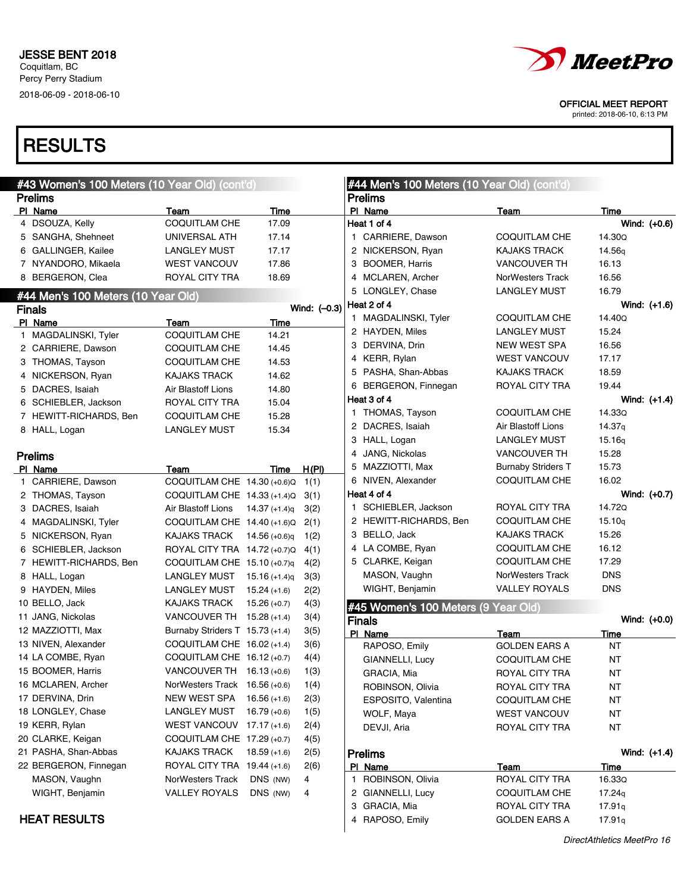

printed: 2018-06-10, 6:13 PM

| #43 Women's 100 Meters (10 Year Old) (cont'd) |                                                    |                      |                | #44 Men's 100 Meters (10 Year Old) (cont'd) |                                                   |                          |
|-----------------------------------------------|----------------------------------------------------|----------------------|----------------|---------------------------------------------|---------------------------------------------------|--------------------------|
| <b>Prelims</b>                                |                                                    |                      |                | <b>Prelims</b>                              |                                                   |                          |
| PI Name                                       | Team                                               | Time                 |                | PI Name                                     | <u>Team</u>                                       | Time                     |
| 4 DSOUZA, Kelly                               | <b>COQUITLAM CHE</b>                               | 17.09                |                | Heat 1 of 4                                 |                                                   | Wind: (+0.6)             |
| 5 SANGHA, Shehneet                            | UNIVERSAL ATH                                      | 17.14                |                | 1 CARRIERE, Dawson                          | COQUITLAM CHE                                     | 14.30Q                   |
| 6 GALLINGER, Kailee                           | <b>LANGLEY MUST</b>                                | 17.17                |                | 2 NICKERSON, Ryan                           | <b>KAJAKS TRACK</b>                               | 14.56g                   |
| 7 NYANDORO, Mikaela                           | <b>WEST VANCOUV</b>                                | 17.86                |                | 3 BOOMER, Harris                            | <b>VANCOUVER TH</b>                               | 16.13                    |
| 8 BERGERON, Clea                              | ROYAL CITY TRA                                     | 18.69                |                | 4 MCLAREN, Archer                           | NorWesters Track                                  | 16.56                    |
| #44 Men's 100 Meters (10 Year Old)            |                                                    |                      |                | 5 LONGLEY, Chase                            | <b>LANGLEY MUST</b>                               | 16.79                    |
| <b>Finals</b>                                 |                                                    |                      | Wind: $(-0.3)$ | Heat 2 of 4                                 |                                                   | Wind: (+1.6)             |
| PI Name                                       | Team                                               | <b>Time</b>          |                | 1 MAGDALINSKI, Tyler                        | COQUITLAM CHE                                     | 14.40Q                   |
| 1 MAGDALINSKI, Tyler                          | <b>COQUITLAM CHE</b>                               | 14.21                |                | 2 HAYDEN, Miles                             | LANGLEY MUST                                      | 15.24                    |
| 2 CARRIERE, Dawson                            | COQUITLAM CHE                                      | 14.45                |                | 3 DERVINA, Drin                             | NEW WEST SPA                                      | 16.56                    |
| 3 THOMAS, Tayson                              | COQUITLAM CHE                                      | 14.53                |                | 4 KERR, Rylan                               | <b>WEST VANCOUV</b>                               | 17.17                    |
| 4 NICKERSON, Ryan                             | <b>KAJAKS TRACK</b>                                | 14.62                |                | 5 PASHA, Shan-Abbas                         | <b>KAJAKS TRACK</b>                               | 18.59                    |
| 5 DACRES, Isaiah                              | Air Blastoff Lions                                 | 14.80                |                | 6 BERGERON, Finnegan                        | ROYAL CITY TRA                                    | 19.44                    |
| 6 SCHIEBLER, Jackson                          | ROYAL CITY TRA                                     | 15.04                |                | Heat 3 of 4                                 |                                                   | Wind: (+1.4)             |
| 7 HEWITT-RICHARDS, Ben                        | COQUITLAM CHE                                      | 15.28                |                | 1 THOMAS, Tayson                            | COQUITLAM CHE                                     | 14.33Q                   |
| 8 HALL, Logan                                 | <b>LANGLEY MUST</b>                                | 15.34                |                | 2 DACRES, Isaiah                            | Air Blastoff Lions                                | 14.37g                   |
|                                               |                                                    |                      |                | 3 HALL, Logan                               | <b>LANGLEY MUST</b>                               | 15.16q                   |
| <b>Prelims</b>                                |                                                    |                      |                | 4 JANG, Nickolas                            | <b>VANCOUVER TH</b>                               | 15.28<br>15.73           |
| PI Name                                       | Team                                               | Time                 | H(PI)          | 5 MAZZIOTTI, Max<br>6 NIVEN, Alexander      | <b>Burnaby Striders T</b><br><b>COQUITLAM CHE</b> | 16.02                    |
| 1 CARRIERE, Dawson                            | COQUITLAM CHE 14.30 (+0.6)Q                        |                      | 1(1)           | Heat 4 of 4                                 |                                                   |                          |
| 2 THOMAS, Tayson                              | COQUITLAM CHE 14.33 (+1.4)Q                        |                      | 3(1)           | 1 SCHIEBLER, Jackson                        | ROYAL CITY TRA                                    | Wind: $(+0.7)$<br>14.72Q |
| 3 DACRES, Isaiah                              | Air Blastoff Lions                                 | 14.37 (+1.4)q        | 3(2)           | 2 HEWITT-RICHARDS, Ben                      | <b>COQUITLAM CHE</b>                              | 15.10q                   |
| 4 MAGDALINSKI, Tyler                          | COQUITLAM CHE $14.40$ (+1.6)Q                      |                      | 2(1)           |                                             |                                                   | 15.26                    |
| 5 NICKERSON, Ryan                             | <b>KAJAKS TRACK</b>                                | 14.56 (+0.6)q        | 1(2)           | 3 BELLO, Jack                               | <b>KAJAKS TRACK</b><br><b>COQUITLAM CHE</b>       | 16.12                    |
| 6 SCHIEBLER, Jackson                          | ROYAL CITY TRA 14.72 (+0.7)Q                       |                      | 4(1)           | 4 LA COMBE, Ryan                            | <b>COQUITLAM CHE</b>                              | 17.29                    |
| 7 HEWITT-RICHARDS, Ben                        | COQUITLAM CHE $15.10$ (+0.7)q                      |                      | 4(2)           | 5 CLARKE, Keigan<br>MASON, Vaughn           | NorWesters Track                                  | <b>DNS</b>               |
| 8 HALL, Logan                                 | LANGLEY MUST $15.16$ (+1.4)q                       |                      | 3(3)           | WIGHT, Benjamin                             | <b>VALLEY ROYALS</b>                              | <b>DNS</b>               |
| 9 HAYDEN, Miles                               | <b>LANGLEY MUST</b>                                | $15.24 (+1.6)$       | 2(2)           |                                             |                                                   |                          |
| 10 BELLO, Jack                                | <b>KAJAKS TRACK</b>                                | $15.26 (+0.7)$       | 4(3)           | #45 Women's 100 Meters (9 Year Old)         |                                                   |                          |
| 11 JANG, Nickolas                             | VANCOUVER TH $15.28$ (+1.4)                        |                      | 3(4)           | <b>Finals</b>                               |                                                   | Wind: (+0.0)             |
| 12 MAZZIOTTI, Max                             | Burnaby Striders $T$ 15.73 (+1.4)                  |                      | 3(5)           | PI Name                                     | Team                                              | <b>Time</b>              |
| 13 NIVEN, Alexander                           | COQUITLAM CHE 16.02 (+1.4)                         |                      | 3(6)           | RAPOSO, Emily                               | <b>GOLDEN EARS A</b>                              | <b>NT</b>                |
| 14 LA COMBE, Ryan                             | COQUITLAM CHE 16.12 (+0.7)                         |                      | 4(4)           | GIANNELLI, Lucy                             | <b>COQUITLAM CHE</b>                              | <b>NT</b>                |
| 15 BOOMER, Harris                             | VANCOUVER TH $16.13 (+0.6)$                        |                      | 1(3)           | GRACIA, Mia                                 | ROYAL CITY TRA                                    | ΝT                       |
| 16 MCLAREN, Archer                            | NorWesters Track 16.56 (+0.6)                      |                      | 1(4)           | ROBINSON, Olivia                            | ROYAL CITY TRA                                    | ΝT                       |
| 17 DERVINA, Drin                              | NEW WEST SPA                                       | $16.56(+1.6)$        | 2(3)           | ESPOSITO, Valentina                         | <b>COQUITLAM CHE</b>                              | NT                       |
| 18 LONGLEY, Chase                             | <b>LANGLEY MUST</b>                                | $16.79(+0.6)$        | 1(5)           | WOLF, Maya                                  | WEST VANCOUV                                      | <b>NT</b>                |
| 19 KERR, Rylan                                | WEST VANCOUV $17.17 (+1.6)$                        |                      | 2(4)           | DEVJI, Aria                                 | ROYAL CITY TRA                                    | NT                       |
| 20 CLARKE, Keigan                             | COQUITLAM CHE 17.29 (+0.7)                         |                      | 4(5)           |                                             |                                                   |                          |
| 21 PASHA, Shan-Abbas<br>22 BERGERON, Finnegan | <b>KAJAKS TRACK</b><br>ROYAL CITY TRA 19.44 (+1.6) | $18.59 (+1.6)$       | 2(5)           | <b>Prelims</b>                              |                                                   | Wind: (+1.4)             |
|                                               |                                                    |                      | 2(6)           | PI Name                                     | Team<br>ROYAL CITY TRA                            | Time                     |
| MASON, Vaughn                                 | NorWesters Track<br><b>VALLEY ROYALS</b>           | DNS (NW)<br>DNS (NW) | 4              | ROBINSON, Olivia<br>1.                      |                                                   | 16.33Q                   |
| WIGHT, Benjamin                               |                                                    |                      | 4              | 2 GIANNELLI, Lucy<br>3 GRACIA, Mia          | COQUITLAM CHE<br>ROYAL CITY TRA                   | 17.24q                   |
| <b>HEAT RESULTS</b>                           |                                                    |                      |                | 4 RAPOSO, Emily                             | <b>GOLDEN EARS A</b>                              | 17.91q<br>17.91q         |
|                                               |                                                    |                      |                |                                             |                                                   |                          |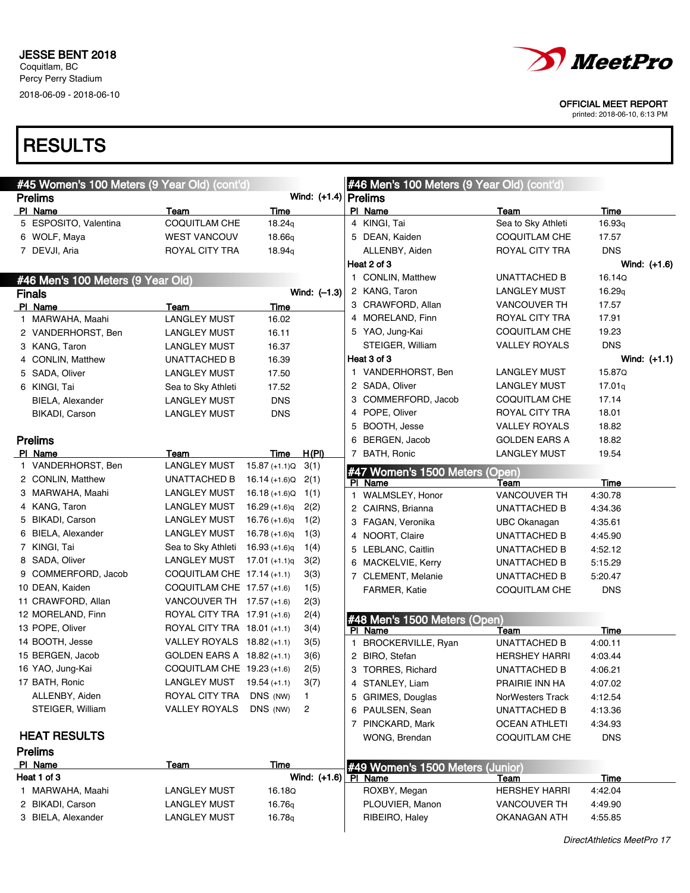

printed: 2018-06-10, 6:13 PM

| #45 Women's 100 Meters (9 Year Old) (cont'd) |                             |                 |                                  | #46 Men's 100 Meters (9 Year Old) (cont'd) |                                  |                      |                |  |  |
|----------------------------------------------|-----------------------------|-----------------|----------------------------------|--------------------------------------------|----------------------------------|----------------------|----------------|--|--|
| <b>Prelims</b>                               |                             |                 | Wind: $(+1.4)$ Prelims           |                                            |                                  |                      |                |  |  |
| PI Name                                      | Team                        | Time            |                                  |                                            | PI Name                          | Team                 | Time           |  |  |
| 5 ESPOSITO, Valentina                        | COQUITLAM CHE               | 18.24q          |                                  |                                            | 4 KINGI, Tai                     | Sea to Sky Athleti   | 16.93q         |  |  |
| 6 WOLF, Maya                                 | <b>WEST VANCOUV</b>         | 18.66q          |                                  |                                            | 5 DEAN, Kaiden                   | COQUITLAM CHE        | 17.57          |  |  |
| 7 DEVJI, Aria                                | ROYAL CITY TRA              | 18.94g          |                                  |                                            | ALLENBY, Aiden                   | ROYAL CITY TRA       | <b>DNS</b>     |  |  |
|                                              |                             |                 |                                  |                                            | Heat 2 of 3                      |                      | Wind: (+1.6)   |  |  |
| #46 Men's 100 Meters (9 Year Old)            |                             |                 |                                  |                                            | 1 CONLIN, Matthew                | <b>UNATTACHED B</b>  | 16.14Q         |  |  |
| <b>Finals</b>                                |                             |                 | Wind: $(-1.3)$                   |                                            | 2 KANG, Taron                    | <b>LANGLEY MUST</b>  | 16.29q         |  |  |
| PI Name                                      | Team                        | Time            |                                  |                                            | 3 CRAWFORD, Allan                | VANCOUVER TH         | 17.57          |  |  |
| 1 MARWAHA, Maahi                             | <b>LANGLEY MUST</b>         | 16.02           |                                  |                                            | 4 MORELAND, Finn                 | ROYAL CITY TRA       | 17.91          |  |  |
| 2 VANDERHORST, Ben                           | LANGLEY MUST                | 16.11           |                                  |                                            | 5 YAO, Jung-Kai                  | COQUITLAM CHE        | 19.23          |  |  |
| 3 KANG, Taron                                | LANGLEY MUST                | 16.37           |                                  |                                            | STEIGER, William                 | VALLEY ROYALS        | <b>DNS</b>     |  |  |
| 4 CONLIN, Matthew                            | UNATTACHED B                | 16.39           |                                  |                                            | Heat 3 of 3                      |                      | Wind: $(+1.1)$ |  |  |
| 5 SADA, Oliver                               | LANGLEY MUST                | 17.50           |                                  |                                            | 1 VANDERHORST, Ben               | LANGLEY MUST         | 15.87Q         |  |  |
| 6 KINGI, Tai                                 | Sea to Sky Athleti          | 17.52           |                                  |                                            | 2 SADA, Oliver                   | <b>LANGLEY MUST</b>  | 17.01q         |  |  |
| <b>BIELA, Alexander</b>                      | LANGLEY MUST                | <b>DNS</b>      |                                  |                                            | 3 COMMERFORD, Jacob              | COQUITLAM CHE        | 17.14          |  |  |
| <b>BIKADI, Carson</b>                        | LANGLEY MUST                | <b>DNS</b>      |                                  |                                            | 4 POPE, Oliver                   | ROYAL CITY TRA       | 18.01          |  |  |
|                                              |                             |                 |                                  |                                            | 5 BOOTH, Jesse                   | <b>VALLEY ROYALS</b> | 18.82          |  |  |
| <b>Prelims</b>                               |                             |                 |                                  |                                            | 6 BERGEN, Jacob                  | GOLDEN EARS A        | 18.82          |  |  |
| PI Name                                      | Team                        | Time            | H(PI)                            |                                            | 7 BATH, Ronic                    | <b>LANGLEY MUST</b>  | 19.54          |  |  |
| 1 VANDERHORST, Ben                           | <b>LANGLEY MUST</b>         | $15.87 (+1.1)Q$ | 3(1)                             |                                            | #47 Women's 1500 Meters (Open)   |                      |                |  |  |
| 2 CONLIN, Matthew                            | <b>UNATTACHED B</b>         | 16.14 (+1.6)Q   | 2(1)                             |                                            | PI Name                          | Team                 | Time           |  |  |
| 3 MARWAHA, Maahi                             | <b>LANGLEY MUST</b>         | $16.18 (+1.6)Q$ | 1(1)                             |                                            | 1 WALMSLEY, Honor                | <b>VANCOUVER TH</b>  | 4:30.78        |  |  |
| 4 KANG, Taron                                | LANGLEY MUST                | $16.29 (+1.6)q$ | 2(2)                             |                                            | 2 CAIRNS, Brianna                | UNATTACHED B         | 4:34.36        |  |  |
| 5 BIKADI, Carson                             | LANGLEY MUST                | $16.76 (+1.6)q$ | 1(2)                             |                                            | 3 FAGAN, Veronika                | UBC Okanagan         | 4:35.61        |  |  |
| 6 BIELA, Alexander                           | LANGLEY MUST                | $16.78 (+1.6)q$ | 1(3)                             |                                            | 4 NOORT, Claire                  | <b>UNATTACHED B</b>  | 4:45.90        |  |  |
| 7 KINGI, Tai                                 | Sea to Sky Athleti          | $16.93 (+1.6)q$ | 1(4)                             |                                            | 5 LEBLANC, Caitlin               | UNATTACHED B         | 4:52.12        |  |  |
| 8 SADA, Oliver                               | LANGLEY MUST                | $17.01 (+1.1)q$ | 3(2)                             |                                            | 6 MACKELVIE, Kerry               | UNATTACHED B         | 5:15.29        |  |  |
| 9 COMMERFORD, Jacob                          | COQUITLAM CHE 17.14 (+1.1)  |                 | 3(3)                             |                                            | 7 CLEMENT, Melanie               | UNATTACHED B         | 5:20.47        |  |  |
| 10 DEAN, Kaiden                              | COQUITLAM CHE 17.57 (+1.6)  |                 | 1(5)                             |                                            | <b>FARMER, Katie</b>             | <b>COQUITLAM CHE</b> | <b>DNS</b>     |  |  |
| 11 CRAWFORD, Allan                           | VANCOUVER TH 17.57 (+1.6)   |                 | 2(3)                             |                                            |                                  |                      |                |  |  |
| 12 MORELAND, Finn                            | ROYAL CITY TRA 17.91 (+1.6) |                 | 2(4)                             |                                            | #48 Men's 1500 Meters (Open)     |                      |                |  |  |
| 13 POPE, Oliver                              | ROYAL CITY TRA 18.01 (+1.1) |                 | 3(4)                             |                                            | PI Name                          | Team                 | Time           |  |  |
| 14 BOOTH, Jesse                              | VALLEY ROYALS 18.82 (+1.1)  |                 | 3(5)                             |                                            | 1 BROCKERVILLE, Ryan             | <b>UNATTACHED B</b>  | 4:00.11        |  |  |
| 15 BERGEN, Jacob                             | GOLDEN EARS A 18.82 (+1.1)  |                 | 3(6)                             |                                            | 2 BIRO, Stefan                   | <b>HERSHEY HARRI</b> | 4:03.44        |  |  |
| 16 YAO, Jung-Kai                             | COQUITLAM CHE 19.23 (+1.6)  |                 | 2(5)                             |                                            | 3 TORRES, Richard                | UNATTACHED B         | 4:06.21        |  |  |
| 17 BATH, Ronic                               | <b>LANGLEY MUST</b>         | $19.54 (+1.1)$  | 3(7)                             |                                            | 4 STANLEY, Liam                  | PRAIRIE INN HA       | 4:07.02        |  |  |
| ALLENBY, Aiden                               | ROYAL CITY TRA              | DNS (NW)        | 1                                |                                            | 5 GRIMES, Douglas                | NorWesters Track     | 4:12.54        |  |  |
| STEIGER, William                             | <b>VALLEY ROYALS</b>        | DNS (NW)        | 2                                |                                            | 6 PAULSEN, Sean                  | <b>UNATTACHED B</b>  | 4:13.36        |  |  |
|                                              |                             |                 |                                  |                                            | 7 PINCKARD, Mark                 | <b>OCEAN ATHLETI</b> | 4:34.93        |  |  |
| <b>HEAT RESULTS</b>                          |                             |                 |                                  |                                            | WONG, Brendan                    | <b>COQUITLAM CHE</b> | <b>DNS</b>     |  |  |
| <b>Prelims</b>                               |                             |                 |                                  |                                            |                                  |                      |                |  |  |
| PI Name                                      | Team                        | Time            |                                  |                                            | #49 Women's 1500 Meters (Junior) |                      |                |  |  |
| Heat 1 of 3                                  |                             |                 | Wind: $(+1.6)$ $\boxed{PI}$ Name |                                            |                                  | Team                 | Time           |  |  |
| 1 MARWAHA, Maahi                             | <b>LANGLEY MUST</b>         | 16.18Q          |                                  |                                            | ROXBY, Megan                     | <b>HERSHEY HARRI</b> | 4:42.04        |  |  |
| 2 BIKADI, Carson                             | <b>LANGLEY MUST</b>         | 16.76q          |                                  |                                            | PLOUVIER, Manon                  | VANCOUVER TH         | 4:49.90        |  |  |
| 3 BIELA, Alexander                           | <b>LANGLEY MUST</b>         | 16.78q          |                                  |                                            | RIBEIRO, Haley                   | <b>OKANAGAN ATH</b>  | 4:55.85        |  |  |
|                                              |                             |                 |                                  |                                            |                                  |                      |                |  |  |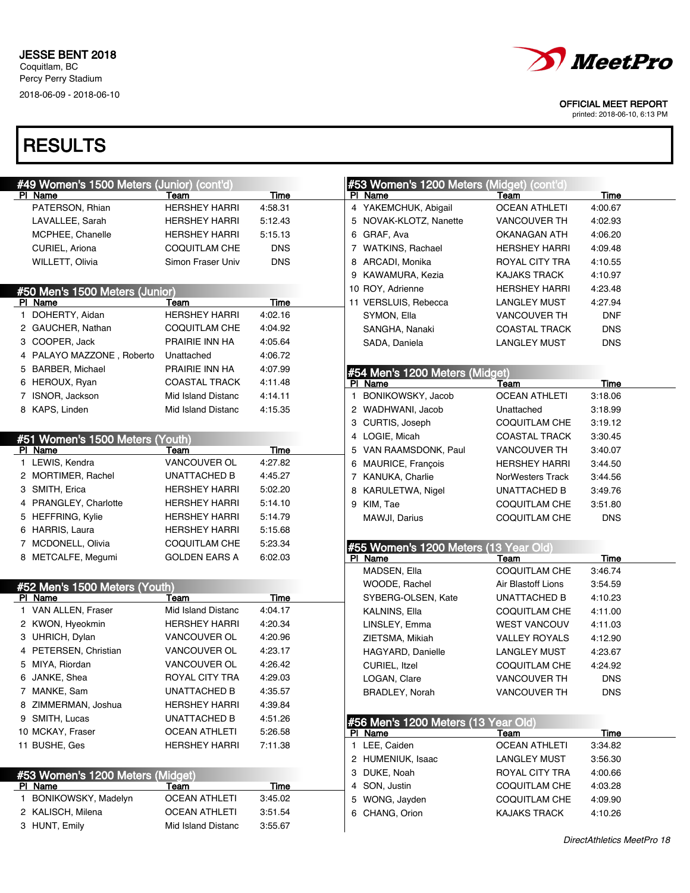

printed: 2018-06-10, 6:13 PM

| #49 Women's 1500 Meters (Junior) (cont'd)   |                      |             | #53 Women's 1200 Meters (Midget) (cont'd) |                      |             |
|---------------------------------------------|----------------------|-------------|-------------------------------------------|----------------------|-------------|
| PI Name                                     | Team                 | Time        | PI Name                                   | Team                 | Time        |
| PATERSON, Rhian                             | <b>HERSHEY HARRI</b> | 4:58.31     | 4 YAKEMCHUK, Abigail                      | <b>OCEAN ATHLETI</b> | 4:00.67     |
| LAVALLEE, Sarah                             | <b>HERSHEY HARRI</b> | 5:12.43     | 5 NOVAK-KLOTZ, Nanette                    | VANCOUVER TH         | 4:02.93     |
| MCPHEE, Chanelle                            | <b>HERSHEY HARRI</b> | 5:15.13     | 6 GRAF, Ava                               | OKANAGAN ATH         | 4:06.20     |
| CURIEL, Ariona                              | COQUITLAM CHE        | <b>DNS</b>  | 7 WATKINS, Rachael                        | <b>HERSHEY HARRI</b> | 4:09.48     |
| WILLETT, Olivia                             | Simon Fraser Univ    | <b>DNS</b>  | 8 ARCADI, Monika                          | ROYAL CITY TRA       | 4:10.55     |
|                                             |                      |             | 9 KAWAMURA, Kezia                         | <b>KAJAKS TRACK</b>  | 4:10.97     |
| #50 Men's 1500 Meters (Junior)              |                      |             | 10 ROY, Adrienne                          | <b>HERSHEY HARRI</b> | 4:23.48     |
| PI Name                                     | Team                 | Time        | 11 VERSLUIS, Rebecca                      | <b>LANGLEY MUST</b>  | 4:27.94     |
| 1 DOHERTY, Aidan                            | <b>HERSHEY HARRI</b> | 4:02.16     | SYMON, Ella                               | VANCOUVER TH         | <b>DNF</b>  |
| 2 GAUCHER, Nathan                           | COQUITLAM CHE        | 4:04.92     | SANGHA, Nanaki                            | <b>COASTAL TRACK</b> | <b>DNS</b>  |
| 3 COOPER, Jack                              | PRAIRIE INN HA       | 4:05.64     | SADA, Daniela                             | <b>LANGLEY MUST</b>  | <b>DNS</b>  |
| 4 PALAYO MAZZONE, Roberto                   | Unattached           | 4:06.72     |                                           |                      |             |
| 5 BARBER, Michael                           | PRAIRIE INN HA       | 4:07.99     | #54 Men's 1200 Meters (Midget)            |                      |             |
| 6 HEROUX, Ryan                              | <b>COASTAL TRACK</b> | 4:11.48     | PI Name                                   | Team                 | <b>Time</b> |
| 7 ISNOR, Jackson                            | Mid Island Distanc   | 4:14.11     | BONIKOWSKY, Jacob<br>1.                   | <b>OCEAN ATHLETI</b> | 3:18.06     |
| 8 KAPS, Linden                              | Mid Island Distanc   | 4:15.35     | 2 WADHWANI, Jacob                         | Unattached           | 3:18.99     |
|                                             |                      |             | 3 CURTIS, Joseph                          | COQUITLAM CHE        | 3:19.12     |
| #51 Women's 1500 Meters (Youth)             |                      |             | 4 LOGIE, Micah                            | <b>COASTAL TRACK</b> | 3:30.45     |
| PI Name                                     | Team                 | Time        | 5 VAN RAAMSDONK, Paul                     | <b>VANCOUVER TH</b>  | 3:40.07     |
| 1 LEWIS, Kendra                             | VANCOUVER OL         | 4:27.82     | 6 MAURICE, Francois                       | HERSHEY HARRI        | 3:44.50     |
| 2 MORTIMER, Rachel                          | UNATTACHED B         | 4:45.27     | 7 KANUKA, Charlie                         | NorWesters Track     | 3:44.56     |
| 3 SMITH, Erica                              | <b>HERSHEY HARRI</b> | 5:02.20     | 8 KARULETWA, Nigel                        | UNATTACHED B         | 3:49.76     |
| 4 PRANGLEY, Charlotte                       | <b>HERSHEY HARRI</b> | 5:14.10     | 9 KIM, Tae                                | <b>COQUITLAM CHE</b> | 3:51.80     |
| 5 HEFFRING, Kylie                           | <b>HERSHEY HARRI</b> | 5:14.79     | MAWJI, Darius                             | <b>COQUITLAM CHE</b> | <b>DNS</b>  |
| 6 HARRIS, Laura                             | <b>HERSHEY HARRI</b> | 5:15.68     |                                           |                      |             |
| 7 MCDONELL, Olivia                          | COQUITLAM CHE        | 5:23.34     | #55 Women's 1200 Meters (13 Year Old)     |                      |             |
| 8 METCALFE, Megumi                          | <b>GOLDEN EARS A</b> | 6:02.03     | PI Name                                   | Team                 | Time        |
|                                             |                      |             | MADSEN, Ella                              | <b>COQUITLAM CHE</b> | 3:46.74     |
| #52 Men's 1500 Meters (Youth)               |                      |             | WOODE, Rachel                             | Air Blastoff Lions   | 3:54.59     |
| PI Name                                     | Team                 | Time        | SYBERG-OLSEN, Kate                        | <b>UNATTACHED B</b>  | 4:10.23     |
| 1 VAN ALLEN, Fraser                         | Mid Island Distanc   | 4:04.17     | KALNINS, Ella                             | COQUITLAM CHE        | 4:11.00     |
| 2 KWON, Hyeokmin                            | <b>HERSHEY HARRI</b> | 4:20.34     | LINSLEY, Emma                             | <b>WEST VANCOUV</b>  | 4:11.03     |
| 3 UHRICH, Dylan                             | VANCOUVER OL         | 4:20.96     | ZIETSMA, Mikiah                           | <b>VALLEY ROYALS</b> | 4:12.90     |
| 4 PETERSEN, Christian                       | VANCOUVER OL         | 4:23.17     | HAGYARD, Danielle                         | <b>LANGLEY MUST</b>  | 4:23.67     |
| 5 MIYA, Riordan                             | VANCOUVER OL         | 4:26.42     | CURIEL, Itzel                             | <b>COQUITLAM CHE</b> | 4:24.92     |
| 6 JANKE, Shea                               | ROYAL CITY TRA       | 4:29.03     | LOGAN, Clare                              | <b>VANCOUVER TH</b>  | <b>DNS</b>  |
| 7 MANKE, Sam                                | UNATTACHED B         | 4:35.57     | BRADLEY, Norah                            | VANCOUVER TH         | <b>DNS</b>  |
| 8 ZIMMERMAN, Joshua                         | <b>HERSHEY HARRI</b> | 4:39.84     |                                           |                      |             |
| 9 SMITH, Lucas                              | <b>UNATTACHED B</b>  | 4:51.26     | #56 Men's 1200 Meters (13 Year Old)       |                      |             |
| 10 MCKAY, Fraser                            | <b>OCEAN ATHLETI</b> | 5:26.58     | PI Name                                   | Team                 | <u>Time</u> |
| 11 BUSHE, Ges                               | <b>HERSHEY HARRI</b> | 7:11.38     | 1 LEE, Caiden                             | <b>OCEAN ATHLETI</b> | 3:34.82     |
|                                             |                      |             | 2 HUMENIUK, Isaac                         | <b>LANGLEY MUST</b>  | 3:56.30     |
|                                             |                      |             |                                           |                      |             |
|                                             |                      |             | 3 DUKE, Noah                              | ROYAL CITY TRA       | 4:00.66     |
| #53 Women's 1200 Meters (Midget)<br>PI Name | Team                 | <b>Time</b> | 4 SON, Justin                             | <b>COQUITLAM CHE</b> | 4:03.28     |
| 1 BONIKOWSKY, Madelyn                       | <b>OCEAN ATHLETI</b> | 3:45.02     | 5 WONG, Jayden                            | COQUITLAM CHE        | 4:09.90     |
| 2 KALISCH, Milena                           | <b>OCEAN ATHLETI</b> | 3:51.54     | 6 CHANG, Orion                            | KAJAKS TRACK         | 4:10.26     |
| 3 HUNT, Emily                               | Mid Island Distanc   | 3:55.67     |                                           |                      |             |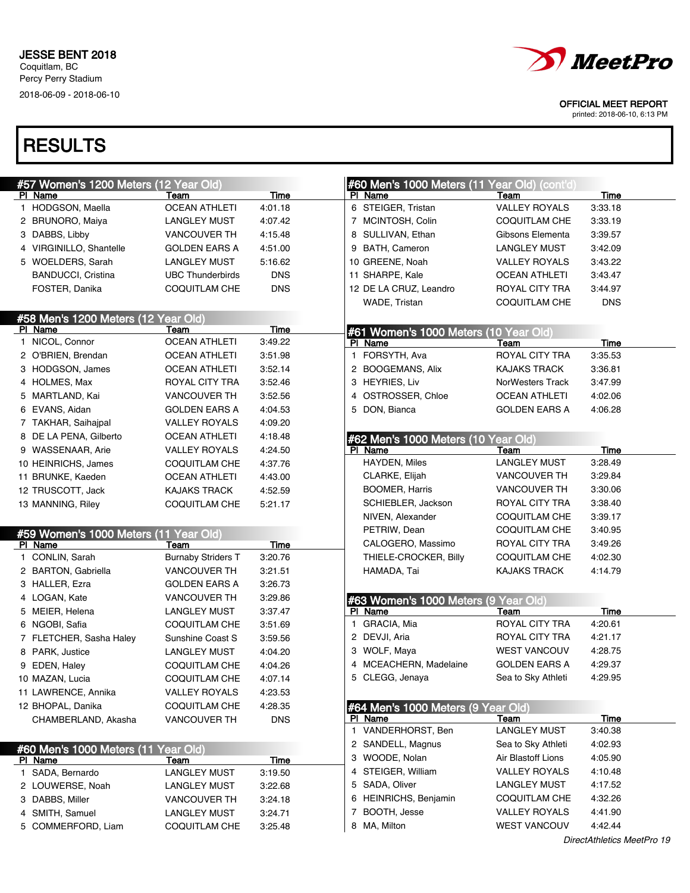

printed: 2018-06-10, 6:13 PM

| #57 Women's 1200 Meters (12 Year Old)            |                                      |                    | #60 Men's 1000 Meters (11 Year Old) (cont'd) |                                             |                    |
|--------------------------------------------------|--------------------------------------|--------------------|----------------------------------------------|---------------------------------------------|--------------------|
| PI Name                                          | Team                                 | Time               | PI Name                                      | Team                                        | Time               |
| 1 HODGSON, Maella                                | <b>OCEAN ATHLETI</b>                 | 4:01.18            | 6 STEIGER, Tristan                           | <b>VALLEY ROYALS</b>                        | 3:33.18            |
| 2 BRUNORO, Maiya                                 | LANGLEY MUST                         | 4:07.42            | 7 MCINTOSH, Colin                            | <b>COQUITLAM CHE</b>                        | 3:33.19            |
| 3 DABBS, Libby                                   | <b>VANCOUVER TH</b>                  | 4:15.48            | 8 SULLIVAN, Ethan                            | Gibsons Elementa                            | 3:39.57            |
| 4 VIRGINILLO, Shantelle                          | <b>GOLDEN EARS A</b>                 | 4:51.00            | 9 BATH, Cameron                              | <b>LANGLEY MUST</b>                         | 3:42.09            |
| 5 WOELDERS, Sarah                                | LANGLEY MUST                         | 5:16.62            | 10 GREENE, Noah                              | VALLEY ROYALS                               | 3:43.22            |
| <b>BANDUCCI, Cristina</b>                        | <b>UBC Thunderbirds</b>              | <b>DNS</b>         | 11 SHARPE, Kale                              | <b>OCEAN ATHLETI</b>                        | 3:43.47            |
| FOSTER, Danika                                   | COQUITLAM CHE                        | <b>DNS</b>         | 12 DE LA CRUZ, Leandro                       | ROYAL CITY TRA                              | 3:44.97            |
|                                                  |                                      |                    | WADE, Tristan                                | <b>COQUITLAM CHE</b>                        | <b>DNS</b>         |
| #58 Men's 1200 Meters (12 Year Old)              |                                      |                    |                                              |                                             |                    |
| PI Name                                          | Team                                 | Time               | #61 Women's 1000 Meters (10 Year Old)        |                                             |                    |
| 1 NICOL, Connor                                  | <b>OCEAN ATHLETI</b>                 | 3:49.22            | PI Name                                      | Team                                        | Time               |
| 2 O'BRIEN, Brendan                               | <b>OCEAN ATHLETI</b>                 | 3:51.98            | 1 FORSYTH, Ava                               | ROYAL CITY TRA                              | 3:35.53            |
| 3 HODGSON, James                                 | <b>OCEAN ATHLETI</b>                 | 3:52.14            | 2 BOOGEMANS, Alix                            | <b>KAJAKS TRACK</b>                         | 3:36.81            |
| 4 HOLMES, Max                                    | ROYAL CITY TRA                       | 3:52.46            | 3 HEYRIES, Liv                               | NorWesters Track                            | 3:47.99            |
| 5 MARTLAND, Kai                                  | <b>VANCOUVER TH</b>                  | 3:52.56            | 4 OSTROSSER, Chloe                           | <b>OCEAN ATHLETI</b>                        | 4:02.06            |
| 6 EVANS, Aidan                                   | <b>GOLDEN EARS A</b>                 | 4:04.53            | 5 DON, Bianca                                | <b>GOLDEN EARS A</b>                        | 4:06.28            |
| 7 TAKHAR, Saihajpal                              | <b>VALLEY ROYALS</b>                 | 4:09.20            |                                              |                                             |                    |
| 8 DE LA PENA, Gilberto                           | <b>OCEAN ATHLETI</b>                 | 4:18.48            | #62 Men's 1000 Meters (10 Year Old)          |                                             |                    |
| 9 WASSENAAR, Arie                                | <b>VALLEY ROYALS</b>                 | 4:24.50            | PI Name                                      | Team                                        | Time               |
| 10 HEINRICHS, James                              | COQUITLAM CHE                        | 4:37.76            | HAYDEN, Miles                                | <b>LANGLEY MUST</b>                         | 3:28.49            |
| 11 BRUNKE, Kaeden                                | <b>OCEAN ATHLETI</b>                 | 4:43.00            | CLARKE, Elijah                               | VANCOUVER TH                                | 3:29.84            |
| 12 TRUSCOTT, Jack                                | <b>KAJAKS TRACK</b>                  | 4:52.59            | <b>BOOMER, Harris</b>                        | <b>VANCOUVER TH</b>                         | 3:30.06            |
| 13 MANNING, Riley                                | <b>COQUITLAM CHE</b>                 | 5:21.17            | SCHIEBLER, Jackson                           | ROYAL CITY TRA                              | 3:38.40            |
|                                                  |                                      |                    | NIVEN, Alexander                             | <b>COQUITLAM CHE</b>                        | 3:39.17            |
|                                                  |                                      |                    | PETRIW, Dean                                 | <b>COQUITLAM CHE</b>                        | 3:40.95            |
| #59 Women's 1000 Meters (11 Year Old)<br>PI Name | Team                                 | Time               | CALOGERO, Massimo                            | ROYAL CITY TRA                              | 3:49.26            |
| 1 CONLIN, Sarah                                  | <b>Burnaby Striders T</b>            | 3:20.76            | THIELE-CROCKER, Billy                        | <b>COQUITLAM CHE</b>                        | 4:02.30            |
| 2 BARTON, Gabriella                              | <b>VANCOUVER TH</b>                  | 3:21.51            | HAMADA, Tai                                  | <b>KAJAKS TRACK</b>                         | 4:14.79            |
| 3 HALLER, Ezra                                   | <b>GOLDEN EARS A</b>                 | 3:26.73            |                                              |                                             |                    |
| 4 LOGAN, Kate                                    | <b>VANCOUVER TH</b>                  | 3:29.86            | #63 Women's 1000 Meters (9 Year Old)         |                                             |                    |
| 5 MEIER, Helena                                  | <b>LANGLEY MUST</b>                  | 3:37.47            | PI Name                                      | Team                                        | <u>Time</u>        |
| 6 NGOBI, Safia                                   | <b>COQUITLAM CHE</b>                 | 3:51.69            | 1 GRACIA, Mia                                | <b>ROYAL CITY TRA</b>                       | 4:20.61            |
| 7 FLETCHER, Sasha Haley                          | Sunshine Coast S                     | 3:59.56            | 2 DEVJI, Aria                                | ROYAL CITY TRA                              | 4:21.17            |
| 8 PARK, Justice                                  | <b>LANGLEY MUST</b>                  | 4:04.20            | 3 WOLF, Maya                                 | <b>WEST VANCOUV</b>                         | 4:28.75            |
| 9 EDEN, Haley                                    | COQUITLAM CHE                        | 4:04.26            | 4 MCEACHERN, Madelaine                       | GOLDEN EARS A                               | 4:29.37            |
| 10 MAZAN, Lucia                                  | COQUITLAM CHE                        | 4:07.14            | 5 CLEGG, Jenaya                              | Sea to Sky Athleti                          | 4:29.95            |
| 11 LAWRENCE, Annika                              | <b>VALLEY ROYALS</b>                 | 4:23.53            |                                              |                                             |                    |
| 12 BHOPAL, Danika                                | COQUITLAM CHE                        | 4:28.35            | #64 Men's 1000 Meters (9 Year Old)           |                                             |                    |
| CHAMBERLAND, Akasha                              | <b>VANCOUVER TH</b>                  | <b>DNS</b>         | PI Name                                      | Team                                        | Time               |
|                                                  |                                      |                    | 1 VANDERHORST, Ben                           | <b>LANGLEY MUST</b>                         | 3:40.38            |
|                                                  |                                      |                    | 2 SANDELL, Magnus                            | Sea to Sky Athleti                          | 4:02.93            |
| #60 Men's 1000 Meters (11                        | Year Old)                            |                    | 3 WOODE, Nolan                               | Air Blastoff Lions                          | 4:05.90            |
| PI Name<br>1 SADA, Bernardo                      | <u>Team</u>                          | <b>Time</b>        | 4 STEIGER, William                           | <b>VALLEY ROYALS</b>                        | 4:10.48            |
|                                                  | <b>LANGLEY MUST</b>                  | 3:19.50            | 5 SADA, Oliver                               | LANGLEY MUST                                | 4:17.52            |
|                                                  | <b>LANGLEY MUST</b>                  | 3:22.68            | 6 HEINRICHS, Benjamin                        | <b>COQUITLAM CHE</b>                        |                    |
| 2 LOUWERSE, Noah                                 |                                      |                    |                                              |                                             |                    |
| 3 DABBS, Miller                                  | <b>VANCOUVER TH</b>                  | 3:24.18            |                                              |                                             | 4:32.26            |
| 4 SMITH, Samuel<br>5 COMMERFORD, Liam            | LANGLEY MUST<br><b>COQUITLAM CHE</b> | 3:24.71<br>3:25.48 | 7<br>BOOTH, Jesse<br>8 MA, Milton            | <b>VALLEY ROYALS</b><br><b>WEST VANCOUV</b> | 4:41.90<br>4:42.44 |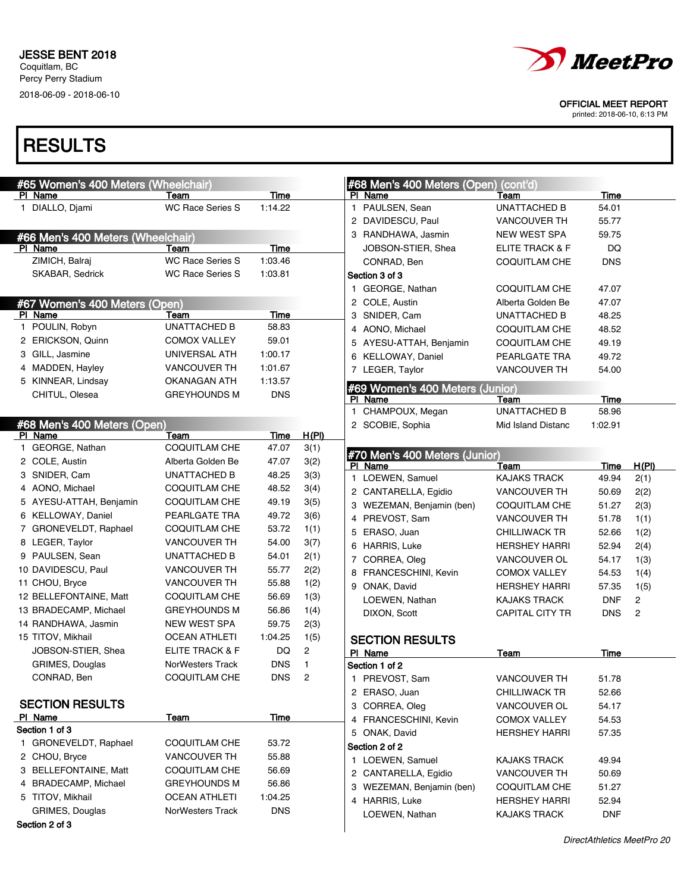

printed: 2018-06-10, 6:13 PM

| #65 Women's 400 Meters (Wheelchair) |                         |             |       | #68 Men's 400 Meters (Open) (cont'd) |                        |             |                |
|-------------------------------------|-------------------------|-------------|-------|--------------------------------------|------------------------|-------------|----------------|
| PI Name                             | Team                    | Time        |       | PI Name                              | Team                   | <b>Time</b> |                |
| 1 DIALLO, Djami                     | <b>WC Race Series S</b> | 1:14.22     |       | 1 PAULSEN, Sean                      | <b>UNATTACHED B</b>    | 54.01       |                |
|                                     |                         |             |       | 2 DAVIDESCU, Paul                    | <b>VANCOUVER TH</b>    | 55.77       |                |
| #66 Men's 400 Meters (Wheelchair)   |                         |             |       | 3 RANDHAWA, Jasmin                   | <b>NEW WEST SPA</b>    | 59.75       |                |
| PI Name                             | Team                    | Time        |       | JOBSON-STIER, Shea                   | ELITE TRACK & F        | DQ          |                |
| ZIMICH, Balraj                      | <b>WC Race Series S</b> | 1:03.46     |       | CONRAD, Ben                          | <b>COQUITLAM CHE</b>   | <b>DNS</b>  |                |
| SKABAR, Sedrick                     | <b>WC Race Series S</b> | 1:03.81     |       | Section 3 of 3                       |                        |             |                |
|                                     |                         |             |       | 1 GEORGE, Nathan                     | COQUITLAM CHE          | 47.07       |                |
| #67 Women's 400 Meters (Open)       |                         |             |       | 2 COLE, Austin                       | Alberta Golden Be      | 47.07       |                |
| PI Name                             | Team                    | <b>Time</b> |       | 3 SNIDER, Cam                        | UNATTACHED B           | 48.25       |                |
| 1 POULIN, Robyn                     | <b>UNATTACHED B</b>     | 58.83       |       | 4 AONO, Michael                      | <b>COQUITLAM CHE</b>   | 48.52       |                |
| 2 ERICKSON, Quinn                   | <b>COMOX VALLEY</b>     | 59.01       |       | 5 AYESU-ATTAH, Benjamin              | <b>COQUITLAM CHE</b>   | 49.19       |                |
| 3 GILL, Jasmine                     | UNIVERSAL ATH           | 1:00.17     |       | 6 KELLOWAY, Daniel                   | PEARLGATE TRA          | 49.72       |                |
| 4 MADDEN, Hayley                    | <b>VANCOUVER TH</b>     | 1:01.67     |       | 7 LEGER, Taylor                      | <b>VANCOUVER TH</b>    | 54.00       |                |
| 5 KINNEAR, Lindsay                  | OKANAGAN ATH            | 1:13.57     |       | #69 Women's 400 Meters (Junior)      |                        |             |                |
| CHITUL, Olesea                      | <b>GREYHOUNDS M</b>     | <b>DNS</b>  |       | PI Name                              | Team                   | Time        |                |
|                                     |                         |             |       | 1 CHAMPOUX, Megan                    | <b>UNATTACHED B</b>    | 58.96       |                |
| #68 Men's 400 Meters (Open)         |                         |             |       | 2 SCOBIE, Sophia                     | Mid Island Distanc     | 1:02.91     |                |
| PI Name                             | Team                    | Time        | H(PI) |                                      |                        |             |                |
| 1 GEORGE, Nathan                    | COQUITLAM CHE           | 47.07       | 3(1)  | #70 Men's 400 Meters (Junior)        |                        |             |                |
| 2 COLE, Austin                      | Alberta Golden Be       | 47.07       | 3(2)  | PI Name                              | Team                   | <b>Time</b> | H(PI)          |
| 3 SNIDER, Cam                       | UNATTACHED B            | 48.25       | 3(3)  | 1 LOEWEN, Samuel                     | <b>KAJAKS TRACK</b>    | 49.94       | 2(1)           |
| 4 AONO, Michael                     | COQUITLAM CHE           | 48.52       | 3(4)  | 2 CANTARELLA, Egidio                 | <b>VANCOUVER TH</b>    | 50.69       | 2(2)           |
| 5 AYESU-ATTAH, Benjamin             | COQUITLAM CHE           | 49.19       | 3(5)  | 3 WEZEMAN, Benjamin (ben)            | <b>COQUITLAM CHE</b>   | 51.27       | 2(3)           |
| 6 KELLOWAY, Daniel                  | PEARLGATE TRA           | 49.72       | 3(6)  | 4 PREVOST, Sam                       | <b>VANCOUVER TH</b>    | 51.78       | 1(1)           |
| 7 GRONEVELDT, Raphael               | COQUITLAM CHE           | 53.72       | 1(1)  | 5 ERASO, Juan                        | CHILLIWACK TR          | 52.66       | 1(2)           |
| 8 LEGER, Taylor                     | <b>VANCOUVER TH</b>     | 54.00       | 3(7)  | 6 HARRIS, Luke                       | <b>HERSHEY HARRI</b>   | 52.94       | 2(4)           |
| 9 PAULSEN, Sean                     | <b>UNATTACHED B</b>     | 54.01       | 2(1)  | 7 CORREA, Oleg                       | VANCOUVER OL           | 54.17       | 1(3)           |
| 10 DAVIDESCU, Paul                  | <b>VANCOUVER TH</b>     | 55.77       | 2(2)  | 8 FRANCESCHINI, Kevin                | <b>COMOX VALLEY</b>    | 54.53       | 1(4)           |
| 11 CHOU, Bryce                      | <b>VANCOUVER TH</b>     | 55.88       | 1(2)  | 9 ONAK, David                        | <b>HERSHEY HARRI</b>   | 57.35       | 1(5)           |
| 12 BELLEFONTAINE, Matt              | <b>COQUITLAM CHE</b>    | 56.69       | 1(3)  | LOEWEN, Nathan                       | <b>KAJAKS TRACK</b>    | <b>DNF</b>  | 2              |
| 13 BRADECAMP, Michael               | <b>GREYHOUNDS M</b>     | 56.86       | 1(4)  | DIXON, Scott                         | <b>CAPITAL CITY TR</b> | <b>DNS</b>  | $\overline{c}$ |
| 14 RANDHAWA, Jasmin                 | <b>NEW WEST SPA</b>     | 59.75       | 2(3)  |                                      |                        |             |                |
| 15 TITOV, Mikhail                   | <b>OCEAN ATHLETI</b>    | 1:04.25     | 1(5)  | <b>SECTION RESULTS</b>               |                        |             |                |
| JOBSON STIER, Shea                  | ELITE TRACK & F         | DQ          | 2     | PI Name                              | Team                   | Time        |                |
| GRIMES, Douglas                     | <b>NorWesters Track</b> | <b>DNS</b>  | 1     | Section 1 of 2                       |                        |             |                |
| CONRAD, Ben                         | <b>COQUITLAM CHE</b>    | <b>DNS</b>  | 2     | 1 PREVOST, Sam                       | <b>VANCOUVER TH</b>    | 51.78       |                |
|                                     |                         |             |       | 2 ERASO, Juan                        | <b>CHILLIWACK TR</b>   | 52.66       |                |
| <b>SECTION RESULTS</b>              |                         |             |       | 3 CORREA, Oleg                       | VANCOUVER OL           | 54.17       |                |
| PI Name                             | Team                    | Time        |       | 4 FRANCESCHINI, Kevin                | <b>COMOX VALLEY</b>    | 54.53       |                |
| Section 1 of 3                      |                         |             |       | 5 ONAK, David                        | <b>HERSHEY HARRI</b>   | 57.35       |                |
| 1 GRONEVELDT, Raphael               | <b>COQUITLAM CHE</b>    | 53.72       |       | Section 2 of 2                       |                        |             |                |
| 2 CHOU, Bryce                       | <b>VANCOUVER TH</b>     | 55.88       |       | 1 LOEWEN, Samuel                     | <b>KAJAKS TRACK</b>    | 49.94       |                |
| 3 BELLEFONTAINE, Matt               | <b>COQUITLAM CHE</b>    | 56.69       |       | 2 CANTARELLA, Egidio                 | <b>VANCOUVER TH</b>    | 50.69       |                |
| 4 BRADECAMP, Michael                | <b>GREYHOUNDS M</b>     | 56.86       |       | 3 WEZEMAN, Benjamin (ben)            | <b>COQUITLAM CHE</b>   | 51.27       |                |
| 5 TITOV, Mikhail                    | <b>OCEAN ATHLETI</b>    | 1:04.25     |       | 4 HARRIS, Luke                       | <b>HERSHEY HARRI</b>   | 52.94       |                |
| GRIMES, Douglas                     | <b>NorWesters Track</b> | <b>DNS</b>  |       | LOEWEN, Nathan                       | <b>KAJAKS TRACK</b>    | <b>DNF</b>  |                |
| Section 2 of 3                      |                         |             |       |                                      |                        |             |                |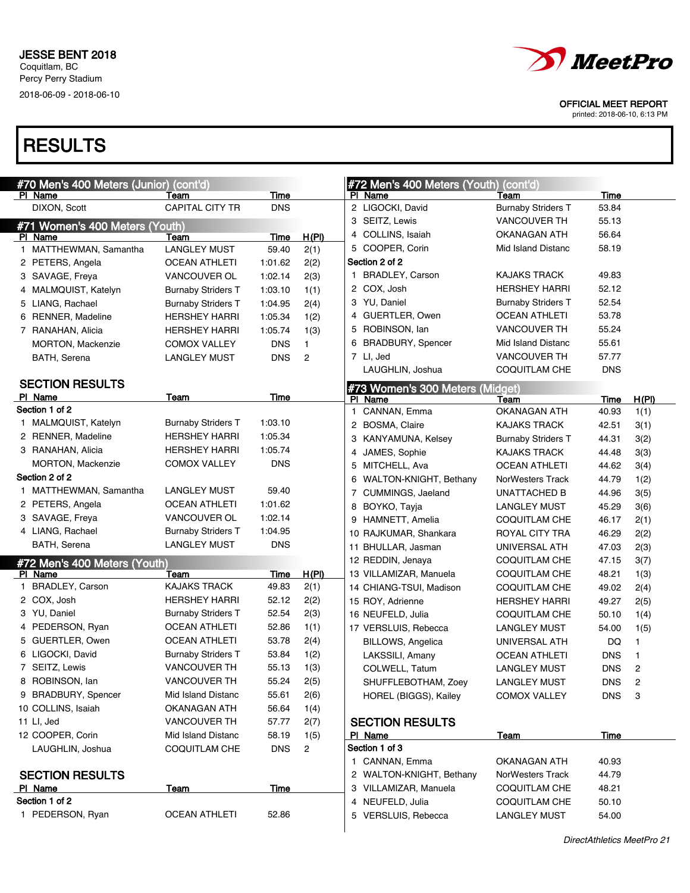

printed: 2018-06-10, 6:13 PM

| #70 Men's 400 Meters (Junior) (cont'd) |                           |             |                |     | #72 Men's 400 Meters (Youth)    | (cont'd)                  |             |                |
|----------------------------------------|---------------------------|-------------|----------------|-----|---------------------------------|---------------------------|-------------|----------------|
| PI Name                                | Team                      | Time        |                |     | PI Name                         | Team                      | Time        |                |
| DIXON, Scott                           | CAPITAL CITY TR           | <b>DNS</b>  |                |     | 2 LIGOCKI, David                | <b>Burnaby Striders T</b> | 53.84       |                |
| #71 Women's 400 Meters (Youth)         |                           |             |                |     | 3 SEITZ, Lewis                  | <b>VANCOUVER TH</b>       | 55.13       |                |
| PI Name                                | Team                      | Time        | H(PI)          |     | 4 COLLINS, Isaiah               | OKANAGAN ATH              | 56.64       |                |
| 1 MATTHEWMAN, Samantha                 | <b>LANGLEY MUST</b>       | 59.40       | 2(1)           |     | 5 COOPER, Corin                 | <b>Mid Island Distanc</b> | 58.19       |                |
| 2 PETERS, Angela                       | <b>OCEAN ATHLETI</b>      | 1:01.62     | 2(2)           |     | Section 2 of 2                  |                           |             |                |
| 3 SAVAGE, Freya                        | VANCOUVER OL              | 1:02.14     | 2(3)           |     | 1 BRADLEY, Carson               | <b>KAJAKS TRACK</b>       | 49.83       |                |
| 4 MALMQUIST, Katelyn                   | <b>Burnaby Striders T</b> | 1:03.10     | 1(1)           |     | 2 COX, Josh                     | <b>HERSHEY HARRI</b>      | 52.12       |                |
| 5 LIANG, Rachael                       | <b>Burnaby Striders T</b> | 1:04.95     | 2(4)           |     | 3 YU, Daniel                    | <b>Burnaby Striders T</b> | 52.54       |                |
| 6 RENNER, Madeline                     | <b>HERSHEY HARRI</b>      | 1:05.34     | 1(2)           |     | 4 GUERTLER, Owen                | <b>OCEAN ATHLETI</b>      | 53.78       |                |
| 7 RANAHAN, Alicia                      | <b>HERSHEY HARRI</b>      | 1:05.74     | 1(3)           |     | 5 ROBINSON, lan                 | <b>VANCOUVER TH</b>       | 55.24       |                |
| <b>MORTON, Mackenzie</b>               | <b>COMOX VALLEY</b>       | <b>DNS</b>  | $\mathbf{1}$   | 6   | <b>BRADBURY, Spencer</b>        | Mid Island Distanc        | 55.61       |                |
| BATH, Serena                           | <b>LANGLEY MUST</b>       | <b>DNS</b>  | $\overline{c}$ |     | 7 LI, Jed                       | <b>VANCOUVER TH</b>       | 57.77       |                |
|                                        |                           |             |                |     | LAUGHLIN, Joshua                | <b>COQUITLAM CHE</b>      | <b>DNS</b>  |                |
| <b>SECTION RESULTS</b>                 |                           |             |                |     | #73 Women's 300 Meters (Midget) |                           |             |                |
| PI Name                                | <b>Team</b>               | <u>Time</u> |                | PI. | Name                            | Team                      | Time        | H(PI)          |
| Section 1 of 2                         |                           |             |                | 1   | CANNAN, Emma                    | <b>OKANAGAN ATH</b>       | 40.93       | 1(1)           |
| 1 MALMQUIST, Katelyn                   | <b>Burnaby Striders T</b> | 1:03.10     |                |     | 2 BOSMA, Claire                 | <b>KAJAKS TRACK</b>       | 42.51       | 3(1)           |
| 2 RENNER, Madeline                     | <b>HERSHEY HARRI</b>      | 1:05.34     |                | 3   | <b>KANYAMUNA, Kelsey</b>        | <b>Burnaby Striders T</b> | 44.31       | 3(2)           |
| 3 RANAHAN, Alicia                      | <b>HERSHEY HARRI</b>      | 1:05.74     |                | 4   | JAMES, Sophie                   | <b>KAJAKS TRACK</b>       | 44.48       | 3(3)           |
| MORTON, Mackenzie                      | <b>COMOX VALLEY</b>       | <b>DNS</b>  |                | 5   | MITCHELL, Ava                   | <b>OCEAN ATHLETI</b>      | 44.62       | 3(4)           |
| Section 2 of 2                         |                           |             |                | 6   | WALTON-KNIGHT, Bethany          | NorWesters Track          | 44.79       | 1(2)           |
| 1 MATTHEWMAN, Samantha                 | <b>LANGLEY MUST</b>       | 59.40       |                | 7   | CUMMINGS, Jaeland               | UNATTACHED B              | 44.96       | 3(5)           |
| 2 PETERS, Angela                       | <b>OCEAN ATHLETI</b>      | 1:01.62     |                | 8   | BOYKO, Tayja                    | <b>LANGLEY MUST</b>       | 45.29       | 3(6)           |
| 3 SAVAGE, Freya                        | VANCOUVER OL              | 1:02.14     |                | 9   | HAMNETT, Amelia                 | COQUITLAM CHE             | 46.17       | 2(1)           |
| 4 LIANG, Rachael                       | <b>Burnaby Striders T</b> | 1:04.95     |                |     | 10 RAJKUMAR, Shankara           | ROYAL CITY TRA            | 46.29       | 2(2)           |
| BATH, Serena                           | <b>LANGLEY MUST</b>       | <b>DNS</b>  |                |     | 11 BHULLAR, Jasman              | UNIVERSAL ATH             | 47.03       | 2(3)           |
| #72 Men's 400 Meters (Youth)           |                           |             |                |     | 12 REDDIN, Jenaya               | COQUITLAM CHE             | 47.15       | 3(7)           |
| PI Name                                | Team                      | Time        | H(PI)          |     | 13 VILLAMIZAR, Manuela          | COQUITLAM CHE             | 48.21       | 1(3)           |
| 1 BRADLEY, Carson                      | <b>KAJAKS TRACK</b>       | 49.83       | 2(1)           |     | 14 CHIANG-TSUI, Madison         | COQUITLAM CHE             | 49.02       | 2(4)           |
| 2 COX, Josh                            | <b>HERSHEY HARRI</b>      | 52.12       | 2(2)           |     | 15 ROY, Adrienne                | <b>HERSHEY HARRI</b>      | 49.27       | 2(5)           |
| 3 YU, Daniel                           | <b>Burnaby Striders T</b> | 52.54       | 2(3)           |     | 16 NEUFELD, Julia               | COQUITLAM CHE             | 50.10       | 1(4)           |
| 4 PEDERSON, Ryan                       | <b>OCEAN ATHLETI</b>      | 52.86       | 1(1)           |     | 17 VERSLUIS, Rebecca            | <b>LANGLEY MUST</b>       | 54.00       | 1(5)           |
| 5 GUERTLER, Owen                       | <b>OCEAN ATHLETI</b>      | 53.78       | 2(4)           |     | BILLOWS, Angelica               | UNIVERSAL ATH             | DQ          | 1              |
| 6 LIGOCKI, David                       | <b>Burnaby Striders T</b> | 53.84       | 1(2)           |     | LAKSSILI, Amany                 | <b>OCEAN ATHLETI</b>      | <b>DNS</b>  | 1              |
| 7 SEITZ, Lewis                         | <b>VANCOUVER TH</b>       | 55.13       | 1(3)           |     | COLWELL, Tatum                  | <b>LANGLEY MUST</b>       | <b>DNS</b>  | $\overline{c}$ |
| 8 ROBINSON, Ian                        | VANCOUVER TH              | 55.24       | 2(5)           |     | SHUFFLEBOTHAM, Zoey             | <b>LANGLEY MUST</b>       | <b>DNS</b>  | $\overline{c}$ |
| 9 BRADBURY, Spencer                    | Mid Island Distanc        | 55.61       | 2(6)           |     | HOREL (BIGGS), Kailey           | <b>COMOX VALLEY</b>       | <b>DNS</b>  | 3              |
| 10 COLLINS, Isaiah                     | OKANAGAN ATH              | 56.64       | 1(4)           |     |                                 |                           |             |                |
| 11 LI, Jed                             | VANCOUVER TH              | 57.77       | 2(7)           |     | <b>SECTION RESULTS</b>          |                           |             |                |
| 12 COOPER, Corin                       | Mid Island Distanc        | 58.19       | 1(5)           |     | PI Name                         | <b>Team</b>               | <b>Time</b> |                |
| LAUGHLIN, Joshua                       | <b>COQUITLAM CHE</b>      | <b>DNS</b>  | $\overline{c}$ |     | Section 1 of 3                  |                           |             |                |
|                                        |                           |             |                |     | 1 CANNAN, Emma                  | <b>OKANAGAN ATH</b>       | 40.93       |                |
| <b>SECTION RESULTS</b>                 |                           |             |                |     | 2 WALTON-KNIGHT, Bethany        | NorWesters Track          | 44.79       |                |
| PI Name                                | <u>Team</u>               | Time        |                |     | 3 VILLAMIZAR, Manuela           | <b>COQUITLAM CHE</b>      | 48.21       |                |
| Section 1 of 2                         |                           |             |                |     | 4 NEUFELD, Julia                | <b>COQUITLAM CHE</b>      | 50.10       |                |
| 1 PEDERSON, Ryan                       | <b>OCEAN ATHLETI</b>      | 52.86       |                |     | 5 VERSLUIS, Rebecca             | <b>LANGLEY MUST</b>       | 54.00       |                |
|                                        |                           |             |                |     |                                 |                           |             |                |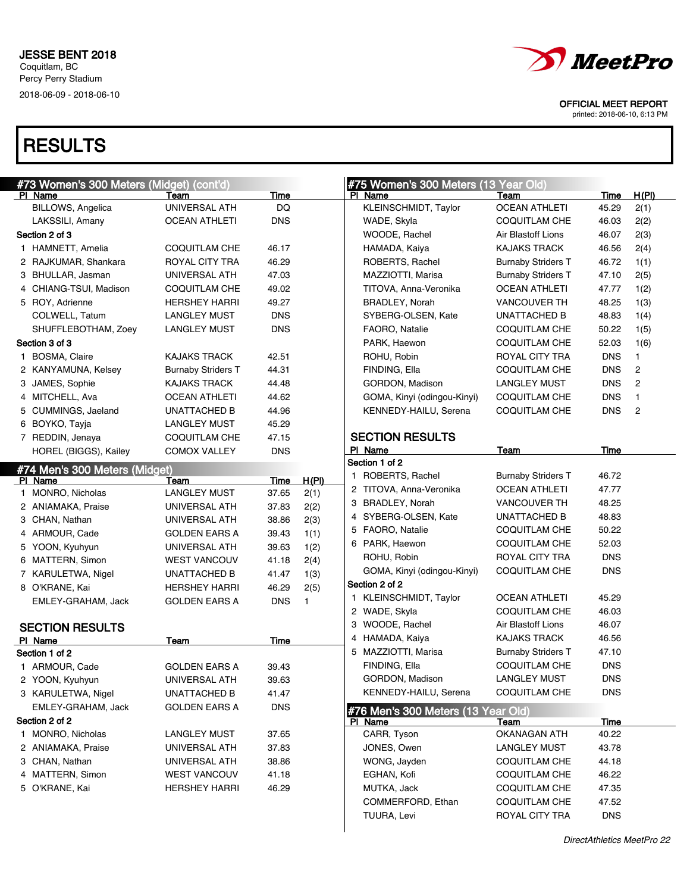

printed: 2018-06-10, 6:13 PM

| #73 Women's 300 Meters (Midget) (cont'd) |                           |             |       | #75 Women's 300 Meters (13 Year Old) |                           |             |                |
|------------------------------------------|---------------------------|-------------|-------|--------------------------------------|---------------------------|-------------|----------------|
| PI Name                                  | Team                      | <b>Time</b> |       | PI Name                              | Team                      | <b>Time</b> | H(PI)          |
| BILLOWS, Angelica                        | UNIVERSAL ATH             | DQ          |       | <b>KLEINSCHMIDT, Taylor</b>          | <b>OCEAN ATHLETI</b>      | 45.29       | 2(1)           |
| LAKSSILI, Amany                          | <b>OCEAN ATHLETI</b>      | <b>DNS</b>  |       | WADE, Skyla                          | <b>COQUITLAM CHE</b>      | 46.03       | 2(2)           |
| Section 2 of 3                           |                           |             |       | WOODE, Rachel                        | Air Blastoff Lions        | 46.07       | 2(3)           |
| 1 HAMNETT, Amelia                        | COQUITLAM CHE             | 46.17       |       | HAMADA, Kaiya                        | <b>KAJAKS TRACK</b>       | 46.56       | 2(4)           |
| 2 RAJKUMAR, Shankara                     | ROYAL CITY TRA            | 46.29       |       | ROBERTS, Rachel                      | <b>Burnaby Striders T</b> | 46.72       | 1(1)           |
| 3 BHULLAR, Jasman                        | UNIVERSAL ATH             | 47.03       |       | MAZZIOTTI, Marisa                    | <b>Burnaby Striders T</b> | 47.10       | 2(5)           |
| 4 CHIANG-TSUI, Madison                   | <b>COQUITLAM CHE</b>      | 49.02       |       | TITOVA, Anna-Veronika                | <b>OCEAN ATHLETI</b>      | 47.77       | 1(2)           |
| 5 ROY, Adrienne                          | <b>HERSHEY HARRI</b>      | 49.27       |       | <b>BRADLEY, Norah</b>                | <b>VANCOUVER TH</b>       | 48.25       | 1(3)           |
| COLWELL, Tatum                           | LANGLEY MUST              | <b>DNS</b>  |       | SYBERG-OLSEN, Kate                   | UNATTACHED B              | 48.83       | 1(4)           |
| SHUFFLEBOTHAM, Zoey                      | <b>LANGLEY MUST</b>       | <b>DNS</b>  |       | FAORO, Natalie                       | <b>COQUITLAM CHE</b>      | 50.22       | 1(5)           |
| Section 3 of 3                           |                           |             |       | PARK, Haewon                         | COQUITLAM CHE             | 52.03       | 1(6)           |
| 1 BOSMA, Claire                          | KAJAKS TRACK              | 42.51       |       | ROHU, Robin                          | ROYAL CITY TRA            | <b>DNS</b>  | $\mathbf{1}$   |
| 2 KANYAMUNA, Kelsey                      | <b>Burnaby Striders T</b> | 44.31       |       | FINDING, Ella                        | COQUITLAM CHE             | <b>DNS</b>  | $\overline{c}$ |
| 3 JAMES, Sophie                          | KAJAKS TRACK              | 44.48       |       | GORDON, Madison                      | <b>LANGLEY MUST</b>       | <b>DNS</b>  | 2              |
| 4 MITCHELL, Ava                          | <b>OCEAN ATHLETI</b>      | 44.62       |       | GOMA, Kinyi (odingou-Kinyi)          | <b>COQUITLAM CHE</b>      | <b>DNS</b>  | $\mathbf{1}$   |
| 5 CUMMINGS, Jaeland                      | UNATTACHED B              | 44.96       |       | KENNEDY-HAILU, Serena                | <b>COQUITLAM CHE</b>      | <b>DNS</b>  | 2              |
| 6 BOYKO, Tayja                           | LANGLEY MUST              | 45.29       |       |                                      |                           |             |                |
| 7 REDDIN, Jenaya                         | <b>COQUITLAM CHE</b>      | 47.15       |       | <b>SECTION RESULTS</b>               |                           |             |                |
| HOREL (BIGGS), Kailey                    | <b>COMOX VALLEY</b>       | <b>DNS</b>  |       | PI Name                              | Team                      | Time        |                |
| #74 Men's 300 Meters (Midget)            |                           |             |       | Section 1 of 2                       |                           |             |                |
| PI Name                                  | Team                      | Time        | H(PI) | 1 ROBERTS, Rachel                    | <b>Burnaby Striders T</b> | 46.72       |                |
| 1 MONRO, Nicholas                        | <b>LANGLEY MUST</b>       | 37.65       | 2(1)  | 2 TITOVA, Anna-Veronika              | <b>OCEAN ATHLETI</b>      | 47.77       |                |
| 2 ANIAMAKA, Praise                       | UNIVERSAL ATH             | 37.83       | 2(2)  | 3 BRADLEY, Norah                     | <b>VANCOUVER TH</b>       | 48.25       |                |
| 3 CHAN, Nathan                           | UNIVERSAL ATH             | 38.86       | 2(3)  | 4 SYBERG-OLSEN, Kate                 | <b>UNATTACHED B</b>       | 48.83       |                |
| 4 ARMOUR, Cade                           | <b>GOLDEN EARS A</b>      | 39.43       | 1(1)  | 5 FAORO, Natalie                     | <b>COQUITLAM CHE</b>      | 50.22       |                |
| 5 YOON, Kyuhyun                          | UNIVERSAL ATH             | 39.63       | 1(2)  | 6 PARK, Haewon                       | <b>COQUITLAM CHE</b>      | 52.03       |                |
| 6 MATTERN, Simon                         | <b>WEST VANCOUV</b>       | 41.18       | 2(4)  | ROHU, Robin                          | ROYAL CITY TRA            | <b>DNS</b>  |                |
| 7 KARULETWA, Nigel                       | <b>UNATTACHED B</b>       | 41.47       | 1(3)  | GOMA, Kinyi (odingou-Kinyi)          | <b>COQUITLAM CHE</b>      | <b>DNS</b>  |                |
| 8 O'KRANE, Kai                           | <b>HERSHEY HARRI</b>      | 46.29       | 2(5)  | Section 2 of 2                       |                           |             |                |
| EMLEY-GRAHAM, Jack                       | <b>GOLDEN EARS A</b>      | <b>DNS</b>  | 1     | 1 KLEINSCHMIDT, Taylor               | <b>OCEAN ATHLETI</b>      | 45.29       |                |
|                                          |                           |             |       | 2 WADE, Skyla                        | <b>COQUITLAM CHE</b>      | 46.03       |                |
| <b>SECTION RESULTS</b>                   |                           |             |       | 3 WOODE, Rachel                      | Air Blastoff Lions        | 46.07       |                |
| PI Name                                  | Team                      | Time        |       | 4 HAMADA, Kaiya                      | <b>KAJAKS TRACK</b>       | 46.56       |                |
| Section 1 of 2                           |                           |             |       | 5 MAZZIOTTI, Marisa                  | <b>Burnaby Striders T</b> | 47.10       |                |
| 1 ARMOUR, Cade                           | <b>GOLDEN EARS A</b>      | 39.43       |       | FINDING, Ella                        | <b>COQUITLAM CHE</b>      | <b>DNS</b>  |                |
| 2 YOON, Kyuhyun                          | UNIVERSAL ATH             | 39.63       |       | GORDON, Madison                      | <b>LANGLEY MUST</b>       | <b>DNS</b>  |                |
| 3 KARULETWA, Nigel                       | UNATTACHED B              | 41.47       |       | KENNEDY-HAILU, Serena                | <b>COQUITLAM CHE</b>      | <b>DNS</b>  |                |
| EMLEY-GRAHAM, Jack                       | <b>GOLDEN EARS A</b>      | <b>DNS</b>  |       | #76 Men's 300 Meters (13 Year Old)   |                           |             |                |
| Section 2 of 2                           |                           |             |       | PI Name                              | Team                      | <b>Time</b> |                |
| 1 MONRO, Nicholas                        | <b>LANGLEY MUST</b>       | 37.65       |       | CARR, Tyson                          | OKANAGAN ATH              | 40.22       |                |
| 2 ANIAMAKA, Praise                       | UNIVERSAL ATH             | 37.83       |       | JONES, Owen                          | <b>LANGLEY MUST</b>       | 43.78       |                |
| 3 CHAN, Nathan                           | UNIVERSAL ATH             | 38.86       |       | WONG, Jayden                         | COQUITLAM CHE             | 44.18       |                |
| 4 MATTERN, Simon                         | <b>WEST VANCOUV</b>       | 41.18       |       | EGHAN, Kofi                          | COQUITLAM CHE             | 46.22       |                |
| 5 O'KRANE, Kai                           | <b>HERSHEY HARRI</b>      | 46.29       |       | MUTKA, Jack                          | COQUITLAM CHE             | 47.35       |                |
|                                          |                           |             |       | COMMERFORD, Ethan                    | COQUITLAM CHE             | 47.52       |                |
|                                          |                           |             |       | TUURA, Levi                          | ROYAL CITY TRA            | <b>DNS</b>  |                |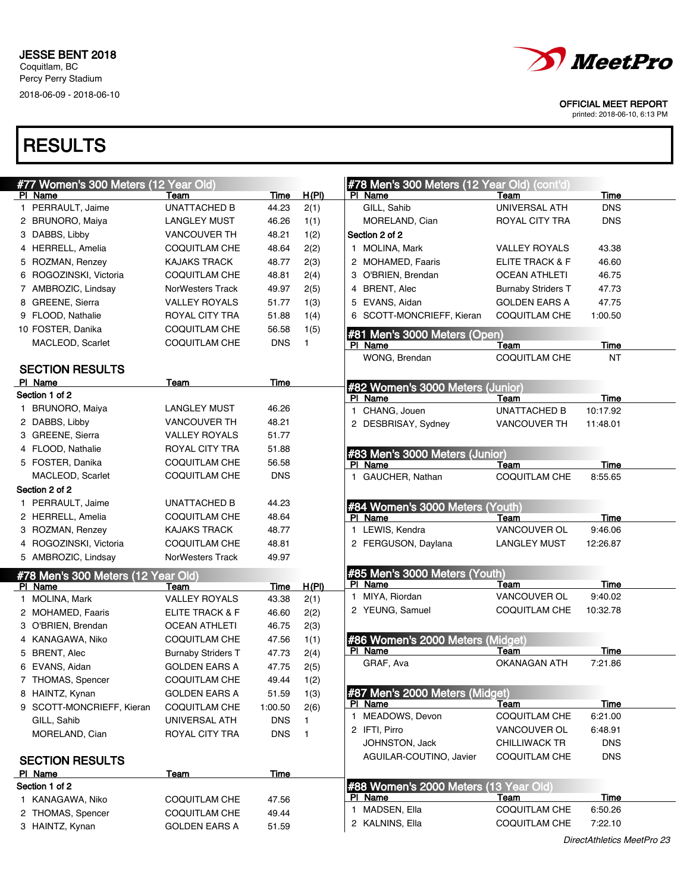

printed: 2018-06-10, 6:13 PM

| #77 Women's 300 Meters (12 Year Old) |                                       |             |              | #78 Men's 300 Meters (12 Year Old) (cont'd)                 |
|--------------------------------------|---------------------------------------|-------------|--------------|-------------------------------------------------------------|
| PI Name                              | Team                                  | <b>Time</b> | <u>H(PI)</u> | PI Name<br>Time<br>Team                                     |
| 1 PERRAULT, Jaime                    | <b>UNATTACHED B</b>                   | 44.23       | 2(1)         | GILL, Sahib<br>UNIVERSAL ATH<br><b>DNS</b>                  |
| 2 BRUNORO, Maiya                     | <b>LANGLEY MUST</b>                   | 46.26       | 1(1)         | <b>DNS</b><br>MORELAND, Cian<br>ROYAL CITY TRA              |
| 3 DABBS, Libby                       | <b>VANCOUVER TH</b>                   | 48.21       | 1(2)         | Section 2 of 2                                              |
| 4 HERRELL, Amelia                    | COQUITLAM CHE                         | 48.64       | 2(2)         | 1 MOLINA, Mark<br>43.38<br><b>VALLEY ROYALS</b>             |
| 5 ROZMAN, Renzey                     | <b>KAJAKS TRACK</b>                   | 48.77       | 2(3)         | 2 MOHAMED, Faaris<br>ELITE TRACK & F<br>46.60               |
| 6 ROGOZINSKI, Victoria               | <b>COQUITLAM CHE</b>                  | 48.81       | 2(4)         | 3 O'BRIEN, Brendan<br><b>OCEAN ATHLETI</b><br>46.75         |
| 7 AMBROZIC, Lindsay                  | <b>NorWesters Track</b>               | 49.97       | 2(5)         | 4 BRENT, Alec<br><b>Burnaby Striders T</b><br>47.73         |
| 8 GREENE, Sierra                     | <b>VALLEY ROYALS</b>                  | 51.77       | 1(3)         | 5 EVANS, Aidan<br><b>GOLDEN EARS A</b><br>47.75             |
| 9 FLOOD, Nathalie                    | ROYAL CITY TRA                        | 51.88       | 1(4)         | 6 SCOTT-MONCRIEFF, Kieran<br>COQUITLAM CHE<br>1:00.50       |
| 10 FOSTER, Danika                    | <b>COQUITLAM CHE</b>                  | 56.58       | 1(5)         | #81 Men's 3000 Meters (Open)                                |
| MACLEOD, Scarlet                     | <b>COQUITLAM CHE</b>                  | <b>DNS</b>  | 1.           | PI Name<br>Time<br>Team                                     |
|                                      |                                       |             |              | WONG, Brendan<br><b>COQUITLAM CHE</b><br>NT                 |
| <b>SECTION RESULTS</b>               |                                       |             |              |                                                             |
| PI Name                              | Team                                  | <b>Time</b> |              | #82 Women's 3000 Meters (Junior)                            |
| Section 1 of 2                       |                                       |             |              | PI Name<br>Time<br>Team                                     |
| 1 BRUNORO, Maiya                     | <b>LANGLEY MUST</b>                   | 46.26       |              | 1 CHANG, Jouen<br><b>UNATTACHED B</b><br>10:17.92           |
| 2 DABBS, Libby                       | <b>VANCOUVER TH</b>                   | 48.21       |              | 2 DESBRISAY, Sydney<br>VANCOUVER TH<br>11:48.01             |
| 3 GREENE, Sierra                     | <b>VALLEY ROYALS</b>                  | 51.77       |              |                                                             |
| 4 FLOOD, Nathalie                    | <b>ROYAL CITY TRA</b>                 | 51.88       |              | #83 Men's 3000 Meters (Junior)                              |
| 5 FOSTER, Danika                     | <b>COQUITLAM CHE</b>                  | 56.58       |              | PI Name<br>Time<br>Team                                     |
| MACLEOD, Scarlet                     | <b>COQUITLAM CHE</b>                  | <b>DNS</b>  |              | 1 GAUCHER, Nathan<br>COQUITLAM CHE<br>8:55.65               |
| Section 2 of 2                       |                                       |             |              |                                                             |
| 1 PERRAULT, Jaime                    | UNATTACHED B                          | 44.23       |              | #84 Women's 3000 Meters (Youth)                             |
| 2 HERRELL, Amelia                    | <b>COQUITLAM CHE</b>                  | 48.64       |              | PI Name<br>Time<br>Team                                     |
| 3 ROZMAN, Renzey                     | <b>KAJAKS TRACK</b>                   | 48.77       |              | 1 LEWIS, Kendra<br>VANCOUVER OL<br>9:46.06                  |
| 4 ROGOZINSKI, Victoria               | <b>COQUITLAM CHE</b>                  | 48.81       |              | 2 FERGUSON, Daylana<br><b>LANGLEY MUST</b><br>12:26.87      |
| 5 AMBROZIC, Lindsay                  | <b>NorWesters Track</b>               | 49.97       |              |                                                             |
| #78 Men's 300 Meters (12 Year Old)   |                                       |             |              | #85 Men's 3000 Meters (Youth)<br>PI Name<br>Time            |
| PI Name                              | Team                                  | <u>Time</u> | H(PI)        | Team<br>VANCOUVER OL<br>1 MIYA, Riordan<br>9:40.02          |
| 1 MOLINA, Mark                       | <b>VALLEY ROYALS</b>                  | 43.38       | 2(1)         | 2 YEUNG, Samuel<br>COQUITLAM CHE<br>10:32.78                |
| 2 MOHAMED, Faaris                    | ELITE TRACK & F                       | 46.60       | 2(2)         |                                                             |
| 3 O'BRIEN, Brendan                   | <b>OCEAN ATHLETI</b>                  | 46.75       | 2(3)         |                                                             |
| 4 KANAGAWA, Niko                     | <b>COQUITLAM CHE</b>                  | 47.56       | 1(1)         | #86 Women's 2000 Meters (Midget)<br>PI Name<br>Team<br>Time |
| 5 BRENT, Alec                        | <b>Burnaby Striders T</b>             | 47.73       | 2(4)         | GRAF, Ava<br><b>OKANAGAN ATH</b><br>7:21.86                 |
| 6 EVANS, Aidan                       | <b>GOLDEN EARS A</b>                  | 47.75       | 2(5)         |                                                             |
| 7 THOMAS, Spencer                    | COQUITLAM CHE                         | 49.44       | 1(2)         | #87 Men's 2000 Meters (Midget)                              |
| 8 HAINTZ, Kynan                      | <b>GOLDEN EARS A</b>                  | 51.59       | 1(3)         | PI Name<br>Time<br>Team                                     |
| 9 SCOTT-MONCRIEFF, Kieran            | <b>COQUITLAM CHE</b><br>UNIVERSAL ATH | 1:00.50     | 2(6)         | 1 MEADOWS, Devon<br><b>COQUITLAM CHE</b><br>6:21.00         |
| GILL, Sahib                          |                                       | <b>DNS</b>  | 1.           | 2 IFTI, Pirro<br>VANCOUVER OL<br>6:48.91                    |
| MORELAND, Cian                       | ROYAL CITY TRA                        | <b>DNS</b>  | $\mathbf{1}$ | <b>DNS</b><br>JOHNSTON, Jack<br><b>CHILLIWACK TR</b>        |
| <b>SECTION RESULTS</b>               |                                       |             |              | <b>DNS</b><br>AGUILAR-COUTINO, Javier<br>COQUITLAM CHE      |
| PI Name                              | Team                                  | Time        |              |                                                             |
| Section 1 of 2                       |                                       |             |              | #88 Women's 2000 Meters (13 Year Old)                       |
| 1 KANAGAWA, Niko                     | COQUITLAM CHE                         | 47.56       |              | PI Name<br><u>Time</u><br>Team                              |
| 2 THOMAS, Spencer                    | COQUITLAM CHE                         | 49.44       |              | 1 MADSEN, Ella<br><b>COQUITLAM CHE</b><br>6:50.26           |
| 3 HAINTZ, Kynan                      | <b>GOLDEN EARS A</b>                  | 51.59       |              | 2 KALNINS, Ella<br><b>COQUITLAM CHE</b><br>7:22.10          |
|                                      |                                       |             |              |                                                             |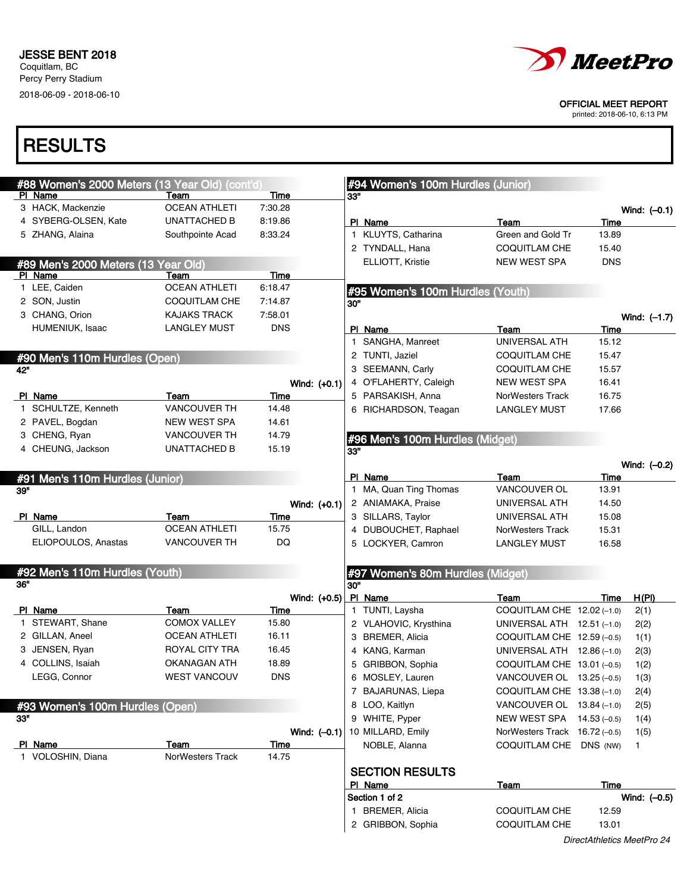

printed: 2018-06-10, 6:13 PM

|     | #88 Women's 2000 Meters (13 Year Old) (cont'd) |                      |             |                |     | #94 Women's 100m Hurdles (Junior) |                               |                            |                |
|-----|------------------------------------------------|----------------------|-------------|----------------|-----|-----------------------------------|-------------------------------|----------------------------|----------------|
|     | PI Name                                        | Team                 | <b>Time</b> |                | 33" |                                   |                               |                            |                |
|     | 3 HACK, Mackenzie                              | <b>OCEAN ATHLETI</b> | 7:30.28     |                |     |                                   |                               |                            | Wind: $(-0.1)$ |
|     | 4 SYBERG-OLSEN, Kate                           | UNATTACHED B         | 8:19.86     |                |     | PI Name                           | Team                          | Time                       |                |
|     | 5 ZHANG, Alaina                                | Southpointe Acad     | 8:33.24     |                |     | 1 KLUYTS, Catharina               | Green and Gold Tr             | 13.89                      |                |
|     |                                                |                      |             |                |     | 2 TYNDALL, Hana                   | <b>COQUITLAM CHE</b>          | 15.40                      |                |
|     | #89 Men's 2000 Meters (13 Year Old)            |                      |             |                |     | ELLIOTT, Kristie                  | <b>NEW WEST SPA</b>           | <b>DNS</b>                 |                |
|     | PI Name                                        | Team                 | Time        |                |     |                                   |                               |                            |                |
|     | 1 LEE, Caiden                                  | <b>OCEAN ATHLETI</b> | 6:18.47     |                |     | #95 Women's 100m Hurdles (Youth)  |                               |                            |                |
|     | 2 SON, Justin                                  | COQUITLAM CHE        | 7:14.87     |                | 30" |                                   |                               |                            |                |
|     | 3 CHANG, Orion                                 | <b>KAJAKS TRACK</b>  | 7:58.01     |                |     |                                   |                               |                            | Wind: (-1.7)   |
|     | HUMENIUK, Isaac                                | <b>LANGLEY MUST</b>  | <b>DNS</b>  |                |     | PI Name                           | Team                          | Time                       |                |
|     |                                                |                      |             |                |     | 1 SANGHA, Manreet                 | UNIVERSAL ATH                 | 15.12                      |                |
|     |                                                |                      |             |                |     | 2 TUNTI, Jaziel                   | COQUITLAM CHE                 | 15.47                      |                |
| 42" | #90 Men's 110m Hurdles (Open)                  |                      |             |                |     | 3 SEEMANN, Carly                  | COQUITLAM CHE                 | 15.57                      |                |
|     |                                                |                      |             | Wind: $(+0.1)$ |     | 4 O'FLAHERTY, Caleigh             | NEW WEST SPA                  | 16.41                      |                |
|     | PI Name                                        | Team                 | Time        |                |     | 5 PARSAKISH, Anna                 | NorWesters Track              | 16.75                      |                |
|     | 1 SCHULTZE, Kenneth                            | <b>VANCOUVER TH</b>  | 14.48       |                |     | 6 RICHARDSON, Teagan              | LANGLEY MUST                  | 17.66                      |                |
|     | 2 PAVEL, Bogdan                                | <b>NEW WEST SPA</b>  | 14.61       |                |     |                                   |                               |                            |                |
|     | 3 CHENG, Ryan                                  | <b>VANCOUVER TH</b>  | 14.79       |                |     |                                   |                               |                            |                |
|     | 4 CHEUNG, Jackson                              | <b>UNATTACHED B</b>  | 15.19       |                |     | #96 Men's 100m Hurdles (Midget)   |                               |                            |                |
|     |                                                |                      |             |                | 33" |                                   |                               |                            |                |
|     |                                                |                      |             |                |     |                                   |                               |                            | Wind: (-0.2)   |
|     | #91 Men's 110m Hurdles (Junior)                |                      |             |                |     | PI Name                           | Team                          | Time                       |                |
| 39" |                                                |                      |             |                |     | 1 MA, Quan Ting Thomas            | VANCOUVER OL                  | 13.91                      |                |
|     |                                                |                      |             | Wind: $(+0.1)$ |     | 2 ANIAMAKA, Praise                | UNIVERSAL ATH                 | 14.50                      |                |
|     | PI Name                                        | Team                 | Time        |                |     | 3 SILLARS, Taylor                 | UNIVERSAL ATH                 | 15.08                      |                |
|     | GILL, Landon                                   | <b>OCEAN ATHLETI</b> | 15.75       |                |     | 4 DUBOUCHET, Raphael              | NorWesters Track              | 15.31                      |                |
|     | ELIOPOULOS, Anastas                            | <b>VANCOUVER TH</b>  | DQ          |                |     | 5 LOCKYER, Camron                 | <b>LANGLEY MUST</b>           | 16.58                      |                |
|     | #92 Men's 110m Hurdles (Youth)                 |                      |             |                |     | #97 Women's 80m Hurdles (Midget)  |                               |                            |                |
| 36" |                                                |                      |             |                | 30" |                                   |                               |                            |                |
|     |                                                |                      |             | Wind: (+0.5)   |     | PI Name                           | Team                          | Time                       | H(PI)          |
|     | PI Name                                        | Team                 | Time        |                |     | 1 TUNTI, Laysha                   | COQUITLAM CHE 12.02 (-1.0)    |                            | 2(1)           |
|     | 1 STEWART, Shane                               | <b>COMOX VALLEY</b>  | 15.80       |                |     | 2 VLAHOVIC, Krysthina             | UNIVERSAL ATH $12.51$ (-1.0)  |                            | 2(2)           |
|     | 2 GILLAN, Aneel                                | <b>OCEAN ATHLETI</b> | 16.11       |                |     | 3 BREMER, Alicia                  | COQUITLAM CHE 12.59 (-0.5)    |                            | 1(1)           |
|     | 3 JENSEN, Ryan                                 | ROYAL CITY TRA       | 16.45       |                |     | 4 KANG, Karman                    | UNIVERSAL ATH 12.86 (-1.0)    |                            | 2(3)           |
|     | 4 COLLINS, Isaiah                              | OKANAGAN ATH         | 18.89       |                |     | 5 GRIBBON, Sophia                 | COQUITLAM CHE 13.01 (-0.5)    |                            | 1(2)           |
|     | LEGG, Connor                                   | <b>WEST VANCOUV</b>  | <b>DNS</b>  |                |     | 6 MOSLEY, Lauren                  | VANCOUVER OL 13.25 (-0.5)     |                            | 1(3)           |
|     |                                                |                      |             |                |     | 7 BAJARUNAS, Liepa                | COQUITLAM CHE 13.38 (-1.0)    |                            | 2(4)           |
|     | #93 Women's 100m Hurdles (Open)                |                      |             |                |     | 8 LOO, Kaitlyn                    | VANCOUVER OL 13.84 (-1.0)     |                            | 2(5)           |
| 33" |                                                |                      |             |                |     | 9 WHITE, Pyper                    | NEW WEST SPA 14.53 (-0.5)     |                            | 1(4)           |
|     |                                                |                      |             | Wind: $(-0.1)$ |     | 10 MILLARD, Emily                 | NorWesters Track 16.72 (-0.5) |                            | 1(5)           |
|     | PI Name                                        | Team                 | Time        |                |     | NOBLE, Alanna                     | COQUITLAM CHE DNS (NW)        |                            | 1              |
|     | 1 VOLOSHIN, Diana                              | NorWesters Track     | 14.75       |                |     |                                   |                               |                            |                |
|     |                                                |                      |             |                |     | <b>SECTION RESULTS</b>            |                               |                            |                |
|     |                                                |                      |             |                |     | PI Name                           | Team                          | Time                       |                |
|     |                                                |                      |             |                |     | Section 1 of 2                    |                               |                            | Wind: (-0.5)   |
|     |                                                |                      |             |                |     | 1 BREMER, Alicia                  | COQUITLAM CHE                 | 12.59                      |                |
|     |                                                |                      |             |                |     | 2 GRIBBON, Sophia                 | <b>COQUITLAM CHE</b>          |                            |                |
|     |                                                |                      |             |                |     |                                   |                               | 13.01                      |                |
|     |                                                |                      |             |                |     |                                   |                               | DirectAthletics MeetPro 24 |                |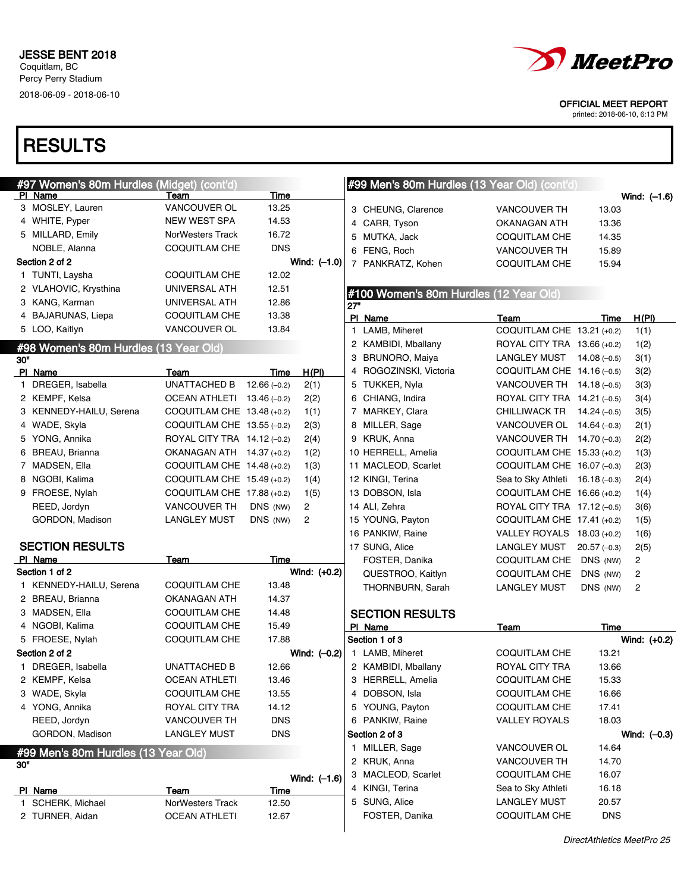

printed: 2018-06-10, 6:13 PM

|     | #97 Women's 80m Hurdles (Midget) (cont'd) |                              |               |                |     | #99 Men's 80m Hurdles (13 Year Old) (cont'd) |                                  |               |                |
|-----|-------------------------------------------|------------------------------|---------------|----------------|-----|----------------------------------------------|----------------------------------|---------------|----------------|
|     | PI Name                                   | Team                         | Time          |                |     |                                              |                                  |               | Wind: $(-1.6)$ |
|     | 3 MOSLEY, Lauren                          | <b>VANCOUVER OL</b>          | 13.25         |                |     | 3 CHEUNG, Clarence                           | <b>VANCOUVER TH</b>              | 13.03         |                |
|     | 4 WHITE, Pyper                            | NEW WEST SPA                 | 14.53         |                |     | 4 CARR, Tyson                                | OKANAGAN ATH                     | 13.36         |                |
|     | 5 MILLARD, Emily                          | NorWesters Track             | 16.72         |                |     | 5 MUTKA, Jack                                | COQUITLAM CHE                    | 14.35         |                |
|     | NOBLE, Alanna                             | <b>COQUITLAM CHE</b>         | <b>DNS</b>    |                |     | 6 FENG, Roch                                 | <b>VANCOUVER TH</b>              | 15.89         |                |
|     | Section 2 of 2                            |                              |               | Wind: $(-1.0)$ |     | 7 PANKRATZ, Kohen                            | COQUITLAM CHE                    | 15.94         |                |
|     | 1 TUNTI, Laysha                           | COQUITLAM CHE                | 12.02         |                |     |                                              |                                  |               |                |
|     | 2 VLAHOVIC, Krysthina                     | UNIVERSAL ATH                | 12.51         |                |     | #100 Women's 80m Hurdles (12 Year Old)       |                                  |               |                |
|     | 3 KANG, Karman                            | UNIVERSAL ATH                | 12.86         |                | 27" |                                              |                                  |               |                |
|     | 4 BAJARUNAS, Liepa                        | COQUITLAM CHE                | 13.38         |                |     | PI Name                                      | Team                             | Time          | H(PI)          |
|     | 5 LOO, Kaitlyn                            | VANCOUVER OL                 | 13.84         |                |     | 1 LAMB, Miheret                              | COQUITLAM CHE 13.21 (+0.2)       |               | 1(1)           |
|     | #98 Women's 80m Hurdles (13 Year Old)     |                              |               |                |     | 2 KAMBIDI, Mballany                          | ROYAL CITY TRA 13.66 (+0.2)      |               | 1(2)           |
| 30" |                                           |                              |               |                |     | 3 BRUNORO, Maiya                             | LANGLEY MUST $14.08$ (-0.5)      |               | 3(1)           |
|     | PI Name                                   | Team                         | Time          | H(PI)          |     | 4 ROGOZINSKI, Victoria                       | COQUITLAM CHE 14.16 (-0.5)       |               | 3(2)           |
|     | 1 DREGER, Isabella                        | <b>UNATTACHED B</b>          | $12.66(-0.2)$ | 2(1)           |     | 5 TUKKER, Nyla                               | VANCOUVER TH $14.18(-0.5)$       |               | 3(3)           |
|     | 2 KEMPF, Kelsa                            | OCEAN ATHLETI $13.46(-0.2)$  |               | 2(2)           |     | 6 CHIANG, Indira                             | ROYAL CITY TRA 14.21 (-0.5)      |               | 3(4)           |
|     | 3 KENNEDY-HAILU, Serena                   | COQUITLAM CHE $13.48$ (+0.2) |               | 1(1)           |     | 7 MARKEY, Clara                              | CHILLIWACK TR $14.24 (-0.5)$     |               | 3(5)           |
|     | 4 WADE, Skyla                             | COQUITLAM CHE 13.55 (-0.2)   |               | 2(3)           |     | 8 MILLER, Sage                               | VANCOUVER OL $14.64$ (-0.3)      |               | 2(1)           |
|     | 5 YONG, Annika                            | ROYAL CITY TRA 14.12 (-0.2)  |               | 2(4)           |     | 9 KRUK, Anna                                 | VANCOUVER TH 14.70 (-0.3)        |               | 2(2)           |
|     | 6 BREAU, Brianna                          | OKANAGAN ATH 14.37 (+0.2)    |               | 1(2)           |     | 10 HERRELL, Amelia                           | COQUITLAM CHE 15.33 (+0.2)       |               | 1(3)           |
|     | 7 MADSEN, Ella                            | COQUITLAM CHE 14.48 (+0.2)   |               | 1(3)           |     | 11 MACLEOD, Scarlet                          | COQUITLAM CHE 16.07 (-0.3)       |               | 2(3)           |
|     | 8 NGOBI, Kalima                           | COQUITLAM CHE 15.49 (+0.2)   |               | 1(4)           |     | 12 KINGI, Terina                             | Sea to Sky Athleti $16.18(-0.3)$ |               | 2(4)           |
|     | 9 FROESE, Nylah                           | COQUITLAM CHE 17.88 (+0.2)   |               | 1(5)           |     | 13 DOBSON, Isla                              | COQUITLAM CHE 16.66 (+0.2)       |               | 1(4)           |
|     | REED, Jordyn                              | VANCOUVER TH                 | DNS (NW)      | 2              |     | 14 ALI, Zehra                                | ROYAL CITY TRA 17.12 (-0.5)      |               | 3(6)           |
|     | GORDON, Madison                           | LANGLEY MUST                 | DNS (NW)      | $\overline{2}$ |     | 15 YOUNG, Payton                             | COQUITLAM CHE 17.41 (+0.2)       |               | 1(5)           |
|     |                                           |                              |               |                |     | 16 PANKIW, Raine                             | VALLEY ROYALS 18.03 (+0.2)       |               | 1(6)           |
|     | <b>SECTION RESULTS</b>                    |                              |               |                |     | 17 SUNG, Alice                               | LANGLEY MUST                     | $20.57(-0.3)$ | 2(5)           |
|     | PI Name                                   | Team                         | Time          |                |     | FOSTER, Danika                               | COQUITLAM CHE                    | DNS (NW)      | $\overline{c}$ |
|     | Section 1 of 2                            |                              |               | Wind: $(+0.2)$ |     | QUESTROO, Kaitlyn                            | <b>COQUITLAM CHE</b>             | DNS (NW)      | 2              |
|     | 1 KENNEDY-HAILU, Serena                   | COQUITLAM CHE                | 13.48         |                |     | THORNBURN, Sarah                             | <b>LANGLEY MUST</b>              | DNS (NW)      | 2              |
|     | 2 BREAU, Brianna                          | OKANAGAN ATH                 | 14.37         |                |     |                                              |                                  |               |                |
|     | 3 MADSEN, Ella                            | COQUITLAM CHE                | 14.48         |                |     | <b>SECTION RESULTS</b>                       |                                  |               |                |
|     | 4 NGOBI, Kalima                           | COQUITLAM CHE                | 15.49         |                |     | PI Name                                      | Team                             | Time          |                |
|     | 5 FROESE, Nylah                           | COQUITLAM CHE                | 17.88         |                |     | Section 1 of 3                               |                                  |               | Wind: $(+0.2)$ |
|     | Section 2 of 2                            |                              |               | Wind: $(-0.2)$ |     | 1 LAMB, Miheret                              | COQUITLAM CHE                    | 13.21         |                |
|     | 1 DREGER, Isabella                        | <b>UNATTACHED B</b>          | 12.66         |                |     | 2 KAMBIDI, Mballany                          | ROYAL CITY TRA                   | 13.66         |                |
|     | 2 KEMPF, Kelsa                            | <b>OCEAN ATHLETI</b>         | 13.46         |                |     | 3 HERRELL, Amelia                            | COQUITLAM CHE                    | 15.33         |                |
|     | 3 WADE, Skyla                             | COQUITLAM CHE                | 13.55         |                |     | 4 DOBSON, Isla                               | COQUITLAM CHE                    | 16.66         |                |
|     | 4 YONG, Annika                            | ROYAL CITY TRA               | 14.12         |                |     | 5 YOUNG, Payton                              | COQUITLAM CHE                    | 17.41         |                |
|     | REED, Jordyn                              | VANCOUVER TH                 | <b>DNS</b>    |                |     | 6 PANKIW, Raine                              | <b>VALLEY ROYALS</b>             | 18.03         |                |
|     | GORDON, Madison                           | <b>LANGLEY MUST</b>          | <b>DNS</b>    |                |     | Section 2 of 3                               |                                  |               | Wind: $(-0.3)$ |
|     | #99 Men's 80m Hurdles (13 Year Old)       |                              |               |                |     | 1 MILLER, Sage                               | VANCOUVER OL                     | 14.64         |                |
| 30" |                                           |                              |               |                |     | 2 KRUK, Anna                                 | VANCOUVER TH                     | 14.70         |                |
|     |                                           |                              |               | Wind: $(-1.6)$ |     | 3 MACLEOD, Scarlet                           | COQUITLAM CHE                    | 16.07         |                |
|     | PI Name                                   | Team                         | <b>Time</b>   |                |     | 4 KINGI, Terina                              | Sea to Sky Athleti               | 16.18         |                |
|     | 1 SCHERK, Michael                         | NorWesters Track             | 12.50         |                |     | 5 SUNG, Alice                                | <b>LANGLEY MUST</b>              | 20.57         |                |
|     | 2 TURNER, Aidan                           | <b>OCEAN ATHLETI</b>         | 12.67         |                |     | FOSTER, Danika                               | COQUITLAM CHE                    | <b>DNS</b>    |                |
|     |                                           |                              |               |                |     |                                              |                                  |               |                |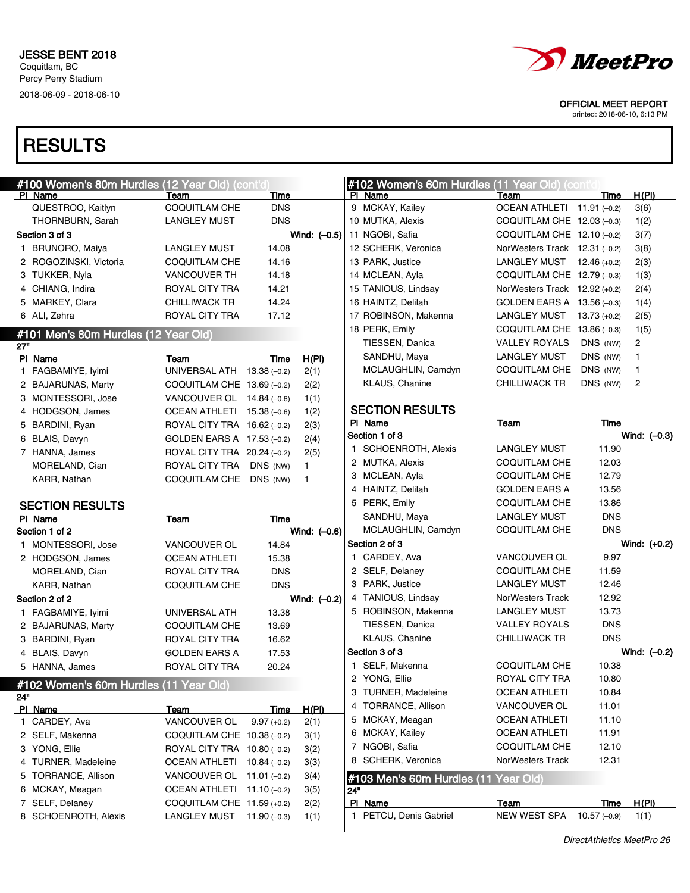

printed: 2018-06-10, 6:13 PM

|     | #100 Women's 80m Hurdles (12 Year Old) (cont'd) |                             |              |                | #102 Women's 60m Hurdles (11 Year Old) (cont'd) |                                 |                       |                |
|-----|-------------------------------------------------|-----------------------------|--------------|----------------|-------------------------------------------------|---------------------------------|-----------------------|----------------|
|     | PI Name                                         | Team                        | Time         |                | PI Name                                         | Team                            | Time                  | H(PI)          |
|     | QUESTROO, Kaitlyn                               | <b>COQUITLAM CHE</b>        | <b>DNS</b>   |                | 9 MCKAY, Kailey                                 | OCEAN ATHLETI 11.91 (-0.2)      |                       | 3(6)           |
|     | THORNBURN, Sarah                                | <b>LANGLEY MUST</b>         | <b>DNS</b>   |                | 10 MUTKA, Alexis                                | COQUITLAM CHE $12.03$ (-0.3)    |                       | 1(2)           |
|     | Section 3 of 3                                  |                             |              | Wind: $(-0.5)$ | 11 NGOBI, Safia                                 | COQUITLAM CHE $12.10$ (-0.2)    |                       | 3(7)           |
|     | 1 BRUNORO, Maiya                                | <b>LANGLEY MUST</b>         | 14.08        |                | 12 SCHERK, Veronica                             | NorWesters Track $12.31(-0.2)$  |                       | 3(8)           |
|     | 2 ROGOZINSKI, Victoria                          | COQUITLAM CHE               | 14.16        |                | 13 PARK, Justice                                | LANGLEY MUST $12.46 (+0.2)$     |                       | 2(3)           |
|     | 3 TUKKER, Nyla                                  | <b>VANCOUVER TH</b>         | 14.18        |                | 14 MCLEAN, Ayla                                 | COQUITLAM CHE $12.79(-0.3)$     |                       | 1(3)           |
|     | 4 CHIANG, Indira                                | ROYAL CITY TRA              | 14.21        |                | 15 TANIOUS, Lindsay                             | NorWesters Track $12.92$ (+0.2) |                       | 2(4)           |
|     | 5 MARKEY, Clara                                 | <b>CHILLIWACK TR</b>        | 14.24        |                | 16 HAINTZ, Delilah                              | GOLDEN EARS A 13.56 (-0.3)      |                       | 1(4)           |
|     | 6 ALI, Zehra                                    | ROYAL CITY TRA              | 17.12        |                | 17 ROBINSON, Makenna                            | LANGLEY MUST 13.73 (+0.2)       |                       | 2(5)           |
|     | #101 Men's 80m Hurdles (12 Year Old)            |                             |              |                | 18 PERK, Emily                                  | COQUITLAM CHE $13.86(-0.3)$     |                       | 1(5)           |
| 27" |                                                 |                             |              |                | TIESSEN, Danica                                 | <b>VALLEY ROYALS</b>            | DNS (NW)              | $\overline{c}$ |
|     | PI Name                                         | Team                        | Time         | H(PI)          | SANDHU, Maya                                    | LANGLEY MUST                    | DNS (NW)              | $\mathbf{1}$   |
|     | 1 FAGBAMIYE, Iyimi                              | UNIVERSAL ATH 13.38 (-0.2)  |              | 2(1)           | MCLAUGHLIN, Camdyn                              | COQUITLAM CHE                   | DNS (NW)              | $\mathbf{1}$   |
|     | 2 BAJARUNAS, Marty                              | COQUITLAM CHE 13.69 (-0.2)  |              | 2(2)           | KLAUS, Chanine                                  | <b>CHILLIWACK TR</b>            | DNS (NW)              | $\overline{c}$ |
|     | 3 MONTESSORI, Jose                              | VANCOUVER OL $14.84$ (-0.6) |              | 1(1)           |                                                 |                                 |                       |                |
|     | 4 HODGSON, James                                | OCEAN ATHLETI $15.38(-0.6)$ |              | 1(2)           | <b>SECTION RESULTS</b>                          |                                 |                       |                |
|     | 5 BARDINI, Ryan                                 | ROYAL CITY TRA 16.62 (-0.2) |              | 2(3)           | PI Name                                         | Team                            | Time                  |                |
|     | 6 BLAIS, Davyn                                  | GOLDEN EARS A 17.53 (-0.2)  |              | 2(4)           | Section 1 of 3                                  |                                 |                       | Wind: $(-0.3)$ |
|     | 7 HANNA, James                                  | ROYAL CITY TRA 20.24 (-0.2) |              | 2(5)           | 1 SCHOENROTH, Alexis                            | <b>LANGLEY MUST</b>             | 11.90                 |                |
|     | MORELAND, Cian                                  | ROYAL CITY TRA              | DNS (NW)     | 1.             | 2 MUTKA, Alexis                                 | COQUITLAM CHE                   | 12.03                 |                |
|     | KARR, Nathan                                    | COQUITLAM CHE DNS (NW)      |              | $\mathbf{1}$   | 3 MCLEAN, Ayla                                  | <b>COQUITLAM CHE</b>            | 12.79                 |                |
|     |                                                 |                             |              |                | 4 HAINTZ, Delilah                               | <b>GOLDEN EARS A</b>            | 13.56                 |                |
|     | <b>SECTION RESULTS</b>                          |                             |              |                | 5 PERK, Emily                                   | COQUITLAM CHE                   | 13.86                 |                |
|     | PI Name                                         | <b>Team</b>                 |              |                | SANDHU, Maya                                    | <b>LANGLEY MUST</b>             | <b>DNS</b>            |                |
|     |                                                 |                             | Time         |                |                                                 |                                 |                       |                |
|     | Section 1 of 2                                  |                             |              | Wind: (-0.6)   | MCLAUGHLIN, Camdyn                              | <b>COQUITLAM CHE</b>            | <b>DNS</b>            |                |
|     | 1 MONTESSORI, Jose                              | VANCOUVER OL                | 14.84        |                | Section 2 of 3                                  |                                 |                       | Wind: (+0.2)   |
|     | 2 HODGSON, James                                | <b>OCEAN ATHLETI</b>        | 15.38        |                | 1 CARDEY, Ava                                   | <b>VANCOUVER OL</b>             | 9.97                  |                |
|     | MORELAND, Cian                                  | ROYAL CITY TRA              | <b>DNS</b>   |                | 2 SELF, Delaney                                 | COQUITLAM CHE                   | 11.59                 |                |
|     | KARR, Nathan                                    | COQUITLAM CHE               | <b>DNS</b>   |                | 3 PARK, Justice                                 | <b>LANGLEY MUST</b>             | 12.46                 |                |
|     | Section 2 of 2                                  |                             |              | Wind: $(-0.2)$ | 4 TANIOUS, Lindsay                              | <b>NorWesters Track</b>         | 12.92                 |                |
|     | 1 FAGBAMIYE, Iyimi                              | UNIVERSAL ATH               | 13.38        |                | 5 ROBINSON, Makenna                             | <b>LANGLEY MUST</b>             | 13.73                 |                |
|     | 2 BAJARUNAS, Marty                              | <b>COQUITLAM CHE</b>        | 13.69        |                | TIESSEN, Danica                                 | <b>VALLEY ROYALS</b>            | <b>DNS</b>            |                |
|     | 3 BARDINI, Ryan                                 | ROYAL CITY TRA              | 16.62        |                | KLAUS, Chanine                                  | <b>CHILLIWACK TR</b>            | <b>DNS</b>            |                |
|     | 4 BLAIS, Davyn                                  | <b>GOLDEN EARS A</b>        | 17.53        |                | Section 3 of 3                                  |                                 |                       | Wind: $(-0.2)$ |
|     | 5 HANNA, James                                  | ROYAL CITY TRA              | 20.24        |                | 1 SELF, Makenna                                 | <b>COQUITLAM CHE</b>            | 10.38                 |                |
|     |                                                 |                             |              |                | 2 YONG, Ellie                                   | ROYAL CITY TRA                  | 10.80                 |                |
| 24" | #102 Women's 60m Hurdles (11 Year Old)          |                             |              |                | 3 TURNER, Madeleine                             | <b>OCEAN ATHLETI</b>            | 10.84                 |                |
|     | PI Name                                         | Team                        | Time         | <u>H(PI)</u>   | 4 TORRANCE, Allison                             | VANCOUVER OL                    | 11.01                 |                |
|     | 1 CARDEY, Ava                                   | VANCOUVER OL                | $9.97(+0.2)$ | 2(1)           | 5 MCKAY, Meagan                                 | <b>OCEAN ATHLETI</b>            | 11.10                 |                |
|     | 2 SELF, Makenna                                 | COQUITLAM CHE 10.38 (-0.2)  |              | 3(1)           | 6 MCKAY, Kailey                                 | <b>OCEAN ATHLETI</b>            | 11.91                 |                |
|     | 3 YONG, Ellie                                   | ROYAL CITY TRA 10.80 (-0.2) |              | 3(2)           | 7 NGOBI, Safia                                  | <b>COQUITLAM CHE</b>            | 12.10                 |                |
|     | 4 TURNER, Madeleine                             | OCEAN ATHLETI 10.84 (-0.2)  |              | 3(3)           | SCHERK, Veronica<br>8                           | NorWesters Track                | 12.31                 |                |
|     | 5 TORRANCE, Allison                             | VANCOUVER OL $11.01$ (-0.2) |              | 3(4)           | #103 Men's 60m Hurdles (11 Year Old)            |                                 |                       |                |
|     | 6 MCKAY, Meagan                                 | OCEAN ATHLETI 11.10 (-0.2)  |              | 3(5)           | 24"                                             |                                 |                       |                |
|     | 7 SELF, Delaney<br>8 SCHOENROTH, Alexis         | COQUITLAM CHE 11.59 (+0.2)  |              | 2(2)           | PI Name<br>1 PETCU, Denis Gabriel               | Team<br>NEW WEST SPA            | Time<br>$10.57(-0.9)$ | H(PI)<br>1(1)  |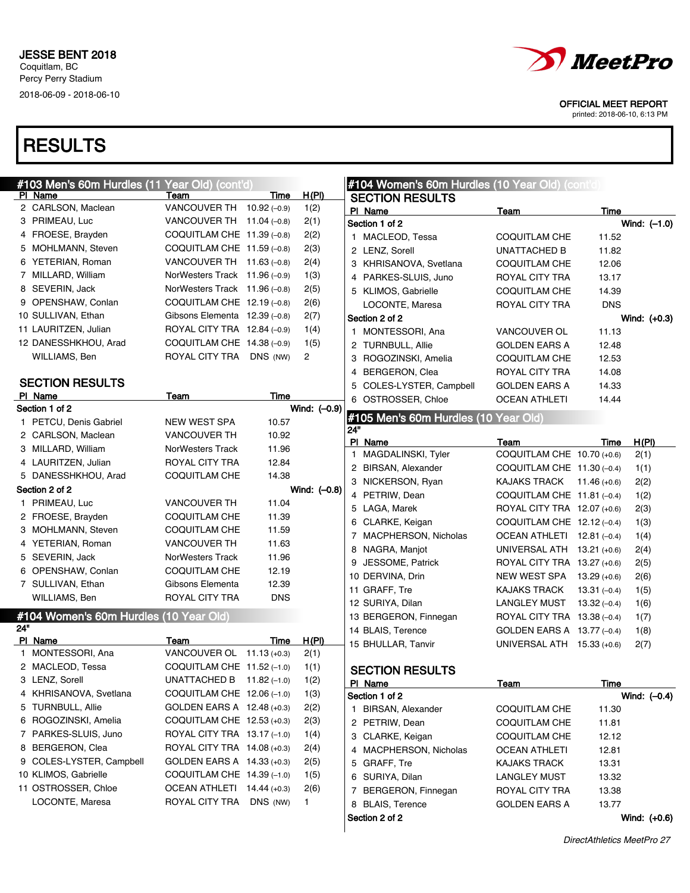## **RESULTS**



OFFICIAL MEET REPORT

*MeetPro* 

printed: 2018-06-10, 6:13 PM

DirectAthletics MeetPro 27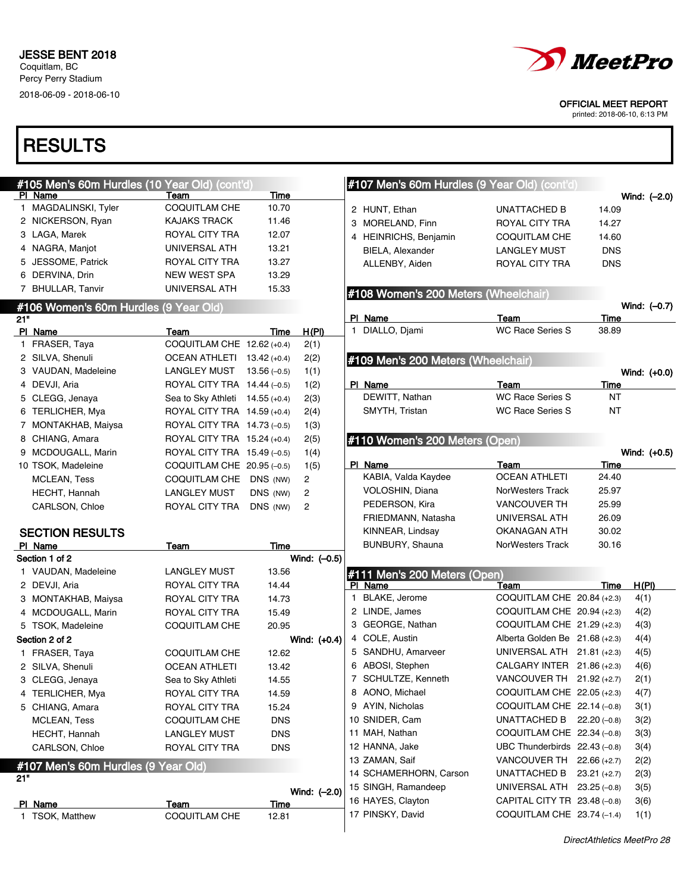

printed: 2018-06-10, 6:13 PM

|     | #105 Men's 60m Hurdles (10 Year Old) (cont'd) |                                 |             |                | #107 Men's 60m Hurdles (9 Year Old) (cont'd) |                                |            |                |
|-----|-----------------------------------------------|---------------------------------|-------------|----------------|----------------------------------------------|--------------------------------|------------|----------------|
|     | PI Name                                       | Team                            | <b>Time</b> |                |                                              |                                |            | Wind: $(-2.0)$ |
|     | 1 MAGDALINSKI, Tyler                          | <b>COQUITLAM CHE</b>            | 10.70       |                | 2 HUNT, Ethan                                | <b>UNATTACHED B</b>            | 14.09      |                |
|     | 2 NICKERSON, Ryan                             | <b>KAJAKS TRACK</b>             | 11.46       |                | 3 MORELAND, Finn                             | ROYAL CITY TRA                 | 14.27      |                |
|     | 3 LAGA, Marek                                 | ROYAL CITY TRA                  | 12.07       |                | 4 HEINRICHS, Benjamin                        | COQUITLAM CHE                  | 14.60      |                |
|     | 4 NAGRA, Manjot                               | UNIVERSAL ATH                   | 13.21       |                | BIELA, Alexander                             | <b>LANGLEY MUST</b>            | <b>DNS</b> |                |
|     | 5 JESSOME, Patrick                            | ROYAL CITY TRA                  | 13.27       |                | ALLENBY, Aiden                               | ROYAL CITY TRA                 | <b>DNS</b> |                |
|     | 6 DERVINA, Drin                               | <b>NEW WEST SPA</b>             | 13.29       |                |                                              |                                |            |                |
|     | 7 BHULLAR, Tanvir                             | UNIVERSAL ATH                   | 15.33       |                | #108 Women's 200 Meters (Wheelchair)         |                                |            |                |
|     | #106 Women's 60m Hurdles (9 Year Old)         |                                 |             |                |                                              |                                |            | Wind: (-0.7)   |
| 21" |                                               |                                 |             |                | PI Name                                      | Team                           | Time       |                |
|     | PI Name                                       | Team                            | Time        | H(PI)          | 1 DIALLO, Djami                              | <b>WC Race Series S</b>        | 38.89      |                |
|     | 1 FRASER, Taya                                | COQUITLAM CHE 12.62 (+0.4)      |             | 2(1)           |                                              |                                |            |                |
|     | 2 SILVA, Shenuli                              | OCEAN ATHLETI 13.42 (+0.4)      |             | 2(2)           | #109 Men's 200 Meters (Wheelchair)           |                                |            |                |
|     | 3 VAUDAN, Madeleine                           | LANGLEY MUST $13.56 (-0.5)$     |             | 1(1)           |                                              |                                |            | Wind: (+0.0)   |
|     | 4 DEVJI, Aria                                 | ROYAL CITY TRA 14.44 (-0.5)     |             | 1(2)           | PI Name                                      | Team                           | Time       |                |
|     | 5 CLEGG, Jenaya                               | Sea to Sky Athleti 14.55 (+0.4) |             | 2(3)           | DEWITT, Nathan                               | <b>WC Race Series S</b>        | ΝT         |                |
|     | 6 TERLICHER, Mya                              | ROYAL CITY TRA 14.59 (+0.4)     |             | 2(4)           | SMYTH, Tristan                               | <b>WC Race Series S</b>        | <b>NT</b>  |                |
|     | 7 MONTAKHAB, Maiysa                           | ROYAL CITY TRA 14.73 (-0.5)     |             | 1(3)           |                                              |                                |            |                |
|     | 8 CHIANG, Amara                               | ROYAL CITY TRA 15.24 (+0.4)     |             | 2(5)           | #110 Women's 200 Meters (Open)               |                                |            |                |
|     | 9 MCDOUGALL, Marin                            | ROYAL CITY TRA 15.49 (-0.5)     |             | 1(4)           |                                              |                                |            | Wind: (+0.5)   |
|     | 10 TSOK, Madeleine                            | COQUITLAM CHE $20.95(-0.5)$     |             | 1(5)           | PI Name                                      | Team                           | Time       |                |
|     | <b>MCLEAN, Tess</b>                           | COQUITLAM CHE DNS (NW)          |             | 2              | KABIA, Valda Kaydee                          | <b>OCEAN ATHLETI</b>           | 24.40      |                |
|     | HECHT, Hannah                                 | <b>LANGLEY MUST</b>             | DNS (NW)    | $\overline{c}$ | VOLOSHIN, Diana                              | NorWesters Track               | 25.97      |                |
|     | CARLSON, Chloe                                | ROYAL CITY TRA                  | DNS (NW)    | 2              | PEDERSON, Kira                               | <b>VANCOUVER TH</b>            | 25.99      |                |
|     |                                               |                                 |             |                | FRIEDMANN, Natasha                           | UNIVERSAL ATH                  | 26.09      |                |
|     | <b>SECTION RESULTS</b>                        |                                 |             |                | KINNEAR, Lindsay                             | OKANAGAN ATH                   | 30.02      |                |
|     | PI Name                                       | Team                            | Time        |                | BUNBURY, Shauna                              | NorWesters Track               | 30.16      |                |
|     | Section 1 of 2                                |                                 |             | Wind: (-0.5)   |                                              |                                |            |                |
|     | 1 VAUDAN, Madeleine                           | <b>LANGLEY MUST</b>             | 13.56       |                | #111 Men's 200 Meters (Open)                 |                                |            |                |
|     | 2 DEVJI, Aria                                 | ROYAL CITY TRA                  | 14.44       |                | PI Name                                      | Team                           | Time       | H(PI)          |
|     | 3 MONTAKHAB, Maiysa                           | ROYAL CITY TRA                  | 14.73       |                | 1 BLAKE, Jerome                              | COQUITLAM CHE 20.84 (+2.3)     |            | 4(1)           |
|     | 4 MCDOUGALL, Marin                            | ROYAL CITY TRA                  | 15.49       |                | 2 LINDE, James                               | COQUITLAM CHE $20.94$ (+2.3)   |            | 4(2)           |
|     | 5 TSOK, Madeleine                             | <b>COQUITLAM CHE</b>            | 20.95       |                | 3 GEORGE, Nathan                             | COQUITLAM CHE 21.29 (+2.3)     |            | 4(3)           |
|     | Section 2 of 2                                |                                 |             | Wind: $(+0.4)$ | 4 COLE, Austin                               | Alberta Golden Be 21.68 (+2.3) |            | 4(4)           |
|     | 1 FRASER, Taya                                | <b>COQUITLAM CHE</b>            | 12.62       |                | 5 SANDHU, Amarveer                           | UNIVERSAL ATH 21.81 (+2.3)     |            | 4(5)           |
|     | 2 SILVA, Shenuli                              | <b>OCEAN ATHLETI</b>            | 13.42       |                | 6 ABOSI, Stephen                             | CALGARY INTER 21.86 (+2.3)     |            | 4(6)           |
|     | 3 CLEGG, Jenaya                               | Sea to Sky Athleti              | 14.55       |                | 7 SCHULTZE, Kenneth                          | VANCOUVER TH 21.92 (+2.7)      |            | 2(1)           |
|     | 4 TERLICHER, Mya                              | ROYAL CITY TRA                  | 14.59       |                | 8 AONO, Michael                              | COQUITLAM CHE 22.05 (+2.3)     |            | 4(7)           |
|     | 5 CHIANG, Amara                               | ROYAL CITY TRA                  | 15.24       |                | 9 AYIN, Nicholas                             | COQUITLAM CHE 22.14 (-0.8)     |            | 3(1)           |
|     | <b>MCLEAN, Tess</b>                           | COQUITLAM CHE                   | <b>DNS</b>  |                | 10 SNIDER, Cam                               | UNATTACHED B $22.20 (-0.8)$    |            | 3(2)           |
|     | HECHT, Hannah                                 | <b>LANGLEY MUST</b>             | <b>DNS</b>  |                | 11 MAH, Nathan                               | COQUITLAM CHE 22.34 (-0.8)     |            | 3(3)           |
|     | CARLSON, Chloe                                | ROYAL CITY TRA                  | <b>DNS</b>  |                | 12 HANNA, Jake                               | UBC Thunderbirds 22.43 (-0.8)  |            | 3(4)           |
|     | #107 Men's 60m Hurdles (9 Year Old)           |                                 |             |                | 13 ZAMAN, Saif                               | VANCOUVER TH 22.66 (+2.7)      |            | 2(2)           |
| 21" |                                               |                                 |             |                | 14 SCHAMERHORN, Carson                       | UNATTACHED B 23.21 (+2.7)      |            | 2(3)           |
|     |                                               |                                 |             | Wind: (-2.0)   | 15 SINGH, Ramandeep                          | UNIVERSAL ATH 23.25 (-0.8)     |            | 3(5)           |
|     | PI Name                                       | Team                            | Time        |                | 16 HAYES, Clayton                            | CAPITAL CITY TR 23.48 (-0.8)   |            | 3(6)           |
|     | 1 TSOK, Matthew                               | COQUITLAM CHE                   | 12.81       |                | 17 PINSKY, David                             | COQUITLAM CHE 23.74 (-1.4)     |            | 1(1)           |
|     |                                               |                                 |             |                |                                              |                                |            |                |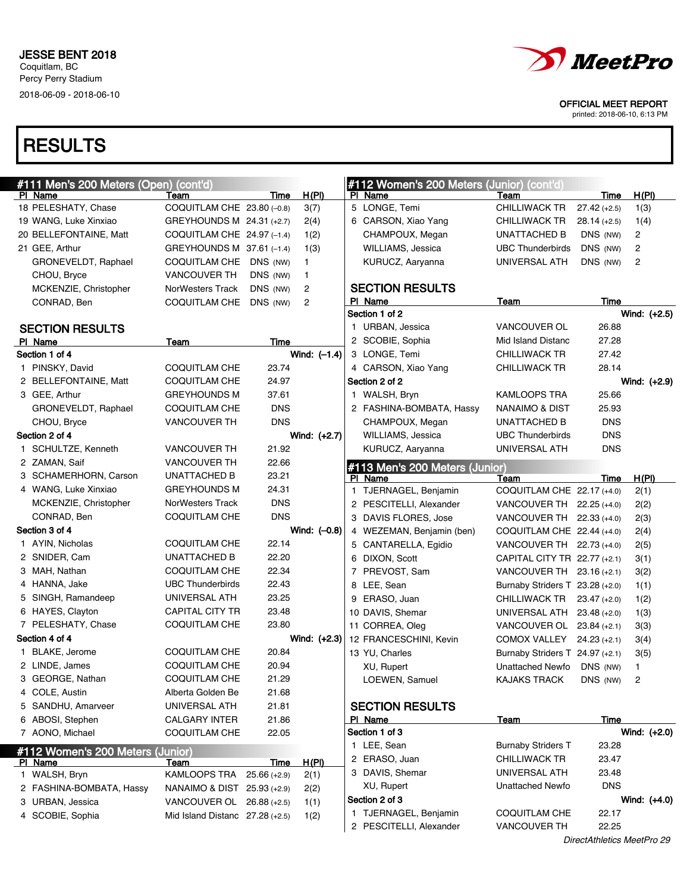# **RESULTS**

| #111 Men's 200 Meters (Open) (cont'd) |                                   |                |                | #112 Women's 200 Meters (Junior) (cont'd) |                                 |                            |                |
|---------------------------------------|-----------------------------------|----------------|----------------|-------------------------------------------|---------------------------------|----------------------------|----------------|
| PI Name                               | Team                              | Time           | H(PI)          | PI Name                                   | Team                            | Time                       | <u>H(PI)</u>   |
| 18 PELESHATY, Chase                   | COQUITLAM CHE 23.80 (-0.8)        |                | 3(7)           | 5 LONGE, Temi                             | <b>CHILLIWACK TR</b>            | $27.42 (+2.5)$             | 1(3)           |
| 19 WANG, Luke Xinxiao                 | GREYHOUNDS M 24.31 (+2.7)         |                | 2(4)           | 6 CARSON, Xiao Yang                       | <b>CHILLIWACK TR</b>            | $28.14 (+2.5)$             | 1(4)           |
| 20 BELLEFONTAINE, Matt                | COQUITLAM CHE $24.97$ (-1.4)      |                | 1(2)           | CHAMPOUX, Megan                           | UNATTACHED B                    | DNS (NW)                   | 2              |
| 21 GEE, Arthur                        | GREYHOUNDS M 37.61 (-1.4)         |                | 1(3)           | WILLIAMS, Jessica                         | <b>UBC Thunderbirds</b>         | DNS (NW)                   | 2              |
| GRONEVELDT, Raphael                   | COQUITLAM CHE DNS (NW)            |                | 1              | KURUCZ, Aaryanna                          | UNIVERSAL ATH                   | DNS (NW)                   | 2              |
| CHOU, Bryce                           | <b>VANCOUVER TH</b>               | DNS (NW)       | 1              |                                           |                                 |                            |                |
| MCKENZIE, Christopher                 | <b>NorWesters Track</b>           | DNS (NW)       | 2              | <b>SECTION RESULTS</b>                    |                                 |                            |                |
| CONRAD, Ben                           | COQUITLAM CHE DNS (NW)            |                | 2              | PI Name                                   | Team                            | <b>Time</b>                |                |
|                                       |                                   |                |                | Section 1 of 2                            |                                 |                            | Wind: (+2.5)   |
| <b>SECTION RESULTS</b>                |                                   |                |                | 1 URBAN, Jessica                          | VANCOUVER OL                    | 26.88                      |                |
| PI Name                               | Team                              | Time           |                | 2 SCOBIE, Sophia                          | Mid Island Distanc              | 27.28                      |                |
| Section 1 of 4                        |                                   |                | Wind: $(-1.4)$ | 3 LONGE, Temi                             | <b>CHILLIWACK TR</b>            | 27.42                      |                |
| 1 PINSKY, David                       | <b>COQUITLAM CHE</b>              | 23.74          |                | 4 CARSON, Xiao Yang                       | <b>CHILLIWACK TR</b>            | 28.14                      |                |
| 2 BELLEFONTAINE, Matt                 | COQUITLAM CHE                     | 24.97          |                | Section 2 of 2                            |                                 |                            | Wind: (+2.9)   |
| 3 GEE, Arthur                         | <b>GREYHOUNDS M</b>               | 37.61          |                | 1 WALSH, Bryn                             | <b>KAMLOOPS TRA</b>             | 25.66                      |                |
| GRONEVELDT, Raphael                   | <b>COQUITLAM CHE</b>              | <b>DNS</b>     |                | 2 FASHINA-BOMBATA, Hassy                  | NANAIMO & DIST                  | 25.93                      |                |
| CHOU, Bryce                           | <b>VANCOUVER TH</b>               | <b>DNS</b>     |                | CHAMPOUX, Megan                           | UNATTACHED B                    | <b>DNS</b>                 |                |
| Section 2 of 4                        |                                   |                | Wind: (+2.7)   | WILLIAMS, Jessica                         | <b>UBC Thunderbirds</b>         | <b>DNS</b>                 |                |
| 1 SCHULTZE, Kenneth                   | <b>VANCOUVER TH</b>               | 21.92          |                | KURUCZ, Aaryanna                          | UNIVERSAL ATH                   | <b>DNS</b>                 |                |
| 2 ZAMAN, Saif                         | <b>VANCOUVER TH</b>               | 22.66          |                | #113 Men's 200 Meters (Junior)            |                                 |                            |                |
| 3 SCHAMERHORN, Carson                 | <b>UNATTACHED B</b>               | 23.21          |                | PI Name                                   | Team                            | Time                       | H(PI)          |
| 4 WANG, Luke Xinxiao                  | <b>GREYHOUNDS M</b>               | 24.31          |                | 1 TJERNAGEL, Benjamin                     | COQUITLAM CHE 22.17 (+4.0)      |                            | 2(1)           |
| MCKENZIE, Christopher                 | NorWesters Track                  | <b>DNS</b>     |                | 2 PESCITELLI, Alexander                   | VANCOUVER TH $22.25 (+4.0)$     |                            | 2(2)           |
| CONRAD, Ben                           | <b>COQUITLAM CHE</b>              | <b>DNS</b>     |                | 3 DAVIS FLORES, Jose                      | VANCOUVER TH $22.33(+4.0)$      |                            | 2(3)           |
| Section 3 of 4                        |                                   |                | Wind: $(-0.8)$ | 4 WEZEMAN, Benjamin (ben)                 | COQUITLAM CHE $22.44(+4.0)$     |                            | 2(4)           |
| 1 AYIN, Nicholas                      | <b>COQUITLAM CHE</b>              | 22.14          |                | 5 CANTARELLA, Egidio                      | VANCOUVER TH $22.73$ (+4.0)     |                            | 2(5)           |
| 2 SNIDER, Cam                         | <b>UNATTACHED B</b>               | 22.20          |                | 6 DIXON, Scott                            | CAPITAL CITY TR 22.77 (+2.1)    |                            | 3(1)           |
| 3 MAH, Nathan                         | <b>COQUITLAM CHE</b>              | 22.34          |                | 7 PREVOST, Sam                            | VANCOUVER TH 23.16 (+2.1)       |                            | 3(2)           |
| 4 HANNA, Jake                         | <b>UBC Thunderbirds</b>           | 22.43          |                | 8 LEE, Sean                               | Burnaby Striders T 23.28 (+2.0) |                            | 1(1)           |
| 5 SINGH, Ramandeep                    | UNIVERSAL ATH                     | 23.25          |                | 9 ERASO, Juan                             | CHILLIWACK TR                   | $23.47 (+2.0)$             | 1(2)           |
| 6 HAYES, Clayton                      | <b>CAPITAL CITY TR</b>            | 23.48          |                | 10 DAVIS, Shemar                          | UNIVERSAL ATH 23.48 (+2.0)      |                            | 1(3)           |
| 7 PELESHATY, Chase                    | <b>COQUITLAM CHE</b>              | 23.80          |                | 11 CORREA, Oleg                           | VANCOUVER OL $23.84$ (+2.1)     |                            | 3(3)           |
| Section 4 of 4                        |                                   |                | Wind: (+2.3)   | 12 FRANCESCHINI, Kevin                    | COMOX VALLEY 24.23 (+2.1)       |                            | 3(4)           |
| 1 BLAKE, Jerome                       | <b>COQUITLAM CHE</b>              | 20.84          |                | 13 YU, Charles                            | Burnaby Striders T 24.97 (+2.1) |                            | 3(5)           |
| 2 LINDE, James                        | <b>COQUITLAM CHE</b>              | 20.94          |                | XU, Rupert                                | Unattached Newfo                | DNS (NW)                   | 1              |
| 3 GEORGE, Nathan                      | <b>COQUITLAM CHE</b>              | 21.29          |                | LOEWEN, Samuel                            | KAJAKS TRACK                    | DNS (NW) $2$               |                |
| 4 COLE, Austin                        | Alberta Golden Be                 | 21.68          |                |                                           |                                 |                            |                |
| 5 SANDHU, Amarveer                    | UNIVERSAL ATH                     | 21.81          |                | <b>SECTION RESULTS</b>                    |                                 |                            |                |
| 6 ABOSI, Stephen                      | <b>CALGARY INTER</b>              | 21.86          |                | PI Name                                   | <u>Team</u>                     | Time                       |                |
| 7 AONO, Michael                       | <b>COQUITLAM CHE</b>              | 22.05          |                | Section 1 of 3                            |                                 |                            | Wind: (+2.0)   |
| #112 Women's 200 Meters (Junior)      |                                   |                |                | 1 LEE, Sean                               | <b>Burnaby Striders T</b>       | 23.28                      |                |
| PI Name                               | <u>Team</u>                       | <u>Time</u>    | H(PI)          | 2 ERASO, Juan                             | <b>CHILLIWACK TR</b>            | 23.47                      |                |
| 1 WALSH, Bryn                         | KAMLOOPS TRA                      | $25.66 (+2.9)$ | 2(1)           | 3 DAVIS, Shemar                           | UNIVERSAL ATH                   | 23.48                      |                |
| 2 FASHINA-BOMBATA, Hassy              | NANAIMO & DIST 25.93 (+2.9)       |                | 2(2)           | XU, Rupert                                | Unattached Newfo                | <b>DNS</b>                 |                |
| 3 URBAN, Jessica                      | VANCOUVER OL 26.88 (+2.5)         |                | 1(1)           | Section 2 of 3                            |                                 |                            | Wind: $(+4.0)$ |
| 4 SCOBIE, Sophia                      | Mid Island Distanc $27.28$ (+2.5) |                | 1(2)           | 1 TJERNAGEL, Benjamin                     | <b>COQUITLAM CHE</b>            | 22.17                      |                |
|                                       |                                   |                |                | 2 PESCITELLI, Alexander                   | <b>VANCOUVER TH</b>             | 22.25                      |                |
|                                       |                                   |                |                |                                           |                                 | DirectAthletics MeetPro 29 |                |



OFFICIAL MEET REPORT

printed: 2018-06-10, 6:13 PM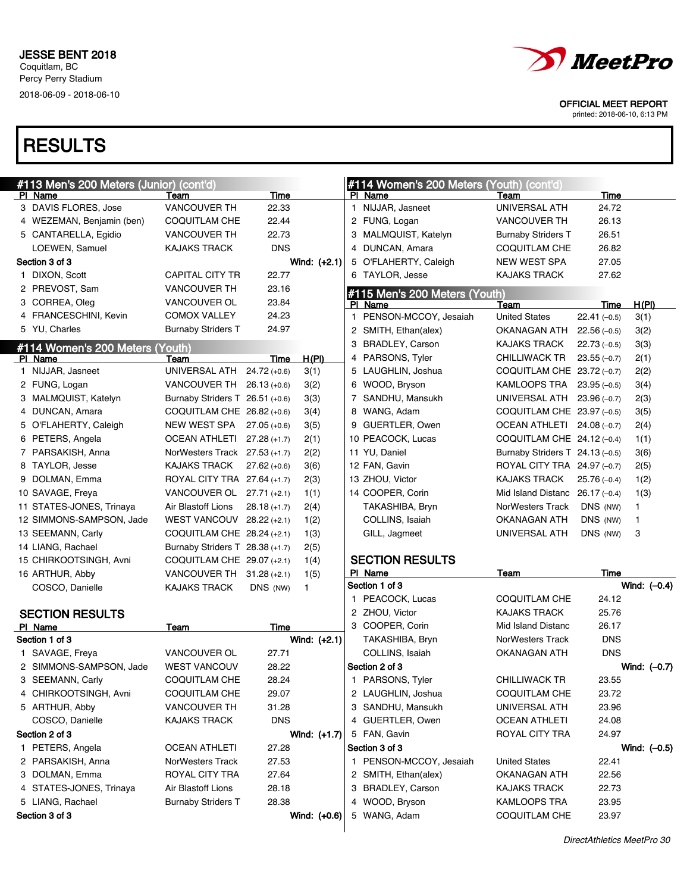

printed: 2018-06-10, 6:13 PM

| #113 Men's 200 Meters (Junior) (cont'd) |                                 |                |                |   | #114 Women's 200 Meters (Youth) | (cont'd)                         |               |                |
|-----------------------------------------|---------------------------------|----------------|----------------|---|---------------------------------|----------------------------------|---------------|----------------|
| PI Name                                 | Team                            | Time           |                |   | PI Name                         | Team                             | Time          |                |
| 3 DAVIS FLORES, Jose                    | <b>VANCOUVER TH</b>             | 22.33          |                |   | 1 NIJJAR, Jasneet               | UNIVERSAL ATH                    | 24.72         |                |
| 4 WEZEMAN, Benjamin (ben)               | COQUITLAM CHE                   | 22.44          |                |   | 2 FUNG, Logan                   | <b>VANCOUVER TH</b>              | 26.13         |                |
| 5 CANTARELLA, Egidio                    | <b>VANCOUVER TH</b>             | 22.73          |                |   | 3 MALMQUIST, Katelyn            | <b>Burnaby Striders T</b>        | 26.51         |                |
| LOEWEN, Samuel                          | <b>KAJAKS TRACK</b>             | <b>DNS</b>     |                |   | 4 DUNCAN, Amara                 | COQUITLAM CHE                    | 26.82         |                |
| Section 3 of 3                          |                                 |                | Wind: (+2.1)   |   | 5 O'FLAHERTY, Caleigh           | <b>NEW WEST SPA</b>              | 27.05         |                |
| 1 DIXON, Scott                          | <b>CAPITAL CITY TR</b>          | 22.77          |                |   | 6 TAYLOR, Jesse                 | <b>KAJAKS TRACK</b>              | 27.62         |                |
| 2 PREVOST, Sam                          | <b>VANCOUVER TH</b>             | 23.16          |                |   | #115 Men's 200 Meters (Youth)   |                                  |               |                |
| 3 CORREA, Oleg                          | VANCOUVER OL                    | 23.84          |                |   | PI Name                         | Team                             | Time          | H(PI)          |
| 4 FRANCESCHINI, Kevin                   | <b>COMOX VALLEY</b>             | 24.23          |                |   | 1 PENSON-MCCOY, Jesaiah         | <b>United States</b>             | $22.41(-0.5)$ | 3(1)           |
| 5 YU, Charles                           | <b>Burnaby Striders T</b>       | 24.97          |                |   | 2 SMITH, Ethan(alex)            | OKANAGAN ATH                     | $22.56(-0.5)$ | 3(2)           |
| #114 Women's 200 Meters (Youth)         |                                 |                |                | 3 | <b>BRADLEY, Carson</b>          | <b>KAJAKS TRACK</b>              | $22.73(-0.5)$ | 3(3)           |
| PI Name                                 | Team                            | Time           | H(PI)          |   | 4 PARSONS, Tyler                | CHILLIWACK TR                    | $23.55(-0.7)$ | 2(1)           |
| 1 NIJJAR, Jasneet                       | UNIVERSAL ATH                   | $24.72(+0.6)$  | 3(1)           |   | 5 LAUGHLIN, Joshua              | COQUITLAM CHE 23.72 (-0.7)       |               | 2(2)           |
| 2 FUNG, Logan                           | VANCOUVER TH 26.13 (+0.6)       |                | 3(2)           |   | 6 WOOD, Bryson                  | KAMLOOPS TRA                     | $23.95(-0.5)$ | 3(4)           |
| 3 MALMQUIST, Katelyn                    | Burnaby Striders T 26.51 (+0.6) |                | 3(3)           |   | 7 SANDHU, Mansukh               | UNIVERSAL ATH 23.96 (-0.7)       |               | 2(3)           |
| 4 DUNCAN, Amara                         | COQUITLAM CHE 26.82 (+0.6)      |                | 3(4)           |   | 8 WANG, Adam                    | COQUITLAM CHE 23.97 (-0.5)       |               | 3(5)           |
| 5 O'FLAHERTY, Caleigh                   | NEW WEST SPA 27.05 (+0.6)       |                | 3(5)           |   | 9 GUERTLER, Owen                | OCEAN ATHLETI 24.08 (-0.7)       |               | 2(4)           |
| 6 PETERS, Angela                        | OCEAN ATHLETI 27.28 (+1.7)      |                | 2(1)           |   | 10 PEACOCK, Lucas               | COQUITLAM CHE 24.12 (-0.4)       |               | 1(1)           |
| 7 PARSAKISH, Anna                       | NorWesters Track 27.53 (+1.7)   |                | 2(2)           |   | 11 YU, Daniel                   | Burnaby Striders T 24.13 (-0.5)  |               | 3(6)           |
| 8 TAYLOR, Jesse                         | <b>KAJAKS TRACK</b>             | $27.62(+0.6)$  | 3(6)           |   | 12 FAN, Gavin                   | ROYAL CITY TRA 24.97 (-0.7)      |               | 2(5)           |
| 9 DOLMAN, Emma                          | ROYAL CITY TRA 27.64 (+1.7)     |                | 2(3)           |   | 13 ZHOU, Victor                 | <b>KAJAKS TRACK</b>              | $25.76(-0.4)$ | 1(2)           |
| 10 SAVAGE, Freya                        | VANCOUVER OL 27.71 (+2.1)       |                | 1(1)           |   | 14 COOPER, Corin                | Mid Island Distanc $26.17(-0.4)$ |               | 1(3)           |
| 11 STATES-JONES, Trinaya                | Air Blastoff Lions              | $28.18 (+1.7)$ | 2(4)           |   | TAKASHIBA, Bryn                 | NorWesters Track                 | DNS (NW)      | 1              |
| 12 SIMMONS-SAMPSON, Jade                | WEST VANCOUV $28.22$ (+2.1)     |                | 1(2)           |   | COLLINS, Isaiah                 | OKANAGAN ATH                     | DNS (NW)      | 1              |
| 13 SEEMANN, Carly                       | COQUITLAM CHE 28.24 (+2.1)      |                | 1(3)           |   | GILL, Jagmeet                   | UNIVERSAL ATH                    | DNS (NW)      | 3              |
| 14 LIANG, Rachael                       | Burnaby Striders T 28.38 (+1.7) |                | 2(5)           |   |                                 |                                  |               |                |
| 15 CHIRKOOTSINGH, Avni                  | COQUITLAM CHE 29.07 (+2.1)      |                | 1(4)           |   | <b>SECTION RESULTS</b>          |                                  |               |                |
| 16 ARTHUR, Abby                         | VANCOUVER TH 31.28 (+2.1)       |                | 1(5)           |   | PI Name                         | <b>Team</b>                      | Time          |                |
| COSCO, Danielle                         | <b>KAJAKS TRACK</b>             | DNS (NW)       | 1.             |   | Section 1 of 3                  |                                  |               | Wind: $(-0.4)$ |
|                                         |                                 |                |                |   | 1 PEACOCK, Lucas                | <b>COQUITLAM CHE</b>             | 24.12         |                |
| <b>SECTION RESULTS</b>                  |                                 |                |                |   | 2 ZHOU, Victor                  | <b>KAJAKS TRACK</b>              | 25.76         |                |
| PI Name                                 | <b>Team</b>                     | Time           |                |   | 3 COOPER, Corin                 | Mid Island Distanc               | 26.17         |                |
| Section 1 of 3                          |                                 |                | Wind: $(+2.1)$ |   | TAKASHIBA, Bryn                 | NorWesters Track                 | <b>DNS</b>    |                |
| 1 SAVAGE, Freya                         | VANCOUVER OL                    | 27.71          |                |   | COLLINS, Isaiah                 | <b>OKANAGAN ATH</b>              | <b>DNS</b>    |                |
| 2 SIMMONS-SAMPSON, Jade                 | <b>WEST VANCOUV</b>             | 28.22          |                |   | Section 2 of 3                  |                                  |               | Wind: $(-0.7)$ |
| 3 SEEMANN, Carly                        | <b>COQUITLAM CHE</b>            | 28.24          |                |   | 1 PARSONS, Tyler                | <b>CHILLIWACK TR</b>             | 23.55         |                |
| 4 CHIRKOOTSINGH, Avni                   | <b>COQUITLAM CHE</b>            | 29.07          |                |   | 2 LAUGHLIN, Joshua              | <b>COQUITLAM CHE</b>             | 23.72         |                |
| 5 ARTHUR, Abby                          | <b>VANCOUVER TH</b>             | 31.28          |                |   | 3 SANDHU, Mansukh               | UNIVERSAL ATH                    | 23.96         |                |
| COSCO, Danielle                         | <b>KAJAKS TRACK</b>             | <b>DNS</b>     |                |   | 4 GUERTLER, Owen                | <b>OCEAN ATHLETI</b>             | 24.08         |                |
| Section 2 of 3                          |                                 |                | Wind: (+1.7)   |   | 5 FAN, Gavin                    | ROYAL CITY TRA                   | 24.97         |                |
| 1 PETERS, Angela                        | <b>OCEAN ATHLETI</b>            | 27.28          |                |   | Section 3 of 3                  |                                  |               | Wind: $(-0.5)$ |
| 2 PARSAKISH, Anna                       | NorWesters Track                | 27.53          |                |   | 1 PENSON-MCCOY, Jesaiah         | <b>United States</b>             | 22.41         |                |
| 3 DOLMAN, Emma                          | ROYAL CITY TRA                  | 27.64          |                |   | 2 SMITH, Ethan(alex)            | OKANAGAN ATH                     | 22.56         |                |
| 4 STATES-JONES, Trinaya                 | Air Blastoff Lions              | 28.18          |                |   | 3 BRADLEY, Carson               | <b>KAJAKS TRACK</b>              | 22.73         |                |
| 5 LIANG, Rachael                        | <b>Burnaby Striders T</b>       | 28.38          |                |   | 4 WOOD, Bryson                  | KAMLOOPS TRA                     | 23.95         |                |
| Section 3 of 3                          |                                 |                | Wind: (+0.6)   |   | 5 WANG, Adam                    | <b>COQUITLAM CHE</b>             | 23.97         |                |
|                                         |                                 |                |                |   |                                 |                                  |               |                |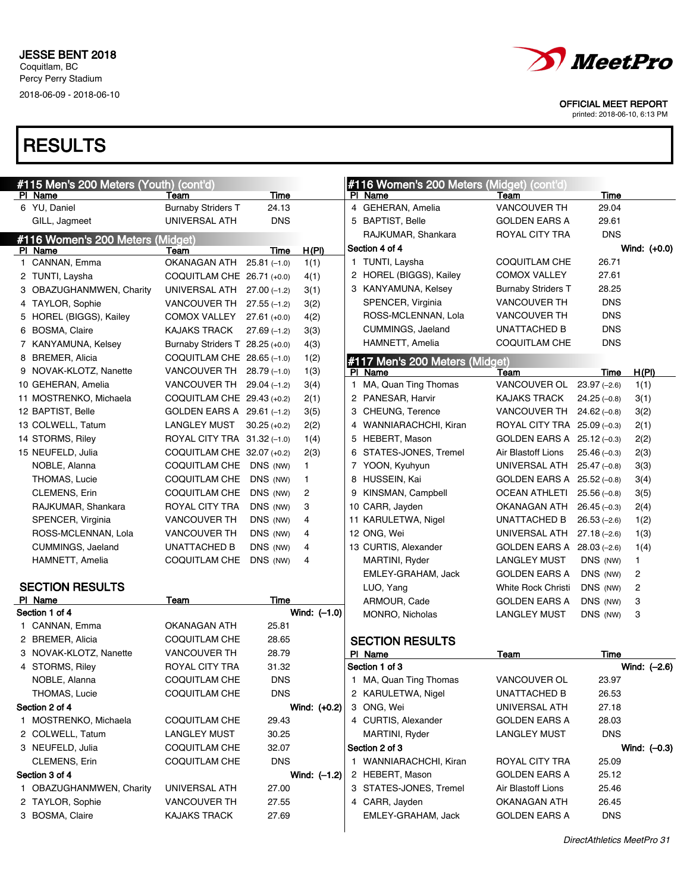

OFFICIAL MEET REPORT

printed: 2018-06-10, 6:13 PM

| #115 Men's 200 Meters (Youth) (cont'd)      |                                   |                      |                |              | #116 Women's 200 Meters (Midget) (cont'd) |                                             |                           |                                  |
|---------------------------------------------|-----------------------------------|----------------------|----------------|--------------|-------------------------------------------|---------------------------------------------|---------------------------|----------------------------------|
| PI Name<br>6 YU, Daniel                     | Team<br><b>Burnaby Striders T</b> | Time<br>24.13        |                |              | PI Name<br>4 GEHERAN, Amelia              | Team<br><b>VANCOUVER TH</b>                 | Time<br>29.04             |                                  |
|                                             | UNIVERSAL ATH                     |                      |                |              |                                           |                                             |                           |                                  |
| GILL, Jagmeet                               |                                   | <b>DNS</b>           |                |              | 5 BAPTIST, Belle                          | <b>GOLDEN EARS A</b>                        | 29.61<br><b>DNS</b>       |                                  |
| #116 Women's 200 Meters (Midget)            |                                   |                      |                |              | RAJKUMAR, Shankara<br>Section 4 of 4      | ROYAL CITY TRA                              |                           |                                  |
| PI Name                                     | Team                              | Time                 | H(PI)          |              | 1 TUNTI, Laysha                           |                                             | 26.71                     | Wind: (+0.0)                     |
| 1 CANNAN, Emma                              | OKANAGAN ATH                      | $25.81(-1.0)$        | 1(1)           |              |                                           | COQUITLAM CHE<br><b>COMOX VALLEY</b>        | 27.61                     |                                  |
| 2 TUNTI, Laysha                             | COQUITLAM CHE 26.71 (+0.0)        |                      | 4(1)           |              | 2 HOREL (BIGGS), Kailey                   |                                             | 28.25                     |                                  |
| 3 OBAZUGHANMWEN, Charity                    | UNIVERSAL ATH                     | $27.00(-1.2)$        | 3(1)           |              | 3 KANYAMUNA, Kelsey                       | <b>Burnaby Striders T</b>                   | <b>DNS</b>                |                                  |
| 4 TAYLOR, Sophie                            | VANCOUVER TH                      | $27.55(-1.2)$        | 3(2)           |              | SPENCER, Virginia<br>ROSS-MCLENNAN, Lola  | <b>VANCOUVER TH</b><br><b>VANCOUVER TH</b>  | <b>DNS</b>                |                                  |
| 5 HOREL (BIGGS), Kailey                     | COMOX VALLEY                      | $27.61 (+0.0)$       | 4(2)           |              | CUMMINGS, Jaeland                         | <b>UNATTACHED B</b>                         | <b>DNS</b>                |                                  |
| 6 BOSMA, Claire                             | <b>KAJAKS TRACK</b>               | $27.69(-1.2)$        | 3(3)           |              |                                           | <b>COQUITLAM CHE</b>                        | <b>DNS</b>                |                                  |
| 7 KANYAMUNA, Kelsey                         | Burnaby Striders T 28.25 (+0.0)   |                      | 4(3)           |              | HAMNETT, Amelia                           |                                             |                           |                                  |
| 8 BREMER, Alicia                            | COQUITLAM CHE 28.65 (-1.0)        |                      | 1(2)           |              | #117 Men's 200 Meters (Midget)            |                                             |                           |                                  |
| 9 NOVAK-KLOTZ, Nanette                      | VANCOUVER TH                      | $28.79(-1.0)$        | 1(3)           |              | PI Name                                   | Team                                        | <b>Time</b>               | H(PI)                            |
| 10 GEHERAN, Amelia                          | VANCOUVER TH                      | $29.04(-1.2)$        | 3(4)           | $\mathbf{1}$ | MA, Quan Ting Thomas<br>2 PANESAR, Harvir | VANCOUVER OL                                | $23.97(-2.6)$             | 1(1)                             |
| 11 MOSTRENKO, Michaela<br>12 BAPTIST, Belle | COQUITLAM CHE 29.43 (+0.2)        |                      | 2(1)           |              |                                           | <b>KAJAKS TRACK</b><br><b>VANCOUVER TH</b>  | $24.25(-0.8)$             | 3(1)                             |
|                                             | GOLDEN EARS A 29.61 (-1.2)        |                      | 3(5)           |              | 3 CHEUNG, Terence                         | ROYAL CITY TRA 25.09 (-0.3)                 | $24.62(-0.8)$             | 3(2)                             |
| 13 COLWELL, Tatum                           | <b>LANGLEY MUST</b>               | $30.25 (+0.2)$       | 2(2)           |              | 4 WANNIARACHCHI, Kiran                    |                                             |                           | 2(1)                             |
| 14 STORMS, Riley                            | ROYAL CITY TRA 31.32 (-1.0)       |                      | 1(4)           |              | 5 HEBERT, Mason                           | GOLDEN EARS A 25.12 (-0.3)                  |                           | 2(2)                             |
| 15 NEUFELD, Julia                           | COQUITLAM CHE 32.07 (+0.2)        |                      | 2(3)           |              | 6 STATES-JONES, Tremel                    | Air Blastoff Lions                          | $25.46(-0.3)$             | 2(3)                             |
| NOBLE, Alanna                               | COQUITLAM CHE                     | DNS (NW)             | 1.             |              | 7 YOON, Kyuhyun                           | UNIVERSAL ATH                               | $25.47(-0.8)$             | 3(3)                             |
| THOMAS, Lucie                               | COQUITLAM CHE                     | DNS (NW)             | 1.             |              | 8 HUSSEIN, Kai                            | <b>GOLDEN EARS A</b>                        | $25.52(-0.8)$             | 3(4)                             |
| CLEMENS, Erin                               | COQUITLAM CHE                     | DNS (NW)             | 2              |              | 9 KINSMAN, Campbell                       | <b>OCEAN ATHLETI</b>                        | $25.56(-0.8)$             | 3(5)                             |
| RAJKUMAR, Shankara                          | ROYAL CITY TRA                    | DNS (NW)             | 3              |              | 10 CARR, Jayden                           | OKANAGAN ATH                                | $26.45(-0.3)$             | 2(4)                             |
| SPENCER, Virginia                           | <b>VANCOUVER TH</b>               | DNS (NW)             | 4              |              | 11 KARULETWA, Nigel                       | <b>UNATTACHED B</b>                         | $26.53(-2.6)$             | 1(2)                             |
| ROSS-MCLENNAN, Lola                         | VANCOUVER TH                      | DNS (NW)             | 4<br>4         |              | 12 ONG, Wei                               | UNIVERSAL ATH                               | $27.18(-2.6)$             | 1(3)                             |
| CUMMINGS, Jaeland                           | UNATTACHED B<br>COQUITLAM CHE     | DNS (NW)<br>DNS (NW) | 4              |              | 13 CURTIS, Alexander<br>MARTINI, Ryder    | <b>GOLDEN EARS A</b><br><b>LANGLEY MUST</b> | $28.03(-2.6)$<br>DNS (NW) | 1(4)                             |
| HAMNETT, Amelia                             |                                   |                      |                |              | EMLEY-GRAHAM, Jack                        | <b>GOLDEN EARS A</b>                        | DNS (NW)                  | $\mathbf{1}$                     |
| <b>SECTION RESULTS</b>                      |                                   |                      |                |              | LUO, Yang                                 | White Rock Christi                          | DNS (NW)                  | $\overline{c}$<br>$\overline{c}$ |
| PI Name                                     | Team                              | Time                 |                |              | ARMOUR, Cade                              | <b>GOLDEN EARS A</b>                        | DNS (NW)                  | 3                                |
| Section 1 of 4                              |                                   |                      | Wind: $(-1.0)$ |              | MONRO, Nicholas                           | <b>LANGLEY MUST</b>                         | DNS (NW)                  | 3                                |
| 1 CANNAN, Emma                              | OKANAGAN ATH                      | 25.81                |                |              |                                           |                                             |                           |                                  |
| 2 BREMER, Alicia                            | COQUITLAM CHE                     | 28.65                |                |              | <b>SECTION RESULTS</b>                    |                                             |                           |                                  |
| 3 NOVAK-KLOTZ, Nanette                      | <b>VANCOUVER TH</b>               | 28.79                |                |              | PI Name                                   | Team                                        | Time                      |                                  |
| 4 STORMS, Riley                             | ROYAL CITY TRA                    | 31.32                |                |              | Section 1 of 3                            |                                             |                           | Wind: (-2.6)                     |
| NOBLE, Alanna                               | <b>COQUITLAM CHE</b>              | <b>DNS</b>           |                |              | 1 MA, Quan Ting Thomas                    | VANCOUVER OL                                | 23.97                     |                                  |
| THOMAS, Lucie                               | COQUITLAM CHE                     | <b>DNS</b>           |                |              | 2 KARULETWA, Nigel                        | UNATTACHED B                                | 26.53                     |                                  |
| Section 2 of 4                              |                                   |                      | Wind: (+0.2)   |              | 3 ONG, Wei                                | UNIVERSAL ATH                               | 27.18                     |                                  |
| 1 MOSTRENKO, Michaela                       | COQUITLAM CHE                     | 29.43                |                |              | 4 CURTIS, Alexander                       | <b>GOLDEN EARS A</b>                        | 28.03                     |                                  |
| 2 COLWELL, Tatum                            | <b>LANGLEY MUST</b>               | 30.25                |                |              | MARTINI, Ryder                            | <b>LANGLEY MUST</b>                         | <b>DNS</b>                |                                  |
| 3 NEUFELD, Julia                            | COQUITLAM CHE                     | 32.07                |                |              | Section 2 of 3                            |                                             |                           | Wind: $(-0.3)$                   |
| CLEMENS, Erin                               | COQUITLAM CHE                     | <b>DNS</b>           |                |              | 1 WANNIARACHCHI, Kiran                    | ROYAL CITY TRA                              | 25.09                     |                                  |
| Section 3 of 4                              |                                   |                      | Wind: $(-1.2)$ |              | 2 HEBERT, Mason                           | <b>GOLDEN EARS A</b>                        | 25.12                     |                                  |
| 1 OBAZUGHANMWEN, Charity                    | UNIVERSAL ATH                     | 27.00                |                |              | 3 STATES-JONES, Tremel                    | Air Blastoff Lions                          | 25.46                     |                                  |
| 2 TAYLOR, Sophie                            | <b>VANCOUVER TH</b>               | 27.55                |                |              | 4 CARR, Jayden                            | OKANAGAN ATH                                | 26.45                     |                                  |
| 3 BOSMA, Claire                             | <b>KAJAKS TRACK</b>               | 27.69                |                |              | EMLEY-GRAHAM, Jack                        | <b>GOLDEN EARS A</b>                        | <b>DNS</b>                |                                  |
|                                             |                                   |                      |                |              |                                           |                                             |                           |                                  |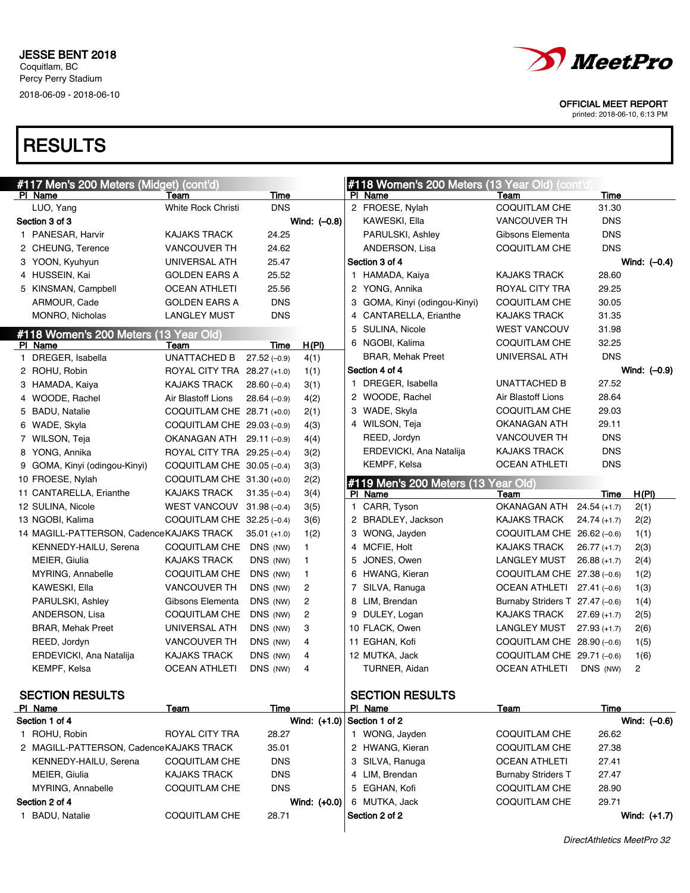

OFFICIAL MEET REPORT

printed: 2018-06-10, 6:13 PM

## **RESULTS**

| #117 Men's 200 Meters (Midget) (cont'd)  |                              |                |                |   | #118 Women's 200 Meters (13 Year Old) (cont'd) |                                   |               |                |
|------------------------------------------|------------------------------|----------------|----------------|---|------------------------------------------------|-----------------------------------|---------------|----------------|
| PI Name                                  | Team                         | Time           |                |   | PI Name                                        | Team                              | Time          |                |
| LUO, Yang                                | <b>White Rock Christi</b>    | <b>DNS</b>     |                |   | 2 FROESE, Nylah                                | <b>COQUITLAM CHE</b>              | 31.30         |                |
| Section 3 of 3                           |                              |                | Wind: (-0.8)   |   | KAWESKI, Ella                                  | <b>VANCOUVER TH</b>               | <b>DNS</b>    |                |
| 1 PANESAR, Harvir                        | <b>KAJAKS TRACK</b>          | 24.25          |                |   | PARULSKI, Ashley                               | Gibsons Elementa                  | <b>DNS</b>    |                |
| 2 CHEUNG, Terence                        | <b>VANCOUVER TH</b>          | 24.62          |                |   | ANDERSON, Lisa                                 | <b>COQUITLAM CHE</b>              | <b>DNS</b>    |                |
| 3 YOON, Kyuhyun                          | UNIVERSAL ATH                | 25.47          |                |   | Section 3 of 4                                 |                                   |               | Wind: $(-0.4)$ |
| 4 HUSSEIN, Kai                           | GOLDEN EARS A                | 25.52          |                |   | 1 HAMADA, Kaiya                                | <b>KAJAKS TRACK</b>               | 28.60         |                |
| 5 KINSMAN, Campbell                      | <b>OCEAN ATHLETI</b>         | 25.56          |                |   | 2 YONG, Annika                                 | ROYAL CITY TRA                    | 29.25         |                |
| ARMOUR, Cade                             | <b>GOLDEN EARS A</b>         | <b>DNS</b>     |                | 3 | GOMA, Kinyi (odingou-Kinyi)                    | <b>COQUITLAM CHE</b>              | 30.05         |                |
| MONRO, Nicholas                          | <b>LANGLEY MUST</b>          | <b>DNS</b>     |                | 4 | CANTARELLA, Erianthe                           | <b>KAJAKS TRACK</b>               | 31.35         |                |
| #118 Women's 200 Meters (                | (13 Year Old)                |                |                | 5 | SULINA, Nicole                                 | <b>WEST VANCOUV</b>               | 31.98         |                |
| PI Name                                  | Team                         | Time           | H(PI)          |   | 6 NGOBI, Kalima                                | COQUITLAM CHE                     | 32.25         |                |
| 1 DREGER, Isabella                       | <b>UNATTACHED B</b>          | $27.52(-0.9)$  | 4(1)           |   | BRAR, Mehak Preet                              | UNIVERSAL ATH                     | <b>DNS</b>    |                |
| 2 ROHU, Robin                            | ROYAL CITY TRA 28.27 (+1.0)  |                | 1(1)           |   | Section 4 of 4                                 |                                   |               | Wind: (-0.9)   |
| 3 HAMADA, Kaiya                          | KAJAKS TRACK                 | $28.60(-0.4)$  | 3(1)           |   | 1 DREGER, Isabella                             | UNATTACHED B                      | 27.52         |                |
| 4 WOODE, Rachel                          | Air Blastoff Lions           | $28.64(-0.9)$  | 4(2)           |   | 2 WOODE, Rachel                                | Air Blastoff Lions                | 28.64         |                |
| 5 BADU, Natalie                          | COQUITLAM CHE 28.71 (+0.0)   |                | 2(1)           |   | 3 WADE, Skyla                                  | COQUITLAM CHE                     | 29.03         |                |
| 6 WADE, Skyla                            | COQUITLAM CHE $29.03(-0.9)$  |                | 4(3)           |   | 4 WILSON, Teja                                 | OKANAGAN ATH                      | 29.11         |                |
| 7 WILSON, Teja                           | OKANAGAN ATH 29.11 (-0.9)    |                | 4(4)           |   | REED, Jordyn                                   | <b>VANCOUVER TH</b>               | <b>DNS</b>    |                |
| 8 YONG, Annika                           | ROYAL CITY TRA 29.25 (-0.4)  |                | 3(2)           |   | ERDEVICKI, Ana Natalija                        | <b>KAJAKS TRACK</b>               | <b>DNS</b>    |                |
| 9 GOMA, Kinyi (odingou-Kinyi)            | COQUITLAM CHE $30.05$ (-0.4) |                | 3(3)           |   | KEMPF, Kelsa                                   | <b>OCEAN ATHLETI</b>              | <b>DNS</b>    |                |
| 10 FROESE, Nylah                         | COQUITLAM CHE 31.30 (+0.0)   |                | 2(2)           |   | #119 Men's 200 Meters (13                      | Year Old)                         |               |                |
| 11 CANTARELLA, Erianthe                  | KAJAKS TRACK                 | $31.35(-0.4)$  | 3(4)           |   | PI Name                                        | Team                              | Time          | H(PI)          |
| 12 SULINA, Nicole                        | WEST VANCOUV 31.98 (-0.4)    |                | 3(5)           |   | 1 CARR, Tyson                                  | OKANAGAN ATH                      | $24.54(+1.7)$ | 2(1)           |
| 13 NGOBI, Kalima                         | COQUITLAM CHE 32.25 (-0.4)   |                | 3(6)           |   | 2 BRADLEY, Jackson                             | KAJAKS TRACK                      | $24.74(+1.7)$ | 2(2)           |
| 14 MAGILL-PATTERSON, CadenceKAJAKS TRACK |                              | $35.01 (+1.0)$ | 1(2)           |   | 3 WONG, Jayden                                 | COQUITLAM CHE $26.62$ (-0.6)      |               | 1(1)           |
| KENNEDY-HAILU, Serena                    | COQUITLAM CHE DNS (NW)       |                | $\mathbf{1}$   |   | 4 MCFIE, Holt                                  | <b>KAJAKS TRACK</b>               | $26.77(+1.7)$ | 2(3)           |
| MEIER, Giulia                            | <b>KAJAKS TRACK</b>          | DNS (NW)       | $\mathbf{1}$   |   | 5 JONES, Owen                                  | <b>LANGLEY MUST</b>               | $26.88(+1.7)$ | 2(4)           |
| MYRING, Annabelle                        | COQUITLAM CHE                | DNS (NW)       | 1              |   | 6 HWANG, Kieran                                | COQUITLAM CHE $27.38(-0.6)$       |               | 1(2)           |
| KAWESKI, Ella                            | <b>VANCOUVER TH</b>          | DNS (NW)       | 2              |   | 7 SILVA, Ranuga                                | OCEAN ATHLETI $27.41$ (-0.6)      |               | 1(3)           |
| PARULSKI, Ashley                         | Gibsons Elementa             | DNS (NW)       | 2              |   | 8 LIM, Brendan                                 | Burnaby Striders $T$ 27.47 (-0.6) |               | 1(4)           |
| ANDERSON, Lisa                           | <b>COQUITLAM CHE</b>         | DNS (NW)       | $\overline{c}$ |   | 9 DULEY, Logan                                 | <b>KAJAKS TRACK</b>               | $27.69(+1.7)$ | 2(5)           |
| <b>BRAR, Mehak Preet</b>                 | UNIVERSAL ATH                | DNS (NW)       | 3              |   | 10 FLACK, Owen                                 | <b>LANGLEY MUST</b>               | $27.93(+1.7)$ | 2(6)           |
| REED, Jordyn                             | <b>VANCOUVER TH</b>          | DNS (NW)       | 4              |   | 11 EGHAN, Kofi                                 | COQUITLAM CHE $28.90(-0.6)$       |               | 1(5)           |
| ERDEVICKI, Ana Natalija                  | <b>KAJAKS TRACK</b>          | DNS (NW)       | 4              |   | 12 MUTKA, Jack                                 | COQUITLAM CHE 29.71 (-0.6)        |               | 1(6)           |
| KEMPF, Kelsa                             | <b>OCEAN ATHLETI</b>         | DNS (NW)       | 4              |   | TURNER, Aidan                                  | <b>OCEAN ATHLETI</b>              | DNS (NW)      | $\overline{2}$ |
|                                          |                              |                |                |   |                                                |                                   |               |                |
| <b>SECTION RESULTS</b>                   |                              |                |                |   | <b>SECTION RESULTS</b>                         |                                   |               |                |
| PI Name                                  | Team                         | Time           |                |   | PI Name                                        | Team                              | Time          |                |
| Section 1 of 4                           |                              |                | Wind: $(+1.0)$ |   | Section 1 of 2                                 |                                   |               | Wind: (-0.6)   |
| 1 ROHU, Robin                            | ROYAL CITY TRA               | 28.27          |                |   | 1 WONG, Jayden                                 | COQUITLAM CHE                     | 26.62         |                |
| 2 MAGILL-PATTERSON, CadenceKAJAKS TRACK  |                              | 35.01          |                |   | 2 HWANG, Kieran                                | COQUITLAM CHE                     | 27.38         |                |
| KENNEDY-HAILU, Serena                    | <b>COQUITLAM CHE</b>         | <b>DNS</b>     |                |   | 3 SILVA, Ranuga                                | <b>OCEAN ATHLETI</b>              | 27.41         |                |
| MEIER, Giulia                            | <b>KAJAKS TRACK</b>          | <b>DNS</b>     |                |   | 4 LIM, Brendan                                 | <b>Burnaby Striders T</b>         | 27.47         |                |
| MYRING, Annabelle                        | <b>COQUITLAM CHE</b>         | <b>DNS</b>     |                |   | 5 EGHAN, Kofi                                  | <b>COQUITLAM CHE</b>              | 28.90         |                |
| Section 2 of 4                           |                              |                | Wind: (+0.0)   |   | 6 MUTKA, Jack                                  | <b>COQUITLAM CHE</b>              | 29.71         |                |
| 1 BADU, Natalie                          | COQUITLAM CHE                | 28.71          |                |   | Section 2 of 2                                 |                                   |               | Wind: $(+1.7)$ |
|                                          |                              |                |                |   |                                                |                                   |               |                |

DirectAthletics MeetPro 32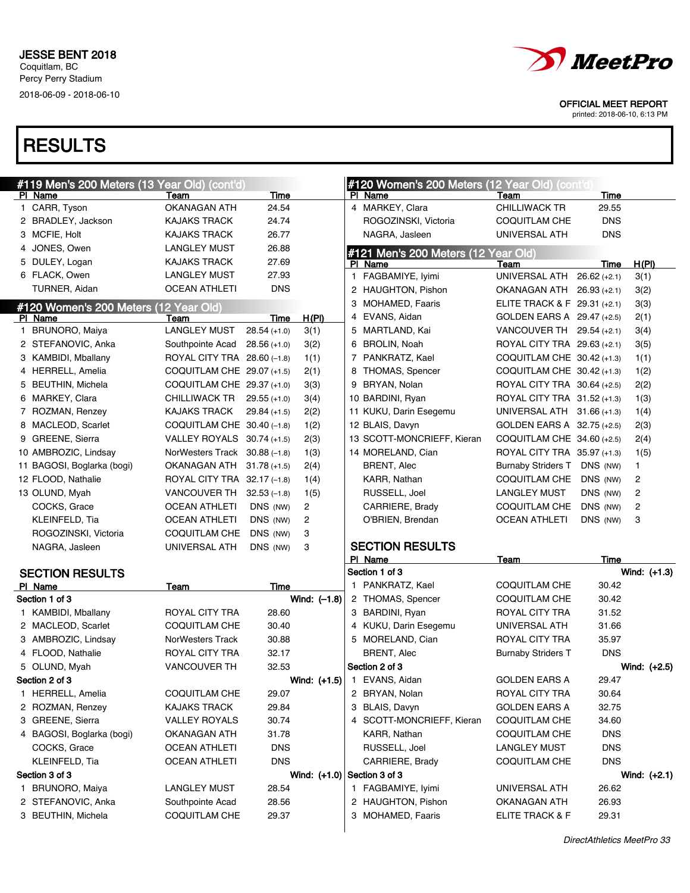

printed: 2018-06-10, 6:13 PM

| #119 Men's 200 Meters (13 Year Old) (cont'd) |                               |               |                               |    | #120 Women's 200 Meters (12 Year Old) (cont'd) |                              |                |                |
|----------------------------------------------|-------------------------------|---------------|-------------------------------|----|------------------------------------------------|------------------------------|----------------|----------------|
| PI Name                                      | Team                          | Time          |                               |    | PI Name                                        | <b>Team</b>                  | Time           |                |
| 1 CARR, Tyson                                | <b>OKANAGAN ATH</b>           | 24.54         |                               |    | 4 MARKEY, Clara                                | <b>CHILLIWACK TR</b>         | 29.55          |                |
| 2 BRADLEY, Jackson                           | <b>KAJAKS TRACK</b>           | 24.74         |                               |    | ROGOZINSKI, Victoria                           | <b>COQUITLAM CHE</b>         | <b>DNS</b>     |                |
| 3 MCFIE, Holt                                | <b>KAJAKS TRACK</b>           | 26.77         |                               |    | NAGRA, Jasleen                                 | UNIVERSAL ATH                | <b>DNS</b>     |                |
| 4 JONES, Owen                                | <b>LANGLEY MUST</b>           | 26.88         |                               |    | #121 Men's 200 Meters (12 Year Old)            |                              |                |                |
| 5 DULEY, Logan                               | <b>KAJAKS TRACK</b>           | 27.69         |                               |    | PI Name                                        | Team                         | Time           | H(PI)          |
| 6 FLACK, Owen                                | <b>LANGLEY MUST</b>           | 27.93         |                               | 1. | FAGBAMIYE, Iyimi                               | UNIVERSAL ATH                | $26.62 (+2.1)$ | 3(1)           |
| TURNER, Aidan                                | <b>OCEAN ATHLETI</b>          | <b>DNS</b>    |                               |    | 2 HAUGHTON, Pishon                             | OKANAGAN ATH 26.93 (+2.1)    |                | 3(2)           |
| #120 Women's 200 Meters (                    | (12 Year Old)                 |               |                               | 3  | <b>MOHAMED, Faaris</b>                         | ELITE TRACK & F 29.31 (+2.1) |                | 3(3)           |
| PI Name                                      | Team                          | Time          | H(PI)                         |    | 4 EVANS, Aidan                                 | GOLDEN EARS A 29.47 (+2.5)   |                | 2(1)           |
| 1 BRUNORO, Maiya                             | <b>LANGLEY MUST</b>           | $28.54(+1.0)$ | 3(1)                          |    | 5 MARTLAND, Kai                                | VANCOUVER TH $29.54$ (+2.1)  |                | 3(4)           |
| 2 STEFANOVIC, Anka                           | Southpointe Acad              | $28.56(+1.0)$ | 3(2)                          |    | 6 BROLIN, Noah                                 | ROYAL CITY TRA 29.63 (+2.1)  |                | 3(5)           |
| 3 KAMBIDI, Mballany                          | ROYAL CITY TRA 28.60 (-1.8)   |               | 1(1)                          |    | 7 PANKRATZ, Kael                               | COQUITLAM CHE 30.42 (+1.3)   |                | 1(1)           |
| 4 HERRELL, Amelia                            | COQUITLAM CHE 29.07 (+1.5)    |               | 2(1)                          |    | 8 THOMAS, Spencer                              | COQUITLAM CHE 30.42 (+1.3)   |                | 1(2)           |
| 5 BEUTHIN, Michela                           | COQUITLAM CHE 29.37 (+1.0)    |               | 3(3)                          | 9  | BRYAN, Nolan                                   | ROYAL CITY TRA 30.64 (+2.5)  |                | 2(2)           |
| 6 MARKEY, Clara                              | CHILLIWACK TR                 | $29.55(+1.0)$ | 3(4)                          |    | 10 BARDINI, Ryan                               | ROYAL CITY TRA 31.52 (+1.3)  |                | 1(3)           |
| 7 ROZMAN, Renzey                             | <b>KAJAKS TRACK</b>           | $29.84(+1.5)$ | 2(2)                          |    | 11 KUKU, Darin Esegemu                         | UNIVERSAL ATH 31.66 (+1.3)   |                | 1(4)           |
| 8 MACLEOD, Scarlet                           | COQUITLAM CHE $30.40$ (-1.8)  |               | 1(2)                          |    | 12 BLAIS, Davyn                                | GOLDEN EARS A 32.75 (+2.5)   |                | 2(3)           |
| 9 GREENE, Sierra                             | VALLEY ROYALS 30.74 (+1.5)    |               | 2(3)                          |    | 13 SCOTT-MONCRIEFF, Kieran                     | COQUITLAM CHE 34.60 (+2.5)   |                | 2(4)           |
| 10 AMBROZIC, Lindsav                         | NorWesters Track 30.88 (-1.8) |               | 1(3)                          |    | 14 MORELAND, Cian                              | ROYAL CITY TRA 35.97 (+1.3)  |                | 1(5)           |
| 11 BAGOSI, Boglarka (bogi)                   | OKANAGAN ATH 31.78 (+1.5)     |               | 2(4)                          |    | <b>BRENT, Alec</b>                             | <b>Burnaby Striders T</b>    | DNS (NW)       | $\mathbf{1}$   |
| 12 FLOOD, Nathalie                           | ROYAL CITY TRA 32.17 (-1.8)   |               | 1(4)                          |    | KARR, Nathan                                   | COQUITLAM CHE                | DNS (NW)       | $\overline{c}$ |
| 13 OLUND, Myah                               | VANCOUVER TH $32.53$ (-1.8)   |               | 1(5)                          |    | RUSSELL, Joel                                  | <b>LANGLEY MUST</b>          | DNS (NW)       | $\overline{c}$ |
| COCKS, Grace                                 | <b>OCEAN ATHLETI</b>          | DNS (NW)      | $\overline{c}$                |    | CARRIERE, Brady                                | COQUITLAM CHE                | DNS (NW)       | $\overline{c}$ |
| KLEINFELD, Tia                               | <b>OCEAN ATHLETI</b>          | DNS (NW)      | 2                             |    | O'BRIEN, Brendan                               | <b>OCEAN ATHLETI</b>         | DNS (NW)       | 3              |
| ROGOZINSKI, Victoria                         | COQUITLAM CHE                 | DNS (NW)      | 3                             |    |                                                |                              |                |                |
| NAGRA, Jasleen                               | UNIVERSAL ATH                 | DNS (NW)      | 3                             |    | <b>SECTION RESULTS</b>                         |                              |                |                |
|                                              |                               |               |                               |    | PI Name                                        | Team                         | Time           |                |
| <b>SECTION RESULTS</b>                       |                               |               |                               |    | Section 1 of 3                                 |                              |                | Wind: $(+1.3)$ |
| PI Name                                      | Team                          | Time          |                               |    | 1 PANKRATZ, Kael                               | COQUITLAM CHE                | 30.42          |                |
| Section 1 of 3                               |                               |               | Wind: $(-1.8)$                |    | 2 THOMAS, Spencer                              | <b>COQUITLAM CHE</b>         | 30.42          |                |
| 1 KAMBIDI, Mballany                          | ROYAL CITY TRA                | 28.60         |                               |    | 3 BARDINI, Ryan                                | ROYAL CITY TRA               | 31.52          |                |
| 2 MACLEOD, Scarlet                           | <b>COQUITLAM CHE</b>          | 30.40         |                               |    | 4 KUKU, Darin Esegemu                          | UNIVERSAL ATH                | 31.66          |                |
| 3 AMBROZIC, Lindsay                          | <b>NorWesters Track</b>       | 30.88         |                               |    | 5 MORELAND, Cian                               | ROYAL CITY TRA               | 35.97          |                |
| 4 FLOOD, Nathalie                            | ROYAL CITY TRA                | 32.17         |                               |    | <b>BRENT, Alec</b>                             | <b>Burnaby Striders T</b>    | <b>DNS</b>     |                |
| 5 OLUND, Myah                                | <b>VANCOUVER TH</b>           | 32.53         |                               |    | Section 2 of 3                                 |                              |                | Wind: (+2.5)   |
| Section 2 of 3                               |                               |               |                               |    | Wind: $(+1.5)$   1 EVANS, Aidan                | <b>GOLDEN EARS A</b>         | 29.47          |                |
| 1 HERRELL, Amelia                            | <b>COQUITLAM CHE</b>          | 29.07         |                               |    | 2 BRYAN, Nolan                                 | ROYAL CITY TRA               | 30.64          |                |
| 2 ROZMAN, Renzey                             | <b>KAJAKS TRACK</b>           | 29.84         |                               |    | 3 BLAIS, Davyn                                 | <b>GOLDEN EARS A</b>         | 32.75          |                |
| 3 GREENE, Sierra                             | <b>VALLEY ROYALS</b>          | 30.74         |                               |    | 4 SCOTT-MONCRIEFF, Kieran                      | <b>COQUITLAM CHE</b>         | 34.60          |                |
| 4 BAGOSI, Boglarka (bogi)                    | OKANAGAN ATH                  | 31.78         |                               |    | KARR, Nathan                                   | COQUITLAM CHE                | <b>DNS</b>     |                |
| COCKS, Grace                                 | <b>OCEAN ATHLETI</b>          | <b>DNS</b>    |                               |    | RUSSELL, Joel                                  | LANGLEY MUST                 | <b>DNS</b>     |                |
| KLEINFELD, Tia                               | <b>OCEAN ATHLETI</b>          | <b>DNS</b>    |                               |    | CARRIERE, Brady                                | <b>COQUITLAM CHE</b>         | <b>DNS</b>     |                |
| Section 3 of 3                               |                               |               | Wind: $(+1.0)$ Section 3 of 3 |    |                                                |                              |                | Wind: $(+2.1)$ |
| 1 BRUNORO, Maiya                             | <b>LANGLEY MUST</b>           | 28.54         |                               |    | 1 FAGBAMIYE, Iyimi                             | UNIVERSAL ATH                | 26.62          |                |
| 2 STEFANOVIC, Anka                           | Southpointe Acad              | 28.56         |                               |    | 2 HAUGHTON, Pishon                             | <b>OKANAGAN ATH</b>          | 26.93          |                |
| 3 BEUTHIN, Michela                           | COQUITLAM CHE                 | 29.37         |                               |    | 3 MOHAMED, Faaris                              | ELITE TRACK & F              | 29.31          |                |
|                                              |                               |               |                               |    |                                                |                              |                |                |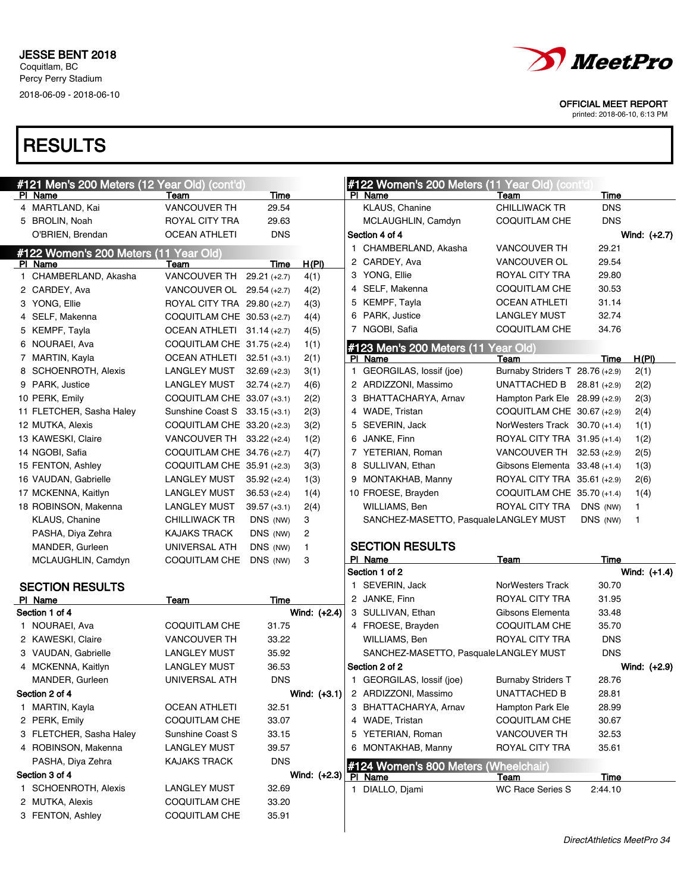

printed: 2018-06-10, 6:13 PM

|                                       | #121 Men's 200 Meters (12 Year Old) (cont'd) |                        |                |              | #122 Women's 200 Meters (11 Year Old) (cont'd |                                         |                    |                |
|---------------------------------------|----------------------------------------------|------------------------|----------------|--------------|-----------------------------------------------|-----------------------------------------|--------------------|----------------|
| PI Name<br>4 MARTLAND, Kai            | Team<br><b>VANCOUVER TH</b>                  | <b>Time</b><br>29.54   |                |              | PI Name<br>KLAUS, Chanine                     | Team<br><b>CHILLIWACK TR</b>            | Time<br><b>DNS</b> |                |
| 5 BROLIN, Noah                        | ROYAL CITY TRA                               | 29.63                  |                |              | MCLAUGHLIN, Camdyn                            | <b>COQUITLAM CHE</b>                    | <b>DNS</b>         |                |
| O'BRIEN, Brendan                      | <b>OCEAN ATHLETI</b>                         | <b>DNS</b>             |                |              | Section 4 of 4                                |                                         |                    | Wind: $(+2.7)$ |
|                                       |                                              |                        |                |              | 1 CHAMBERLAND, Akasha                         | VANCOUVER TH                            | 29.21              |                |
| #122 Women's 200 Meters (11 Year Old) |                                              |                        |                |              | 2 CARDEY, Ava                                 | VANCOUVER OL                            | 29.54              |                |
| PI Name<br>1 CHAMBERLAND, Akasha      | Team<br>VANCOUVER TH                         | Time<br>$29.21 (+2.7)$ | H(PI)          |              | 3 YONG, Ellie                                 | ROYAL CITY TRA                          | 29.80              |                |
| 2 CARDEY, Ava                         | VANCOUVER OL 29.54 (+2.7)                    |                        | 4(1)           |              | 4 SELF, Makenna                               | <b>COQUITLAM CHE</b>                    | 30.53              |                |
| 3 YONG, Ellie                         | ROYAL CITY TRA 29.80 (+2.7)                  |                        | 4(2)           |              | 5 KEMPF, Tayla                                | <b>OCEAN ATHLETI</b>                    | 31.14              |                |
| 4 SELF, Makenna                       | COQUITLAM CHE 30.53 (+2.7)                   |                        | 4(3)<br>4(4)   |              | 6 PARK, Justice                               | LANGLEY MUST                            | 32.74              |                |
| 5 KEMPF, Tayla                        | OCEAN ATHLETI 31.14 (+2.7)                   |                        | 4(5)           |              | 7 NGOBI, Safia                                | <b>COQUITLAM CHE</b>                    | 34.76              |                |
| 6 NOURAEI, Ava                        | COQUITLAM CHE $31.75$ (+2.4)                 |                        |                |              |                                               |                                         |                    |                |
| 7 MARTIN, Kayla                       | OCEAN ATHLETI 32.51 (+3.1)                   |                        | 1(1)<br>2(1)   |              | #123 Men's 200 Meters (11                     | Year Old)                               |                    |                |
| 8 SCHOENROTH, Alexis                  | LANGLEY MUST                                 | $32.69 (+2.3)$         | 3(1)           | $\mathbf{1}$ | PI Name<br>GEORGILAS, lossif (joe)            | Team<br>Burnaby Striders T 28.76 (+2.9) | Time               | H(PI)<br>2(1)  |
| 9 PARK, Justice                       | LANGLEY MUST                                 | $32.74 (+2.7)$         | 4(6)           |              | 2 ARDIZZONI, Massimo                          | UNATTACHED B                            | $28.81 (+2.9)$     | 2(2)           |
| 10 PERK, Emily                        | COQUITLAM CHE 33.07 (+3.1)                   |                        | 2(2)           |              | 3 BHATTACHARYA, Arnav                         | Hampton Park Ele $28.99$ (+2.9)         |                    | 2(3)           |
| 11 FLETCHER, Sasha Haley              | Sunshine Coast S 33.15 (+3.1)                |                        | 2(3)           |              | 4 WADE, Tristan                               | COQUITLAM CHE 30.67 (+2.9)              |                    | 2(4)           |
| 12 MUTKA, Alexis                      | COQUITLAM CHE 33.20 (+2.3)                   |                        | 3(2)           | 5            | SEVERIN, Jack                                 | NorWesters Track 30.70 (+1.4)           |                    | 1(1)           |
| 13 KAWESKI, Claire                    | VANCOUVER TH 33.22 (+2.4)                    |                        | 1(2)           |              | 6 JANKE, Finn                                 | ROYAL CITY TRA 31.95 (+1.4)             |                    | 1(2)           |
| 14 NGOBI, Safia                       | COQUITLAM CHE 34.76 (+2.7)                   |                        | 4(7)           |              | 7 YETERIAN, Roman                             | VANCOUVER TH 32.53 (+2.9)               |                    | 2(5)           |
| 15 FENTON, Ashley                     | COQUITLAM CHE 35.91 (+2.3)                   |                        | 3(3)           |              | 8 SULLIVAN, Ethan                             | Gibsons Elementa 33.48 (+1.4)           |                    | 1(3)           |
| 16 VAUDAN, Gabrielle                  | <b>LANGLEY MUST</b>                          | $35.92 (+2.4)$         | 1(3)           |              | 9 MONTAKHAB, Manny                            | ROYAL CITY TRA 35.61 (+2.9)             |                    | 2(6)           |
| 17 MCKENNA, Kaitlyn                   | <b>LANGLEY MUST</b>                          | $36.53 (+2.4)$         | 1(4)           |              | 10 FROESE, Brayden                            | COQUITLAM CHE 35.70 (+1.4)              |                    | 1(4)           |
| 18 ROBINSON, Makenna                  | LANGLEY MUST                                 | $39.57 (+3.1)$         | 2(4)           |              | WILLIAMS, Ben                                 | ROYAL CITY TRA                          | DNS (NW)           | 1              |
| KLAUS, Chanine                        | <b>CHILLIWACK TR</b>                         | DNS (NW)               | 3              |              | SANCHEZ-MASETTO, PasqualeLANGLEY MUST         |                                         | DNS (NW)           | $\mathbf{1}$   |
| PASHA, Diya Zehra                     | <b>KAJAKS TRACK</b>                          | DNS (NW)               | 2              |              |                                               |                                         |                    |                |
| MANDER, Gurleen                       | UNIVERSAL ATH                                | DNS (NW)               | 1              |              | <b>SECTION RESULTS</b>                        |                                         |                    |                |
| MCLAUGHLIN, Camdyn                    | COQUITLAM CHE                                | DNS (NW)               | 3              |              | PI Name                                       | Team                                    | Time               |                |
|                                       |                                              |                        |                |              | Section 1 of 2                                |                                         |                    | Wind: $(+1.4)$ |
| <b>SECTION RESULTS</b>                |                                              |                        |                |              | 1 SEVERIN, Jack                               | NorWesters Track                        | 30.70              |                |
| PI Name                               | Team                                         | Time                   |                |              | 2 JANKE, Finn                                 | ROYAL CITY TRA                          | 31.95              |                |
| Section 1 of 4                        |                                              |                        | Wind: $(+2.4)$ |              | 3 SULLIVAN, Ethan                             | Gibsons Elementa                        | 33.48              |                |
| 1 NOURAEI, Ava                        | COQUITLAM CHE                                | 31.75                  |                |              | 4 FROESE, Brayden                             | COQUITLAM CHE                           | 35.70              |                |
| 2 KAWESKI, Claire                     | <b>VANCOUVER TH</b>                          | 33.22                  |                |              | WILLIAMS, Ben                                 | ROYAL CITY TRA                          | <b>DNS</b>         |                |
| 3 VAUDAN, Gabrielle                   | <b>LANGLEY MUST</b>                          | 35.92                  |                |              | SANCHEZ-MASETTO, PasqualeLANGLEY MUST         |                                         | <b>DNS</b>         |                |
| 4 MCKENNA, Kaitlyn                    | <b>LANGLEY MUST</b>                          | 36.53                  |                |              | Section 2 of 2                                |                                         |                    | Wind: (+2.9)   |
| MANDER, Gurleen                       | UNIVERSAL ATH                                | <b>DNS</b>             |                |              | 1 GEORGILAS, lossif (joe)                     | <b>Burnaby Striders T</b>               | 28.76              |                |
| Section 2 of 4                        |                                              |                        | Wind: (+3.1)   |              | 2 ARDIZZONI, Massimo                          | UNATTACHED B                            | 28.81              |                |
| 1 MARTIN, Kayla                       | <b>OCEAN ATHLETI</b>                         | 32.51                  |                |              | 3 BHATTACHARYA, Arnav                         | Hampton Park Ele                        | 28.99              |                |
| 2 PERK, Emily                         | COQUITLAM CHE                                | 33.07                  |                |              | 4 WADE, Tristan                               | <b>COQUITLAM CHE</b>                    | 30.67              |                |
| 3 FLETCHER, Sasha Haley               | Sunshine Coast S                             | 33.15                  |                | 5            | YETERIAN, Roman                               | VANCOUVER TH                            | 32.53              |                |
| 4 ROBINSON, Makenna                   | <b>LANGLEY MUST</b>                          | 39.57                  |                |              | 6 MONTAKHAB, Manny                            | ROYAL CITY TRA                          | 35.61              |                |
| PASHA, Diya Zehra                     | <b>KAJAKS TRACK</b>                          | <b>DNS</b>             |                |              | #124 Women's 800 Meters (Wheelchair)          |                                         |                    |                |
| Section 3 of 4                        |                                              |                        | Wind: $(+2.3)$ |              | PI Name                                       | <u>Team</u>                             | <b>Time</b>        |                |
| 1 SCHOENROTH, Alexis                  | <b>LANGLEY MUST</b>                          | 32.69                  |                |              | 1 DIALLO, Djami                               | <b>WC Race Series S</b>                 | 2:44.10            |                |
| 2 MUTKA, Alexis                       | COQUITLAM CHE                                | 33.20                  |                |              |                                               |                                         |                    |                |
| 3 FENTON, Ashley                      | COQUITLAM CHE                                | 35.91                  |                |              |                                               |                                         |                    |                |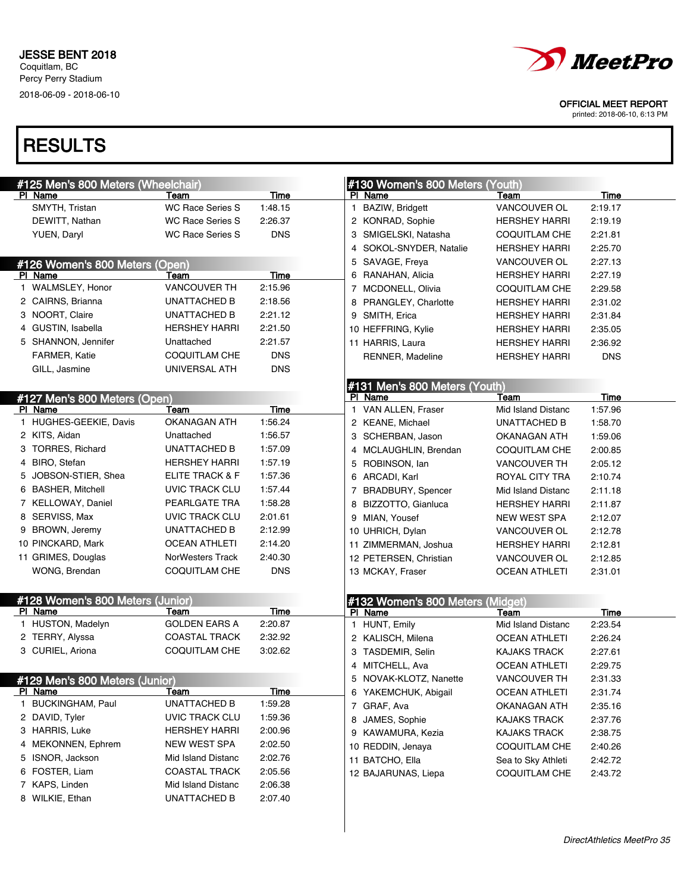

printed: 2018-06-10, 6:13 PM

| #125 Men's 800 Meters (Wheelchair) |                         |             | #130 Women's 800 Meters (Youth)   |                      |            |
|------------------------------------|-------------------------|-------------|-----------------------------------|----------------------|------------|
| PI Name                            | Team                    | Time        | PI Name                           | Team                 | Time       |
| SMYTH, Tristan                     | <b>WC Race Series S</b> | 1:48.15     | BAZIW, Bridgett<br>1              | VANCOUVER OL         | 2:19.17    |
| DEWITT, Nathan                     | <b>WC Race Series S</b> | 2:26.37     | 2 KONRAD, Sophie                  | <b>HERSHEY HARRI</b> | 2:19.19    |
| YUEN, Daryl                        | <b>WC Race Series S</b> | <b>DNS</b>  | 3 SMIGELSKI, Natasha              | <b>COQUITLAM CHE</b> | 2:21.81    |
|                                    |                         |             | 4 SOKOL-SNYDER, Natalie           | <b>HERSHEY HARRI</b> | 2:25.70    |
| #126 Women's 800 Meters (Open)     |                         |             | 5 SAVAGE, Freya                   | VANCOUVER OL         | 2:27.13    |
| PI Name                            | Team                    | Time        | 6 RANAHAN, Alicia                 | <b>HERSHEY HARRI</b> | 2:27.19    |
| 1 WALMSLEY, Honor                  | <b>VANCOUVER TH</b>     | 2:15.96     | 7 MCDONELL, Olivia                | <b>COQUITLAM CHE</b> | 2:29.58    |
| 2 CAIRNS, Brianna                  | <b>UNATTACHED B</b>     | 2:18.56     | 8 PRANGLEY, Charlotte             | <b>HERSHEY HARRI</b> | 2:31.02    |
| 3 NOORT, Claire                    | <b>UNATTACHED B</b>     | 2:21.12     | 9 SMITH, Erica                    | <b>HERSHEY HARRI</b> | 2:31.84    |
| 4 GUSTIN, Isabella                 | <b>HERSHEY HARRI</b>    | 2:21.50     | 10 HEFFRING, Kylie                | <b>HERSHEY HARRI</b> | 2:35.05    |
| 5 SHANNON, Jennifer                | Unattached              | 2:21.57     | 11 HARRIS, Laura                  | <b>HERSHEY HARRI</b> | 2:36.92    |
| FARMER, Katie                      | <b>COQUITLAM CHE</b>    | <b>DNS</b>  | RENNER, Madeline                  | <b>HERSHEY HARRI</b> | <b>DNS</b> |
| GILL, Jasmine                      | UNIVERSAL ATH           | <b>DNS</b>  |                                   |                      |            |
|                                    |                         |             | #131 Men's 800 Meters (Youth)     |                      |            |
| #127 Men's 800 Meters (Open)       |                         |             | PI Name                           | Team                 | Time       |
| PI Name                            | Team                    | Time        | VAN ALLEN, Fraser<br>$\mathbf{1}$ | Mid Island Distanc   | 1:57.96    |
| 1 HUGHES-GEEKIE, Davis             | OKANAGAN ATH            | 1:56.24     | 2 KEANE, Michael                  | UNATTACHED B         | 1:58.70    |
| 2 KITS, Aidan                      | Unattached              | 1:56.57     | 3 SCHERBAN, Jason                 | OKANAGAN ATH         | 1:59.06    |
| 3 TORRES, Richard                  | UNATTACHED B            | 1:57.09     | 4 MCLAUGHLIN, Brendan             | <b>COQUITLAM CHE</b> | 2:00.85    |
| 4 BIRO, Stefan                     | <b>HERSHEY HARRI</b>    | 1:57.19     | 5 ROBINSON, lan                   | <b>VANCOUVER TH</b>  | 2:05.12    |
| 5 JOBSON-STIER, Shea               | ELITE TRACK & F         | 1:57.36     | 6 ARCADI, Karl                    | ROYAL CITY TRA       | 2:10.74    |
| 6 BASHER, Mitchell                 | UVIC TRACK CLU          | 1:57.44     | 7 BRADBURY, Spencer               | Mid Island Distanc   | 2:11.18    |
| 7 KELLOWAY, Daniel                 | PEARLGATE TRA           | 1:58.28     | 8 BIZZOTTO, Gianluca              | <b>HERSHEY HARRI</b> | 2:11.87    |
| 8 SERVISS, Max                     | UVIC TRACK CLU          | 2:01.61     | 9 MIAN, Yousef                    | NEW WEST SPA         | 2:12.07    |
| 9 BROWN, Jeremy                    | UNATTACHED B            | 2:12.99     | 10 UHRICH, Dylan                  | VANCOUVER OL         | 2:12.78    |
| 10 PINCKARD, Mark                  | <b>OCEAN ATHLETI</b>    | 2:14.20     | 11 ZIMMERMAN, Joshua              | <b>HERSHEY HARRI</b> | 2:12.81    |
| 11 GRIMES, Douglas                 | NorWesters Track        | 2:40.30     | 12 PETERSEN, Christian            | VANCOUVER OL         | 2:12.85    |
| WONG, Brendan                      | COQUITLAM CHE           | <b>DNS</b>  | 13 MCKAY, Fraser                  | <b>OCEAN ATHLETI</b> | 2:31.01    |
|                                    |                         |             |                                   |                      |            |
| #128 Women's 800 Meters (Junior)   |                         |             | #132 Women's 800 Meters (Midget)  |                      |            |
| PI Name                            | Team                    | Time        | PI Name                           | Team                 | Time       |
| 1 HUSTON, Madelyn                  | <b>GOLDEN EARS A</b>    | 2:20.87     | 1 HUNT, Emily                     | Mid Island Distanc   | 2:23.54    |
| 2 TERRY, Alyssa                    | <b>COASTAL TRACK</b>    | 2:32.92     | 2 KALISCH, Milena                 | <b>OCEAN ATHLETI</b> | 2:26.24    |
| 3 CURIEL, Ariona                   | COQUITLAM CHE           | 3:02.62     | 3 TASDEMIR, Selin                 | <b>KAJAKS TRACK</b>  | 2:27.61    |
|                                    |                         |             | 4 MITCHELL, Ava                   | <b>OCEAN ATHLETI</b> | 2:29.75    |
| #129 Men's 800 Meters (Junior)     |                         |             | 5<br>NOVAK-KLOTZ, Nanette         | <b>VANCOUVER TH</b>  | 2:31.33    |
| PI Name                            | <u>Team</u>             | <u>Time</u> | 6 YAKEMCHUK, Abigail              | <b>OCEAN ATHLETI</b> | 2:31.74    |
| 1 BUCKINGHAM, Paul                 | UNATTACHED B            | 1:59.28     | 7 GRAF, Ava                       | OKANAGAN ATH         | 2:35.16    |
| 2 DAVID, Tyler                     | UVIC TRACK CLU          | 1:59.36     | 8 JAMES, Sophie                   | <b>KAJAKS TRACK</b>  | 2:37.76    |
| 3 HARRIS, Luke                     | <b>HERSHEY HARRI</b>    | 2:00.96     | 9 KAWAMURA, Kezia                 | <b>KAJAKS TRACK</b>  | 2:38.75    |
| 4 MEKONNEN, Ephrem                 | NEW WEST SPA            | 2:02.50     | 10 REDDIN, Jenaya                 | <b>COQUITLAM CHE</b> | 2:40.26    |
| 5 ISNOR, Jackson                   | Mid Island Distanc      | 2:02.76     | 11 BATCHO, Ella                   | Sea to Sky Athleti   | 2:42.72    |
| 6 FOSTER, Liam                     | <b>COASTAL TRACK</b>    | 2:05.56     | 12 BAJARUNAS, Liepa               | <b>COQUITLAM CHE</b> | 2:43.72    |
| 7 KAPS, Linden                     | Mid Island Distanc      | 2:06.38     |                                   |                      |            |
| 8 WILKIE, Ethan                    | UNATTACHED B            | 2:07.40     |                                   |                      |            |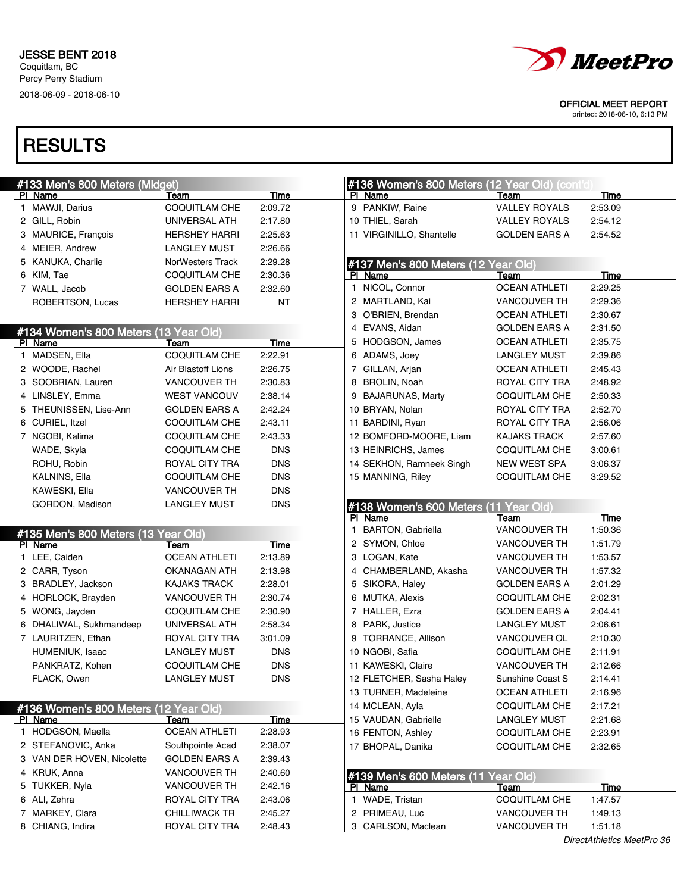

printed: 2018-06-10, 6:13 PM

| #133 Men's 800 Meters (Midget)        |                      |             | #136 Women's 800 Meters (12 Year Old) (cont'd) |                      |             |
|---------------------------------------|----------------------|-------------|------------------------------------------------|----------------------|-------------|
| PI Name                               | Team                 | <u>Time</u> | PI Name                                        | Team                 | Time        |
| 1 MAWJI, Darius                       | <b>COQUITLAM CHE</b> | 2:09.72     | 9 PANKIW, Raine                                | <b>VALLEY ROYALS</b> | 2:53.09     |
| 2 GILL, Robin                         | UNIVERSAL ATH        | 2:17.80     | 10 THIEL, Sarah                                | <b>VALLEY ROYALS</b> | 2:54.12     |
| 3 MAURICE, Francois                   | <b>HERSHEY HARRI</b> | 2:25.63     | 11 VIRGINILLO, Shantelle                       | <b>GOLDEN EARS A</b> | 2:54.52     |
| 4 MEIER, Andrew                       | <b>LANGLEY MUST</b>  | 2:26.66     |                                                |                      |             |
| 5 KANUKA, Charlie                     | NorWesters Track     | 2:29.28     | #137 Men's 800 Meters (12 Year Old)            |                      |             |
| 6 KIM, Tae                            | COQUITLAM CHE        | 2:30.36     | PI Name                                        | Team                 | Time        |
| 7 WALL, Jacob                         | <b>GOLDEN EARS A</b> | 2:32.60     | NICOL, Connor<br>$\mathbf{1}$                  | <b>OCEAN ATHLETI</b> | 2:29.25     |
| ROBERTSON, Lucas                      | <b>HERSHEY HARRI</b> | <b>NT</b>   | 2 MARTLAND, Kai                                | VANCOUVER TH         | 2:29.36     |
|                                       |                      |             | 3 O'BRIEN, Brendan                             | <b>OCEAN ATHLETI</b> | 2:30.67     |
| #134 Women's 800 Meters (13 Year Old) |                      |             | 4 EVANS, Aidan                                 | <b>GOLDEN EARS A</b> | 2:31.50     |
| PI Name                               | Team                 | Time        | 5 HODGSON, James                               | <b>OCEAN ATHLETI</b> | 2:35.75     |
| 1 MADSEN, Ella                        | <b>COQUITLAM CHE</b> | 2:22.91     | 6 ADAMS, Joey                                  | <b>LANGLEY MUST</b>  | 2:39.86     |
| 2 WOODE, Rachel                       | Air Blastoff Lions   | 2:26.75     | 7 GILLAN, Arjan                                | <b>OCEAN ATHLETI</b> | 2:45.43     |
| 3 SOOBRIAN, Lauren                    | VANCOUVER TH         | 2:30.83     | 8 BROLIN, Noah                                 | ROYAL CITY TRA       | 2:48.92     |
| 4 LINSLEY, Emma                       | <b>WEST VANCOUV</b>  | 2:38.14     | 9 BAJARUNAS, Marty                             | <b>COQUITLAM CHE</b> | 2:50.33     |
| 5 THEUNISSEN, Lise-Ann                | <b>GOLDEN EARS A</b> | 2:42.24     | 10 BRYAN, Nolan                                | ROYAL CITY TRA       | 2:52.70     |
| 6 CURIEL, Itzel                       | <b>COQUITLAM CHE</b> | 2:43.11     | 11 BARDINI, Ryan                               | ROYAL CITY TRA       | 2:56.06     |
| 7 NGOBI, Kalima                       | <b>COQUITLAM CHE</b> | 2:43.33     | 12 BOMFORD-MOORE, Liam                         | <b>KAJAKS TRACK</b>  | 2:57.60     |
| WADE, Skyla                           | <b>COQUITLAM CHE</b> | <b>DNS</b>  | 13 HEINRICHS, James                            | <b>COQUITLAM CHE</b> | 3:00.61     |
| ROHU, Robin                           | ROYAL CITY TRA       | <b>DNS</b>  | 14 SEKHON, Ramneek Singh                       | NEW WEST SPA         | 3:06.37     |
| <b>KALNINS, Ella</b>                  | COQUITLAM CHE        | <b>DNS</b>  | 15 MANNING, Riley                              | COQUITLAM CHE        | 3:29.52     |
| KAWESKI, Ella                         | VANCOUVER TH         | <b>DNS</b>  |                                                |                      |             |
| GORDON, Madison                       | <b>LANGLEY MUST</b>  | <b>DNS</b>  | #138 Women's 600 Meters (11 Year Old)          |                      |             |
|                                       |                      |             | PI Name                                        | Team                 | Time        |
| #135 Men's 800 Meters (13 Year Old)   |                      |             | <b>BARTON, Gabriella</b><br>$\mathbf{1}$       | VANCOUVER TH         | 1:50.36     |
| PI Name                               | Team                 | Time        | 2 SYMON, Chloe                                 | VANCOUVER TH         | 1:51.79     |
| 1 LEE, Caiden                         | <b>OCEAN ATHLETI</b> | 2:13.89     | 3 LOGAN, Kate                                  | VANCOUVER TH         | 1:53.57     |
| 2 CARR, Tyson                         | OKANAGAN ATH         | 2:13.98     | 4 CHAMBERLAND, Akasha                          | <b>VANCOUVER TH</b>  | 1:57.32     |
| 3 BRADLEY, Jackson                    | <b>KAJAKS TRACK</b>  | 2:28.01     | 5 SIKORA, Haley                                | <b>GOLDEN EARS A</b> | 2:01.29     |
| 4 HORLOCK, Brayden                    | VANCOUVER TH         | 2:30.74     | 6 MUTKA, Alexis                                | <b>COQUITLAM CHE</b> | 2:02.31     |
| 5 WONG, Jayden                        | <b>COQUITLAM CHE</b> | 2:30.90     | 7 HALLER, Ezra                                 | <b>GOLDEN EARS A</b> | 2:04.41     |
| 6 DHALIWAL, Sukhmandeep               | UNIVERSAL ATH        | 2:58.34     | 8 PARK, Justice                                | <b>LANGLEY MUST</b>  | 2:06.61     |
| 7 LAURITZEN, Ethan                    | ROYAL CITY TRA       | 3:01.09     | 9 TORRANCE, Allison                            | VANCOUVER OL         | 2:10.30     |
| HUMENIUK, Isaac                       | <b>LANGLEY MUST</b>  | <b>DNS</b>  | 10 NGOBI, Safia                                | <b>COQUITLAM CHE</b> | 2:11.91     |
| PANKRATZ, Kohen                       | COQUITLAM CHE        | <b>DNS</b>  | 11 KAWESKI, Claire                             | <b>VANCOUVER TH</b>  | 2:12.66     |
| FLACK, Owen                           | <b>LANGLEY MUST</b>  | <b>DNS</b>  | 12 FLETCHER, Sasha Haley                       | Sunshine Coast S     | 2:14.41     |
|                                       |                      |             | 13 TURNER, Madeleine                           | <b>OCEAN ATHLETI</b> | 2:16.96     |
| #136 Women's 800 Meters (12 Year Old) |                      |             | 14 MCLEAN, Ayla                                | COQUITLAM CHE        | 2:17.21     |
| PI Name                               | <u>Team</u>          | <b>Time</b> | 15 VAUDAN, Gabrielle                           | LANGLEY MUST         | 2:21.68     |
| 1 HODGSON, Maella                     | <b>OCEAN ATHLETI</b> | 2:28.93     | 16 FENTON, Ashley                              | COQUITLAM CHE        | 2:23.91     |
| 2 STEFANOVIC, Anka                    | Southpointe Acad     | 2:38.07     | 17 BHOPAL, Danika                              | <b>COQUITLAM CHE</b> | 2:32.65     |
| 3 VAN DER HOVEN, Nicolette            | GOLDEN EARS A        | 2:39.43     |                                                |                      |             |
| 4 KRUK, Anna                          | <b>VANCOUVER TH</b>  | 2:40.60     | #139 Men's 600 Meters (11 Year Old)            |                      |             |
| 5 TUKKER, Nyla                        | <b>VANCOUVER TH</b>  | 2:42.16     | PI Name                                        | <u>Team</u>          | <b>Time</b> |
| 6 ALI, Zehra                          | ROYAL CITY TRA       | 2:43.06     | 1 WADE, Tristan                                | <b>COQUITLAM CHE</b> | 1:47.57     |
| 7 MARKEY, Clara                       | <b>CHILLIWACK TR</b> | 2:45.27     | 2 PRIMEAU, Luc                                 | <b>VANCOUVER TH</b>  | 1:49.13     |
| 8 CHIANG, Indira                      | ROYAL CITY TRA       | 2:48.43     | 3 CARLSON, Maclean                             | VANCOUVER TH         | 1:51.18     |
|                                       |                      |             |                                                |                      |             |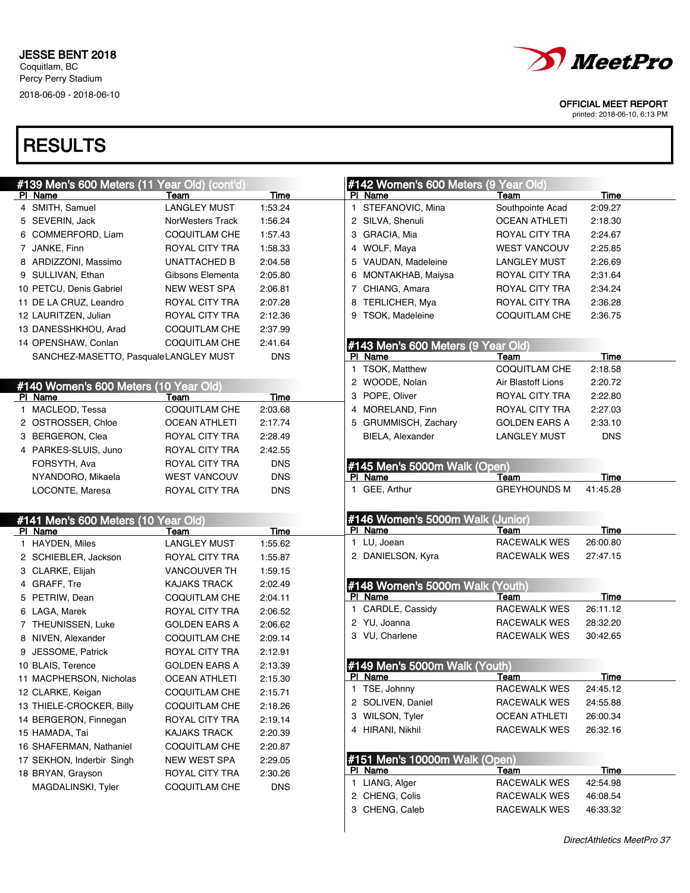

printed: 2018-06-10, 6:13 PM

| #139 Men's 600 Meters (11 Year Old) (cont'd)      |                         |                    | #142 Women's 600 Meters (9 Year Old)     |                      |            |  |
|---------------------------------------------------|-------------------------|--------------------|------------------------------------------|----------------------|------------|--|
| PI Name                                           | Team                    | Time               | PI Name                                  | Team                 | Time       |  |
| 4 SMITH, Samuel                                   | <b>LANGLEY MUST</b>     | 1:53.24            | 1 STEFANOVIC, Mina                       | Southpointe Acad     | 2:09.27    |  |
| 5 SEVERIN, Jack                                   | <b>NorWesters Track</b> | 1:56.24            | 2 SILVA, Shenuli                         | <b>OCEAN ATHLETI</b> | 2:18.30    |  |
| 6 COMMERFORD, Liam                                | <b>COQUITLAM CHE</b>    | 1:57.43            | 3 GRACIA, Mia                            | ROYAL CITY TRA       | 2:24.67    |  |
| 7 JANKE, Finn                                     | ROYAL CITY TRA          | 1:58.33            | 4 WOLF, Maya                             | <b>WEST VANCOUV</b>  | 2:25.85    |  |
| 8 ARDIZZONI, Massimo                              | UNATTACHED B            | 2:04.58            | 5 VAUDAN, Madeleine                      | <b>LANGLEY MUST</b>  | 2:26.69    |  |
| 9 SULLIVAN, Ethan                                 | Gibsons Elementa        | 2:05.80            | 6 MONTAKHAB, Maiysa                      | ROYAL CITY TRA       | 2:31.64    |  |
| 10 PETCU, Denis Gabriel                           | NEW WEST SPA            | 2:06.81            | 7 CHIANG, Amara                          | ROYAL CITY TRA       | 2:34.24    |  |
| 11 DE LA CRUZ, Leandro                            | ROYAL CITY TRA          | 2:07.28            | 8 TERLICHER, Mya                         | ROYAL CITY TRA       | 2:36.28    |  |
| 12 LAURITZEN, Julian                              | ROYAL CITY TRA          | 2:12.36            | 9 TSOK, Madeleine                        | <b>COQUITLAM CHE</b> | 2:36.75    |  |
| 13 DANESSHKHOU, Arad                              | <b>COQUITLAM CHE</b>    | 2:37.99            |                                          |                      |            |  |
| 14 OPENSHAW, Conlan                               | <b>COQUITLAM CHE</b>    | 2:41.64            | #143 Men's 600 Meters (9 Year Old)       |                      |            |  |
| SANCHEZ-MASETTO, PasqualeLANGLEY MUST             |                         | <b>DNS</b>         | PI Name                                  | Team                 | Time       |  |
|                                                   |                         |                    | 1 TSOK, Matthew                          | <b>COQUITLAM CHE</b> | 2:18.58    |  |
| #140 Women's 600 Meters (10 Year Old)             |                         |                    | 2 WOODE, Nolan                           | Air Blastoff Lions   | 2:20.72    |  |
| PI Name                                           | Team                    | Time               | 3 POPE, Oliver                           | ROYAL CITY TRA       | 2:22.80    |  |
| 1 MACLEOD, Tessa                                  | <b>COQUITLAM CHE</b>    | 2:03.68            | 4 MORELAND, Finn                         | ROYAL CITY TRA       | 2:27.03    |  |
| 2 OSTROSSER, Chloe                                | <b>OCEAN ATHLETI</b>    | 2:17.74            | 5 GRUMMISCH, Zachary                     | <b>GOLDEN EARS A</b> | 2:33.10    |  |
| 3 BERGERON, Clea                                  | ROYAL CITY TRA          | 2:28.49            | BIELA, Alexander                         | <b>LANGLEY MUST</b>  | <b>DNS</b> |  |
| 4 PARKES-SLUIS, Juno                              | ROYAL CITY TRA          | 2:42.55            |                                          |                      |            |  |
| FORSYTH, Ava                                      | ROYAL CITY TRA          | <b>DNS</b>         | #145 Men's 5000m Walk (Open)             |                      |            |  |
| NYANDORO, Mikaela                                 | <b>WEST VANCOUV</b>     | <b>DNS</b>         | PI Name                                  | Team                 | Time       |  |
| LOCONTE, Maresa                                   | ROYAL CITY TRA          | <b>DNS</b>         | 1 GEE, Arthur                            | <b>GREYHOUNDS M</b>  | 41:45.28   |  |
|                                                   |                         |                    |                                          |                      |            |  |
| #141 Men's 600 Meters (10 Year Old)               |                         |                    | #146 Women's 5000m Walk (Junior)         |                      |            |  |
|                                                   |                         |                    | PI Name                                  |                      |            |  |
| PI Name                                           | Team                    | Time               |                                          | Team                 | Time       |  |
| 1 HAYDEN, Miles                                   | <b>LANGLEY MUST</b>     | 1:55.62            | 1 LU, Joean                              | <b>RACEWALK WES</b>  | 26:00.80   |  |
| 2 SCHIEBLER, Jackson                              | ROYAL CITY TRA          | 1:55.87            | 2 DANIELSON, Kyra                        | <b>RACEWALK WES</b>  | 27:47.15   |  |
| 3 CLARKE, Elijah                                  | <b>VANCOUVER TH</b>     | 1:59.15            |                                          |                      |            |  |
| 4 GRAFF, Tre                                      | <b>KAJAKS TRACK</b>     | 2:02.49            | #148 Women's 5000m Walk (Youth)          |                      |            |  |
| 5 PETRIW, Dean                                    | COQUITLAM CHE           | 2:04.11            | PI Name                                  | Team                 | Time       |  |
| 6 LAGA, Marek                                     | ROYAL CITY TRA          | 2:06.52            | 1 CARDLE, Cassidy                        | <b>RACEWALK WES</b>  | 26:11.12   |  |
| 7 THEUNISSEN, Luke                                | <b>GOLDEN EARS A</b>    | 2:06.62            | 2 YU, Joanna                             | RACEWALK WES         | 28:32.20   |  |
| 8 NIVEN, Alexander                                | <b>COQUITLAM CHE</b>    | 2:09.14            | 3 VU, Charlene                           | RACEWALK WES         | 30:42.65   |  |
| 9 JESSOME, Patrick                                | ROYAL CITY TRA          | 2:12.91            |                                          |                      |            |  |
| 10 BLAIS, Terence                                 | <b>GOLDEN EARS A</b>    | 2:13.39            |                                          |                      |            |  |
| 11 MACPHERSON, Nicholas                           | <b>OCEAN ATHLETI</b>    | 2:15.30            | #149 Men's 5000m Walk (Youth)<br>PI Name | Team                 | Time       |  |
|                                                   | <b>COQUITLAM CHE</b>    | 2:15.71            | 1 TSE, Johnny                            | RACEWALK WES         | 24:45.12   |  |
| 12 CLARKE, Keigan                                 | COQUITLAM CHE           |                    | 2 SOLIVEN, Daniel                        | <b>RACEWALK WES</b>  | 24:55.88   |  |
| 13 THIELE-CROCKER, Billy<br>14 BERGERON, Finnegan | ROYAL CITY TRA          | 2:18.26<br>2:19.14 | 3 WILSON, Tyler                          | <b>OCEAN ATHLETI</b> | 26:00.34   |  |
| 15 HAMADA, Tai                                    | <b>KAJAKS TRACK</b>     | 2:20.39            | 4 HIRANI, Nikhil                         | RACEWALK WES         | 26:32.16   |  |
|                                                   | <b>COQUITLAM CHE</b>    |                    |                                          |                      |            |  |
| 16 SHAFERMAN, Nathaniel                           |                         | 2:20.87            |                                          |                      |            |  |
| 17 SEKHON, Inderbir Singh                         | <b>NEW WEST SPA</b>     | 2:29.05            | #151 Men's 10000m Walk (Open)<br>PI Name | Team                 | Time       |  |
| 18 BRYAN, Grayson                                 | ROYAL CITY TRA          | 2:30.26            | 1 LIANG, Alger                           | RACEWALK WES         | 42:54.98   |  |
| MAGDALINSKI, Tyler                                | <b>COQUITLAM CHE</b>    | <b>DNS</b>         | 2 CHENG, Colis                           | RACEWALK WES         | 46:08.54   |  |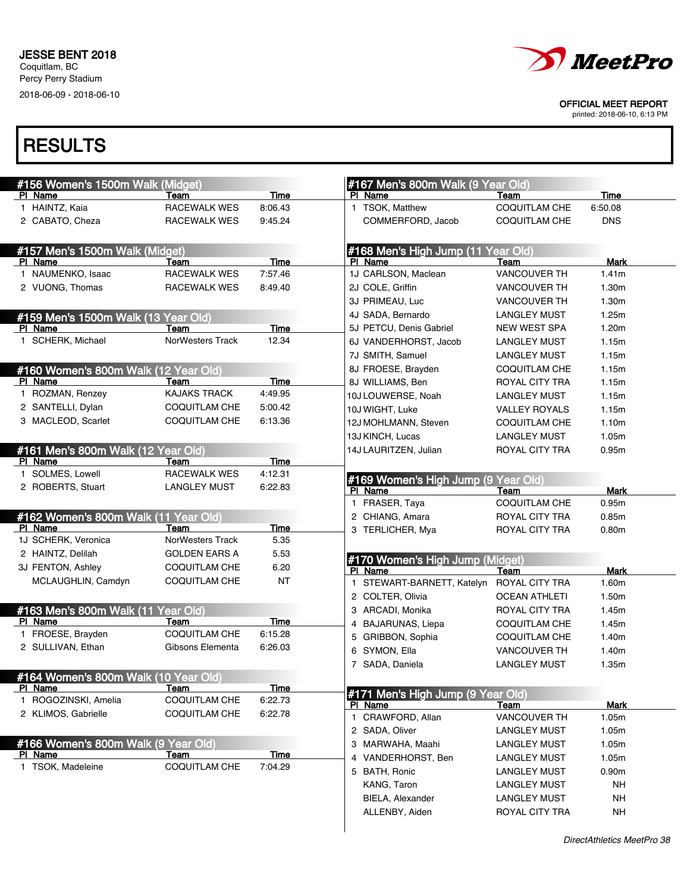

printed: 2018-06-10, 6:13 PM

| #156 Women's 1500m Walk (Midget)                |                             |             | #167 Men's 800m Walk (9 Year Old)              |                        |                   |
|-------------------------------------------------|-----------------------------|-------------|------------------------------------------------|------------------------|-------------------|
| PI Name                                         | Team<br><b>RACEWALK WES</b> | Time        | PI Name                                        | Team                   | Time              |
| 1 HAINTZ, Kaia                                  |                             | 8:06.43     | 1 TSOK, Matthew                                | <b>COQUITLAM CHE</b>   | 6:50.08           |
| 2 CABATO, Cheza                                 | RACEWALK WES                | 9:45.24     | COMMERFORD, Jacob                              | <b>COQUITLAM CHE</b>   | <b>DNS</b>        |
| #157 Men's 1500m Walk (Midget)                  |                             |             | #168 Men's High Jump (11 Year Old)             |                        |                   |
| PI Name                                         | Team                        | <b>Time</b> | PI Name                                        | Team                   | Mark              |
| 1 NAUMENKO, Isaac                               | <b>RACEWALK WES</b>         | 7:57.46     | 1J CARLSON, Maclean                            | <b>VANCOUVER TH</b>    | 1.41m             |
| 2 VUONG, Thomas                                 | RACEWALK WES                | 8:49.40     | 2J COLE, Griffin                               | <b>VANCOUVER TH</b>    | 1.30m             |
|                                                 |                             |             | 3J PRIMEAU, Luc                                | <b>VANCOUVER TH</b>    | 1.30m             |
| #159 Men's 1500m Walk (13 Year Old)             |                             |             | 4J SADA, Bernardo                              | <b>LANGLEY MUST</b>    | 1.25m             |
| PI Name                                         | Team                        | <b>Time</b> | 5J PETCU, Denis Gabriel                        | <b>NEW WEST SPA</b>    | 1.20m             |
| 1 SCHERK, Michael                               | NorWesters Track            | 12.34       | 6J VANDERHORST, Jacob                          | <b>LANGLEY MUST</b>    | 1.15m             |
|                                                 |                             |             | 7J SMITH, Samuel                               | <b>LANGLEY MUST</b>    | 1.15m             |
| #160 Women's 800m Walk (12 Year Old)            |                             |             | 8J FROESE, Brayden                             | <b>COQUITLAM CHE</b>   | 1.15m             |
| PI Name                                         | Team                        | Time        | 8J WILLIAMS, Ben                               | ROYAL CITY TRA         | 1.15m             |
| 1 ROZMAN, Renzey                                | <b>KAJAKS TRACK</b>         | 4:49.95     | 10J LOUWERSE, Noah                             | <b>LANGLEY MUST</b>    | 1.15m             |
| 2 SANTELLI, Dylan                               | <b>COQUITLAM CHE</b>        | 5:00.42     | 10J WIGHT, Luke                                | <b>VALLEY ROYALS</b>   | 1.15m             |
| 3 MACLEOD, Scarlet                              | COQUITLAM CHE               | 6:13.36     | 12J MOHLMANN, Steven                           | <b>COQUITLAM CHE</b>   | 1.10m             |
|                                                 |                             |             | 13J KINCH, Lucas                               | <b>LANGLEY MUST</b>    | 1.05m             |
| #161 Men's 800m Walk (12 Year Old)              |                             |             | 14J LAURITZEN, Julian                          | ROYAL CITY TRA         | 0.95m             |
| PI Name                                         | Team                        | Time        |                                                |                        |                   |
| 1 SOLMES, Lowell                                | <b>RACEWALK WES</b>         | 4:12.31     |                                                |                        |                   |
| 2 ROBERTS, Stuart                               | <b>LANGLEY MUST</b>         | 6:22.83     | #169 Women's High Jump (9 Year Old)<br>PI Name | Team                   | Mark              |
|                                                 |                             |             | 1 FRASER, Taya                                 | <b>COQUITLAM CHE</b>   | 0.95m             |
| #162 Women's 800m Walk (11 Year Old)            |                             |             | 2 CHIANG, Amara                                | ROYAL CITY TRA         | 0.85m             |
| PI Name                                         | Team                        | <b>Time</b> | 3 TERLICHER, Mya                               | ROYAL CITY TRA         | 0.80 <sub>m</sub> |
| 1J SCHERK, Veronica                             | NorWesters Track            | 5.35        |                                                |                        |                   |
| 2 HAINTZ, Delilah                               | <b>GOLDEN EARS A</b>        | 5.53        |                                                |                        |                   |
| 3J FENTON, Ashley                               | <b>COQUITLAM CHE</b>        | 6.20        | #170 Women's High Jump (Midget)<br>PI Name     |                        | <b>Mark</b>       |
| MCLAUGHLIN, Camdyn                              | <b>COQUITLAM CHE</b>        | <b>NT</b>   | 1 STEWART-BARNETT, Katelyn                     | Team<br>ROYAL CITY TRA | 1.60m             |
|                                                 |                             |             | 2 COLTER, Olivia                               | <b>OCEAN ATHLETI</b>   | 1.50m             |
|                                                 |                             |             |                                                |                        |                   |
| #163 Men's 800m Walk (11<br>PI Name             | Year Old)<br>Team           | Time        | 3 ARCADI, Monika                               | ROYAL CITY TRA         | 1.45m             |
| 1 FROESE, Brayden                               | <b>COQUITLAM CHE</b>        | 6:15.28     | 4 BAJARUNAS, Liepa                             | <b>COQUITLAM CHE</b>   | 1.45m             |
| 2 SULLIVAN, Ethan                               | Gibsons Elementa            | 6:26.03     | 5 GRIBBON, Sophia                              | <b>COQUITLAM CHE</b>   | 1.40m             |
|                                                 |                             |             | 6 SYMON, Ella                                  | <b>VANCOUVER TH</b>    | 1.40m             |
|                                                 |                             |             | 7 SADA, Daniela                                | <b>LANGLEY MUST</b>    | 1.35m             |
| #164 Women's 800m Walk (10 Year Old)<br>PI Name | Team                        | Time        |                                                |                        |                   |
| 1 ROGOZINSKI, Amelia                            | COQUITLAM CHE               | 6:22.73     | #171 Men's High Jump (9 Year Old)              |                        |                   |
| 2 KLIMOS, Gabrielle                             | COQUITLAM CHE               | 6:22.78     | PI Name                                        | Team                   | <b>Mark</b>       |
|                                                 |                             |             | CRAWFORD, Allan<br>$\mathbf{1}$                | VANCOUVER TH           | 1.05m             |
|                                                 |                             |             | 2 SADA, Oliver                                 | LANGLEY MUST           | 1.05m             |
| #166 Women's 800m Walk (9 Year Old)<br>PI Name  | Team                        | Time        | 3 MARWAHA, Maahi                               | <b>LANGLEY MUST</b>    | 1.05m             |
| 1 TSOK, Madeleine                               | COQUITLAM CHE               | 7:04.29     | 4 VANDERHORST, Ben                             | <b>LANGLEY MUST</b>    | 1.05m             |
|                                                 |                             |             | 5 BATH, Ronic                                  | <b>LANGLEY MUST</b>    | 0.90 <sub>m</sub> |
|                                                 |                             |             | KANG, Taron                                    | <b>LANGLEY MUST</b>    | <b>NH</b>         |
|                                                 |                             |             | BIELA, Alexander                               | <b>LANGLEY MUST</b>    | <b>NH</b>         |
|                                                 |                             |             | ALLENBY, Aiden                                 | ROYAL CITY TRA         | <b>NH</b>         |
|                                                 |                             |             |                                                |                        |                   |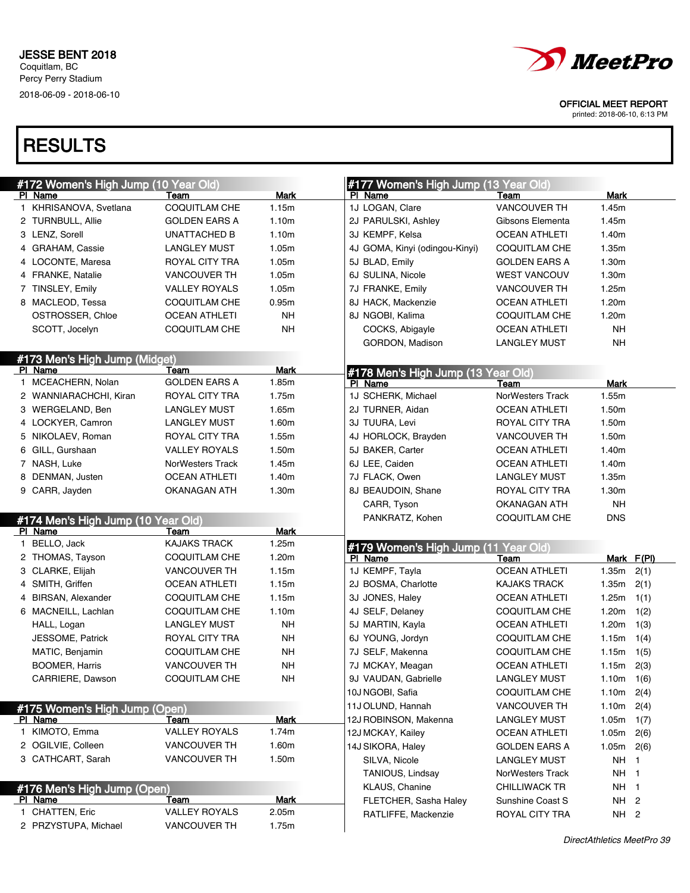

printed: 2018-06-10, 6:13 PM

| #172 Women's High Jump (10 Year Old) |                         |                 | #177 Women's High Jump (13 Year Old) |                      |              |                         |
|--------------------------------------|-------------------------|-----------------|--------------------------------------|----------------------|--------------|-------------------------|
| PI Name                              | Team                    | Mark            | PI Name                              | Team                 | Mark         |                         |
| 1 KHRISANOVA, Svetlana               | COQUITLAM CHE           | 1.15m           | 1J LOGAN, Clare                      | <b>VANCOUVER TH</b>  | 1.45m        |                         |
| 2 TURNBULL, Allie                    | <b>GOLDEN EARS A</b>    | 1.10m           | 2J PARULSKI, Ashley                  | Gibsons Elementa     | 1.45m        |                         |
| 3 LENZ, Sorell                       | UNATTACHED B            | 1.10m           | 3J KEMPF, Kelsa                      | <b>OCEAN ATHLETI</b> | 1.40m        |                         |
| 4 GRAHAM, Cassie                     | <b>LANGLEY MUST</b>     | 1.05m           | 4J GOMA, Kinyi (odingou-Kinyi)       | COQUITLAM CHE        | 1.35m        |                         |
| 4 LOCONTE, Maresa                    | ROYAL CITY TRA          | 1.05m           | 5J BLAD, Emily                       | <b>GOLDEN EARS A</b> | 1.30m        |                         |
| 4 FRANKE, Natalie                    | <b>VANCOUVER TH</b>     | 1.05m           | 6J SULINA, Nicole                    | WEST VANCOUV         | 1.30m        |                         |
| 7 TINSLEY, Emily                     | <b>VALLEY ROYALS</b>    | 1.05m           | 7J FRANKE, Emily                     | <b>VANCOUVER TH</b>  | 1.25m        |                         |
| 8 MACLEOD, Tessa                     | <b>COQUITLAM CHE</b>    | 0.95m           | 8J HACK, Mackenzie                   | <b>OCEAN ATHLETI</b> | 1.20m        |                         |
| OSTROSSER, Chloe                     | <b>OCEAN ATHLETI</b>    | NΗ              | 8J NGOBI, Kalima                     | COQUITLAM CHE        | 1.20m        |                         |
| SCOTT, Jocelyn                       | <b>COQUITLAM CHE</b>    | <b>NH</b>       | COCKS, Abigayle                      | <b>OCEAN ATHLETI</b> | <b>NH</b>    |                         |
|                                      |                         |                 | GORDON, Madison                      | <b>LANGLEY MUST</b>  | <b>NH</b>    |                         |
| #173 Men's High Jump (Midget)        |                         |                 |                                      |                      |              |                         |
| PI Name                              | Team                    | <b>Mark</b>     | #178 Men's High Jump (13 Year Old)   |                      |              |                         |
| 1 MCEACHERN, Nolan                   | <b>GOLDEN EARS A</b>    | 1.85m           | PI Name                              | Team                 | Mark         |                         |
| 2 WANNIARACHCHI, Kiran               | ROYAL CITY TRA          | 1.75m           | 1J SCHERK, Michael                   | NorWesters Track     | 1.55m        |                         |
| 3 WERGELAND, Ben                     | LANGLEY MUST            | 1.65m           | 2J TURNER, Aidan                     | <b>OCEAN ATHLETI</b> | 1.50m        |                         |
| 4 LOCKYER, Camron                    | LANGLEY MUST            | 1.60m           | 3J TUURA, Levi                       | ROYAL CITY TRA       | 1.50m        |                         |
| 5 NIKOLAEV, Roman                    | ROYAL CITY TRA          | 1.55m           | 4J HORLOCK, Brayden                  | <b>VANCOUVER TH</b>  | 1.50m        |                         |
| 6 GILL, Gurshaan                     | <b>VALLEY ROYALS</b>    | 1.50m           | 5J BAKER, Carter                     | <b>OCEAN ATHLETI</b> | 1.40m        |                         |
| 7 NASH, Luke                         | <b>NorWesters Track</b> | 1.45m           | 6J LEE, Caiden                       | <b>OCEAN ATHLETI</b> | 1.40m        |                         |
| 8 DENMAN, Justen                     | <b>OCEAN ATHLETI</b>    | 1.40m           | 7J FLACK, Owen                       | <b>LANGLEY MUST</b>  | 1.35m        |                         |
| 9 CARR, Jayden                       | OKANAGAN ATH            | 1.30m           | 8J BEAUDOIN, Shane                   | ROYAL CITY TRA       | 1.30m        |                         |
|                                      |                         |                 | CARR, Tyson                          | <b>OKANAGAN ATH</b>  | <b>NH</b>    |                         |
| #174 Men's High Jump (10 Year Old)   |                         |                 | PANKRATZ, Kohen                      | <b>COQUITLAM CHE</b> | <b>DNS</b>   |                         |
| PI Name                              | Team                    | <b>Mark</b>     |                                      |                      |              |                         |
| 1 BELLO, Jack                        | <b>KAJAKS TRACK</b>     | 1.25m           | #179 Women's High Jump (11 Year Old) |                      |              |                         |
| 2 THOMAS, Tayson                     | <b>COQUITLAM CHE</b>    | 1.20m           | PI Name                              | Team                 |              | Mark F(PI)              |
| 3 CLARKE, Elijah                     | <b>VANCOUVER TH</b>     | 1.15m           | 1J KEMPF, Tayla                      | <b>OCEAN ATHLETI</b> | 1.35m        | 2(1)                    |
| 4 SMITH, Griffen                     | <b>OCEAN ATHLETI</b>    | 1.15m           | 2J BOSMA, Charlotte                  | <b>KAJAKS TRACK</b>  | 1.35m        | 2(1)                    |
| 4 BIRSAN, Alexander                  | <b>COQUITLAM CHE</b>    | 1.15m           | 3J JONES, Haley                      | <b>OCEAN ATHLETI</b> | 1.25m        | 1(1)                    |
| 6 MACNEILL, Lachlan                  | <b>COQUITLAM CHE</b>    | 1.10m           | 4J SELF, Delaney                     | <b>COQUITLAM CHE</b> | 1.20m        | 1(2)                    |
| HALL, Logan                          | <b>LANGLEY MUST</b>     | NΗ              | 5J MARTIN, Kayla                     | <b>OCEAN ATHLETI</b> | 1.20m        | 1(3)                    |
| JESSOME, Patrick                     | ROYAL CITY TRA          | <b>NH</b>       | 6J YOUNG, Jordyn                     | COQUITLAM CHE        | 1.15m        | 1(4)                    |
| MATIC, Benjamin                      | <b>COQUITLAM CHE</b>    | <b>NH</b>       | 7J SELF, Makenna                     | <b>COQUITLAM CHE</b> | 1.15m        | 1(5)                    |
| BOOMER, Harris                       | <b>VANCOUVER TH</b>     | <b>NH</b>       | 7J MCKAY, Meagan                     | <b>OCEAN ATHLETI</b> | $1.15m$ 2(3) |                         |
| CARRIERE, Dawson                     | COQUITLAM CHE           | $\mathsf{NH}\,$ | 9J VAUDAN, Gabrielle                 | <b>LANGLEY MUST</b>  | $1.10m$ 1(6) |                         |
|                                      |                         |                 | 10J NGOBI, Safia                     | <b>COQUITLAM CHE</b> | 1.10m        | 2(4)                    |
| #175 Women's High Jump (Open)        |                         |                 | 11J OLUND, Hannah                    | <b>VANCOUVER TH</b>  | 1.10m        | 2(4)                    |
| PI Name                              | Team                    | <b>Mark</b>     | 12J ROBINSON, Makenna                | <b>LANGLEY MUST</b>  | 1.05m        | 1(7)                    |
| 1 KIMOTO, Emma                       | <b>VALLEY ROYALS</b>    | 1.74m           | 12J MCKAY, Kailey                    | <b>OCEAN ATHLETI</b> | 1.05m        | 2(6)                    |
| 2 OGILVIE, Colleen                   | VANCOUVER TH            | 1.60m           | 14J SIKORA, Haley                    | <b>GOLDEN EARS A</b> | 1.05m        | 2(6)                    |
| 3 CATHCART, Sarah                    | VANCOUVER TH            | 1.50m           | SILVA, Nicole                        | <b>LANGLEY MUST</b>  | <b>NH</b>    | $\mathbf{1}$            |
|                                      |                         |                 | TANIOUS, Lindsay                     | NorWesters Track     | <b>NH</b>    | $\overline{\mathbf{1}}$ |
| #176 Men's High Jump (Open)          |                         |                 | KLAUS, Chanine                       | <b>CHILLIWACK TR</b> | NH 1         |                         |
| PI Name                              | Team                    | <b>Mark</b>     | FLETCHER, Sasha Haley                | Sunshine Coast S     | NH 2         |                         |
| 1 CHATTEN, Eric                      | <b>VALLEY ROYALS</b>    | 2.05m           | RATLIFFE, Mackenzie                  | ROYAL CITY TRA       | NH 2         |                         |
| 2 PRZYSTUPA, Michael                 | VANCOUVER TH            | 1.75m           |                                      |                      |              |                         |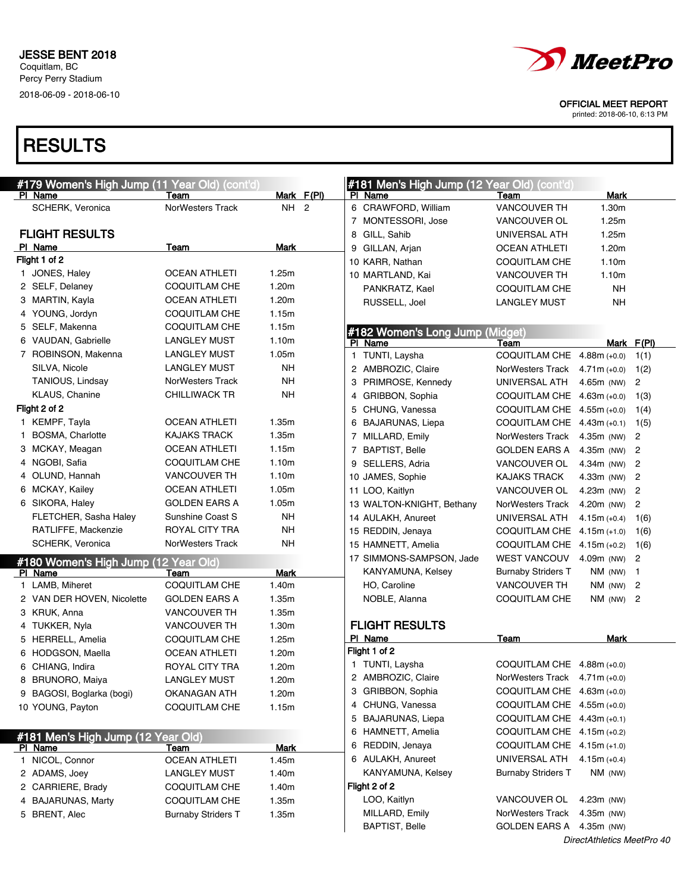

printed: 2018-06-10, 6:13 PM

| #179 Women's High Jump (11 Year Old) (cont'd) |                           |            |              | #181 Men's High Jump (12 Year Old) (cont'd) |                                  |                |                            |
|-----------------------------------------------|---------------------------|------------|--------------|---------------------------------------------|----------------------------------|----------------|----------------------------|
| PI Name                                       | Team                      | Mark F(PI) |              | PI Name                                     | Team                             | <b>Mark</b>    |                            |
| SCHERK, Veronica                              | <b>NorWesters Track</b>   | NH 2       |              | 6 CRAWFORD, William                         | <b>VANCOUVER TH</b>              | 1.30m          |                            |
|                                               |                           |            |              | 7 MONTESSORI, Jose                          | VANCOUVER OL                     | 1.25m          |                            |
| <b>FLIGHT RESULTS</b>                         |                           |            |              | 8 GILL, Sahib                               | UNIVERSAL ATH                    | 1.25m          |                            |
| PI Name                                       | Team                      | Mark       |              | 9 GILLAN, Arjan                             | <b>OCEAN ATHLETI</b>             | 1.20m          |                            |
| Flight 1 of 2                                 |                           |            |              | 10 KARR, Nathan                             | <b>COQUITLAM CHE</b>             | 1.10m          |                            |
| 1 JONES, Haley                                | <b>OCEAN ATHLETI</b>      | 1.25m      |              | 10 MARTLAND, Kai                            | <b>VANCOUVER TH</b>              | 1.10m          |                            |
| 2 SELF, Delaney                               | COQUITLAM CHE             | 1.20m      |              | PANKRATZ, Kael                              | <b>COQUITLAM CHE</b>             | <b>NH</b>      |                            |
| 3 MARTIN, Kayla                               | <b>OCEAN ATHLETI</b>      | 1.20m      |              | RUSSELL, Joel                               | <b>LANGLEY MUST</b>              | <b>NH</b>      |                            |
| 4 YOUNG, Jordyn                               | <b>COQUITLAM CHE</b>      | 1.15m      |              |                                             |                                  |                |                            |
| 5 SELF, Makenna                               | COQUITLAM CHE             | 1.15m      |              | #182 Women's Long Jump (Midget)             |                                  |                |                            |
| 6 VAUDAN, Gabrielle                           | <b>LANGLEY MUST</b>       | 1.10m      |              | PI Name                                     | Team                             |                | Mark F(PI)                 |
| 7 ROBINSON, Makenna                           | <b>LANGLEY MUST</b>       | 1.05m      | $\mathbf{1}$ | TUNTI, Laysha                               | COQUITLAM CHE 4.88m (+0.0)       |                | 1(1)                       |
| SILVA, Nicole                                 | <b>LANGLEY MUST</b>       | NΗ         |              | 2 AMBROZIC, Claire                          | NorWesters Track $4.71m (+0.0)$  |                | 1(2)                       |
| TANIOUS, Lindsay                              | <b>NorWesters Track</b>   | NΗ         |              | 3 PRIMROSE, Kennedy                         | UNIVERSAL ATH                    | 4.65m (NW)     | $\overline{2}$             |
| KLAUS, Chanine                                | <b>CHILLIWACK TR</b>      | NΗ         |              | 4 GRIBBON, Sophia                           | COQUITLAM CHE 4.63m (+0.0)       |                | 1(3)                       |
| Flight 2 of 2                                 |                           |            |              | 5 CHUNG, Vanessa                            | COQUITLAM CHE 4.55m (+0.0)       |                | 1(4)                       |
| 1 KEMPF, Tayla                                | <b>OCEAN ATHLETI</b>      | 1.35m      |              | 6 BAJARUNAS, Liepa                          | COQUITLAM CHE 4.43m (+0.1)       |                | 1(5)                       |
| 1 BOSMA, Charlotte                            | <b>KAJAKS TRACK</b>       | 1.35m      |              | 7 MILLARD, Emily                            | NorWesters Track                 | 4.35m (NW)     | $\overline{c}$             |
| 3 MCKAY, Meagan                               | <b>OCEAN ATHLETI</b>      | 1.15m      |              | 7 BAPTIST, Belle                            | GOLDEN EARS A                    | 4.35m (NW)     | $\overline{\phantom{a}}^2$ |
| 4 NGOBI, Safia                                | COQUITLAM CHE             | 1.10m      |              | 9 SELLERS, Adria                            | VANCOUVER OL                     | $4.34m$ (NW)   | - 2                        |
| 4 OLUND, Hannah                               | <b>VANCOUVER TH</b>       | 1.10m      |              | 10 JAMES, Sophie                            | <b>KAJAKS TRACK</b>              | 4.33m (NW)     | $\overline{c}$             |
| 6 MCKAY, Kailey                               | <b>OCEAN ATHLETI</b>      | 1.05m      |              | 11 LOO, Kaitlyn                             | <b>VANCOUVER OL</b>              | $4.23m$ (NW)   | $\overline{c}$             |
| 6 SIKORA, Haley                               | <b>GOLDEN EARS A</b>      | 1.05m      |              | 13 WALTON-KNIGHT, Bethany                   | NorWesters Track                 | 4.20m (NW)     | $\overline{c}$             |
| FLETCHER, Sasha Haley                         | Sunshine Coast S          | NΗ         |              | 14 AULAKH, Anureet                          | UNIVERSAL ATH                    | $4.15m (+0.4)$ | 1(6)                       |
| RATLIFFE, Mackenzie                           | ROYAL CITY TRA            | NΗ         |              | 15 REDDIN, Jenaya                           | COQUITLAM CHE 4.15m (+1.0)       |                | 1(6)                       |
| SCHERK, Veronica                              | <b>NorWesters Track</b>   | NΗ         |              | 15 HAMNETT, Amelia                          | COQUITLAM CHE 4.15m (+0.2)       |                | 1(6)                       |
| #180 Women's High Jump (12 Year Old)          |                           |            |              | 17 SIMMONS-SAMPSON, Jade                    | <b>WEST VANCOUV</b>              | 4.09m (NW)     | $\overline{c}$             |
| PI Name                                       | Team                      | Mark       |              | KANYAMUNA, Kelsey                           | <b>Burnaby Striders T</b>        | NM (NW)        | $\overline{1}$             |
| 1 LAMB, Miheret                               | <b>COQUITLAM CHE</b>      | 1.40m      |              | HO, Caroline                                | <b>VANCOUVER TH</b>              | NM (NW)        | 2                          |
| 2 VAN DER HOVEN, Nicolette                    | <b>GOLDEN EARS A</b>      | 1.35m      |              | NOBLE, Alanna                               | <b>COQUITLAM CHE</b>             | $NM$ (NW) 2    |                            |
| 3 KRUK, Anna                                  | <b>VANCOUVER TH</b>       | 1.35m      |              |                                             |                                  |                |                            |
| 4 TUKKER, Nyla                                | <b>VANCOUVER TH</b>       | 1.30m      |              | <b>FLIGHT RESULTS</b>                       |                                  |                |                            |
| 5 HERRELL, Amelia                             | <b>COQUITLAM CHE</b>      | 1.25m      |              | PI Name                                     | Team                             | <b>Mark</b>    |                            |
| 6 HODGSON, Maella                             | <b>OCEAN ATHLETI</b>      | 1.20m      |              | Flight 1 of 2                               |                                  |                |                            |
| 6 CHIANG, Indira                              | <b>ROYAL CITY TRA</b>     | 1.20m      |              | 1 TUNTI, Laysha                             | COQUITLAM CHE 4.88m (+0.0)       |                |                            |
| 8 BRUNORO, Maiya                              | <b>LANGLEY MUST</b>       | 1.20m      |              | 2 AMBROZIC, Claire                          | NorWesters Track $4.71$ m (+0.0) |                |                            |
| 9 BAGOSI, Boglarka (bogi)                     | OKANAGAN ATH              | 1.20m      |              | 3 GRIBBON, Sophia                           | COQUITLAM CHE 4.63m (+0.0)       |                |                            |
| 10 YOUNG, Payton                              | COQUITLAM CHE             | 1.15m      |              | 4 CHUNG, Vanessa                            | COQUITLAM CHE 4.55m (+0.0)       |                |                            |
|                                               |                           |            |              | 5 BAJARUNAS, Liepa                          | COQUITLAM CHE 4.43m (+0.1)       |                |                            |
|                                               |                           |            |              | 6 HAMNETT, Amelia                           | COQUITLAM CHE 4.15m (+0.2)       |                |                            |
| #181 Men's High Jump (12 Year Old)<br>PI Name | Team                      | Mark       |              | 6 REDDIN, Jenaya                            | COQUITLAM CHE $4.15m (+1.0)$     |                |                            |
| 1 NICOL, Connor                               | <b>OCEAN ATHLETI</b>      | 1.45m      |              | 6 AULAKH, Anureet                           | UNIVERSAL ATH                    | $4.15m (+0.4)$ |                            |
| 2 ADAMS, Joey                                 | <b>LANGLEY MUST</b>       | 1.40m      |              | KANYAMUNA, Kelsey                           | <b>Burnaby Striders T</b>        | NM (NW)        |                            |
| 2 CARRIERE, Brady                             | COQUITLAM CHE             | 1.40m      |              | Flight 2 of 2                               |                                  |                |                            |
| 4 BAJARUNAS, Marty                            | COQUITLAM CHE             | 1.35m      |              | LOO, Kaitlyn                                | VANCOUVER OL                     | 4.23m (NW)     |                            |
| 5 BRENT, Alec                                 | <b>Burnaby Striders T</b> | 1.35m      |              | MILLARD, Emily                              | NorWesters Track                 | 4.35m (NW)     |                            |
|                                               |                           |            |              | <b>BAPTIST, Belle</b>                       | GOLDEN EARS A                    | 4.35m (NW)     |                            |
|                                               |                           |            |              |                                             |                                  |                |                            |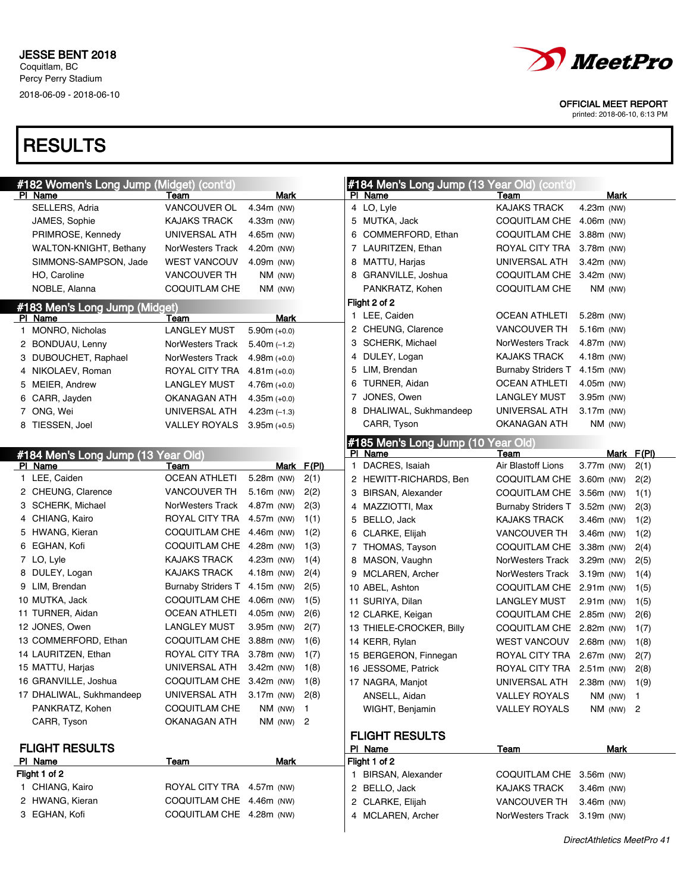

printed: 2018-06-10, 6:13 PM

| #182 Women's Long Jump (Midget) (cont'd) |                               |                |            |   | #184 Men's Long Jump (13 Year Old) (cont'd) |                               |               |             |       |
|------------------------------------------|-------------------------------|----------------|------------|---|---------------------------------------------|-------------------------------|---------------|-------------|-------|
| PI Name                                  | Team                          | Mark           |            |   | PI Name                                     | Team                          |               | Mark        |       |
| SELLERS, Adria                           | VANCOUVER OL                  | 4.34m (NW)     |            |   | 4 LO, Lyle                                  | <b>KAJAKS TRACK</b>           | 4.23m (NW)    |             |       |
| JAMES, Sophie                            | <b>KAJAKS TRACK</b>           | 4.33m (NW)     |            |   | 5 MUTKA, Jack                               | COQUITLAM CHE 4.06m (NW)      |               |             |       |
| PRIMROSE, Kennedy                        | UNIVERSAL ATH                 | 4.65m (NW)     |            |   | 6 COMMERFORD, Ethan                         | COQUITLAM CHE 3.88m (NW)      |               |             |       |
| <b>WALTON-KNIGHT, Bethany</b>            | NorWesters Track              | 4.20m (NW)     |            |   | 7 LAURITZEN, Ethan                          | ROYAL CITY TRA 3.78m (NW)     |               |             |       |
| SIMMONS-SAMPSON, Jade                    | <b>WEST VANCOUV</b>           | 4.09m (NW)     |            |   | 8 MATTU, Harjas                             | UNIVERSAL ATH                 | $3.42m$ (NW)  |             |       |
| HO, Caroline                             | <b>VANCOUVER TH</b>           | NM (NW)        |            |   | 8 GRANVILLE, Joshua                         | COQUITLAM CHE 3.42m (NW)      |               |             |       |
| NOBLE, Alanna                            | COQUITLAM CHE                 | NM (NW)        |            |   | PANKRATZ, Kohen                             | <b>COQUITLAM CHE</b>          | NM (NW)       |             |       |
| #183 Men's Long Jump (Midget)            |                               |                |            |   | Flight 2 of 2                               |                               |               |             |       |
| PI Name                                  | Team                          | Mark           |            |   | 1 LEE, Caiden                               | OCEAN ATHLETI                 | $5.28m$ (NW)  |             |       |
| 1 MONRO, Nicholas                        | <b>LANGLEY MUST</b>           | $5.90m (+0.0)$ |            |   | 2 CHEUNG, Clarence                          | <b>VANCOUVER TH</b>           | 5.16m (NW)    |             |       |
| 2 BONDUAU, Lenny                         | NorWesters Track              | $5.40m (-1.2)$ |            |   | 3 SCHERK, Michael                           | NorWesters Track              | 4.87m (NW)    |             |       |
| 3 DUBOUCHET, Raphael                     | NorWesters Track              | $4.98m (+0.0)$ |            | 4 | DULEY, Logan                                | <b>KAJAKS TRACK</b>           | 4.18m (NW)    |             |       |
| 4 NIKOLAEV, Roman                        | ROYAL CITY TRA                | $4.81m (+0.0)$ |            |   | 5 LIM, Brendan                              | <b>Burnaby Striders T</b>     | 4.15m (NW)    |             |       |
| 5 MEIER, Andrew                          | <b>LANGLEY MUST</b>           | $4.76m (+0.0)$ |            |   | 6 TURNER, Aidan                             | <b>OCEAN ATHLETI</b>          | 4.05m (NW)    |             |       |
| 6 CARR, Jayden                           | OKANAGAN ATH                  | $4.35m (+0.0)$ |            | 7 | JONES, Owen                                 | <b>LANGLEY MUST</b>           | 3.95m (NW)    |             |       |
| 7 ONG, Wei                               | UNIVERSAL ATH                 | $4.23m(-1.3)$  |            |   | 8 DHALIWAL, Sukhmandeep                     | UNIVERSAL ATH                 | 3.17m (NW)    |             |       |
| 8 TIESSEN, Joel                          | <b>VALLEY ROYALS</b>          | $3.95m (+0.5)$ |            |   | CARR, Tyson                                 | OKANAGAN ATH                  | $NM$ (NW)     |             |       |
|                                          |                               |                |            |   | #185 Men's Long Jump (10                    | Year Old)                     |               |             |       |
| #184 Men's Long Jump (13 Year Old)       |                               |                |            |   | PI Name                                     | Team                          |               | Mark        | F(PI) |
| PI Name                                  | Team                          |                | Mark F(PI) |   | 1 DACRES, Isaiah                            | Air Blastoff Lions            | 3.77m (NW)    |             | 2(1)  |
| 1 LEE, Caiden                            | <b>OCEAN ATHLETI</b>          | 5.28m (NW)     | 2(1)       |   | 2 HEWITT-RICHARDS, Ben                      | COQUITLAM CHE 3.60m (NW)      |               |             | 2(2)  |
| 2 CHEUNG, Clarence                       | <b>VANCOUVER TH</b>           | 5.16m (NW)     | 2(2)       |   | 3 BIRSAN, Alexander                         | COQUITLAM CHE 3.56m (NW)      |               |             | 1(1)  |
| 3 SCHERK, Michael                        | NorWesters Track              | 4.87m (NW)     | 2(3)       |   | 4 MAZZIOTTI, Max                            | Burnaby Striders T 3.52m (NW) |               |             | 2(3)  |
| 4 CHIANG, Kairo                          | ROYAL CITY TRA 4.57m (NW)     |                | 1(1)       |   | 5 BELLO, Jack                               | KAJAKS TRACK                  | $3.46m$ (NW)  |             | 1(2)  |
| 5 HWANG, Kieran                          | COQUITLAM CHE 4.46m (NW)      |                | 1(2)       |   | 6 CLARKE, Elijah                            | <b>VANCOUVER TH</b>           | $3.46m$ (NW)  |             | 1(2)  |
| 6 EGHAN, Kofi                            | COQUITLAM CHE 4.28m (NW)      |                | 1(3)       |   | 7 THOMAS, Tayson                            | COQUITLAM CHE 3.38m (NW)      |               |             | 2(4)  |
| 7 LO, Lyle                               | <b>KAJAKS TRACK</b>           | 4.23m (NW)     | 1(4)       |   | 8 MASON, Vaughn                             | NorWesters Track 3.29m (NW)   |               |             | 2(5)  |
| 8 DULEY, Logan                           | <b>KAJAKS TRACK</b>           | 4.18m (NW)     | 2(4)       |   | 9 MCLAREN, Archer                           | NorWesters Track 3.19m (NW)   |               |             | 1(4)  |
| 9 LIM, Brendan                           | Burnaby Striders T 4.15m (NW) |                | 2(5)       |   | 10 ABEL, Ashton                             | COQUITLAM CHE 2.91m (NW)      |               |             | 1(5)  |
| 10 MUTKA, Jack                           | COQUITLAM CHE 4.06m (NW)      |                | 1(5)       |   | 11 SURIYA, Dilan                            | LANGLEY MUST                  | $2.91m$ (NW)  |             | 1(5)  |
| 11 TURNER, Aidan                         | <b>OCEAN ATHLETI</b>          | 4.05m (NW)     | 2(6)       |   | 12 CLARKE, Keigan                           | COQUITLAM CHE 2.85m (NW)      |               |             | 2(6)  |
| 12 JONES, Owen                           | <b>LANGLEY MUST</b>           | 3.95m (NW)     | 2(7)       |   | 13 THIELE-CROCKER, Billy                    | COQUITLAM CHE 2.82m (NW)      |               |             | 1(7)  |
| 13 COMMERFORD, Ethan                     | COQUITLAM CHE 3.88m (NW)      |                | 1(6)       |   | 14 KERR, Rylan                              | WEST VANCOUV 2.68m (NW)       |               |             | 1(8)  |
| 14 LAURITZEN, Ethan                      | ROYAL CITY TRA 3.78m (NW)     |                | 1(7)       |   | 15 BERGERON, Finnegan                       | ROYAL CITY TRA 2.67m (NW)     |               |             | 2(7)  |
| 15 MATTU, Harjas                         | UNIVERSAL ATH                 | $3.42m$ (NW)   | 1(8)       |   | 16 JESSOME, Patrick                         | ROYAL CITY TRA 2.51m (NW)     |               |             | 2(8)  |
| 16 GRANVILLE, Joshua                     | COQUITLAM CHE 3.42m (NW)      |                | 1(8)       |   | 17 NAGRA, Manjot                            | UNIVERSAL ATH 2.38m (NW) 1(9) |               |             |       |
| 17 DHALIWAL, Sukhmandeep                 | UNIVERSAL ATH 3.17m (NW)      |                | 2(8)       |   | ANSELL, Aidan                               | <b>VALLEY ROYALS</b>          |               | $NM$ (NW) 1 |       |
| PANKRATZ, Kohen                          | COQUITLAM CHE                 | $NM$ (NW) 1    |            |   | WIGHT, Benjamin                             | <b>VALLEY ROYALS</b>          | $NM$ (NW) $2$ |             |       |
| CARR, Tyson                              | OKANAGAN ATH                  | $NM$ (NW) 2    |            |   |                                             |                               |               |             |       |
|                                          |                               |                |            |   | <b>FLIGHT RESULTS</b>                       |                               |               |             |       |
| <b>FLIGHT RESULTS</b>                    |                               |                |            |   | PI Name                                     | Team                          |               | Mark        |       |
| PI Name                                  | Team                          | Mark           |            |   | Flight 1 of 2                               |                               |               |             |       |
| Flight 1 of 2                            |                               |                |            |   | 1 BIRSAN, Alexander                         | COQUITLAM CHE 3.56m (NW)      |               |             |       |
| 1 CHIANG, Kairo                          | ROYAL CITY TRA 4.57m (NW)     |                |            |   | 2 BELLO, Jack                               | <b>KAJAKS TRACK</b>           | 3.46m (NW)    |             |       |
| 2 HWANG, Kieran                          | COQUITLAM CHE 4.46m (NW)      |                |            |   | 2 CLARKE, Elijah                            | VANCOUVER TH                  | 3.46m (NW)    |             |       |
| 3 EGHAN, Kofi                            | COQUITLAM CHE 4.28m (NW)      |                |            |   | 4 MCLAREN, Archer                           | NorWesters Track              | $3.19m$ (NW)  |             |       |
|                                          |                               |                |            |   |                                             |                               |               |             |       |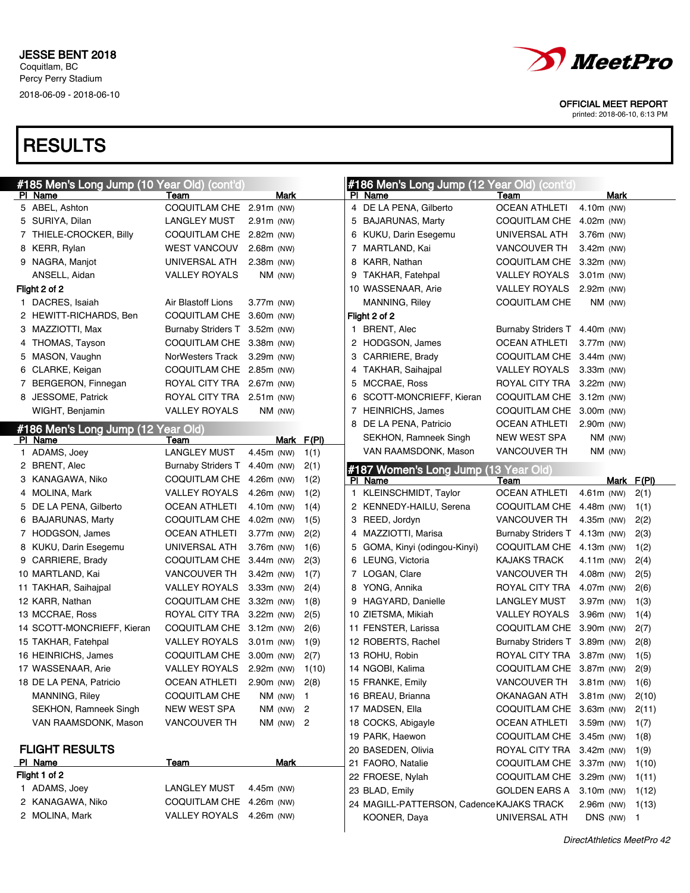

printed: 2018-06-10, 6:13 PM

| #185 Men's Long Jump (10 Year Old) (cont'd) |                           |               |            | #186 Men's Long Jump (12 Year Old) (cont'd) |                               |              |              |       |
|---------------------------------------------|---------------------------|---------------|------------|---------------------------------------------|-------------------------------|--------------|--------------|-------|
| PI Name                                     | Team                      | Mark          |            | PI Name                                     | Team                          |              | Mark         |       |
| 5 ABEL, Ashton                              | COQUITLAM CHE 2.91m (NW)  |               |            | 4 DE LA PENA, Gilberto                      | <b>OCEAN ATHLETI</b>          | 4.10m (NW)   |              |       |
| 5 SURIYA, Dilan                             | <b>LANGLEY MUST</b>       | $2.91m$ (NW)  |            | 5 BAJARUNAS, Marty                          | COQUITLAM CHE                 | 4.02m (NW)   |              |       |
| 7 THIELE-CROCKER, Billy                     | COQUITLAM CHE             | $2.82m$ (NW)  |            | 6 KUKU, Darin Esegemu                       | UNIVERSAL ATH                 | 3.76m (NW)   |              |       |
| 8 KERR, Rylan                               | <b>WEST VANCOUV</b>       | $2.68m$ (NW)  |            | 7 MARTLAND, Kai                             | <b>VANCOUVER TH</b>           | 3.42m (NW)   |              |       |
| 9 NAGRA, Manjot                             | UNIVERSAL ATH             | 2.38m (NW)    |            | 8 KARR, Nathan                              | COQUITLAM CHE 3.32m (NW)      |              |              |       |
| ANSELL, Aidan                               | VALLEY ROYALS             | NM (NW)       |            | 9 TAKHAR, Fatehpal                          | <b>VALLEY ROYALS</b>          | $3.01m$ (NW) |              |       |
| Flight 2 of 2                               |                           |               |            | 10 WASSENAAR, Arie                          | <b>VALLEY ROYALS</b>          | 2.92m (NW)   |              |       |
| 1 DACRES, Isaiah                            | Air Blastoff Lions        | 3.77m (NW)    |            | MANNING, Riley                              | <b>COQUITLAM CHE</b>          |              | $NM$ (NW)    |       |
| 2 HEWITT-RICHARDS, Ben                      | COQUITLAM CHE 3.60m (NW)  |               |            | Flight 2 of 2                               |                               |              |              |       |
| 3 MAZZIOTTI, Max                            | <b>Burnaby Striders T</b> | $3.52m$ (NW)  |            | 1 BRENT, Alec                               | Burnaby Striders T 4.40m (NW) |              |              |       |
| 4 THOMAS, Tayson                            | COQUITLAM CHE 3.38m (NW)  |               |            | 2 HODGSON, James                            | <b>OCEAN ATHLETI</b>          | 3.77m (NW)   |              |       |
| 5 MASON, Vaughn                             | NorWesters Track          | $3.29m$ (NW)  |            | 3 CARRIERE, Brady                           | COQUITLAM CHE 3.44m (NW)      |              |              |       |
| 6 CLARKE, Keigan                            | COQUITLAM CHE 2.85m (NW)  |               |            | 4 TAKHAR, Saihajpal                         | <b>VALLEY ROYALS</b>          | $3.33m$ (NW) |              |       |
| 7 BERGERON, Finnegan                        | ROYAL CITY TRA            | 2.67m (NW)    |            | 5 MCCRAE, Ross                              | ROYAL CITY TRA 3.22m (NW)     |              |              |       |
| 8 JESSOME, Patrick                          | ROYAL CITY TRA            | $2.51m$ (NW)  |            | 6 SCOTT-MONCRIEFF, Kieran                   | COQUITLAM CHE 3.12m (NW)      |              |              |       |
| WIGHT, Benjamin                             | <b>VALLEY ROYALS</b>      | $NM$ (NW)     |            | 7 HEINRICHS, James                          | COQUITLAM CHE 3.00m (NW)      |              |              |       |
| #186 Men's Long Jump (12 Year Old)          |                           |               |            | 8 DE LA PENA, Patricio                      | <b>OCEAN ATHLETI</b>          | 2.90m (NW)   |              |       |
| PI Name                                     | Team                      |               | Mark F(PI) | SEKHON, Ramneek Singh                       | NEW WEST SPA                  |              | $NM$ (NW)    |       |
| 1 ADAMS, Joey                               | <b>LANGLEY MUST</b>       | 4.45m (NW)    | 1(1)       | VAN RAAMSDONK, Mason                        | <b>VANCOUVER TH</b>           |              | $NM$ (NW)    |       |
| 2 BRENT, Alec                               | <b>Burnaby Striders T</b> | 4.40m (NW)    | 2(1)       | #187 Women's Long Jump (13 Year Old)        |                               |              |              |       |
| 3 KANAGAWA, Niko                            | COQUITLAM CHE             | 4.26m (NW)    | 1(2)       | PI Name                                     | Team                          |              | Mark         | F(PI) |
| 4 MOLINA, Mark                              | <b>VALLEY ROYALS</b>      | 4.26m (NW)    | 1(2)       | 1 KLEINSCHMIDT, Taylor                      | <b>OCEAN ATHLETI</b>          | $4.61m$ (NW) |              | 2(1)  |
| 5 DE LA PENA, Gilberto                      | <b>OCEAN ATHLETI</b>      | 4.10m (NW)    | 1(4)       | 2 KENNEDY-HAILU, Serena                     | COQUITLAM CHE 4.48m (NW)      |              |              | 1(1)  |
| 6 BAJARUNAS, Marty                          | COQUITLAM CHE 4.02m (NW)  |               | 1(5)       | 3 REED, Jordyn                              | <b>VANCOUVER TH</b>           | 4.35m (NW)   |              | 2(2)  |
| 7 HODGSON, James                            | <b>OCEAN ATHLETI</b>      | 3.77m (NW)    | 2(2)       | 4 MAZZIOTTI, Marisa                         | Burnaby Striders T 4.13m (NW) |              |              | 2(3)  |
| 8 KUKU, Darin Esegemu                       | UNIVERSAL ATH             | 3.76m (NW)    | 1(6)       | 5 GOMA, Kinyi (odingou-Kinyi)               | COQUITLAM CHE 4.13m (NW)      |              |              | 1(2)  |
| 9 CARRIERE, Brady                           | COQUITLAM CHE 3.44m (NW)  |               | 2(3)       | 6 LEUNG, Victoria                           | <b>KAJAKS TRACK</b>           | $4.11m$ (NW) |              | 2(4)  |
| 10 MARTLAND, Kai                            | <b>VANCOUVER TH</b>       | $3.42m$ (NW)  | 1(7)       | 7 LOGAN, Clare                              | <b>VANCOUVER TH</b>           | 4.08m (NW)   |              | 2(5)  |
| 11 TAKHAR, Saihajpal                        | <b>VALLEY ROYALS</b>      | $3.33m$ (NW)  | 2(4)       | 8 YONG, Annika                              | ROYAL CITY TRA                | 4.07m (NW)   |              | 2(6)  |
| 12 KARR, Nathan                             | COQUITLAM CHE 3.32m (NW)  |               | 1(8)       | 9 HAGYARD, Danielle                         | LANGLEY MUST                  | 3.97m (NW)   |              | 1(3)  |
| 13 MCCRAE, Ross                             | ROYAL CITY TRA            | $3.22m$ (NW)  | 2(5)       | 10 ZIETSMA, Mikiah                          | <b>VALLEY ROYALS</b>          | $3.96m$ (NW) |              | 1(4)  |
| 14 SCOTT-MONCRIEFF, Kieran                  | COQUITLAM CHE 3.12m (NW)  |               | 2(6)       | 11 FENSTER, Larissa                         | COQUITLAM CHE 3.90m (NW)      |              |              | 2(7)  |
| 15 TAKHAR, Fatehpal                         | <b>VALLEY ROYALS</b>      | 3.01m (NW)    | 1(9)       | 12 ROBERTS, Rachel                          | Burnaby Striders T 3.89m (NW) |              |              | 2(8)  |
| 16 HEINRICHS, James                         | COQUITLAM CHE 3.00m (NW)  |               | 2(7)       | 13 ROHU, Robin                              | ROYAL CITY TRA                | 3.87m (NW)   |              | 1(5)  |
| 17 WASSENAAR, Arie                          | <b>VALLEY ROYALS</b>      | $2.92m$ (NW)  | 1(10)      | 14 NGOBI, Kalima                            | COQUITLAM CHE 3.87m (NW)      |              |              | 2(9)  |
| 18 DE LA PENA, Patricio                     | OCEAN ATHLETI             | 2.90m (NW)    | 2(8)       | 15 FRANKE, Emily                            | VANCOUVER TH 3.81m (NW)       |              |              | 1(6)  |
| MANNING, Riley                              | COQUITLAM CHE             | $NM$ (NW) 1   |            | 16 BREAU, Brianna                           | OKANAGAN ATH 3.81m (NW)       |              |              | 2(10) |
| SEKHON, Ramneek Singh                       | NEW WEST SPA              | NM (NW)       | 2          | 17 MADSEN, Ella                             | COQUITLAM CHE 3.63m (NW)      |              |              | 2(11) |
| VAN RAAMSDONK, Mason                        | VANCOUVER TH              | NM $(NW)$ 2   |            | 18 COCKS, Abigayle                          | <b>OCEAN ATHLETI</b>          | $3.59m$ (NW) |              | 1(7)  |
|                                             |                           |               |            | 19 PARK, Haewon                             | COQUITLAM CHE 3.45m (NW)      |              |              | 1(8)  |
| <b>FLIGHT RESULTS</b>                       |                           |               |            | 20 BASEDEN, Olivia                          | ROYAL CITY TRA 3.42m (NW)     |              |              | 1(9)  |
| PI Name                                     | <u>Team</u>               | Mark          |            | 21 FAORO, Natalie                           | COQUITLAM CHE 3.37m (NW)      |              |              | 1(10) |
| Flight 1 of 2                               |                           |               |            | 22 FROESE, Nylah                            | COQUITLAM CHE 3.29m (NW)      |              |              | 1(11) |
| 1 ADAMS, Joey                               | <b>LANGLEY MUST</b>       | 4.45m (NW)    |            | 23 BLAD, Emily                              | <b>GOLDEN EARS A</b>          | 3.10m (NW)   |              | 1(12) |
| 2 KANAGAWA, Niko                            | COQUITLAM CHE             | 4.26 $m$ (NW) |            | 24 MAGILL-PATTERSON, Cadence KAJAKS TRACK   |                               | 2.96m (NW)   |              | 1(13) |
| 2 MOLINA, Mark                              | <b>VALLEY ROYALS</b>      | 4.26m (NW)    |            | KOONER, Daya                                | UNIVERSAL ATH                 |              | DNS $(NW)$ 1 |       |
|                                             |                           |               |            |                                             |                               |              |              |       |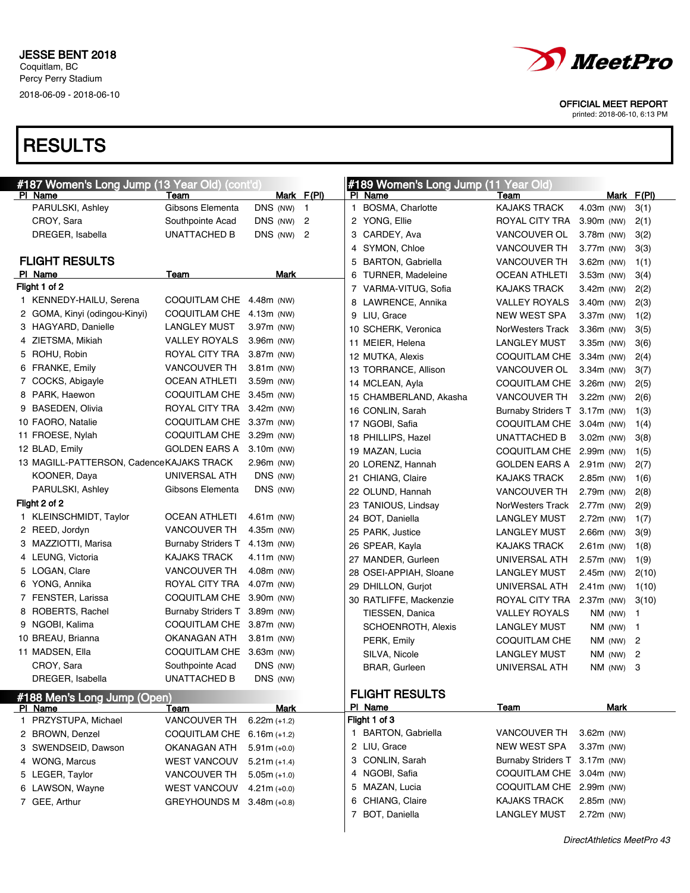

printed: 2018-06-10, 6:13 PM

| #187 Women's Long Jump (13 Year Old) (cont'd) |                               |                |                |              | #189 Women's Long Jump (11 Year Old) |                               |              |                |
|-----------------------------------------------|-------------------------------|----------------|----------------|--------------|--------------------------------------|-------------------------------|--------------|----------------|
| PI Name                                       | Team                          |                | Mark F(PI)     |              | PI Name                              | Team                          | Mark F(PI)   |                |
| PARULSKI, Ashley                              | Gibsons Elementa              | DNS (NW) 1     |                | $\mathbf{1}$ | BOSMA, Charlotte                     | <b>KAJAKS TRACK</b>           | $4.03m$ (NW) | 3(1)           |
| CROY, Sara                                    | Southpointe Acad              | DNS (NW)       | $\overline{c}$ |              | 2 YONG, Ellie                        | ROYAL CITY TRA                | 3.90m (NW)   | 2(1)           |
| DREGER, Isabella                              | <b>UNATTACHED B</b>           | DNS (NW) 2     |                |              | 3 CARDEY, Ava                        | <b>VANCOUVER OL</b>           | $3.78m$ (NW) | 3(2)           |
|                                               |                               |                |                | 4            | SYMON, Chloe                         | VANCOUVER TH                  | 3.77m (NW)   | 3(3)           |
| <b>FLIGHT RESULTS</b>                         |                               |                |                | 5            | <b>BARTON, Gabriella</b>             | VANCOUVER TH                  | $3.62m$ (NW) | 1(1)           |
| PI Name                                       | Team                          | Mark           |                | 6            | <b>TURNER, Madeleine</b>             | <b>OCEAN ATHLETI</b>          | $3.53m$ (NW) | 3(4)           |
| Flight 1 of 2                                 |                               |                |                |              | 7 VARMA-VITUG, Sofia                 | <b>KAJAKS TRACK</b>           | $3.42m$ (NW) | 2(2)           |
| 1 KENNEDY-HAILU, Serena                       | COQUITLAM CHE 4.48m (NW)      |                |                |              | 8 LAWRENCE, Annika                   | <b>VALLEY ROYALS</b>          | $3.40m$ (NW) | 2(3)           |
| 2 GOMA, Kinyi (odingou-Kinyi)                 | COQUITLAM CHE 4.13m (NW)      |                |                |              | 9 LIU, Grace                         | <b>NEW WEST SPA</b>           | $3.37m$ (NW) | 1(2)           |
| 3 HAGYARD, Danielle                           | LANGLEY MUST                  | $3.97m$ (NW)   |                |              | 10 SCHERK, Veronica                  | NorWesters Track              | $3.36m$ (NW) | 3(5)           |
| 4 ZIETSMA, Mikiah                             | VALLEY ROYALS                 | $3.96m$ (NW)   |                |              | 11 MEIER, Helena                     | <b>LANGLEY MUST</b>           | $3.35m$ (NW) | 3(6)           |
| 5 ROHU, Robin                                 | ROYAL CITY TRA                | 3.87m (NW)     |                |              | 12 MUTKA, Alexis                     | COQUITLAM CHE                 | 3.34m (NW)   | 2(4)           |
| 6 FRANKE, Emily                               | <b>VANCOUVER TH</b>           | $3.81m$ (NW)   |                |              | 13 TORRANCE, Allison                 | VANCOUVER OL                  | $3.34m$ (NW) | 3(7)           |
| 7 COCKS, Abigayle                             | OCEAN ATHLETI                 | 3.59m (NW)     |                |              | 14 MCLEAN, Ayla                      | COQUITLAM CHE                 | 3.26m (NW)   | 2(5)           |
| 8 PARK, Haewon                                | COQUITLAM CHE 3.45m (NW)      |                |                |              | 15 CHAMBERLAND, Akasha               | <b>VANCOUVER TH</b>           | $3.22m$ (NW) | 2(6)           |
| 9 BASEDEN, Olivia                             | ROYAL CITY TRA 3.42m (NW)     |                |                |              | 16 CONLIN, Sarah                     | Burnaby Striders T 3.17m (NW) |              | 1(3)           |
| 10 FAORO, Natalie                             | COQUITLAM CHE 3.37m (NW)      |                |                |              | 17 NGOBI, Safia                      | COQUITLAM CHE                 | 3.04m (NW)   | 1(4)           |
| 11 FROESE, Nylah                              | COQUITLAM CHE 3.29m (NW)      |                |                |              | 18 PHILLIPS, Hazel                   | <b>UNATTACHED B</b>           | $3.02m$ (NW) | 3(8)           |
| 12 BLAD, Emily                                | GOLDEN EARS A                 | 3.10m (NW)     |                |              | 19 MAZAN, Lucia                      | COQUITLAM CHE                 | 2.99m (NW)   | 1(5)           |
| 13 MAGILL-PATTERSON, Cadence KAJAKS TRACK     |                               | $2.96m$ (NW)   |                |              | 20 LORENZ, Hannah                    | <b>GOLDEN EARS A</b>          | $2.91m$ (NW) | 2(7)           |
| KOONER, Daya                                  | UNIVERSAL ATH                 | DNS (NW)       |                |              | 21 CHIANG, Claire                    | <b>KAJAKS TRACK</b>           | 2.85m (NW)   | 1(6)           |
| PARULSKI, Ashley                              | Gibsons Elementa              | DNS (NW)       |                |              | 22 OLUND, Hannah                     | <b>VANCOUVER TH</b>           | 2.79m (NW)   | 2(8)           |
| Flight 2 of 2                                 |                               |                |                |              | 23 TANIOUS, Lindsay                  | NorWesters Track              | 2.77m (NW)   | 2(9)           |
| 1 KLEINSCHMIDT, Taylor                        | <b>OCEAN ATHLETI</b>          | $4.61m$ (NW)   |                |              | 24 BOT, Daniella                     | <b>LANGLEY MUST</b>           | 2.72m (NW)   | 1(7)           |
| 2 REED, Jordyn                                | <b>VANCOUVER TH</b>           | 4.35m (NW)     |                |              | 25 PARK, Justice                     | <b>LANGLEY MUST</b>           | $2.66m$ (NW) | 3(9)           |
| 3 MAZZIOTTI, Marisa                           | Burnaby Striders T 4.13m (NW) |                |                |              | 26 SPEAR, Kayla                      | <b>KAJAKS TRACK</b>           | $2.61m$ (NW) | 1(8)           |
| 4 LEUNG, Victoria                             | KAJAKS TRACK                  | 4.11 $m$ (NW)  |                |              | 27 MANDER, Gurleen                   | UNIVERSAL ATH                 | 2.57m (NW)   | 1(9)           |
| 5 LOGAN, Clare                                | <b>VANCOUVER TH</b>           | $4.08m$ (NW)   |                |              | 28 OSEI-APPIAH, Sloane               | <b>LANGLEY MUST</b>           | $2.45m$ (NW) | 2(10)          |
| 6 YONG, Annika                                | ROYAL CITY TRA                | 4.07m (NW)     |                |              | 29 DHILLON, Gurjot                   | UNIVERSAL ATH                 | $2.41m$ (NW) | 1(10)          |
| 7 FENSTER, Larissa                            | COQUITLAM CHE 3.90m (NW)      |                |                |              | 30 RATLIFFE, Mackenzie               | ROYAL CITY TRA                | $2.37m$ (NW) | 3(10)          |
| 8 ROBERTS, Rachel                             | Burnaby Striders T 3.89m (NW) |                |                |              | TIESSEN, Danica                      | <b>VALLEY ROYALS</b>          | NM (NW)      | $\mathbf{1}$   |
| 9 NGOBI, Kalima                               | COQUITLAM CHE 3.87m (NW)      |                |                |              | SCHOENROTH, Alexis                   | <b>LANGLEY MUST</b>           | NM (NW)      | $\mathbf{1}$   |
| 10 BREAU, Brianna                             | OKANAGAN ATH                  | 3.81m (NW)     |                |              | PERK, Emily                          | COQUITLAM CHE                 | NM (NW)      | $\overline{c}$ |
| 11 MADSEN, Ella                               | COQUITLAM CHE 3.63m (NW)      |                |                |              | SILVA, Nicole                        | <b>LANGLEY MUST</b>           | NM (NW)      | 2              |
| CROY, Sara                                    | Southpointe Acad              | DNS (NW)       |                |              | <b>BRAR, Gurleen</b>                 | UNIVERSAL ATH                 | $NM$ (NW) 3  |                |
| DREGER, Isabella                              | UNATTACHED B                  | DNS (NW)       |                |              |                                      |                               |              |                |
| #188 Men's Long Jump (Open)                   |                               |                |                |              | <b>FLIGHT RESULTS</b>                |                               |              |                |
| PI Name                                       | <b>Team</b>                   | <b>Mark</b>    |                |              | PI Name                              | Team                          | Mark         |                |
| 1 PRZYSTUPA, Michael                          | VANCOUVER TH                  | $6.22m (+1.2)$ |                |              | Flight 1 of 3                        |                               |              |                |
| 2 BROWN, Denzel                               | COQUITLAM CHE                 | $6.16m (+1.2)$ |                |              | 1 BARTON, Gabriella                  | VANCOUVER TH                  | 3.62m (NW)   |                |
| 3 SWENDSEID, Dawson                           | OKANAGAN ATH                  | $5.91m (+0.0)$ |                |              | 2 LIU, Grace                         | <b>NEW WEST SPA</b>           | 3.37m (NW)   |                |
| 4 WONG, Marcus                                | <b>WEST VANCOUV</b>           | $5.21m (+1.4)$ |                |              | 3 CONLIN, Sarah                      | Burnaby Striders T 3.17m (NW) |              |                |
| 5 LEGER, Taylor                               | <b>VANCOUVER TH</b>           | $5.05m (+1.0)$ |                |              | 4 NGOBI, Safia                       | COQUITLAM CHE                 | 3.04m (NW)   |                |
| 6 LAWSON, Wayne                               | <b>WEST VANCOUV</b>           | $4.21m (+0.0)$ |                |              | 5 MAZAN, Lucia                       | COQUITLAM CHE                 | 2.99m (NW)   |                |
| 7 GEE, Arthur                                 | <b>GREYHOUNDS M</b>           | $3.48m (+0.8)$ |                |              | 6 CHIANG, Claire                     | <b>KAJAKS TRACK</b>           | 2.85m (NW)   |                |
|                                               |                               |                |                |              | 7 BOT, Daniella                      | <b>LANGLEY MUST</b>           | 2.72m (NW)   |                |
|                                               |                               |                |                |              |                                      |                               |              |                |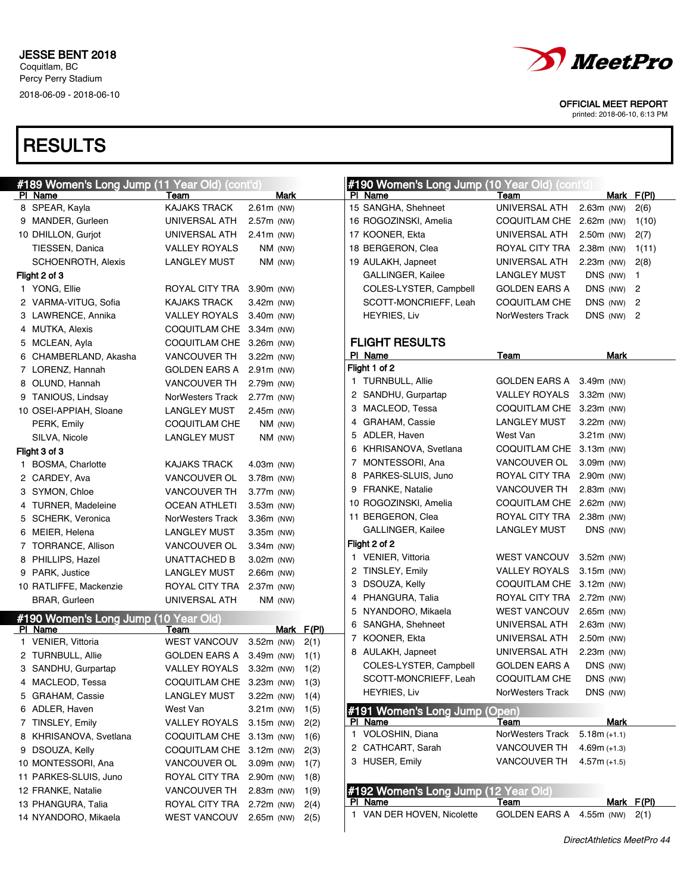

printed: 2018-06-10, 6:13 PM

| <b>#189 Women's Long Jump (11 Year Old) (cont'd)</b> |                          |              |            | #190 Women's Long Jump (10 Year Old) (contit |                          |                |                         |
|------------------------------------------------------|--------------------------|--------------|------------|----------------------------------------------|--------------------------|----------------|-------------------------|
| PI Name                                              | Team                     | Mark         |            | PI Name                                      | Team                     | Mark F(PI)     |                         |
| 8 SPEAR, Kayla                                       | <b>KAJAKS TRACK</b>      | 2.61m (NW)   |            | 15 SANGHA, Shehneet                          | UNIVERSAL ATH            | $2.63m$ (NW)   | 2(6)                    |
| 9 MANDER, Gurleen                                    | UNIVERSAL ATH            | 2.57m (NW)   |            | 16 ROGOZINSKI, Amelia                        | COQUITLAM CHE 2.62m (NW) |                | 1(10)                   |
| 10 DHILLON, Gurjot                                   | UNIVERSAL ATH            | $2.41m$ (NW) |            | 17 KOONER, Ekta                              | UNIVERSAL ATH            | $2.50m$ (NW)   | 2(7)                    |
| TIESSEN, Danica                                      | <b>VALLEY ROYALS</b>     | NM (NW)      |            | 18 BERGERON, Clea                            | ROYAL CITY TRA           | $2.38m$ (NW)   | 1(11)                   |
| SCHOENROTH, Alexis                                   | LANGLEY MUST             | NM (NW)      |            | 19 AULAKH, Japneet                           | UNIVERSAL ATH            | $2.23m$ (NW)   | 2(8)                    |
| Flight 2 of 3                                        |                          |              |            | GALLINGER, Kailee                            | <b>LANGLEY MUST</b>      | DNS (NW)       | $\overline{\mathbf{1}}$ |
| 1 YONG, Ellie                                        | ROYAL CITY TRA           | 3.90m (NW)   |            | COLES-LYSTER, Campbell                       | <b>GOLDEN EARS A</b>     | DNS (NW) $2$   |                         |
| 2 VARMA-VITUG, Sofia                                 | KAJAKS TRACK             | 3.42m (NW)   |            | SCOTT-MONCRIEFF, Leah                        | COQUITLAM CHE            | DNS (NW) $2$   |                         |
| 3 LAWRENCE, Annika                                   | <b>VALLEY ROYALS</b>     | 3.40m (NW)   |            | <b>HEYRIES, Liv</b>                          | NorWesters Track         | DNS $(NW)$ 2   |                         |
| 4 MUTKA, Alexis                                      | COQUITLAM CHE 3.34m (NW) |              |            |                                              |                          |                |                         |
| 5 MCLEAN, Ayla                                       | COQUITLAM CHE 3.26m (NW) |              |            | <b>FLIGHT RESULTS</b>                        |                          |                |                         |
| 6 CHAMBERLAND, Akasha                                | VANCOUVER TH             | $3.22m$ (NW) |            | PI Name                                      | Team                     | Mark           |                         |
| 7 LORENZ, Hannah                                     | <b>GOLDEN EARS A</b>     | $2.91m$ (NW) |            | Flight 1 of 2                                |                          |                |                         |
| 8 OLUND, Hannah                                      | <b>VANCOUVER TH</b>      | 2.79m (NW)   |            | 1 TURNBULL, Allie                            | GOLDEN EARS A            | 3.49m (NW)     |                         |
| 9 TANIOUS, Lindsay                                   | NorWesters Track         | 2.77m (NW)   |            | 2 SANDHU, Gurpartap                          | <b>VALLEY ROYALS</b>     | $3.32m$ (NW)   |                         |
| 10 OSEI-APPIAH, Sloane                               | <b>LANGLEY MUST</b>      | 2.45m (NW)   |            | 3 MACLEOD, Tessa                             | COQUITLAM CHE 3.23m (NW) |                |                         |
| PERK, Emily                                          | COQUITLAM CHE            | NM (NW)      |            | 4 GRAHAM, Cassie                             | <b>LANGLEY MUST</b>      | $3.22m$ (NW)   |                         |
| SILVA, Nicole                                        | <b>LANGLEY MUST</b>      | NM (NW)      |            | 5 ADLER, Haven                               | West Van                 | $3.21m$ (NW)   |                         |
| Flight 3 of 3                                        |                          |              |            | 6 KHRISANOVA, Svetlana                       | COQUITLAM CHE 3.13m (NW) |                |                         |
| <b>BOSMA, Charlotte</b>                              | <b>KAJAKS TRACK</b>      | 4.03m (NW)   |            | 7 MONTESSORI, Ana                            | VANCOUVER OL             | 3.09m (NW)     |                         |
| 2 CARDEY, Ava                                        | VANCOUVER OL             | 3.78m (NW)   |            | 8 PARKES-SLUIS, Juno                         | ROYAL CITY TRA           | 2.90m (NW)     |                         |
| 3 SYMON, Chloe                                       | <b>VANCOUVER TH</b>      | 3.77m (NW)   |            | 9 FRANKE, Natalie                            | VANCOUVER TH             | $2.83m$ (NW)   |                         |
| 4 TURNER, Madeleine                                  | <b>OCEAN ATHLETI</b>     | 3.53m (NW)   |            | 10 ROGOZINSKI, Amelia                        | COQUITLAM CHE 2.62m (NW) |                |                         |
| 5 SCHERK, Veronica                                   | NorWesters Track         | 3.36m (NW)   |            | 11 BERGERON, Clea                            | ROYAL CITY TRA           | $2.38m$ (NW)   |                         |
| 6 MEIER, Helena                                      | <b>LANGLEY MUST</b>      | 3.35m (NW)   |            | GALLINGER, Kailee                            | <b>LANGLEY MUST</b>      | DNS (NW)       |                         |
| 7 TORRANCE, Allison                                  | VANCOUVER OL             | 3.34m (NW)   |            | Flight 2 of 2                                |                          |                |                         |
| 8 PHILLIPS, Hazel                                    | UNATTACHED B             | 3.02m (NW)   |            | 1 VENIER, Vittoria                           | <b>WEST VANCOUV</b>      | $3.52m$ (NW)   |                         |
| 9 PARK, Justice                                      | <b>LANGLEY MUST</b>      | $2.66m$ (NW) |            | 2 TINSLEY, Emily                             | <b>VALLEY ROYALS</b>     | $3.15m$ (NW)   |                         |
| 10 RATLIFFE, Mackenzie                               | ROYAL CITY TRA           | 2.37m (NW)   |            | 3 DSOUZA, Kelly                              | COQUITLAM CHE 3.12m (NW) |                |                         |
| <b>BRAR, Gurleen</b>                                 | UNIVERSAL ATH            | NM (NW)      |            | 4 PHANGURA, Talia                            | ROYAL CITY TRA           | 2.72m (NW)     |                         |
| #190 Women's Long Jump (10 Year Old)                 |                          |              |            | 5 NYANDORO, Mikaela                          | <b>WEST VANCOUV</b>      | 2.65m (NW)     |                         |
| PI Name                                              | Team                     |              | Mark F(PI) | 6 SANGHA, Shehneet                           | UNIVERSAL ATH            | $2.63m$ (NW)   |                         |
| 1 VENIER, Vittoria                                   | <b>WEST VANCOUV</b>      | $3.52m$ (NW) | 2(1)       | 7 KOONER, Ekta                               | UNIVERSAL ATH            | 2.50m (NW)     |                         |
| 2 TURNBULL, Allie                                    | <b>GOLDEN EARS A</b>     | 3.49m (NW)   | 1(1)       | 8 AULAKH, Japneet                            | UNIVERSAL ATH            | $2.23m$ (NW)   |                         |
| 3 SANDHU, Gurpartap                                  | <b>VALLEY ROYALS</b>     | $3.32m$ (NW) | 1(2)       | COLES-LYSTER, Campbell                       | <b>GOLDEN EARS A</b>     | DNS (NW)       |                         |
| 4 MACLEOD, Tessa                                     | COQUITLAM CHE 3.23m (NW) |              | 1(3)       | SCOTT-MONCRIEFF, Leah                        | <b>COQUITLAM CHE</b>     | DNS (NW)       |                         |
| 5 GRAHAM, Cassie                                     | <b>LANGLEY MUST</b>      | $3.22m$ (NW) | 1(4)       | <b>HEYRIES, Liv</b>                          | NorWesters Track         | DNS (NW)       |                         |
| 6 ADLER, Haven                                       | West Van                 | 3.21m (NW)   | 1(5)       | #191 Women's Long Jump (Open)                |                          |                |                         |
| 7 TINSLEY, Emily                                     | <b>VALLEY ROYALS</b>     | 3.15m (NW)   | 2(2)       | PI Name                                      | Team                     | Mark           |                         |
| 8 KHRISANOVA, Svetlana                               | COQUITLAM CHE            | 3.13m (NW)   | 1(6)       | 1 VOLOSHIN, Diana                            | NorWesters Track         | $5.18m (+1.1)$ |                         |
| 9 DSOUZA, Kelly                                      | COQUITLAM CHE            | $3.12m$ (NW) | 2(3)       | 2 CATHCART, Sarah                            | <b>VANCOUVER TH</b>      | $4.69m (+1.3)$ |                         |
| 10 MONTESSORI, Ana                                   | VANCOUVER OL             | 3.09m (NW)   | 1(7)       | 3 HUSER, Emily                               | <b>VANCOUVER TH</b>      | $4.57m (+1.5)$ |                         |
| 11 PARKES-SLUIS, Juno                                | ROYAL CITY TRA           | 2.90m (NW)   | 1(8)       |                                              |                          |                |                         |
| 12 FRANKE, Natalie                                   | <b>VANCOUVER TH</b>      | 2.83m (NW)   | 1(9)       | #192 Women's Long Jump (12 Year Old)         |                          |                |                         |
| 13 PHANGURA, Talia                                   | ROYAL CITY TRA           | 2.72m (NW)   | 2(4)       | PI Name                                      | Team                     |                | Mark F(PI)              |
| 14 NYANDORO, Mikaela                                 | <b>WEST VANCOUV</b>      | $2.65m$ (NW) | 2(5)       | 1 VAN DER HOVEN, Nicolette                   | <b>GOLDEN EARS A</b>     | 4.55m (NW)     | 2(1)                    |
|                                                      |                          |              |            |                                              |                          |                |                         |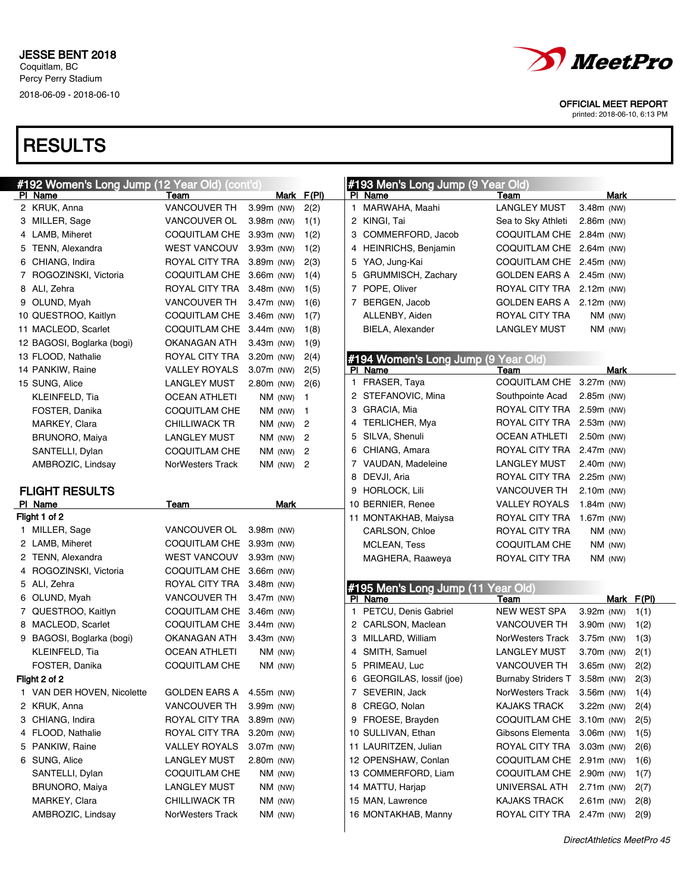

printed: 2018-06-10, 6:13 PM

| #192 Women's Long Jump (12 Year Old) (cont'd) |                          |              |                |   | #193 Men's Long Jump (9 Year Old)             |                               |                              |       |
|-----------------------------------------------|--------------------------|--------------|----------------|---|-----------------------------------------------|-------------------------------|------------------------------|-------|
| PI Name                                       | Team                     |              | Mark F(PI)     |   | PI Name                                       | Team                          | Mark                         |       |
| 2 KRUK, Anna                                  | <b>VANCOUVER TH</b>      | 3.99m (NW)   | 2(2)           |   | 1 MARWAHA, Maahi                              | <b>LANGLEY MUST</b>           | 3.48m (NW)                   |       |
| 3 MILLER, Sage                                | VANCOUVER OL             | 3.98m (NW)   | 1(1)           |   | 2 KINGI, Tai                                  | Sea to Sky Athleti            | $2.86m$ (NW)                 |       |
| 4 LAMB, Miheret                               | COQUITLAM CHE 3.93m (NW) |              | 1(2)           |   | 3 COMMERFORD, Jacob                           | COQUITLAM CHE                 | 2.84m (NW)                   |       |
| 5 TENN, Alexandra                             | <b>WEST VANCOUV</b>      | 3.93m (NW)   | 1(2)           | 4 | HEINRICHS, Benjamin                           | COQUITLAM CHE                 | 2.64m (NW)                   |       |
| 6 CHIANG, Indira                              | ROYAL CITY TRA           | 3.89m (NW)   | 2(3)           |   | 5 YAO, Jung-Kai                               | COQUITLAM CHE 2.45m (NW)      |                              |       |
| 7 ROGOZINSKI, Victoria                        | COQUITLAM CHE            | 3.66m (NW)   | 1(4)           | 5 | GRUMMISCH, Zachary                            | <b>GOLDEN EARS A</b>          | 2.45m (NW)                   |       |
| 8 ALI, Zehra                                  | ROYAL CITY TRA           | 3.48m (NW)   | 1(5)           | 7 | POPE, Oliver                                  | ROYAL CITY TRA                | 2.12m (NW)                   |       |
| 9 OLUND, Myah                                 | <b>VANCOUVER TH</b>      | 3.47m (NW)   | 1(6)           | 7 | BERGEN, Jacob                                 | GOLDEN EARS A 2.12m (NW)      |                              |       |
| 10 QUESTROO, Kaitlyn                          | COQUITLAM CHE 3.46m (NW) |              | 1(7)           |   | ALLENBY, Aiden                                | ROYAL CITY TRA                | $NM$ (NW)                    |       |
| 11 MACLEOD, Scarlet                           | <b>COQUITLAM CHE</b>     | $3.44m$ (NW) | 1(8)           |   | <b>BIELA, Alexander</b>                       | <b>LANGLEY MUST</b>           | $NM$ (NW)                    |       |
| 12 BAGOSI, Boglarka (bogi)                    | OKANAGAN ATH             | $3.43m$ (NW) | 1(9)           |   |                                               |                               |                              |       |
| 13 FLOOD, Nathalie                            | ROYAL CITY TRA           | $3.20m$ (NW) | 2(4)           |   | #194 Women's Long Jump (9 Year Old)           |                               |                              |       |
| 14 PANKIW, Raine                              | <b>VALLEY ROYALS</b>     | 3.07m (NW)   | 2(5)           |   | PI Name                                       | Team                          | Mark                         |       |
| 15 SUNG, Alice                                | <b>LANGLEY MUST</b>      | $2.80m$ (NW) | 2(6)           |   | 1 FRASER, Taya                                | COQUITLAM CHE 3.27m (NW)      |                              |       |
| KLEINFELD, Tia                                | <b>OCEAN ATHLETI</b>     | NM (NW)      | $\mathbf{1}$   |   | 2 STEFANOVIC, Mina                            | Southpointe Acad              | 2.85m (NW)                   |       |
| FOSTER, Danika                                | COQUITLAM CHE            | NM (NW)      | $\overline{1}$ |   | 3 GRACIA, Mia                                 | ROYAL CITY TRA                | 2.59m (NW)                   |       |
| MARKEY, Clara                                 | <b>CHILLIWACK TR</b>     | NM (NW)      | $\overline{c}$ |   | 4 TERLICHER, Mya                              | ROYAL CITY TRA                | $2.53m$ (NW)                 |       |
| <b>BRUNORO, Maiya</b>                         | LANGLEY MUST             | NM (NW)      | $\overline{2}$ |   | 5 SILVA, Shenuli                              | <b>OCEAN ATHLETI</b>          | 2.50m (NW)                   |       |
| SANTELLI, Dylan                               | COQUITLAM CHE            | NM (NW)      | $\overline{2}$ |   | 6 CHIANG, Amara                               | ROYAL CITY TRA                | 2.47m (NW)                   |       |
| AMBROZIC, Lindsay                             | NorWesters Track         | NM (NW)      | $\overline{2}$ |   | 7 VAUDAN, Madeleine                           | <b>LANGLEY MUST</b>           | 2.40m (NW)                   |       |
|                                               |                          |              |                |   | 8 DEVJI, Aria                                 | ROYAL CITY TRA                | 2.25m (NW)                   |       |
| <b>FLIGHT RESULTS</b>                         |                          |              |                |   | 9 HORLOCK, Lili                               | <b>VANCOUVER TH</b>           | 2.10m (NW)                   |       |
| PI Name                                       | Team                     | Mark         |                |   | 10 BERNIER, Renee                             | <b>VALLEY ROYALS</b>          | 1.84 $m$ (NW)                |       |
| Flight 1 of 2                                 |                          |              |                |   | 11 MONTAKHAB, Maiysa                          | ROYAL CITY TRA                | 1.67 $m$ (NW)                |       |
| 1 MILLER, Sage                                | VANCOUVER OL             | 3.98m (NW)   |                |   | CARLSON, Chloe                                | ROYAL CITY TRA                | NM (NW)                      |       |
| 2 LAMB, Miheret                               | COQUITLAM CHE 3.93m (NW) |              |                |   | MCLEAN, Tess                                  | COQUITLAM CHE                 | NM (NW)                      |       |
| 2 TENN, Alexandra                             | <b>WEST VANCOUV</b>      | $3.93m$ (NW) |                |   | MAGHERA, Raaweya                              | ROYAL CITY TRA                | NM (NW)                      |       |
| 4 ROGOZINSKI, Victoria                        | <b>COQUITLAM CHE</b>     | 3.66m (NW)   |                |   |                                               |                               |                              |       |
| 5 ALI, Zehra                                  | ROYAL CITY TRA           | $3.48m$ (NW) |                |   |                                               |                               |                              |       |
| 6 OLUND, Myah                                 | <b>VANCOUVER TH</b>      | $3.47m$ (NW) |                |   | #195 Men's Long Jump (11 Year Old)<br>PI Name | Team                          | Mark                         | F(PI) |
| 7 QUESTROO, Kaitlyn                           | <b>COQUITLAM CHE</b>     | 3.46m (NW)   |                |   | 1 PETCU, Denis Gabriel                        | NEW WEST SPA                  | 3.92m (NW)                   | 1(1)  |
| 8 MACLEOD, Scarlet                            | COQUITLAM CHE 3.44m (NW) |              |                |   | 2 CARLSON, Maclean                            | VANCOUVER TH                  | 3.90m (NW)                   | 1(2)  |
| 9 BAGOSI, Boglarka (bogi)                     | OKANAGAN ATH             | $3.43m$ (NW) |                |   | 3 MILLARD, William                            | NorWesters Track              | 3.75m (NW)                   | 1(3)  |
| KLEINFELD, Tia                                | <b>OCEAN ATHLETI</b>     | NM (NW)      |                |   | 4 SMITH, Samuel                               | <b>LANGLEY MUST</b>           | 3.70m (NW)                   | 2(1)  |
| FOSTER, Danika                                | COQUITLAM CHE            | NM (NW)      |                |   | 5 PRIMEAU, Luc                                | VANCOUVER TH                  | 3.65m (NW)                   | 2(2)  |
| Flight 2 of 2                                 |                          |              |                | 6 | GEORGILAS, lossif (joe)                       | Burnaby Striders T 3.58m (NW) |                              | 2(3)  |
| 1 VAN DER HOVEN, Nicolette                    | GOLDEN EARS A            | 4.55m (NW)   |                |   | 7 SEVERIN, Jack                               | NorWesters Track 3.56m (NW)   |                              | 1(4)  |
| 2 KRUK, Anna                                  | <b>VANCOUVER TH</b>      | 3.99m (NW)   |                |   | 8 CREGO, Nolan                                | <b>KAJAKS TRACK</b>           | $3.22m$ (NW)                 | 2(4)  |
| 3 CHIANG, Indira                              | ROYAL CITY TRA           | 3.89m (NW)   |                |   | 9 FROESE, Brayden                             | COQUITLAM CHE 3.10m (NW)      |                              |       |
| 4 FLOOD, Nathalie                             | ROYAL CITY TRA           |              |                |   | 10 SULLIVAN, Ethan                            | Gibsons Elementa              |                              | 2(5)  |
| 5 PANKIW, Raine                               | <b>VALLEY ROYALS</b>     | $3.20m$ (NW) |                |   | 11 LAURITZEN, Julian                          | ROYAL CITY TRA                | $3.06m$ (NW)<br>$3.03m$ (NW) | 1(5)  |
|                                               | <b>LANGLEY MUST</b>      | $3.07m$ (NW) |                |   |                                               |                               |                              | 2(6)  |
| 6 SUNG, Alice                                 |                          | 2.80m (NW)   |                |   | 12 OPENSHAW, Conlan                           | COQUITLAM CHE 2.91m (NW)      |                              | 1(6)  |
| SANTELLI, Dylan                               | <b>COQUITLAM CHE</b>     | NM (NW)      |                |   | 13 COMMERFORD, Liam                           | COQUITLAM CHE 2.90m (NW)      |                              | 1(7)  |
| <b>BRUNORO, Maiya</b>                         | <b>LANGLEY MUST</b>      | NM (NW)      |                |   | 14 MATTU, Harjap                              | UNIVERSAL ATH                 | 2.71m (NW)                   | 2(7)  |
| MARKEY, Clara                                 | <b>CHILLIWACK TR</b>     | $NM$ (NW)    |                |   | 15 MAN, Lawrence                              | <b>KAJAKS TRACK</b>           | $2.61m$ (NW)                 | 2(8)  |
| AMBROZIC, Lindsay                             | NorWesters Track         | NM (NW)      |                |   | 16 MONTAKHAB, Manny                           | ROYAL CITY TRA 2.47m (NW)     |                              | 2(9)  |
|                                               |                          |              |                |   |                                               |                               |                              |       |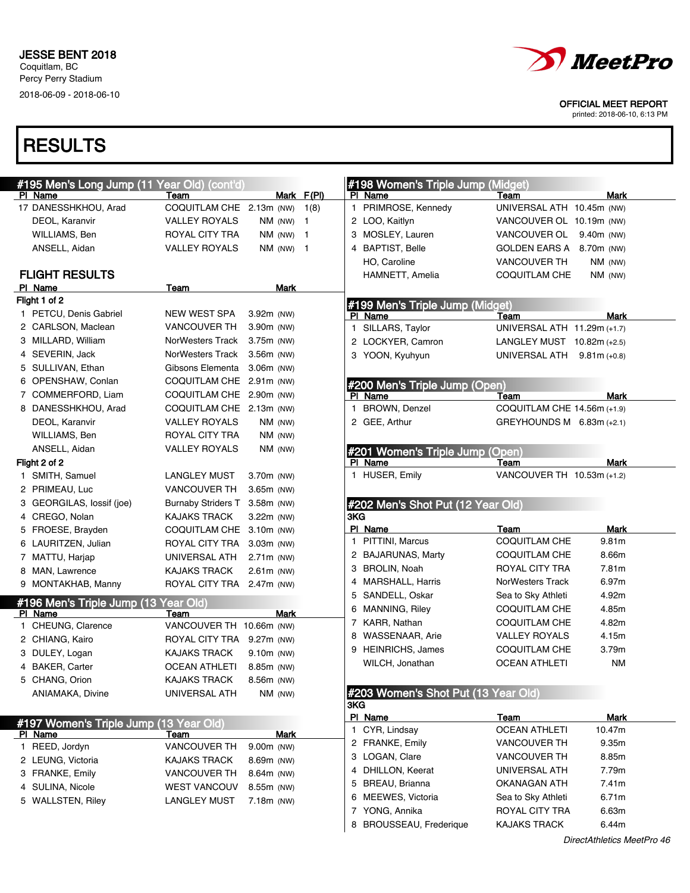

printed: 2018-06-10, 6:13 PM

| #195 Men's Long Jump (11 Year Old) (cont'd)       |                               |              |            | #198 Women's Triple Jump (Midget)   |                             |             |
|---------------------------------------------------|-------------------------------|--------------|------------|-------------------------------------|-----------------------------|-------------|
| PI Name                                           | Team                          |              | Mark F(PI) | PI Name                             | Team                        | Mark        |
| 17 DANESSHKHOU, Arad                              | COQUITLAM CHE 2.13m (NW) 1(8) |              |            | 1 PRIMROSE, Kennedy                 | UNIVERSAL ATH 10.45m (NW)   |             |
| DEOL, Karanvir                                    | <b>VALLEY ROYALS</b>          | $NM$ (NW) 1  |            | 2 LOO, Kaitlyn                      | VANCOUVER OL 10.19m (NW)    |             |
| WILLIAMS, Ben                                     | ROYAL CITY TRA                | $NM$ (NW) 1  |            | 3 MOSLEY, Lauren                    | VANCOUVER OL 9.40m (NW)     |             |
| ANSELL, Aidan                                     | <b>VALLEY ROYALS</b>          | $NM$ (NW) 1  |            | 4 BAPTIST, Belle                    | GOLDEN EARS A 8.70m (NW)    |             |
|                                                   |                               |              |            | HO, Caroline                        | <b>VANCOUVER TH</b>         | $NM$ (NW)   |
| <b>FLIGHT RESULTS</b>                             |                               |              |            | HAMNETT, Amelia                     | <b>COQUITLAM CHE</b>        | $NM$ (NW)   |
| PI Name                                           | Team                          | Mark         |            |                                     |                             |             |
| Flight 1 of 2                                     |                               |              |            | #199 Men's Triple Jump (Midget)     |                             |             |
| 1 PETCU, Denis Gabriel                            | <b>NEW WEST SPA</b>           | 3.92m (NW)   |            | PI Name                             | Team                        | Mark        |
| 2 CARLSON, Maclean                                | <b>VANCOUVER TH</b>           | 3.90m (NW)   |            | 1 SILLARS, Taylor                   | UNIVERSAL ATH 11.29m (+1.7) |             |
| 3 MILLARD, William                                | <b>NorWesters Track</b>       | 3.75m (NW)   |            | 2 LOCKYER, Camron                   | LANGLEY MUST 10.82m (+2.5)  |             |
| 4 SEVERIN, Jack                                   | NorWesters Track              | 3.56m (NW)   |            | 3 YOON, Kyuhyun                     | UNIVERSAL ATH 9.81m (+0.8)  |             |
| 5 SULLIVAN, Ethan                                 | Gibsons Elementa              | $3.06m$ (NW) |            |                                     |                             |             |
| 6 OPENSHAW, Conlan                                | <b>COQUITLAM CHE</b>          | $2.91m$ (NW) |            | #200 Men's Triple Jump (Open)       |                             |             |
| 7 COMMERFORD, Liam                                | COQUITLAM CHE 2.90m (NW)      |              |            | PI Name                             | Team                        | Mark        |
| 8 DANESSHKHOU, Arad                               | COQUITLAM CHE 2.13m (NW)      |              |            | 1 BROWN, Denzel                     | COQUITLAM CHE 14.56m (+1.9) |             |
| DEOL, Karanvir                                    | <b>VALLEY ROYALS</b>          | $NM$ (NW)    |            | 2 GEE, Arthur                       | GREYHOUNDS M 6.83m (+2.1)   |             |
| WILLIAMS, Ben                                     | ROYAL CITY TRA                | $NM$ (NW)    |            |                                     |                             |             |
| ANSELL, Aidan                                     | <b>VALLEY ROYALS</b>          | $NM$ (NW)    |            | #201 Women's Triple Jump (Open)     |                             |             |
| Flight 2 of 2                                     |                               |              |            | PI Name                             | Team                        | <b>Mark</b> |
| 1 SMITH, Samuel                                   | <b>LANGLEY MUST</b>           | 3.70m (NW)   |            | 1 HUSER, Emily                      | VANCOUVER TH 10.53m (+1.2)  |             |
| 2 PRIMEAU, Luc                                    | <b>VANCOUVER TH</b>           | $3.65m$ (NW) |            |                                     |                             |             |
| 3 GEORGILAS, lossif (joe)                         | <b>Burnaby Striders T</b>     | $3.58m$ (NW) |            | #202 Men's Shot Put (12 Year Old)   |                             |             |
| 4 CREGO, Nolan                                    | <b>KAJAKS TRACK</b>           | $3.22m$ (NW) |            | 3KG                                 |                             |             |
|                                                   |                               |              |            |                                     |                             |             |
| 5 FROESE, Brayden                                 | COQUITLAM CHE 3.10m (NW)      |              |            | PI Name                             | <b>Team</b>                 | Mark        |
| 6 LAURITZEN, Julian                               | ROYAL CITY TRA                | 3.03m (NW)   |            | 1 PITTINI, Marcus                   | COQUITLAM CHE               | 9.81m       |
| 7 MATTU, Harjap                                   | UNIVERSAL ATH                 | 2.71m (NW)   |            | 2 BAJARUNAS, Marty                  | COQUITLAM CHE               | 8.66m       |
| 8 MAN, Lawrence                                   | <b>KAJAKS TRACK</b>           | $2.61m$ (NW) |            | 3 BROLIN, Noah                      | ROYAL CITY TRA              | 7.81m       |
| 9 MONTAKHAB, Manny                                | ROYAL CITY TRA 2.47m (NW)     |              |            | 4 MARSHALL, Harris                  | NorWesters Track            | 6.97m       |
|                                                   |                               |              |            | 5 SANDELL, Oskar                    | Sea to Sky Athleti          | 4.92m       |
| #196 Men's Triple Jump (13<br>PI Name             | Year Old)<br>Team             | Mark         |            | 6 MANNING, Riley                    | COQUITLAM CHE               | 4.85m       |
| 1 CHEUNG, Clarence                                | VANCOUVER TH 10.66m (NW)      |              |            | 7 KARR, Nathan                      | COQUITLAM CHE               | 4.82m       |
| 2 CHIANG, Kairo                                   | ROYAL CITY TRA 9.27m (NW)     |              |            | 8 WASSENAAR, Arie                   | VALLEY ROYALS               | 4.15m       |
| 3 DULEY, Logan                                    | <b>KAJAKS TRACK</b>           | $9.10m$ (NW) |            | 9 HEINRICHS, James                  | <b>COQUITLAM CHE</b>        | 3.79m       |
| 4 BAKER, Carter                                   | <b>OCEAN ATHLETI</b>          | 8.85m (NW)   |            | WILCH, Jonathan                     | <b>OCEAN ATHLETI</b>        | <b>NM</b>   |
| 5 CHANG, Orion                                    | KAJAKS TRACK                  | 8.56m (NW)   |            |                                     |                             |             |
| ANIAMAKA, Divine                                  | UNIVERSAL ATH                 | $NM$ (NW)    |            | #203 Women's Shot Put (13 Year Old) |                             |             |
|                                                   |                               |              |            | 3KG                                 |                             |             |
|                                                   |                               |              |            | PI Name                             | Team                        | Mark        |
| #197 Women's Triple Jump (13 Year Old)<br>PI Name | Team                          | <b>Mark</b>  |            | 1 CYR, Lindsay                      | <b>OCEAN ATHLETI</b>        | 10.47m      |
| 1 REED, Jordyn                                    | <b>VANCOUVER TH</b>           | 9.00m (NW)   |            | 2 FRANKE, Emily                     | <b>VANCOUVER TH</b>         | 9.35m       |
| 2 LEUNG, Victoria                                 | <b>KAJAKS TRACK</b>           | 8.69m (NW)   |            | 3 LOGAN, Clare                      | <b>VANCOUVER TH</b>         | 8.85m       |
| 3 FRANKE, Emily                                   | <b>VANCOUVER TH</b>           | 8.64m (NW)   |            | 4 DHILLON, Keerat                   | UNIVERSAL ATH               | 7.79m       |
| 4 SULINA, Nicole                                  | <b>WEST VANCOUV</b>           | 8.55m (NW)   |            | 5 BREAU, Brianna                    | <b>OKANAGAN ATH</b>         | 7.41m       |
| 5 WALLSTEN, Riley                                 | <b>LANGLEY MUST</b>           | 7.18m (NW)   |            | 6 MEEWES, Victoria                  | Sea to Sky Athleti          | 6.71m       |
|                                                   |                               |              |            | 7 YONG, Annika                      | ROYAL CITY TRA              | 6.63m       |
|                                                   |                               |              |            | BROUSSEAU, Frederique<br>8          | <b>KAJAKS TRACK</b>         | 6.44m       |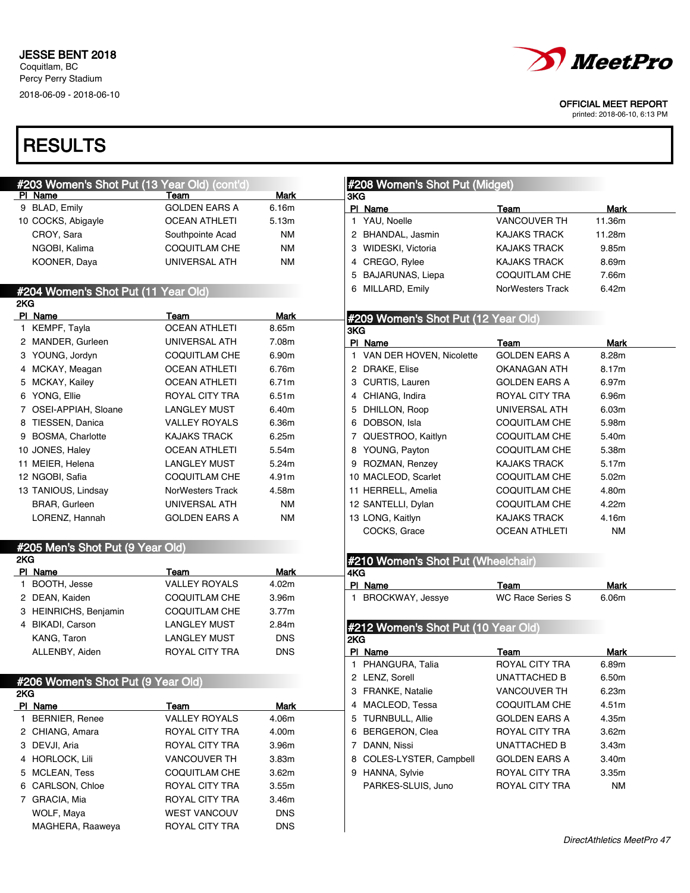

printed: 2018-06-10, 6:13 PM

| #203 Women's Shot Put (13 Year Old) (cont'd)                                                                             |                              |                      |
|--------------------------------------------------------------------------------------------------------------------------|------------------------------|----------------------|
| PI Name                                                                                                                  | Team                         | <b>Mark</b>          |
| 9 BLAD, Emily                                                                                                            | <b>GOLDEN EARS A</b>         | 6.16m                |
| 10 COCKS, Abigayle                                                                                                       | <b>OCEAN ATHLETI</b>         | 5.13m                |
| CROY, Sara                                                                                                               | Southpointe Acad             | <b>NM</b>            |
| NGOBI, Kalima                                                                                                            | <b>COQUITLAM CHE</b>         | <b>NM</b>            |
| KOONER, Daya                                                                                                             | UNIVERSAL ATH                | <b>NM</b>            |
|                                                                                                                          |                              |                      |
| #204 Women's Shot Put (11 Year Old)                                                                                      |                              |                      |
| 2KG                                                                                                                      |                              |                      |
| PI Name<br>1 KEMPF, Tayla                                                                                                | Team<br><b>OCEAN ATHLETI</b> | <b>Mark</b><br>8.65m |
|                                                                                                                          |                              |                      |
| 2 MANDER, Gurleen                                                                                                        | UNIVERSAL ATH                | 7.08m                |
| 3 YOUNG, Jordyn                                                                                                          | COQUITLAM CHE                | 6.90m                |
| 4 MCKAY, Meagan                                                                                                          | <b>OCEAN ATHLETI</b>         | 6.76m                |
| 5 MCKAY, Kailey                                                                                                          | <b>OCEAN ATHLETI</b>         | 6.71m                |
| 6 YONG, Ellie                                                                                                            | ROYAL CITY TRA               | 6.51m                |
| 7 OSEI-APPIAH, Sloane                                                                                                    | <b>LANGLEY MUST</b>          | 6.40m                |
| 8 TIESSEN, Danica                                                                                                        | <b>VALLEY ROYALS</b>         | 6.36m                |
| 9 BOSMA, Charlotte                                                                                                       | <b>KAJAKS TRACK</b>          | 6.25m                |
| 10 JONES, Haley                                                                                                          | <b>OCEAN ATHLETI</b>         | 5.54m                |
| 11 MEIER, Helena                                                                                                         | <b>LANGLEY MUST</b>          | 5.24m                |
| 12 NGOBI, Safia                                                                                                          | <b>COQUITLAM CHE</b>         | 4.91m                |
| 13 TANIOUS, Lindsay                                                                                                      | <b>NorWesters Track</b>      | 4.58m                |
| BRAR, Gurleen                                                                                                            | UNIVERSAL ATH                | <b>NM</b>            |
| LORENZ, Hannah                                                                                                           | GOLDEN EARS A                | <b>NM</b>            |
|                                                                                                                          |                              |                      |
| #205 Men's Shot Put (9 Year Old)                                                                                         |                              |                      |
| 2KG                                                                                                                      |                              |                      |
| PI Name                                                                                                                  | Team                         | Mark                 |
| 1 BOOTH, Jesse                                                                                                           | VALLEY ROYALS                | 4.02m                |
| 2 DEAN, Kaiden                                                                                                           | <b>COQUITLAM CHE</b>         | 3.96m                |
| 3 HEINRICHS, Benjamin                                                                                                    | <b>COQUITLAM CHE</b>         | 3.77m                |
| 4 BIKADI, Carson                                                                                                         | <b>LANGLEY MUST</b>          | 2.84m                |
| KANG, Taron                                                                                                              | <b>LANGLEY MUST</b>          | <b>DNS</b>           |
| ALLENBY, Aiden                                                                                                           | <b>ROYAL CITY TRA</b>        | <b>DNS</b>           |
|                                                                                                                          |                              |                      |
| #206 Women's Shot Put (9 Year Old)                                                                                       |                              |                      |
| 2KG                                                                                                                      |                              |                      |
| PI Name                                                                                                                  | Team                         | Mark                 |
| 1 BERNIER, Renee                                                                                                         | <b>VALLEY ROYALS</b>         | 4.06m                |
|                                                                                                                          | ROYAL CITY TRA               | 4.00m                |
|                                                                                                                          |                              | 3.96m                |
|                                                                                                                          |                              |                      |
|                                                                                                                          | ROYAL CITY TRA               |                      |
|                                                                                                                          | <b>VANCOUVER TH</b>          | 3.83m                |
|                                                                                                                          | COQUITLAM CHE                | 3.62m                |
|                                                                                                                          | ROYAL CITY TRA               | 3.55m                |
|                                                                                                                          | ROYAL CITY TRA               | 3.46m                |
| 2 CHIANG, Amara<br>3 DEVJI, Aria<br>4 HORLOCK, Lili<br>5 MCLEAN, Tess<br>6 CARLSON, Chloe<br>7 GRACIA, Mia<br>WOLF, Maya | <b>WEST VANCOUV</b>          | <b>DNS</b>           |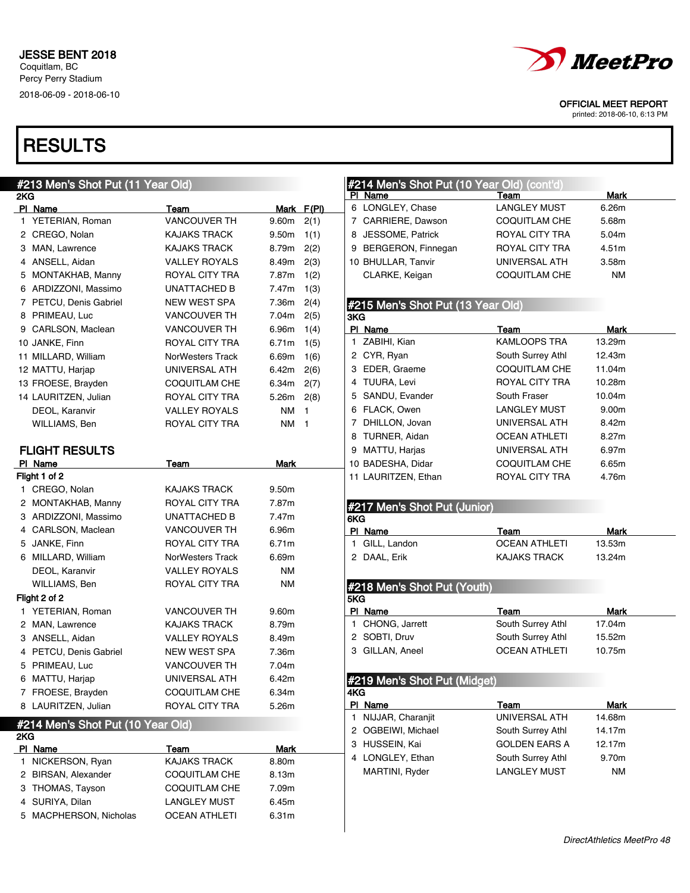

printed: 2018-06-10, 6:13 PM

| #213 Men's Shot Put (11 Year Old)   |                         |           |                         | #214 Men's Shot Put (10 Year Old) (cont'd) |                      |             |  |
|-------------------------------------|-------------------------|-----------|-------------------------|--------------------------------------------|----------------------|-------------|--|
| 2KG                                 |                         |           |                         | PI Name                                    | Team                 | Mark        |  |
| PI Name                             | Team                    |           | Mark F(PI)              | 6 LONGLEY, Chase                           | <b>LANGLEY MUST</b>  | 6.26m       |  |
| 1 YETERIAN, Roman                   | <b>VANCOUVER TH</b>     | 9.60m     | 2(1)                    | 7 CARRIERE, Dawson                         | <b>COQUITLAM CHE</b> | 5.68m       |  |
| 2 CREGO, Nolan                      | <b>KAJAKS TRACK</b>     | 9.50m     | 1(1)                    | 8 JESSOME, Patrick                         | ROYAL CITY TRA       | 5.04m       |  |
| 3 MAN, Lawrence                     | <b>KAJAKS TRACK</b>     | 8.79m     | 2(2)                    | 9 BERGERON, Finnegan                       | ROYAL CITY TRA       | 4.51m       |  |
| 4 ANSELL, Aidan                     | <b>VALLEY ROYALS</b>    | 8.49m     | 2(3)                    | 10 BHULLAR, Tanvir                         | UNIVERSAL ATH        | 3.58m       |  |
| 5 MONTAKHAB, Manny                  | ROYAL CITY TRA          | 7.87m     | 1(2)                    | CLARKE, Keigan                             | <b>COQUITLAM CHE</b> | ΝM          |  |
| 6 ARDIZZONI, Massimo                | <b>UNATTACHED B</b>     | 7.47m     | 1(3)                    |                                            |                      |             |  |
| 7 PETCU, Denis Gabriel              | <b>NEW WEST SPA</b>     | 7.36m     | 2(4)                    | #215 Men's Shot Put (13 Year Old)          |                      |             |  |
| 8 PRIMEAU, Luc                      | <b>VANCOUVER TH</b>     | 7.04m     | 2(5)                    | 3KG                                        |                      |             |  |
| 9 CARLSON, Maclean                  | <b>VANCOUVER TH</b>     | 6.96m     | 1(4)                    | PI Name                                    | Team                 | Mark        |  |
| 10 JANKE, Finn                      | ROYAL CITY TRA          | 6.71m     | 1(5)                    | 1 ZABIHI, Kian                             | <b>KAMLOOPS TRA</b>  | 13.29m      |  |
| 11 MILLARD, William                 | <b>NorWesters Track</b> | 6.69m     | 1(6)                    | 2 CYR, Ryan                                | South Surrey Athl    | 12.43m      |  |
| 12 MATTU, Harjap                    | UNIVERSAL ATH           | 6.42m     | 2(6)                    | 3 EDER, Graeme                             | COQUITLAM CHE        | 11.04m      |  |
| 13 FROESE, Brayden                  | COQUITLAM CHE           | 6.34m     | 2(7)                    | 4 TUURA, Levi                              | ROYAL CITY TRA       | 10.28m      |  |
| 14 LAURITZEN, Julian                | ROYAL CITY TRA          | 5.26m     | 2(8)                    | 5 SANDU, Evander                           | South Fraser         | 10.04m      |  |
| DEOL, Karanvir                      | <b>VALLEY ROYALS</b>    | <b>NM</b> | $\overline{1}$          | 6 FLACK, Owen                              | <b>LANGLEY MUST</b>  | 9.00m       |  |
| WILLIAMS, Ben                       | ROYAL CITY TRA          | <b>NM</b> | $\overline{\mathbf{1}}$ | 7 DHILLON, Jovan                           | UNIVERSAL ATH        | 8.42m       |  |
|                                     |                         |           |                         | 8 TURNER, Aidan                            | <b>OCEAN ATHLETI</b> | 8.27m       |  |
| <b>FLIGHT RESULTS</b>               |                         |           |                         | 9 MATTU, Harjas                            | UNIVERSAL ATH        | 6.97m       |  |
| PI Name                             | Team                    | Mark      |                         | 10 BADESHA, Didar                          | <b>COQUITLAM CHE</b> | 6.65m       |  |
| Flight 1 of 2                       |                         |           |                         | 11 LAURITZEN, Ethan                        | ROYAL CITY TRA       | 4.76m       |  |
| 1 CREGO, Nolan                      | <b>KAJAKS TRACK</b>     | 9.50m     |                         |                                            |                      |             |  |
| 2 MONTAKHAB, Manny                  | ROYAL CITY TRA          | 7.87m     |                         | #217 Men's Shot Put (Junior)               |                      |             |  |
|                                     |                         |           |                         |                                            |                      |             |  |
| 3 ARDIZZONI, Massimo                | <b>UNATTACHED B</b>     | 7.47m     |                         | 6KG                                        |                      |             |  |
| 4 CARLSON, Maclean                  | <b>VANCOUVER TH</b>     | 6.96m     |                         | PI Name                                    | Team                 | Mark        |  |
| 5 JANKE, Finn                       | ROYAL CITY TRA          | 6.71m     |                         | 1 GILL, Landon                             | <b>OCEAN ATHLETI</b> | 13.53m      |  |
| 6 MILLARD, William                  | NorWesters Track        | 6.69m     |                         | 2 DAAL, Erik                               | <b>KAJAKS TRACK</b>  | 13.24m      |  |
| DEOL, Karanvir                      | <b>VALLEY ROYALS</b>    | <b>NM</b> |                         |                                            |                      |             |  |
| WILLIAMS, Ben                       | ROYAL CITY TRA          | <b>NM</b> |                         |                                            |                      |             |  |
| Flight 2 of 2                       |                         |           |                         | #218 Men's Shot Put (Youth)<br>5KG         |                      |             |  |
| 1 YETERIAN, Roman                   | <b>VANCOUVER TH</b>     | 9.60m     |                         | PI Name                                    | Team                 | <b>Mark</b> |  |
| 2 MAN, Lawrence                     | <b>KAJAKS TRACK</b>     | 8.79m     |                         | 1 CHONG, Jarrett                           | South Surrey Athl    | 17.04m      |  |
| 3 ANSELL, Aidan                     | <b>VALLEY ROYALS</b>    | 8.49m     |                         | 2 SOBTI, Druv                              | South Surrey Athl    | 15.52m      |  |
| 4 PETCU, Denis Gabriel              | <b>NEW WEST SPA</b>     | 7.36m     |                         | 3 GILLAN, Aneel                            | <b>OCEAN ATHLETI</b> | 10.75m      |  |
| 5 PRIMEAU, Luc                      | <b>VANCOUVER TH</b>     | 7.04m     |                         |                                            |                      |             |  |
| 6 MATTU, Harjap                     | UNIVERSAL ATH           | 6.42m     |                         | #219 Men's Shot Put (Midget)               |                      |             |  |
| 7 FROESE, Brayden                   | COQUITLAM CHE           | 6.34m     |                         | 4KG                                        |                      |             |  |
| 8 LAURITZEN, Julian                 | ROYAL CITY TRA          | 5.26m     |                         | PI Name                                    | Team                 | <b>Mark</b> |  |
|                                     |                         |           |                         | 1 NIJJAR, Charanjit                        | UNIVERSAL ATH        | 14.68m      |  |
| #214 Men's Shot Put (10 Year Old)   |                         |           |                         | 2 OGBEIWI, Michael                         | South Surrey Athl    | 14.17m      |  |
| 2KG                                 | Team                    | Mark      |                         | 3 HUSSEIN, Kai                             | <b>GOLDEN EARS A</b> | 12.17m      |  |
| <b>PI Name</b><br>1 NICKERSON, Ryan | KAJAKS TRACK            | 8.80m     |                         | 4 LONGLEY, Ethan                           | South Surrey Athl    | 9.70m       |  |
| 2 BIRSAN, Alexander                 | <b>COQUITLAM CHE</b>    | 8.13m     |                         | MARTINI, Ryder                             | <b>LANGLEY MUST</b>  | <b>NM</b>   |  |
| 3 THOMAS, Tayson                    | <b>COQUITLAM CHE</b>    | 7.09m     |                         |                                            |                      |             |  |
| 4 SURIYA, Dilan                     | <b>LANGLEY MUST</b>     | 6.45m     |                         |                                            |                      |             |  |
| 5 MACPHERSON, Nicholas              | <b>OCEAN ATHLETI</b>    | 6.31m     |                         |                                            |                      |             |  |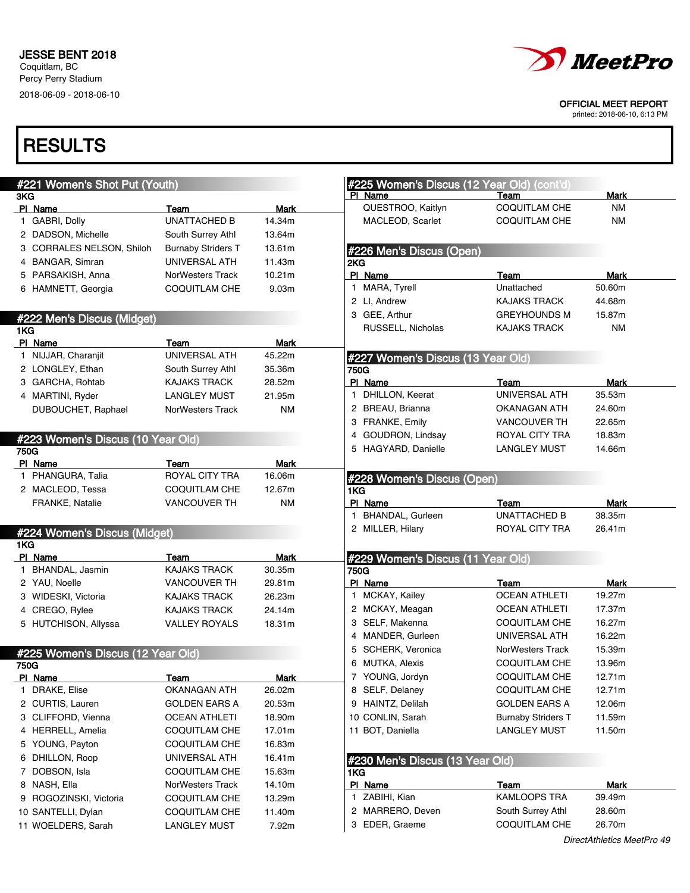

printed: 2018-06-10, 6:13 PM

| #221 Women's Shot Put (Youth)     |                           |             |
|-----------------------------------|---------------------------|-------------|
| 3KG                               |                           |             |
| PI Name                           | Team                      | <b>Mark</b> |
| 1 GABRI, Dolly                    | <b>UNATTACHED B</b>       | 14.34m      |
| 2 DADSON, Michelle                | South Surrey Athl         | 13.64m      |
| 3 CORRALES NELSON, Shiloh         | <b>Burnaby Striders T</b> | 13.61m      |
| 4 BANGAR, Simran                  | UNIVERSAL ATH             | 11.43m      |
| 5 PARSAKISH, Anna                 | <b>NorWesters Track</b>   | 10.21m      |
| 6 HAMNETT, Georgia                | <b>COQUITLAM CHE</b>      | 9.03m       |
|                                   |                           |             |
| #222 Men's Discus (Midget)        |                           |             |
| 1KG                               |                           |             |
| PI Name                           | Team                      | Mark        |
| 1 NIJJAR, Charanjit               | UNIVERSAL ATH             | 45.22m      |
| 2 LONGLEY, Ethan                  | South Surrey Athl         | 35.36m      |
| 3 GARCHA, Rohtab                  | <b>KAJAKS TRACK</b>       | 28.52m      |
| 4 MARTINI, Ryder                  | <b>LANGLEY MUST</b>       | 21.95m      |
| DUBOUCHET, Raphael                | <b>NorWesters Track</b>   | <b>NM</b>   |
|                                   |                           |             |
|                                   |                           |             |
| #223 Women's Discus (10 Year Old) |                           |             |
| 750G                              |                           |             |
| PI Name                           | Team                      | Mark        |
| 1 PHANGURA, Talia                 | ROYAL CITY TRA            | 16.06m      |
| 2 MACLEOD, Tessa                  | COQUITLAM CHE             | 12.67m      |
| FRANKE, Natalie                   | <b>VANCOUVER TH</b>       | NM          |
|                                   |                           |             |
| #224 Women's Discus (Midget)      |                           |             |
| 1KG                               |                           |             |
| PI Name                           | Team                      | <b>Mark</b> |
| 1 BHANDAL, Jasmin                 | <b>KAJAKS TRACK</b>       | 30.35m      |
| 2 YAU, Noelle                     | <b>VANCOUVER TH</b>       | 29.81m      |
| 3 WIDESKI, Victoria               | <b>KAJAKS TRACK</b>       | 26.23m      |
| 4 CREGO, Rylee                    | <b>KAJAKS TRACK</b>       | 24.14m      |
| 5 HUTCHISON, Allyssa              | <b>VALLEY ROYALS</b>      | 18.31m      |
|                                   |                           |             |
| #225 Women's Discus (12 Year Old) |                           |             |
| 750G                              |                           |             |
| PI Name                           | Team                      | <u>Mark</u> |
| DRAKE, Elise<br>1.                | OKANAGAN ATH              | 26.02m      |
| 2 CURTIS, Lauren                  | <b>GOLDEN EARS A</b>      | 20.53m      |
|                                   |                           |             |
| 3 CLIFFORD, Vienna                | <b>OCEAN ATHLETI</b>      | 18.90m      |
| 4 HERRELL, Amelia                 | COQUITLAM CHE             | 17.01m      |
| 5 YOUNG, Payton                   | <b>COQUITLAM CHE</b>      | 16.83m      |
| 6 DHILLON, Roop                   | UNIVERSAL ATH             | 16.41m      |
| 7 DOBSON, Isla                    | <b>COQUITLAM CHE</b>      | 15.63m      |
| 8 NASH, Ella                      | NorWesters Track          | 14.10m      |
| 9 ROGOZINSKI, Victoria            | <b>COQUITLAM CHE</b>      | 13.29m      |
| 10 SANTELLI, Dylan                | COQUITLAM CHE             | 11.40m      |
| 11 WOELDERS, Sarah                | <b>LANGLEY MUST</b>       | 7.92m       |
|                                   |                           |             |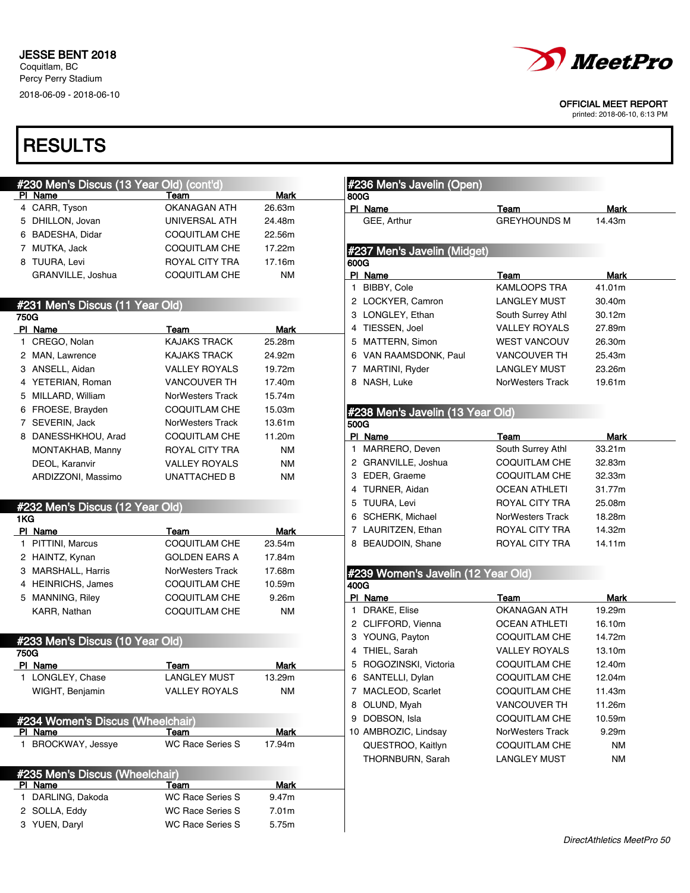

printed: 2018-06-10, 6:13 PM

| <b>#230 Men's Discus (13 Year Old) (cont'd)</b> |                                  |                         |             | #236 Men's Javelin (Open) |                                    |                         |             |
|-------------------------------------------------|----------------------------------|-------------------------|-------------|---------------------------|------------------------------------|-------------------------|-------------|
|                                                 | PI Name                          | Team                    | <b>Mark</b> | 800G                      |                                    |                         |             |
|                                                 | 4 CARR, Tyson                    | OKANAGAN ATH            | 26.63m      | PI Name                   |                                    | Team                    | <b>Mark</b> |
|                                                 | 5 DHILLON, Jovan                 | UNIVERSAL ATH           | 24.48m      | GEE, Arthur               |                                    | <b>GREYHOUNDS M</b>     | 14.43m      |
|                                                 | 6 BADESHA, Didar                 | COQUITLAM CHE           | 22.56m      |                           |                                    |                         |             |
|                                                 | 7 MUTKA, Jack                    | COQUITLAM CHE           | 17.22m      |                           | #237 Men's Javelin (Midget)        |                         |             |
|                                                 | 8 TUURA, Levi                    | ROYAL CITY TRA          | 17.16m      | 600G                      |                                    |                         |             |
|                                                 | GRANVILLE, Joshua                | COQUITLAM CHE           | <b>NM</b>   | PI Name                   |                                    | Team                    | <b>Mark</b> |
|                                                 |                                  |                         |             | 1 BIBBY, Cole             |                                    | <b>KAMLOOPS TRA</b>     | 41.01m      |
|                                                 | #231 Men's Discus (11 Year Old)  |                         |             |                           | 2 LOCKYER, Camron                  | <b>LANGLEY MUST</b>     | 30.40m      |
| 750G                                            |                                  |                         |             | 3 LONGLEY, Ethan          |                                    | South Surrey Athl       | 30.12m      |
|                                                 | PI Name                          | Team                    | <b>Mark</b> | 4 TIESSEN, Joel           |                                    | <b>VALLEY ROYALS</b>    | 27.89m      |
|                                                 | 1 CREGO, Nolan                   | <b>KAJAKS TRACK</b>     | 25.28m      | 5 MATTERN, Simon          |                                    | <b>WEST VANCOUV</b>     | 26.30m      |
|                                                 | 2 MAN, Lawrence                  | <b>KAJAKS TRACK</b>     | 24.92m      |                           | 6 VAN RAAMSDONK, Paul              | <b>VANCOUVER TH</b>     | 25.43m      |
|                                                 | 3 ANSELL, Aidan                  | <b>VALLEY ROYALS</b>    | 19.72m      | 7 MARTINI, Ryder          |                                    | <b>LANGLEY MUST</b>     | 23.26m      |
|                                                 | 4 YETERIAN, Roman                | <b>VANCOUVER TH</b>     | 17.40m      | 8 NASH, Luke              |                                    | <b>NorWesters Track</b> | 19.61m      |
|                                                 | 5 MILLARD, William               | <b>NorWesters Track</b> | 15.74m      |                           |                                    |                         |             |
|                                                 | 6 FROESE, Brayden                | COQUITLAM CHE           | 15.03m      |                           | #238 Men's Javelin (13 Year Old)   |                         |             |
|                                                 | 7 SEVERIN, Jack                  | NorWesters Track        | 13.61m      | 500G                      |                                    |                         |             |
|                                                 | 8 DANESSHKHOU, Arad              | <b>COQUITLAM CHE</b>    | 11.20m      | PI Name                   |                                    | Team                    | Mark        |
|                                                 | MONTAKHAB, Manny                 | <b>ROYAL CITY TRA</b>   | <b>NM</b>   |                           | 1 MARRERO, Deven                   | South Surrey Athl       | 33.21m      |
|                                                 | DEOL, Karanvir                   | <b>VALLEY ROYALS</b>    | <b>NM</b>   |                           | 2 GRANVILLE, Joshua                | COQUITLAM CHE           | 32.83m      |
|                                                 | ARDIZZONI, Massimo               | UNATTACHED B            | <b>NM</b>   | 3 EDER, Graeme            |                                    | <b>COQUITLAM CHE</b>    | 32.33m      |
|                                                 |                                  |                         |             | 4 TURNER, Aidan           |                                    | <b>OCEAN ATHLETI</b>    | 31.77m      |
|                                                 | #232 Men's Discus (12 Year Old)  |                         |             | 5 TUURA, Levi             |                                    | ROYAL CITY TRA          | 25.08m      |
| 1KG                                             |                                  |                         |             | 6 SCHERK, Michael         |                                    | NorWesters Track        | 18.28m      |
|                                                 | PI Name                          | Team                    | Mark        |                           | 7 LAURITZEN, Ethan                 | ROYAL CITY TRA          | 14.32m      |
|                                                 | 1 PITTINI, Marcus                | COQUITLAM CHE           | 23.54m      |                           | 8 BEAUDOIN, Shane                  | ROYAL CITY TRA          | 14.11m      |
|                                                 | 2 HAINTZ, Kynan                  | <b>GOLDEN EARS A</b>    | 17.84m      |                           |                                    |                         |             |
|                                                 | 3 MARSHALL, Harris               | NorWesters Track        | 17.68m      |                           | #239 Women's Javelin (12 Year Old) |                         |             |
|                                                 | 4 HEINRICHS, James               | COQUITLAM CHE           | 10.59m      | 400G                      |                                    |                         |             |
|                                                 | 5 MANNING, Riley                 | COQUITLAM CHE           | 9.26m       | PI Name                   |                                    | Team                    | <b>Mark</b> |
|                                                 | KARR, Nathan                     | COQUITLAM CHE           | <b>NM</b>   | 1 DRAKE, Elise            |                                    | OKANAGAN ATH            | 19.29m      |
|                                                 |                                  |                         |             |                           | 2 CLIFFORD, Vienna                 | <b>OCEAN ATHLETI</b>    | 16.10m      |
|                                                 | #233 Men's Discus (10 Year Old)  |                         |             | 3 YOUNG, Payton           |                                    | COQUITLAM CHE           | 14.72m      |
| 750G                                            |                                  |                         |             | 4 THIEL, Sarah            |                                    | <b>VALLEY ROYALS</b>    | 13.10m      |
|                                                 | PI Name                          | Team                    | Mark        |                           | 5 ROGOZINSKI, Victoria             | <b>COQUITLAM CHE</b>    | 12.40m      |
|                                                 | 1 LONGLEY, Chase                 | <b>LANGLEY MUST</b>     | 13.29m      | 6 SANTELLI, Dylan         |                                    | COQUITLAM CHE           | 12.04m      |
|                                                 | WIGHT, Benjamin                  | <b>VALLEY ROYALS</b>    | <b>NM</b>   |                           | 7 MACLEOD, Scarlet                 | <b>COQUITLAM CHE</b>    | 11.43m      |
|                                                 |                                  |                         |             | 8 OLUND, Myah             |                                    | VANCOUVER TH            | 11.26m      |
|                                                 | #234 Women's Discus (Wheelchair) |                         |             | 9 DOBSON, Isla            |                                    | <b>COQUITLAM CHE</b>    | 10.59m      |
|                                                 | PI Name                          | Team                    | <b>Mark</b> |                           | 10 AMBROZIC, Lindsay               | NorWesters Track        | 9.29m       |
|                                                 | 1 BROCKWAY, Jessye               | <b>WC Race Series S</b> | 17.94m      |                           | QUESTROO, Kaitlyn                  | COQUITLAM CHE           | <b>NM</b>   |
|                                                 |                                  |                         |             |                           | THORNBURN, Sarah                   | <b>LANGLEY MUST</b>     | <b>NM</b>   |
|                                                 | #235 Men's Discus (Wheelchair)   |                         |             |                           |                                    |                         |             |
|                                                 | PI Name                          | Team                    | Mark        |                           |                                    |                         |             |
| 1.                                              | DARLING, Dakoda                  | <b>WC Race Series S</b> | 9.47m       |                           |                                    |                         |             |
|                                                 | 2 SOLLA, Eddy                    | <b>WC Race Series S</b> | 7.01m       |                           |                                    |                         |             |
|                                                 | 3 YUEN, Daryl                    | <b>WC Race Series S</b> | 5.75m       |                           |                                    |                         |             |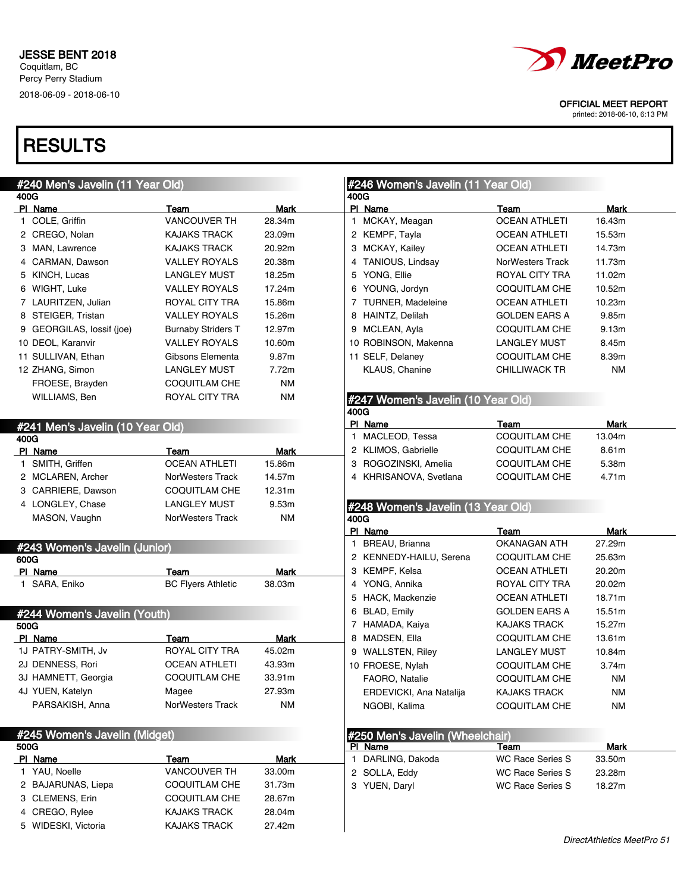

printed: 2018-06-10, 6:13 PM

| #240 Men's Javelin (11 Year Old) |                                  |                                   |                       | #246 Women's Javelin (11 Year Old)         |                                             |             |  |
|----------------------------------|----------------------------------|-----------------------------------|-----------------------|--------------------------------------------|---------------------------------------------|-------------|--|
| 400G                             |                                  |                                   |                       | 400G                                       |                                             |             |  |
|                                  | PI Name                          | Team                              | <b>Mark</b>           | PI Name                                    | Team                                        | Mark        |  |
|                                  | 1 COLE, Griffin                  | <b>VANCOUVER TH</b>               | 28.34m                | 1 MCKAY, Meagan                            | <b>OCEAN ATHLETI</b>                        | 16.43m      |  |
|                                  | 2 CREGO, Nolan                   | <b>KAJAKS TRACK</b>               | 23.09m                | 2 KEMPF, Tayla                             | <b>OCEAN ATHLETI</b>                        | 15.53m      |  |
|                                  | 3 MAN, Lawrence                  | <b>KAJAKS TRACK</b>               | 20.92m                | 3 MCKAY, Kailey                            | <b>OCEAN ATHLETI</b>                        | 14.73m      |  |
|                                  | 4 CARMAN, Dawson                 | <b>VALLEY ROYALS</b>              | 20.38m                | 4 TANIOUS, Lindsay                         | NorWesters Track                            | 11.73m      |  |
|                                  | 5 KINCH, Lucas                   | <b>LANGLEY MUST</b>               | 18.25m                | 5 YONG, Ellie                              | ROYAL CITY TRA                              | 11.02m      |  |
|                                  | 6 WIGHT, Luke                    | <b>VALLEY ROYALS</b>              | 17.24m                | 6 YOUNG, Jordyn                            | <b>COQUITLAM CHE</b>                        | 10.52m      |  |
|                                  | 7 LAURITZEN, Julian              | <b>ROYAL CITY TRA</b>             | 15.86m                | 7 TURNER, Madeleine                        | <b>OCEAN ATHLETI</b>                        | 10.23m      |  |
|                                  | 8 STEIGER, Tristan               | <b>VALLEY ROYALS</b>              | 15.26m                | 8 HAINTZ, Delilah                          | <b>GOLDEN EARS A</b>                        | 9.85m       |  |
|                                  | 9 GEORGILAS, lossif (joe)        | <b>Burnaby Striders T</b>         | 12.97m                | 9 MCLEAN, Ayla                             | <b>COQUITLAM CHE</b>                        | 9.13m       |  |
|                                  | 10 DEOL, Karanvir                | <b>VALLEY ROYALS</b>              | 10.60m                | 10 ROBINSON, Makenna                       | <b>LANGLEY MUST</b>                         | 8.45m       |  |
|                                  | 11 SULLIVAN, Ethan               | Gibsons Elementa                  | 9.87m                 | 11 SELF, Delaney                           | <b>COQUITLAM CHE</b>                        | 8.39m       |  |
|                                  | 12 ZHANG, Simon                  | <b>LANGLEY MUST</b>               | 7.72m                 | KLAUS, Chanine                             | <b>CHILLIWACK TR</b>                        | <b>NM</b>   |  |
|                                  | FROESE, Brayden                  | <b>COQUITLAM CHE</b>              | <b>NM</b>             |                                            |                                             |             |  |
|                                  | WILLIAMS, Ben                    | ROYAL CITY TRA                    | <b>NM</b>             | #247 Women's Javelin (10 Year Old)         |                                             |             |  |
|                                  |                                  |                                   |                       | 400G<br>PI Name                            | Team                                        | Mark        |  |
|                                  | #241 Men's Javelin (10 Year Old) |                                   |                       | 1 MACLEOD, Tessa                           | COQUITLAM CHE                               | 13.04m      |  |
| 400G                             |                                  |                                   |                       | 2 KLIMOS, Gabrielle                        | <b>COQUITLAM CHE</b>                        | 8.61m       |  |
|                                  | PI Name<br>1 SMITH, Griffen      | Team<br><b>OCEAN ATHLETI</b>      | <b>Mark</b><br>15.86m | 3 ROGOZINSKI, Amelia                       | COQUITLAM CHE                               | 5.38m       |  |
|                                  | 2 MCLAREN, Archer                | NorWesters Track                  | 14.57m                | 4 KHRISANOVA, Svetlana                     | COQUITLAM CHE                               | 4.71m       |  |
|                                  | 3 CARRIERE, Dawson               | <b>COQUITLAM CHE</b>              | 12.31m                |                                            |                                             |             |  |
|                                  |                                  |                                   |                       |                                            |                                             |             |  |
|                                  | 4 LONGLEY, Chase                 | <b>LANGLEY MUST</b>               | 9.53m<br><b>NM</b>    | #248 Women's Javelin (13 Year Old)         |                                             |             |  |
|                                  | MASON, Vaughn                    | <b>NorWesters Track</b>           |                       | 400G<br>PI Name                            | Team                                        | <b>Mark</b> |  |
|                                  |                                  |                                   |                       | 1 BREAU, Brianna                           | <b>OKANAGAN ATH</b>                         | 27.29m      |  |
|                                  | #243 Women's Javelin (Junior)    |                                   |                       | 2 KENNEDY-HAILU, Serena                    | COQUITLAM CHE                               | 25.63m      |  |
| 600G                             |                                  |                                   |                       | 3 KEMPF, Kelsa                             | OCEAN ATHLETI                               | 20.20m      |  |
|                                  | PI Name<br>1 SARA, Eniko         | Team<br><b>BC Flyers Athletic</b> | <b>Mark</b><br>38.03m | 4 YONG, Annika                             | ROYAL CITY TRA                              | 20.02m      |  |
|                                  |                                  |                                   |                       |                                            | <b>OCEAN ATHLETI</b>                        | 18.71m      |  |
|                                  |                                  |                                   |                       | 5 HACK, Mackenzie                          |                                             | 15.51m      |  |
|                                  | #244 Women's Javelin (Youth)     |                                   |                       | 6 BLAD, Emily<br>7 HAMADA, Kaiya           | <b>GOLDEN EARS A</b><br><b>KAJAKS TRACK</b> |             |  |
| 500G                             |                                  |                                   |                       |                                            |                                             | 15.27m      |  |
|                                  |                                  |                                   |                       |                                            |                                             |             |  |
|                                  | PI Name                          | Team                              | <b>Mark</b>           | 8 MADSEN, Ella                             | COQUITLAM CHE                               | 13.61m      |  |
|                                  | 1J PATRY-SMITH, Jv               | ROYAL CITY TRA                    | 45.02m                | 9 WALLSTEN, Riley                          | <b>LANGLEY MUST</b>                         | 10.84m      |  |
|                                  | 2J DENNESS, Rori                 | <b>OCEAN ATHLETI</b>              | 43.93m                | 10 FROESE, Nylah                           | COQUITLAM CHE                               | 3.74m       |  |
|                                  | 3J HAMNETT, Georgia              | <b>COQUITLAM CHE</b>              | 33.91m                | FAORO, Natalie                             | COQUITLAM CHE                               | <b>NM</b>   |  |
|                                  | 4J YUEN, Katelyn                 | Magee                             | 27.93m                | ERDEVICKI, Ana Natalija                    | <b>KAJAKS TRACK</b>                         | ΝM          |  |
|                                  | PARSAKISH, Anna                  | <b>NorWesters Track</b>           | <b>NM</b>             | NGOBI, Kalima                              | <b>COQUITLAM CHE</b>                        | <b>NM</b>   |  |
|                                  |                                  |                                   |                       |                                            |                                             |             |  |
| 500G                             | #245 Women's Javelin (Midget)    |                                   |                       | #250 Men's Javelin (Wheelchair)<br>PI Name | Team                                        | <b>Mark</b> |  |
|                                  | PI Name                          | Team                              | <b>Mark</b>           | 1 DARLING, Dakoda                          | WC Race Series S                            | 33.50m      |  |
|                                  | 1 YAU, Noelle                    | VANCOUVER TH                      | 33.00m                | 2 SOLLA, Eddy                              | <b>WC Race Series S</b>                     | 23.28m      |  |
|                                  | 2 BAJARUNAS, Liepa               | <b>COQUITLAM CHE</b>              | 31.73m                | 3 YUEN, Daryl                              | <b>WC Race Series S</b>                     | 18.27m      |  |
|                                  | 3 CLEMENS, Erin                  | COQUITLAM CHE                     | 28.67m                |                                            |                                             |             |  |
|                                  | 4 CREGO, Rylee                   | <b>KAJAKS TRACK</b>               | 28.04m                |                                            |                                             |             |  |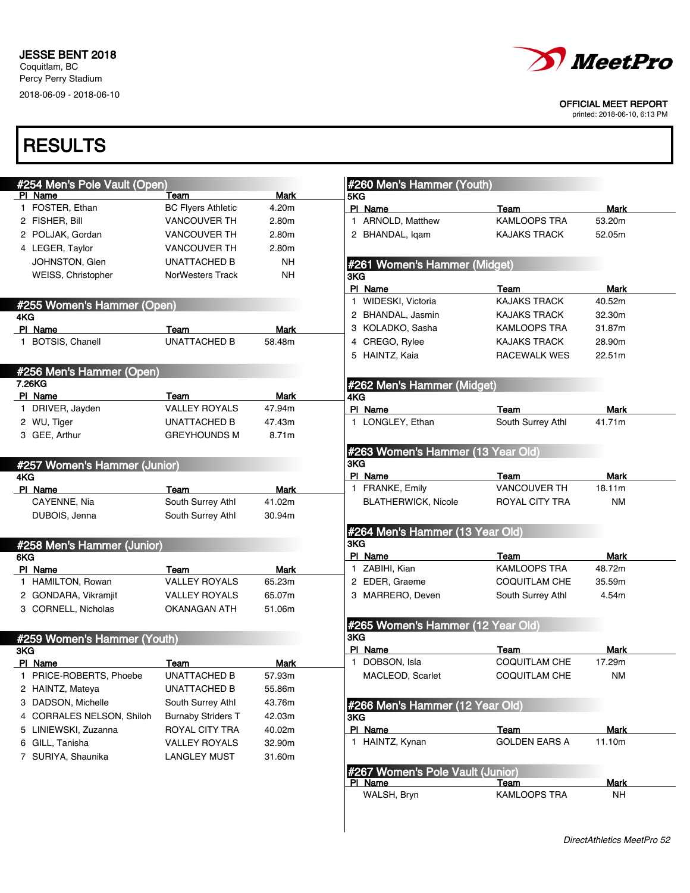

printed: 2018-06-10, 6:13 PM

| #254 Men's Pole Vault (Open) |                           |             | #260 Men's Hammer (Youth)                   |                      |             |
|------------------------------|---------------------------|-------------|---------------------------------------------|----------------------|-------------|
| PI Name                      | Team                      | <b>Mark</b> | 5KG                                         |                      |             |
| 1 FOSTER, Ethan              | <b>BC Flyers Athletic</b> | 4.20m       | PI Name                                     | Team                 | <b>Mark</b> |
| 2 FISHER, Bill               | <b>VANCOUVER TH</b>       | 2.80m       | 1 ARNOLD, Matthew                           | <b>KAMLOOPS TRA</b>  | 53.20m      |
| 2 POLJAK, Gordan             | <b>VANCOUVER TH</b>       | 2.80m       | 2 BHANDAL, Igam                             | <b>KAJAKS TRACK</b>  | 52.05m      |
| 4 LEGER, Taylor              | <b>VANCOUVER TH</b>       | 2.80m       |                                             |                      |             |
| JOHNSTON, Glen               | UNATTACHED B              | NΗ          | #261 Women's Hammer (Midget)                |                      |             |
| WEISS, Christopher           | <b>NorWesters Track</b>   | <b>NH</b>   | 3KG                                         |                      |             |
|                              |                           |             | PI Name                                     | Team                 | Mark        |
| #255 Women's Hammer (Open)   |                           |             | 1 WIDESKI, Victoria                         | <b>KAJAKS TRACK</b>  | 40.52m      |
| 4KG                          |                           |             | 2 BHANDAL, Jasmin                           | <b>KAJAKS TRACK</b>  | 32.30m      |
| PI Name                      | Team                      | Mark        | 3 KOLADKO, Sasha                            | <b>KAMLOOPS TRA</b>  | 31.87m      |
| 1 BOTSIS, Chanell            | <b>UNATTACHED B</b>       | 58.48m      | 4 CREGO, Rylee                              | <b>KAJAKS TRACK</b>  | 28.90m      |
|                              |                           |             | 5 HAINTZ, Kaia                              | RACEWALK WES         | 22.51m      |
| #256 Men's Hammer (Open)     |                           |             |                                             |                      |             |
| 7.26KG                       |                           |             | #262 Men's Hammer (Midget)                  |                      |             |
| PI Name                      | Team                      | Mark        | 4KG                                         |                      |             |
| 1 DRIVER, Jayden             | <b>VALLEY ROYALS</b>      | 47.94m      | PI Name                                     | Team                 | Mark        |
| 2 WU, Tiger                  | <b>UNATTACHED B</b>       | 47.43m      | 1 LONGLEY, Ethan                            | South Surrey Athl    | 41.71m      |
| 3 GEE, Arthur                | <b>GREYHOUNDS M</b>       | 8.71m       |                                             |                      |             |
|                              |                           |             | #263 Women's Hammer (13 Year Old)           |                      |             |
| #257 Women's Hammer (Junior) |                           |             | 3KG                                         |                      |             |
| 4KG                          |                           |             | PI Name                                     | Team                 | Mark        |
| PI Name                      | Team                      | <b>Mark</b> | 1 FRANKE, Emily                             | <b>VANCOUVER TH</b>  | 18.11m      |
| CAYENNE, Nia                 | South Surrey Athl         | 41.02m      | <b>BLATHERWICK, Nicole</b>                  | ROYAL CITY TRA       | <b>NM</b>   |
| DUBOIS, Jenna                | South Surrey Athl         | 30.94m      |                                             |                      |             |
|                              |                           |             | #264 Men's Hammer (13 Year Old)             |                      |             |
| #258 Men's Hammer (Junior)   |                           |             | 3KG                                         |                      |             |
| 6KG                          |                           |             | PI Name                                     | Team                 | Mark        |
| PI Name                      | Team                      | Mark        | 1 ZABIHI, Kian                              | <b>KAMLOOPS TRA</b>  | 48.72m      |
| 1 HAMILTON, Rowan            | <b>VALLEY ROYALS</b>      | 65.23m      | 2 EDER, Graeme                              | <b>COQUITLAM CHE</b> | 35.59m      |
| 2 GONDARA, Vikramjit         | <b>VALLEY ROYALS</b>      | 65.07m      | 3 MARRERO, Deven                            | South Surrey Athl    | 4.54m       |
| 3 CORNELL, Nicholas          | OKANAGAN ATH              | 51.06m      |                                             |                      |             |
|                              |                           |             | #265 Women's Hammer (12 Year Old)           |                      |             |
| #259 Women's Hammer (Youth)  |                           |             | 3KG                                         |                      |             |
| 3KG                          |                           |             | PI Name                                     | Team                 | Mark        |
| PI Name                      | Team                      | Mark        | 1 DOBSON, Isla                              | COQUITLAM CHE        | 17.29m      |
| PRICE-ROBERTS, Phoebe        | <b>UNATTACHED B</b>       | 57.93m      | MACLEOD, Scarlet                            | COQUITLAM CHE        | <b>NM</b>   |
| 2 HAINTZ, Mateya             | <b>UNATTACHED B</b>       | 55.86m      |                                             |                      |             |
| 3 DADSON, Michelle           | South Surrey Athl         | 43.76m      | #266 Men's Hammer (12 Year Old)             |                      |             |
| 4 CORRALES NELSON, Shiloh    | <b>Burnaby Striders T</b> | 42.03m      | <b>3KG</b>                                  |                      |             |
| 5 LINIEWSKI, Zuzanna         | ROYAL CITY TRA            | 40.02m      | PI Name                                     | Team                 | <b>Mark</b> |
| 6 GILL, Tanisha              | <b>VALLEY ROYALS</b>      | 32.90m      | 1 HAINTZ, Kynan                             | <b>GOLDEN EARS A</b> | 11.10m      |
| 7 SURIYA, Shaunika           | <b>LANGLEY MUST</b>       | 31.60m      |                                             |                      |             |
|                              |                           |             |                                             |                      |             |
|                              |                           |             | #267 Women's Pole Vault (Junior)<br>PI Name | Team                 | <b>Mark</b> |
|                              |                           |             | WALSH, Bryn                                 | KAMLOOPS TRA         | <b>NH</b>   |
|                              |                           |             |                                             |                      |             |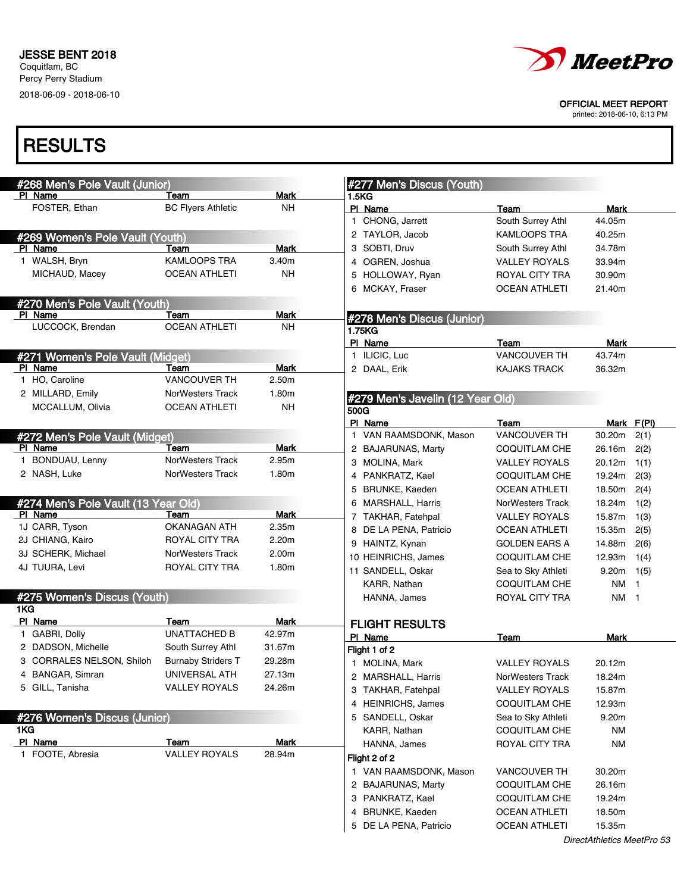

printed: 2018-06-10, 6:13 PM

| #268 Men's Pole Vault (Junior)      |                           |             | #277 Men's Discus (Youth)                  |                                              |                  |              |
|-------------------------------------|---------------------------|-------------|--------------------------------------------|----------------------------------------------|------------------|--------------|
| PI Name                             | Team                      | <b>Mark</b> | 1.5KG                                      |                                              |                  |              |
| FOSTER, Ethan                       | <b>BC Flyers Athletic</b> | <b>NH</b>   | PI Name                                    | Team                                         | Mark             |              |
|                                     |                           |             | 1 CHONG, Jarrett                           | South Surrey Athl                            | 44.05m           |              |
| #269 Women's Pole Vault (Youth)     |                           |             | 2 TAYLOR, Jacob                            | <b>KAMLOOPS TRA</b>                          | 40.25m           |              |
| PI Name                             | Team                      | <b>Mark</b> | 3 SOBTI, Druv                              | South Surrey Athl                            | 34.78m           |              |
| 1 WALSH, Bryn                       | KAMLOOPS TRA              | 3.40m       | 4 OGREN, Joshua                            | <b>VALLEY ROYALS</b>                         | 33.94m           |              |
| MICHAUD, Macey                      | <b>OCEAN ATHLETI</b>      | <b>NH</b>   | 5 HOLLOWAY, Ryan                           | ROYAL CITY TRA                               | 30.90m           |              |
|                                     |                           |             | 6 MCKAY, Fraser                            | <b>OCEAN ATHLETI</b>                         | 21.40m           |              |
| #270 Men's Pole Vault (Youth)       |                           |             |                                            |                                              |                  |              |
| PI Name                             | Team                      | <b>Mark</b> | #278 Men's Discus (Junior)                 |                                              |                  |              |
| LUCCOCK, Brendan                    | <b>OCEAN ATHLETI</b>      | <b>NH</b>   | 1.75KG                                     |                                              |                  |              |
|                                     |                           |             | PI Name                                    | Team                                         | Mark             |              |
| #271 Women's Pole Vault (Midget)    |                           |             | 1 ILICIC, Luc                              | <b>VANCOUVER TH</b>                          | 43.74m           |              |
| PI Name                             | Team                      | <b>Mark</b> | 2 DAAL, Erik                               | <b>KAJAKS TRACK</b>                          | 36.32m           |              |
| 1 HO, Caroline                      | <b>VANCOUVER TH</b>       | 2.50m       |                                            |                                              |                  |              |
| 2 MILLARD, Emily                    | <b>NorWesters Track</b>   | 1.80m       | #279 Men's Javelin (12 Year Old)           |                                              |                  |              |
| MCCALLUM, Olivia                    | <b>OCEAN ATHLETI</b>      | <b>NH</b>   | 500G                                       |                                              |                  |              |
|                                     |                           |             | PI Name                                    | Team                                         | Mark F(PI)       |              |
| #272 Men's Pole Vault (Midget)      |                           |             | 1 VAN RAAMSDONK, Mason                     | <b>VANCOUVER TH</b>                          | 30.20m           | 2(1)         |
| PI Name                             | Team                      | <b>Mark</b> | 2 BAJARUNAS, Marty                         | <b>COQUITLAM CHE</b>                         | 26.16m           | 2(2)         |
| 1 BONDUAU, Lenny                    | <b>NorWesters Track</b>   | 2.95m       | 3 MOLINA, Mark                             | <b>VALLEY ROYALS</b>                         | 20.12m           | 1(1)         |
| 2 NASH, Luke                        | <b>NorWesters Track</b>   | 1.80m       | 4 PANKRATZ, Kael                           | <b>COQUITLAM CHE</b>                         | 19.24m           | 2(3)         |
|                                     |                           |             | 5 BRUNKE, Kaeden                           | <b>OCEAN ATHLETI</b>                         | 18.50m           | 2(4)         |
| #274 Men's Pole Vault (13 Year Old) |                           |             | 6 MARSHALL, Harris                         | NorWesters Track                             | 18.24m           | 1(2)         |
| PI Name                             | Team                      | Mark        | 7 TAKHAR, Fatehpal                         | <b>VALLEY ROYALS</b>                         | 15.87m           | 1(3)         |
| 1J CARR, Tyson                      | OKANAGAN ATH              | 2.35m       | 8 DE LA PENA, Patricio                     | <b>OCEAN ATHLETI</b>                         | 15.35m           | 2(5)         |
| 2J CHIANG, Kairo                    | ROYAL CITY TRA            | 2.20m       | 9 HAINTZ, Kynan                            | <b>GOLDEN EARS A</b>                         | 14.88m           | 2(6)         |
| 3J SCHERK, Michael                  | <b>NorWesters Track</b>   | 2.00m       | 10 HEINRICHS, James                        | <b>COQUITLAM CHE</b>                         | 12.93m           | 1(4)         |
| 4J TUURA, Levi                      | ROYAL CITY TRA            | 1.80m       | 11 SANDELL, Oskar                          | Sea to Sky Athleti                           | 9.20m            | 1(5)         |
|                                     |                           |             | KARR, Nathan                               | <b>COQUITLAM CHE</b>                         | NM               | $\mathbf{1}$ |
| #275 Women's Discus (Youth)         |                           |             | HANNA, James                               | ROYAL CITY TRA                               | NM 1             |              |
| 1KG                                 |                           |             |                                            |                                              |                  |              |
| PI Name                             | Team                      | Mark        | <b>FLIGHT RESULTS</b>                      |                                              |                  |              |
| 1 GABRI, Dolly                      | UNATTACHED B              | 42.97m      | PI Name                                    | Team                                         | <b>Mark</b>      |              |
| 2 DADSON, Michelle                  | South Surrey Athl         | 31.67m      | Flight 1 of 2                              |                                              |                  |              |
| 3 CORRALES NELSON, Shiloh           | <b>Burnaby Striders T</b> | 29.28m      | 1 MOLINA, Mark                             | <b>VALLEY ROYALS</b>                         | 20.12m           |              |
| 4 BANGAR, Simran                    | UNIVERSAL ATH             | 27.13m      | 2 MARSHALL, Harris                         | NorWesters Track                             | 18.24m           |              |
| 5 GILL, Tanisha                     | <b>VALLEY ROYALS</b>      | 24.26m      | 3 TAKHAR, Fatehpal                         | <b>VALLEY ROYALS</b>                         | 15.87m           |              |
|                                     |                           |             | 4 HEINRICHS, James                         | <b>COQUITLAM CHE</b>                         | 12.93m           |              |
| #276 Women's Discus (Junior)        |                           |             | 5 SANDELL, Oskar                           | Sea to Sky Athleti                           | 9.20m            |              |
| 1KG                                 |                           |             | KARR, Nathan                               | <b>COQUITLAM CHE</b>                         | <b>NM</b>        |              |
| PI Name                             | Team                      | <b>Mark</b> | HANNA, James                               | ROYAL CITY TRA                               | <b>NM</b>        |              |
| 1 FOOTE, Abresia                    | <b>VALLEY ROYALS</b>      | 28.94m      | Flight 2 of 2                              |                                              |                  |              |
|                                     |                           |             | 1 VAN RAAMSDONK, Mason                     | <b>VANCOUVER TH</b>                          | 30.20m           |              |
|                                     |                           |             |                                            |                                              |                  |              |
|                                     |                           |             | 2 BAJARUNAS, Marty                         | <b>COQUITLAM CHE</b>                         | 26.16m           |              |
|                                     |                           |             | 3 PANKRATZ, Kael                           | <b>COQUITLAM CHE</b>                         | 19.24m           |              |
|                                     |                           |             | 4 BRUNKE, Kaeden<br>5 DE LA PENA, Patricio | <b>OCEAN ATHLETI</b><br><b>OCEAN ATHLETI</b> | 18.50m<br>15.35m |              |
|                                     |                           |             |                                            |                                              |                  |              |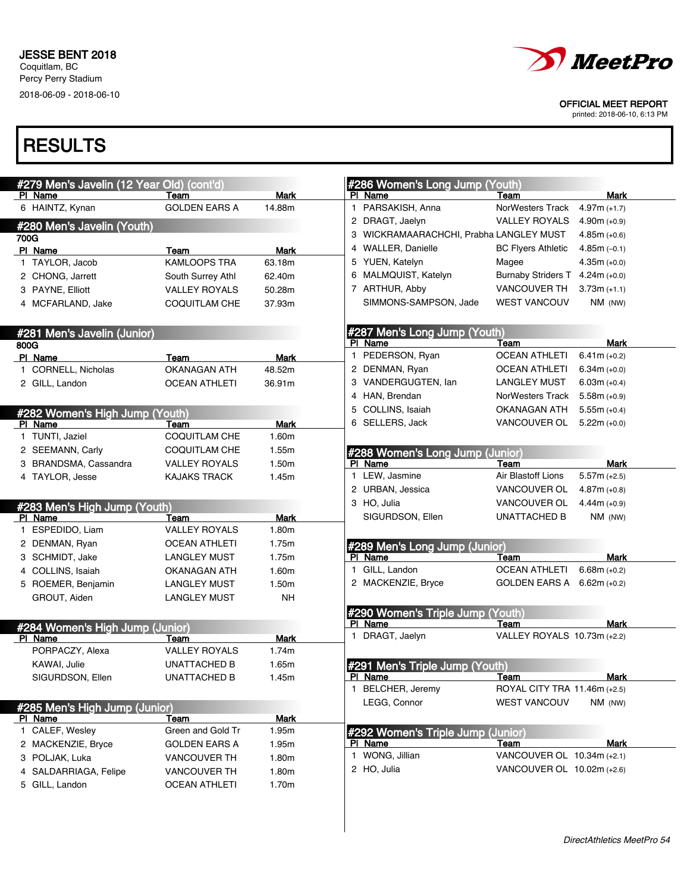

printed: 2018-06-10, 6:13 PM

| #279 Men's Javelin (12 Year Old) (cont'd)  |                      |             |
|--------------------------------------------|----------------------|-------------|
| PI Name                                    | Team                 | <b>Mark</b> |
| 6 HAINTZ, Kynan                            | <b>GOLDEN EARS A</b> | 14.88m      |
| #280 Men's Javelin (Youth)                 |                      |             |
| 700G                                       |                      |             |
| PI Name                                    | Team                 | Mark        |
| 1 TAYLOR, Jacob                            | <b>KAMLOOPS TRA</b>  | 63.18m      |
| 2 CHONG, Jarrett                           | South Surrey Athl    | 62.40m      |
| 3 PAYNE, Elliott                           | <b>VALLEY ROYALS</b> | 50.28m      |
| 4 MCFARLAND, Jake                          | COQUITLAM CHE        | 37.93m      |
|                                            |                      |             |
| #281 Men's Javelin (Junior)                |                      |             |
| 800G                                       |                      |             |
| PI Name                                    | Team                 | Mark        |
| 1 CORNELL, Nicholas                        | <b>OKANAGAN ATH</b>  | 48.52m      |
| 2 GILL, Landon                             | OCEAN ATHLETI        | 36.91m      |
|                                            |                      |             |
| #282 Women's High Jump (Youth)             |                      |             |
| PI Name                                    | Team                 | Mark        |
| 1 TUNTI, Jaziel                            | <b>COQUITLAM CHE</b> | 1.60m       |
| 2 SEEMANN, Carly                           | <b>COQUITLAM CHE</b> | 1.55m       |
| 3 BRANDSMA, Cassandra                      | <b>VALLEY ROYALS</b> | 1.50m       |
| 4 TAYLOR, Jesse                            | <b>KAJAKS TRACK</b>  | 1.45m       |
|                                            |                      |             |
| #283 Men's High Jump (Youth)               |                      |             |
| PI Name                                    | Team                 | <b>Mark</b> |
| 1 ESPEDIDO, Liam                           | <b>VALLEY ROYALS</b> | 1.80m       |
| 2 DENMAN, Ryan                             | <b>OCEAN ATHLETI</b> | 1.75m       |
| 3 SCHMIDT, Jake                            | <b>LANGLEY MUST</b>  | 1.75m       |
| 4 COLLINS, Isaiah                          | OKANAGAN ATH         | 1.60m       |
| 5 ROEMER, Benjamin                         | <b>LANGLEY MUST</b>  | 1.50m       |
| GROUT, Aiden                               | <b>LANGLEY MUST</b>  | NΗ          |
|                                            |                      |             |
|                                            |                      |             |
| #284 Women's High Jump (Junior)<br>PI Name | Team                 | <b>Mark</b> |
| PORPACZY, Alexa                            | <b>VALLEY ROYALS</b> | 1.74m       |
|                                            |                      |             |
| KAWAI, Julie                               | <b>UNATTACHED B</b>  | 1.65m       |
| SIGURDSON, Ellen                           | <b>UNATTACHED B</b>  | 1.45m       |
|                                            |                      |             |
| #285 Men's High Jump (Junior)              |                      |             |
| PI Name                                    | Team                 | <b>Mark</b> |
| 1 CALEF, Wesley                            | Green and Gold Tr    | 1.95m       |
| 2 MACKENZIE, Bryce                         | <b>GOLDEN EARS A</b> | 1.95m       |
| 3 POLJAK, Luka                             | <b>VANCOUVER TH</b>  | 1.80m       |
| 4 SALDARRIAGA, Felipe                      | VANCOUVER TH         | 1.80m       |
| 5 GILL, Landon                             | <b>OCEAN ATHLETI</b> | 1.70m       |
|                                            |                      |             |